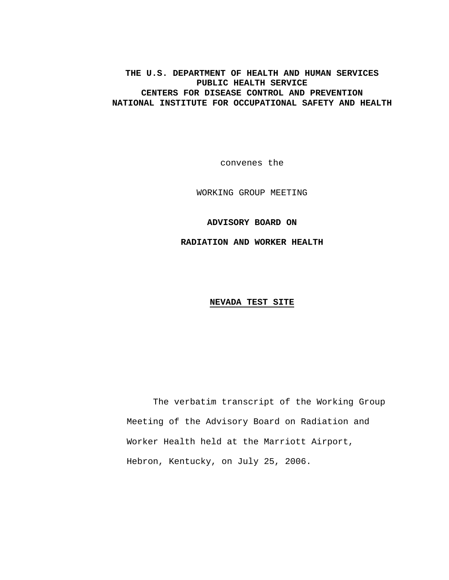### **THE U.S. DEPARTMENT OF HEALTH AND HUMAN SERVICES PUBLIC HEALTH SERVICE CENTERS FOR DISEASE CONTROL AND PREVENTION NATIONAL INSTITUTE FOR OCCUPATIONAL SAFETY AND HEALTH**

convenes the

WORKING GROUP MEETING

**ADVISORY BOARD ON** 

**RADIATION AND WORKER HEALTH** 

### **NEVADA TEST SITE**

The verbatim transcript of the Working Group Meeting of the Advisory Board on Radiation and Worker Health held at the Marriott Airport, Hebron, Kentucky, on July 25, 2006.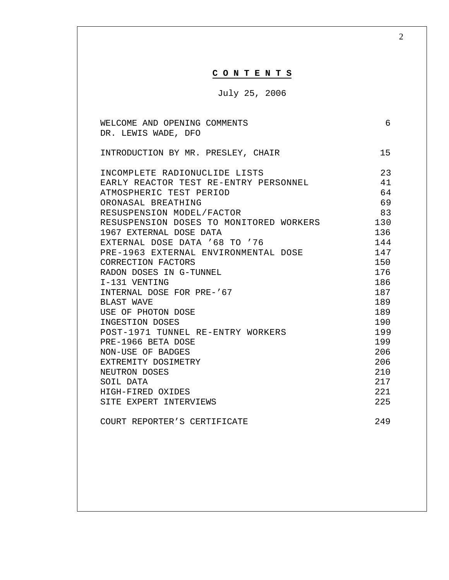| CONTENTS<br>July 25, 2006<br>6<br>WELCOME AND OPENING COMMENTS<br>DR. LEWIS WADE, DFO<br>15<br>INTRODUCTION BY MR. PRESLEY, CHAIR<br>23<br>INCOMPLETE RADIONUCLIDE LISTS<br>41<br>EARLY REACTOR TEST RE-ENTRY PERSONNEL<br>64<br>ATMOSPHERIC TEST PERIOD<br>69<br>ORONASAL BREATHING<br>83<br>RESUSPENSION MODEL/FACTOR<br>RESUSPENSION DOSES TO MONITORED WORKERS 130<br>1967 EXTERNAL DOSE DATA<br>136<br>EXTERNAL DOSE DATA '68 TO '76<br>144<br>147<br>PRE-1963 EXTERNAL ENVIRONMENTAL DOSE<br>CORRECTION FACTORS<br>150<br>176<br>RADON DOSES IN G-TUNNEL<br>186<br>I-131 VENTING<br>187<br>INTERNAL DOSE FOR PRE-'67<br>189<br><b>BLAST WAVE</b><br>USE OF PHOTON DOSE<br>189<br>190<br>INGESTION DOSES<br>POST-1971 TUNNEL RE-ENTRY WORKERS<br>199<br>PRE-1966 BETA DOSE<br>199<br>206<br>NON-USE OF BADGES<br>206<br>EXTREMITY DOSIMETRY<br>210<br>NEUTRON DOSES | 2 |
|--------------------------------------------------------------------------------------------------------------------------------------------------------------------------------------------------------------------------------------------------------------------------------------------------------------------------------------------------------------------------------------------------------------------------------------------------------------------------------------------------------------------------------------------------------------------------------------------------------------------------------------------------------------------------------------------------------------------------------------------------------------------------------------------------------------------------------------------------------------------------|---|
|                                                                                                                                                                                                                                                                                                                                                                                                                                                                                                                                                                                                                                                                                                                                                                                                                                                                          |   |
|                                                                                                                                                                                                                                                                                                                                                                                                                                                                                                                                                                                                                                                                                                                                                                                                                                                                          |   |
|                                                                                                                                                                                                                                                                                                                                                                                                                                                                                                                                                                                                                                                                                                                                                                                                                                                                          |   |
|                                                                                                                                                                                                                                                                                                                                                                                                                                                                                                                                                                                                                                                                                                                                                                                                                                                                          |   |
|                                                                                                                                                                                                                                                                                                                                                                                                                                                                                                                                                                                                                                                                                                                                                                                                                                                                          |   |
|                                                                                                                                                                                                                                                                                                                                                                                                                                                                                                                                                                                                                                                                                                                                                                                                                                                                          |   |
|                                                                                                                                                                                                                                                                                                                                                                                                                                                                                                                                                                                                                                                                                                                                                                                                                                                                          |   |
|                                                                                                                                                                                                                                                                                                                                                                                                                                                                                                                                                                                                                                                                                                                                                                                                                                                                          |   |
|                                                                                                                                                                                                                                                                                                                                                                                                                                                                                                                                                                                                                                                                                                                                                                                                                                                                          |   |
|                                                                                                                                                                                                                                                                                                                                                                                                                                                                                                                                                                                                                                                                                                                                                                                                                                                                          |   |
|                                                                                                                                                                                                                                                                                                                                                                                                                                                                                                                                                                                                                                                                                                                                                                                                                                                                          |   |
|                                                                                                                                                                                                                                                                                                                                                                                                                                                                                                                                                                                                                                                                                                                                                                                                                                                                          |   |
|                                                                                                                                                                                                                                                                                                                                                                                                                                                                                                                                                                                                                                                                                                                                                                                                                                                                          |   |
|                                                                                                                                                                                                                                                                                                                                                                                                                                                                                                                                                                                                                                                                                                                                                                                                                                                                          |   |
|                                                                                                                                                                                                                                                                                                                                                                                                                                                                                                                                                                                                                                                                                                                                                                                                                                                                          |   |
|                                                                                                                                                                                                                                                                                                                                                                                                                                                                                                                                                                                                                                                                                                                                                                                                                                                                          |   |
|                                                                                                                                                                                                                                                                                                                                                                                                                                                                                                                                                                                                                                                                                                                                                                                                                                                                          |   |
|                                                                                                                                                                                                                                                                                                                                                                                                                                                                                                                                                                                                                                                                                                                                                                                                                                                                          |   |
|                                                                                                                                                                                                                                                                                                                                                                                                                                                                                                                                                                                                                                                                                                                                                                                                                                                                          |   |
|                                                                                                                                                                                                                                                                                                                                                                                                                                                                                                                                                                                                                                                                                                                                                                                                                                                                          |   |
|                                                                                                                                                                                                                                                                                                                                                                                                                                                                                                                                                                                                                                                                                                                                                                                                                                                                          |   |
|                                                                                                                                                                                                                                                                                                                                                                                                                                                                                                                                                                                                                                                                                                                                                                                                                                                                          |   |
|                                                                                                                                                                                                                                                                                                                                                                                                                                                                                                                                                                                                                                                                                                                                                                                                                                                                          |   |
|                                                                                                                                                                                                                                                                                                                                                                                                                                                                                                                                                                                                                                                                                                                                                                                                                                                                          |   |
|                                                                                                                                                                                                                                                                                                                                                                                                                                                                                                                                                                                                                                                                                                                                                                                                                                                                          |   |
| 217<br>SOIL DATA                                                                                                                                                                                                                                                                                                                                                                                                                                                                                                                                                                                                                                                                                                                                                                                                                                                         |   |
| 221<br>HIGH-FIRED OXIDES                                                                                                                                                                                                                                                                                                                                                                                                                                                                                                                                                                                                                                                                                                                                                                                                                                                 |   |
| 225<br>SITE EXPERT INTERVIEWS                                                                                                                                                                                                                                                                                                                                                                                                                                                                                                                                                                                                                                                                                                                                                                                                                                            |   |
| COURT REPORTER'S CERTIFICATE<br>249                                                                                                                                                                                                                                                                                                                                                                                                                                                                                                                                                                                                                                                                                                                                                                                                                                      |   |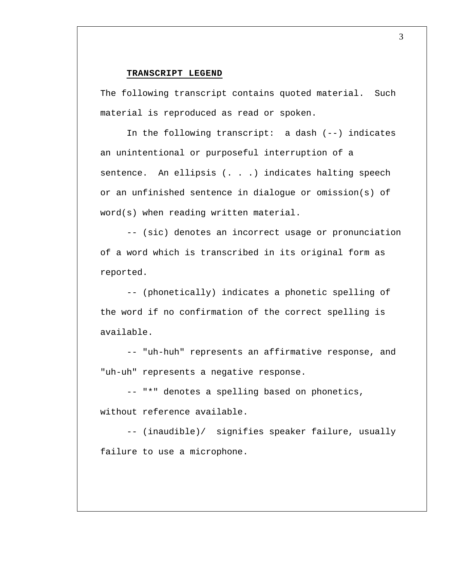#### **TRANSCRIPT LEGEND**

The following transcript contains quoted material. Such material is reproduced as read or spoken.

In the following transcript: a dash (--) indicates an unintentional or purposeful interruption of a sentence. An ellipsis (. . .) indicates halting speech or an unfinished sentence in dialogue or omission(s) of word(s) when reading written material.

-- (sic) denotes an incorrect usage or pronunciation of a word which is transcribed in its original form as reported.

-- (phonetically) indicates a phonetic spelling of the word if no confirmation of the correct spelling is available.

-- "uh-huh" represents an affirmative response, and "uh-uh" represents a negative response.

-- "\*" denotes a spelling based on phonetics, without reference available.

-- (inaudible)/ signifies speaker failure, usually failure to use a microphone.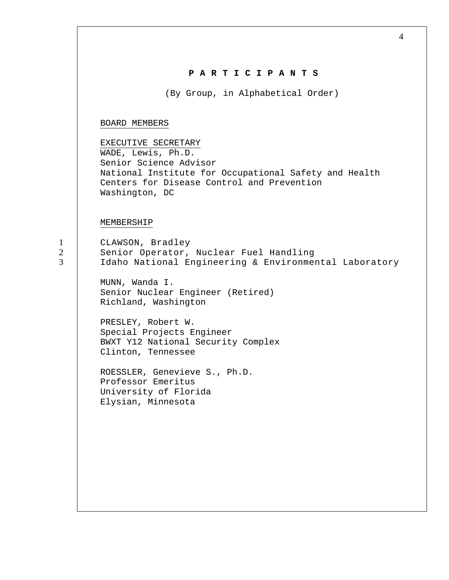| PARTICIPANTS<br>(By Group, in Alphabetical Order)<br>BOARD MEMBERS<br>EXECUTIVE SECRETARY<br>WADE, Lewis, Ph.D.<br>Senior Science Advisor<br>National Institute for Occupational Safety and Health<br>Centers for Disease Control and Prevention<br>Washington, DC<br>MEMBERSHIP<br>CLAWSON, Bradley<br>Senior Operator, Nuclear Fuel Handling<br>Idaho National Engineering & Environmental Laboratory<br>MUNN, Wanda I.<br>Senior Nuclear Engineer (Retired)<br>Richland, Washington<br>PRESLEY, Robert W.<br>Special Projects Engineer<br>BWXT Y12 National Security Complex<br>Clinton, Tennessee<br>ROESSLER, Genevieve S., Ph.D.<br>Professor Emeritus<br>University of Florida<br>Elysian, Minnesota | 4 |
|-------------------------------------------------------------------------------------------------------------------------------------------------------------------------------------------------------------------------------------------------------------------------------------------------------------------------------------------------------------------------------------------------------------------------------------------------------------------------------------------------------------------------------------------------------------------------------------------------------------------------------------------------------------------------------------------------------------|---|
|                                                                                                                                                                                                                                                                                                                                                                                                                                                                                                                                                                                                                                                                                                             |   |
|                                                                                                                                                                                                                                                                                                                                                                                                                                                                                                                                                                                                                                                                                                             |   |
|                                                                                                                                                                                                                                                                                                                                                                                                                                                                                                                                                                                                                                                                                                             |   |
|                                                                                                                                                                                                                                                                                                                                                                                                                                                                                                                                                                                                                                                                                                             |   |
|                                                                                                                                                                                                                                                                                                                                                                                                                                                                                                                                                                                                                                                                                                             |   |
|                                                                                                                                                                                                                                                                                                                                                                                                                                                                                                                                                                                                                                                                                                             |   |
|                                                                                                                                                                                                                                                                                                                                                                                                                                                                                                                                                                                                                                                                                                             |   |
|                                                                                                                                                                                                                                                                                                                                                                                                                                                                                                                                                                                                                                                                                                             |   |
|                                                                                                                                                                                                                                                                                                                                                                                                                                                                                                                                                                                                                                                                                                             |   |
|                                                                                                                                                                                                                                                                                                                                                                                                                                                                                                                                                                                                                                                                                                             |   |
|                                                                                                                                                                                                                                                                                                                                                                                                                                                                                                                                                                                                                                                                                                             |   |
|                                                                                                                                                                                                                                                                                                                                                                                                                                                                                                                                                                                                                                                                                                             |   |

1 2 3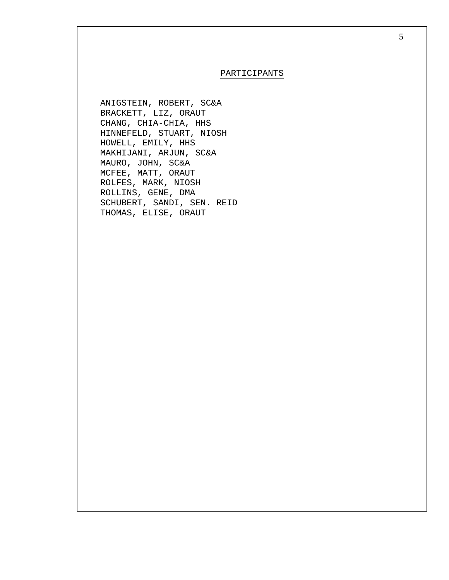#### PARTICIPANTS

ANIGSTEIN, ROBERT, SC&A BRACKETT, LIZ, ORAUT CHANG, CHIA-CHIA, HHS HINNEFELD, STUART, NIOSH HOWELL, EMILY, HHS MAKHIJANI, ARJUN, SC&A MAURO, JOHN, SC&A MCFEE, MATT, ORAUT ROLFES, MARK, NIOSH ROLLINS, GENE, DMA SCHUBERT, SANDI, SEN. REID THOMAS, ELISE, ORAUT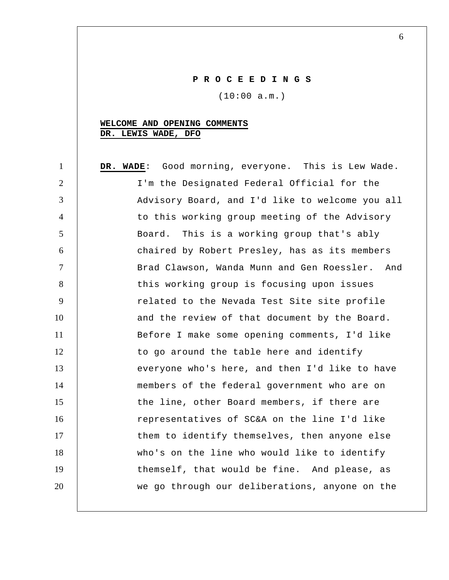# **P R O C E E D I N G S**

(10:00 a.m.)

# **WELCOME AND OPENING COMMENTS DR. LEWIS WADE, DFO**

| $\mathbf{1}$   | DR. WADE: Good morning, everyone. This is Lew Wade. |
|----------------|-----------------------------------------------------|
| $\overline{2}$ | I'm the Designated Federal Official for the         |
| 3              | Advisory Board, and I'd like to welcome you all     |
| $\overline{4}$ | to this working group meeting of the Advisory       |
| 5              | Board. This is a working group that's ably          |
| 6              | chaired by Robert Presley, has as its members       |
| $\tau$         | Brad Clawson, Wanda Munn and Gen Roessler. And      |
| 8              | this working group is focusing upon issues          |
| 9              | related to the Nevada Test Site site profile        |
| 10             | and the review of that document by the Board.       |
| 11             | Before I make some opening comments, I'd like       |
| 12             | to go around the table here and identify            |
| 13             | everyone who's here, and then I'd like to have      |
| 14             | members of the federal government who are on        |
| 15             | the line, other Board members, if there are         |
| 16             | representatives of SC&A on the line I'd like        |
| 17             | them to identify themselves, then anyone else       |
| 18             | who's on the line who would like to identify        |
| 19             | themself, that would be fine. And please, as        |
| 20             | we go through our deliberations, anyone on the      |
|                |                                                     |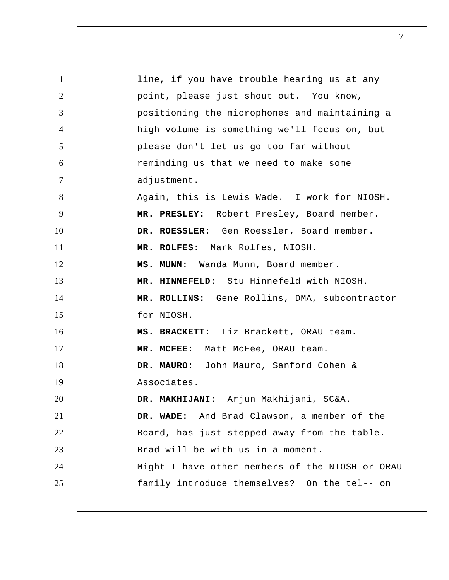| $\mathbf{1}$   | line, if you have trouble hearing us at any     |
|----------------|-------------------------------------------------|
| $\overline{2}$ | point, please just shout out. You know,         |
| 3              | positioning the microphones and maintaining a   |
| $\overline{4}$ | high volume is something we'll focus on, but    |
| 5              | please don't let us go too far without          |
| 6              | reminding us that we need to make some          |
| $\tau$         | adjustment.                                     |
| 8              | Again, this is Lewis Wade. I work for NIOSH.    |
| 9              | MR. PRESLEY: Robert Presley, Board member.      |
| 10             | DR. ROESSLER: Gen Roessler, Board member.       |
| 11             | MR. ROLFES: Mark Rolfes, NIOSH.                 |
| 12             | MS. MUNN: Wanda Munn, Board member.             |
| 13             | MR. HINNEFELD: Stu Hinnefeld with NIOSH.        |
| 14             | MR. ROLLINS: Gene Rollins, DMA, subcontractor   |
| 15             | for NIOSH.                                      |
| 16             | MS. BRACKETT: Liz Brackett, ORAU team.          |
| 17             | MR. MCFEE: Matt McFee, ORAU team.               |
| 18             | DR. MAURO: John Mauro, Sanford Cohen &          |
| 19             | Associates.                                     |
| 20             | DR. MAKHIJANI: Arjun Makhijani, SC&A.           |
| 21             | DR. WADE: And Brad Clawson, a member of the     |
| 22             | Board, has just stepped away from the table.    |
| 23             | Brad will be with us in a moment.               |
| 24             | Might I have other members of the NIOSH or ORAU |
| 25             | family introduce themselves? On the tel-- on    |
|                |                                                 |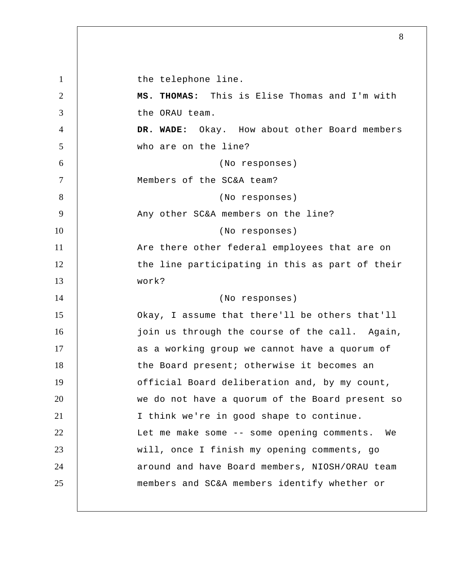1 2 3 4 5 6 7 8 9 10 11 12 13 14 15 16 17 18 19 20 21 22 23 24 25 the telephone line.  **MS. THOMAS:** This is Elise Thomas and I'm with the ORAU team.  **DR. WADE:** Okay. How about other Board members who are on the line? (No responses) Members of the SC&A team? (No responses) Any other SC&A members on the line? (No responses) Are there other federal employees that are on the line participating in this as part of their work? (No responses) Okay, I assume that there'll be others that'll join us through the course of the call. Again, as a working group we cannot have a quorum of the Board present; otherwise it becomes an official Board deliberation and, by my count, we do not have a quorum of the Board present so I think we're in good shape to continue. Let me make some -- some opening comments. We will, once I finish my opening comments, go around and have Board members, NIOSH/ORAU team members and SC&A members identify whether or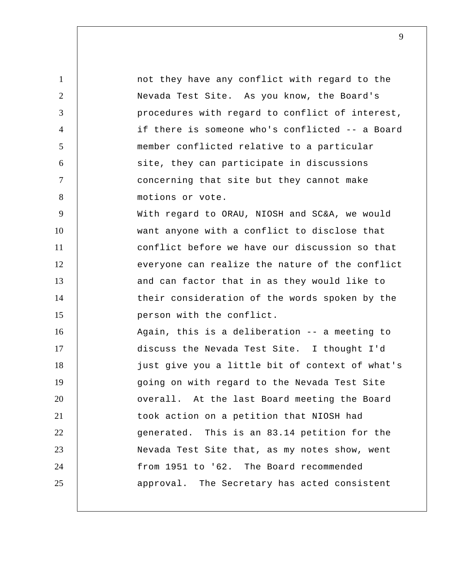1 2 3 4 5 6 7 8 9 10 11 12 13 14 15 16 17 18 19 20 21 22 23 24 25 not they have any conflict with regard to the Nevada Test Site. As you know, the Board's procedures with regard to conflict of interest, if there is someone who's conflicted -- a Board member conflicted relative to a particular site, they can participate in discussions concerning that site but they cannot make motions or vote. With regard to ORAU, NIOSH and SC&A, we would want anyone with a conflict to disclose that conflict before we have our discussion so that everyone can realize the nature of the conflict and can factor that in as they would like to their consideration of the words spoken by the person with the conflict. Again, this is a deliberation -- a meeting to discuss the Nevada Test Site. I thought I'd just give you a little bit of context of what's going on with regard to the Nevada Test Site overall. At the last Board meeting the Board took action on a petition that NIOSH had generated. This is an 83.14 petition for the Nevada Test Site that, as my notes show, went from 1951 to '62. The Board recommended approval. The Secretary has acted consistent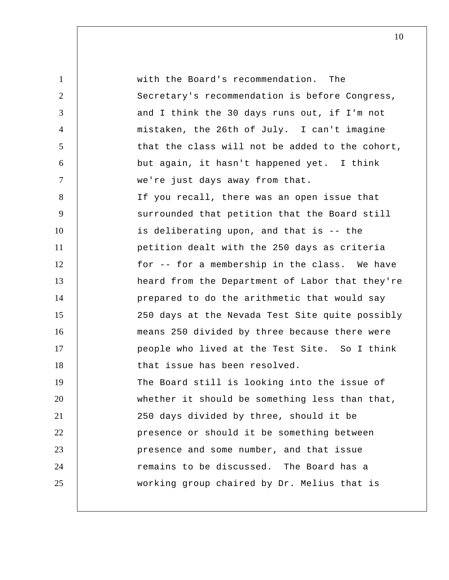| $\mathbf{1}$   | with the Board's recommendation. The            |
|----------------|-------------------------------------------------|
| $\overline{2}$ | Secretary's recommendation is before Congress,  |
| 3              | and I think the 30 days runs out, if I'm not    |
| $\overline{4}$ | mistaken, the 26th of July. I can't imagine     |
| 5              | that the class will not be added to the cohort, |
| 6              | but again, it hasn't happened yet. I think      |
| $\tau$         | we're just days away from that.                 |
| 8              | If you recall, there was an open issue that     |
| 9              | surrounded that petition that the Board still   |
| 10             | is deliberating upon, and that is -- the        |
| 11             | petition dealt with the 250 days as criteria    |
| 12             | for -- for a membership in the class. We have   |
| 13             | heard from the Department of Labor that they're |
| 14             | prepared to do the arithmetic that would say    |
| 15             | 250 days at the Nevada Test Site quite possibly |
| 16             | means 250 divided by three because there were   |
| 17             | people who lived at the Test Site. So I think   |
| 18             | that issue has been resolved.                   |
| 19             | The Board still is looking into the issue of    |
| 20             | whether it should be something less than that,  |
| 21             | 250 days divided by three, should it be         |
| 22             | presence or should it be something between      |
| 23             | presence and some number, and that issue        |
| 24             | remains to be discussed. The Board has a        |
| 25             | working group chaired by Dr. Melius that is     |
|                |                                                 |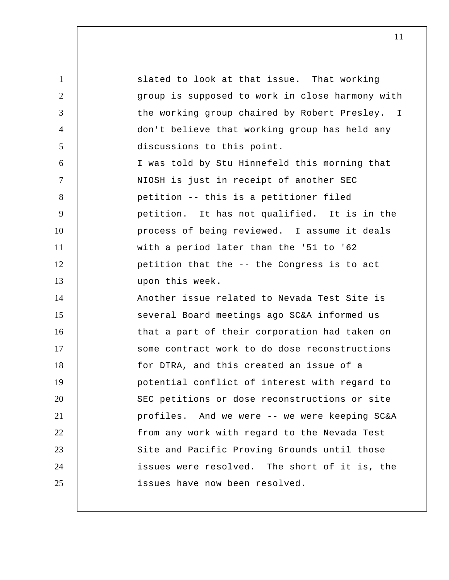1 2 3 4 5 6 7 8 9 10 11 12 13 14 15 16 17 18 19 20 21 22 23 24 25 the working group chaired by Robert Presley. I slated to look at that issue. That working group is supposed to work in close harmony with don't believe that working group has held any discussions to this point. I was told by Stu Hinnefeld this morning that NIOSH is just in receipt of another SEC petition -- this is a petitioner filed petition. It has not qualified. It is in the process of being reviewed. I assume it deals with a period later than the '51 to '62 petition that the -- the Congress is to act upon this week. Another issue related to Nevada Test Site is several Board meetings ago SC&A informed us that a part of their corporation had taken on some contract work to do dose reconstructions for DTRA, and this created an issue of a potential conflict of interest with regard to SEC petitions or dose reconstructions or site profiles. And we were -- we were keeping SC&A from any work with regard to the Nevada Test Site and Pacific Proving Grounds until those issues were resolved. The short of it is, the issues have now been resolved.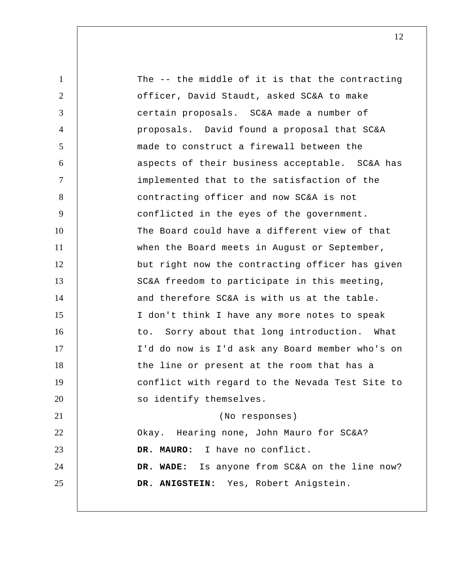| 1              | The -- the middle of it is that the contracting |
|----------------|-------------------------------------------------|
| $\overline{2}$ | officer, David Staudt, asked SC&A to make       |
| 3              | certain proposals. SC&A made a number of        |
| $\overline{4}$ | proposals. David found a proposal that SC&A     |
| 5              | made to construct a firewall between the        |
| 6              | aspects of their business acceptable. SC&A has  |
| $\tau$         | implemented that to the satisfaction of the     |
| 8              | contracting officer and now SC&A is not         |
| 9              | conflicted in the eyes of the government.       |
| 10             | The Board could have a different view of that   |
| 11             | when the Board meets in August or September,    |
| 12             | but right now the contracting officer has given |
| 13             | SC&A freedom to participate in this meeting,    |
| 14             | and therefore SC&A is with us at the table.     |
| 15             | I don't think I have any more notes to speak    |
| 16             | to. Sorry about that long introduction. What    |
| 17             | I'd do now is I'd ask any Board member who's on |
| 18             | the line or present at the room that has a      |
| 19             | conflict with regard to the Nevada Test Site to |
| 20             | so identify themselves.                         |
| 21             | (No responses)                                  |
| 22             | Okay. Hearing none, John Mauro for SC&A?        |
| 23             | DR. MAURO: I have no conflict.                  |
| 24             | DR. WADE: Is anyone from SC&A on the line now?  |
| 25             | DR. ANIGSTEIN: Yes, Robert Anigstein.           |
|                |                                                 |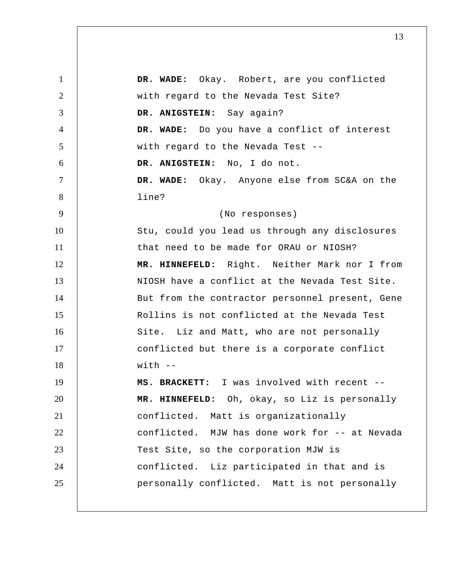| $\mathbf{1}$   | DR. WADE: Okay. Robert, are you conflicted      |
|----------------|-------------------------------------------------|
| $\overline{2}$ | with regard to the Nevada Test Site?            |
| 3              | DR. ANIGSTEIN: Say again?                       |
| $\overline{4}$ | DR. WADE: Do you have a conflict of interest    |
| 5              | with regard to the Nevada Test --               |
| 6              | DR. ANIGSTEIN: No, I do not.                    |
| $\tau$         | DR. WADE: Okay. Anyone else from SC&A on the    |
| 8              | line?                                           |
| 9              | (No responses)                                  |
| 10             | Stu, could you lead us through any disclosures  |
| 11             | that need to be made for ORAU or NIOSH?         |
| 12             | MR. HINNEFELD: Right. Neither Mark nor I from   |
| 13             | NIOSH have a conflict at the Nevada Test Site.  |
| 14             | But from the contractor personnel present, Gene |
| 15             | Rollins is not conflicted at the Nevada Test    |
| 16             | Site. Liz and Matt, who are not personally      |
| 17             | conflicted but there is a corporate conflict    |
| 18             | $with$ $-$                                      |
| 19             | MS. BRACKETT: I was involved with recent --     |
| 20             | MR. HINNEFELD: Oh, okay, so Liz is personally   |
| 21             | conflicted. Matt is organizationally            |
| 22             | conflicted. MJW has done work for -- at Nevada  |
| 23             | Test Site, so the corporation MJW is            |
| 24             | conflicted. Liz participated in that and is     |
| 25             | personally conflicted. Matt is not personally   |
|                |                                                 |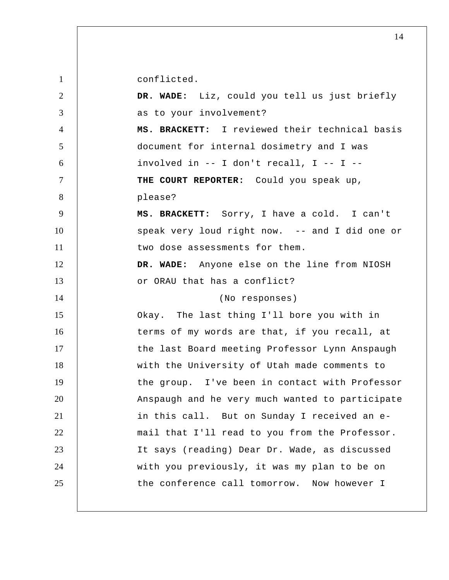conflicted.

| $\overline{2}$ | DR. WADE: Liz, could you tell us just briefly   |
|----------------|-------------------------------------------------|
| 3              | as to your involvement?                         |
| $\overline{4}$ | MS. BRACKETT: I reviewed their technical basis  |
| 5              | document for internal dosimetry and I was       |
| 6              | involved in $--$ I don't recall, I $--$ I $--$  |
| $\tau$         | THE COURT REPORTER: Could you speak up,         |
| 8              | please?                                         |
| 9              | MS. BRACKETT: Sorry, I have a cold. I can't     |
| 10             | speak very loud right now. -- and I did one or  |
| 11             | two dose assessments for them.                  |
| 12             | DR. WADE: Anyone else on the line from NIOSH    |
| 13             | or ORAU that has a conflict?                    |
| 14             | (No responses)                                  |
| 15             | Okay. The last thing I'll bore you with in      |
| 16             | terms of my words are that, if you recall, at   |
| 17             | the last Board meeting Professor Lynn Anspaugh  |
|                |                                                 |
| 18             | with the University of Utah made comments to    |
| 19             | the group. I've been in contact with Professor  |
| 20             | Anspaugh and he very much wanted to participate |
| 21             | in this call. But on Sunday I received an e-    |
| 22             | mail that I'll read to you from the Professor.  |
| 23             | It says (reading) Dear Dr. Wade, as discussed   |
| 24             | with you previously, it was my plan to be on    |
| 25             | the conference call tomorrow. Now however I     |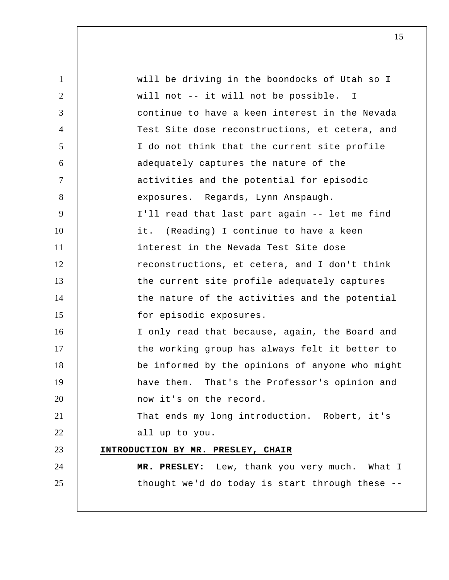| $\mathbf{1}$   | will be driving in the boondocks of Utah so I   |
|----------------|-------------------------------------------------|
| $\overline{2}$ | will not -- it will not be possible. I          |
| 3              | continue to have a keen interest in the Nevada  |
| $\overline{4}$ | Test Site dose reconstructions, et cetera, and  |
| 5              | I do not think that the current site profile    |
| 6              | adequately captures the nature of the           |
| $\tau$         | activities and the potential for episodic       |
| 8              | exposures. Regards, Lynn Anspaugh.              |
| 9              | I'll read that last part again -- let me find   |
| 10             | it. (Reading) I continue to have a keen         |
| 11             | interest in the Nevada Test Site dose           |
| 12             | reconstructions, et cetera, and I don't think   |
| 13             | the current site profile adequately captures    |
| 14             | the nature of the activities and the potential  |
| 15             | for episodic exposures.                         |
| 16             | I only read that because, again, the Board and  |
| 17             | the working group has always felt it better to  |
| 18             | be informed by the opinions of anyone who might |
| 19             | have them. That's the Professor's opinion and   |
| 20             | now it's on the record.                         |
| 21             | That ends my long introduction. Robert, it's    |
| 22             | all up to you.                                  |
| 23             | INTRODUCTION BY MR. PRESLEY, CHAIR              |
| 24             | MR. PRESLEY: Lew, thank you very much. What I   |
| 25             | thought we'd do today is start through these -- |
|                |                                                 |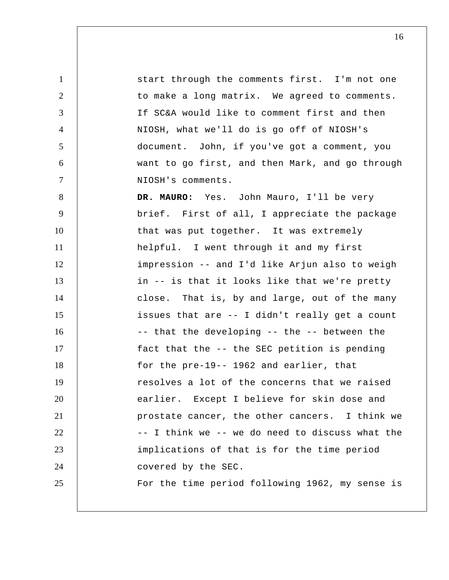1 2 3 4 5 6 7 8 9 10 11 12 13 14 15 16 17 18 19 20 21 22 23 24 25 start through the comments first. I'm not one to make a long matrix. We agreed to comments. If SC&A would like to comment first and then NIOSH, what we'll do is go off of NIOSH's document. John, if you've got a comment, you want to go first, and then Mark, and go through NIOSH's comments. **DR. MAURO:** Yes. John Mauro, I'll be very brief. First of all, I appreciate the package that was put together. It was extremely helpful. I went through it and my first impression -- and I'd like Arjun also to weigh in -- is that it looks like that we're pretty close. That is, by and large, out of the many issues that are -- I didn't really get a count -- that the developing -- the -- between the fact that the -- the SEC petition is pending for the pre-19-- 1962 and earlier, that resolves a lot of the concerns that we raised earlier. Except I believe for skin dose and prostate cancer, the other cancers. I think we -- I think we -- we do need to discuss what the implications of that is for the time period covered by the SEC. For the time period following 1962, my sense is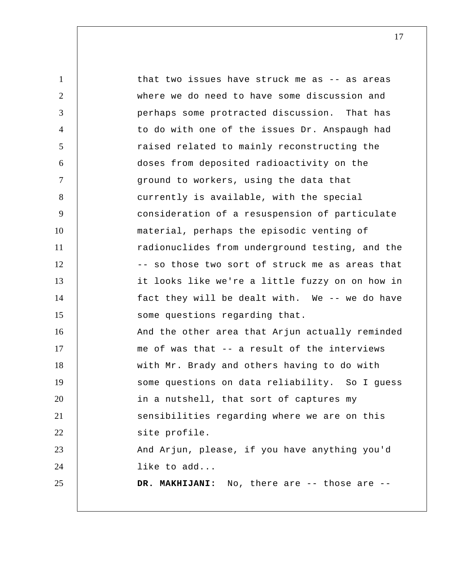1 2 3 4 5 6 7 8 9 10 11 12 13 14 15 16 17 18 19 20 21 22 23 24 25 that two issues have struck me as -- as areas where we do need to have some discussion and perhaps some protracted discussion. That has to do with one of the issues Dr. Anspaugh had raised related to mainly reconstructing the doses from deposited radioactivity on the ground to workers, using the data that currently is available, with the special consideration of a resuspension of particulate material, perhaps the episodic venting of radionuclides from underground testing, and the -- so those two sort of struck me as areas that it looks like we're a little fuzzy on on how in fact they will be dealt with. We -- we do have some questions regarding that. And the other area that Arjun actually reminded me of was that -- a result of the interviews with Mr. Brady and others having to do with some questions on data reliability. So I guess in a nutshell, that sort of captures my sensibilities regarding where we are on this site profile. And Arjun, please, if you have anything you'd like to add...  **DR. MAKHIJANI:** No, there are -- those are --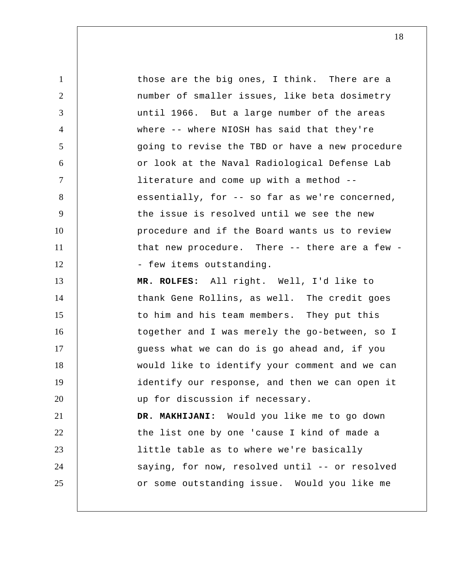1 2 3 4 5 6 7 8 9 10 11 12 13 14 15 16 17 18 19 20 21 22 23 24 25 those are the big ones, I think. There are a number of smaller issues, like beta dosimetry until 1966. But a large number of the areas where -- where NIOSH has said that they're going to revise the TBD or have a new procedure or look at the Naval Radiological Defense Lab literature and come up with a method - essentially, for -- so far as we're concerned, the issue is resolved until we see the new procedure and if the Board wants us to review that new procedure. There -- there are a few -- few items outstanding.  **MR. ROLFES:** All right. Well, I'd like to thank Gene Rollins, as well. The credit goes to him and his team members. They put this together and I was merely the go-between, so I guess what we can do is go ahead and, if you would like to identify your comment and we can identify our response, and then we can open it up for discussion if necessary.  **DR. MAKHIJANI:** Would you like me to go down the list one by one 'cause I kind of made a little table as to where we're basically saying, for now, resolved until -- or resolved or some outstanding issue. Would you like me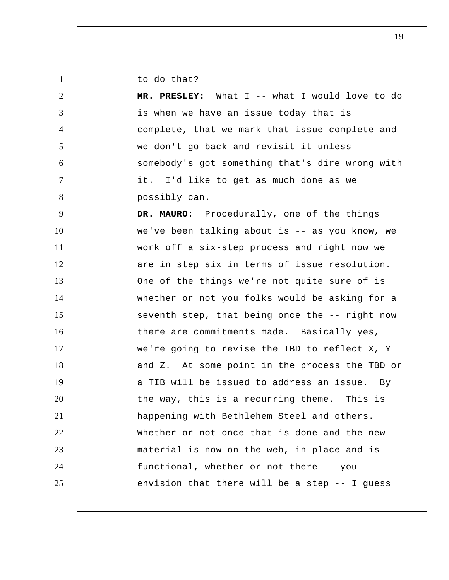to do that?

1

2 3 4 5 6 7 8 9 10 11 12 13 14 15 16 17 18 19 20 21 22 23 24 25  **MR. PRESLEY:** What I -- what I would love to do is when we have an issue today that is complete, that we mark that issue complete and we don't go back and revisit it unless somebody's got something that's dire wrong with it. I'd like to get as much done as we possibly can. **DR. MAURO:** Procedurally, one of the things we've been talking about is -- as you know, we work off a six-step process and right now we are in step six in terms of issue resolution. One of the things we're not quite sure of is whether or not you folks would be asking for a seventh step, that being once the -- right now there are commitments made. Basically yes, we're going to revise the TBD to reflect X, Y and Z. At some point in the process the TBD or a TIB will be issued to address an issue. By the way, this is a recurring theme. This is happening with Bethlehem Steel and others. Whether or not once that is done and the new material is now on the web, in place and is functional, whether or not there -- you envision that there will be a step -- I guess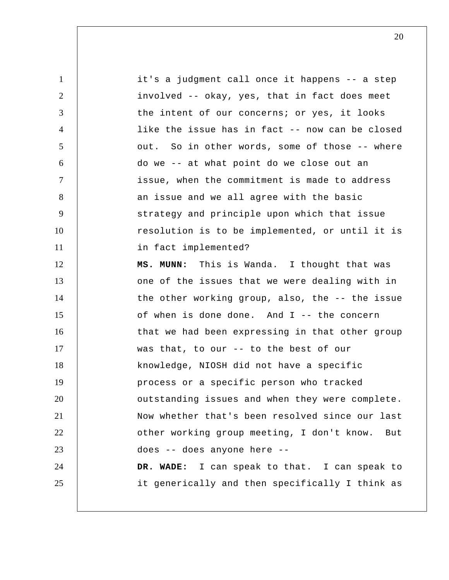1 2 3 4 5 6 7 8 9 10 11 12 13 14 15 16 17 18 19 20 21 22 23 24 25 it's a judgment call once it happens -- a step involved -- okay, yes, that in fact does meet the intent of our concerns; or yes, it looks like the issue has in fact -- now can be closed out. So in other words, some of those -- where do we -- at what point do we close out an issue, when the commitment is made to address an issue and we all agree with the basic strategy and principle upon which that issue resolution is to be implemented, or until it is in fact implemented?  **MS. MUNN:** This is Wanda. I thought that was one of the issues that we were dealing with in the other working group, also, the -- the issue of when is done done. And I -- the concern that we had been expressing in that other group was that, to our -- to the best of our knowledge, NIOSH did not have a specific process or a specific person who tracked outstanding issues and when they were complete. Now whether that's been resolved since our last other working group meeting, I don't know. But does -- does anyone here --  **DR. WADE:** I can speak to that. I can speak to it generically and then specifically I think as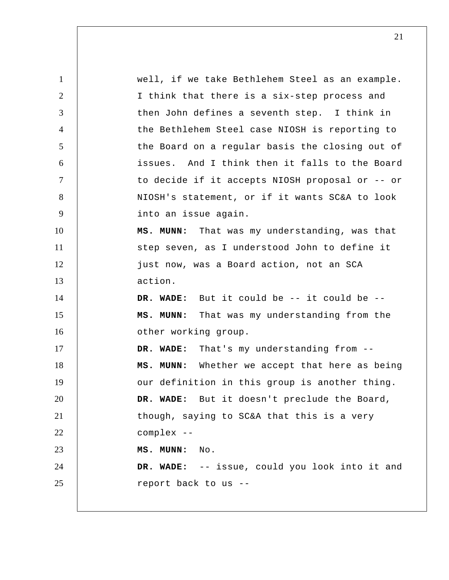1 2 3 4 5 6 7 8 9 10 11 12 13 14 15 16 17 18 19 20 21 22 23 24 25 well, if we take Bethlehem Steel as an example. I think that there is a six-step process and then John defines a seventh step. I think in the Bethlehem Steel case NIOSH is reporting to the Board on a regular basis the closing out of issues. And I think then it falls to the Board to decide if it accepts NIOSH proposal or -- or NIOSH's statement, or if it wants SC&A to look into an issue again.  **MS. MUNN:** That was my understanding, was that step seven, as I understood John to define it just now, was a Board action, not an SCA action.  **DR. WADE:** But it could be -- it could be --  **MS. MUNN:** That was my understanding from the other working group.  **DR. WADE:** That's my understanding from --  **MS. MUNN:** Whether we accept that here as being our definition in this group is another thing.  **DR. WADE:** But it doesn't preclude the Board, though, saying to SC&A that this is a very complex -- **MS. MUNN:** No.  **DR. WADE:** -- issue, could you look into it and report back to us --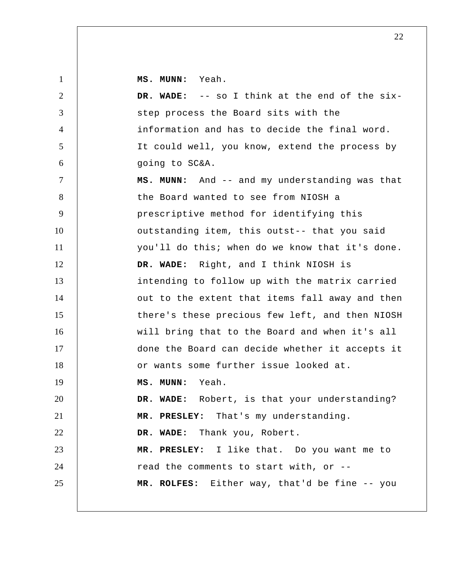**MS. MUNN:** Yeah.

| $\overline{2}$ | DR. WADE: -- so I think at the end of the six-  |
|----------------|-------------------------------------------------|
| 3              | step process the Board sits with the            |
| $\overline{4}$ | information and has to decide the final word.   |
| 5              | It could well, you know, extend the process by  |
| 6              | going to SC&A.                                  |
| $\tau$         | MS. MUNN: And -- and my understanding was that  |
| 8              | the Board wanted to see from NIOSH a            |
| 9              | prescriptive method for identifying this        |
| 10             | outstanding item, this outst-- that you said    |
| 11             | you'll do this; when do we know that it's done. |
| 12             | DR. WADE: Right, and I think NIOSH is           |
| 13             | intending to follow up with the matrix carried  |
| 14             | out to the extent that items fall away and then |
| 15             | there's these precious few left, and then NIOSH |
| 16             | will bring that to the Board and when it's all  |
| 17             | done the Board can decide whether it accepts it |
| 18             | or wants some further issue looked at.          |
| 19             | MS. MUNN: Yeah.                                 |
| 20             | DR. WADE: Robert, is that your understanding?   |
| 21             | MR. PRESLEY: That's my understanding.           |
| 22             | DR. WADE: Thank you, Robert.                    |
| 23             | MR. PRESLEY: I like that. Do you want me to     |
| 24             | read the comments to start with, or --          |
| 25             | MR. ROLFES: Either way, that'd be fine -- you   |
|                |                                                 |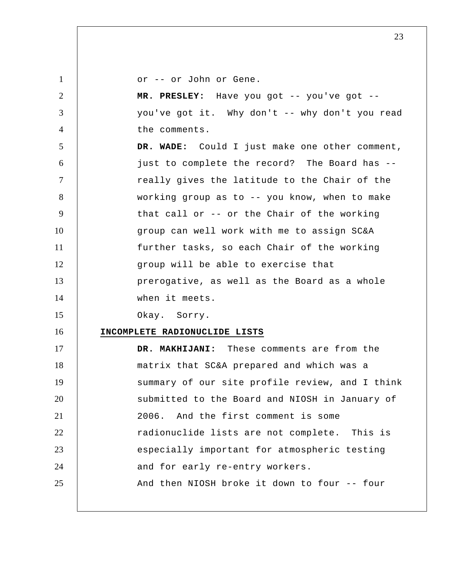| $\mathbf{1}$   | or -- or John or Gene.                         |
|----------------|------------------------------------------------|
| 2              | MR. PRESLEY: Have you got -- you've got --     |
| 3              | you've got it. Why don't -- why don't you read |
| $\overline{4}$ | the comments.                                  |
| 5              | DR. WADE: Could I just make one other comment, |
| 6              | just to complete the record? The Board has --  |
| $\tau$         | really gives the latitude to the Chair of the  |
| 8              | working group as to -- you know, when to make  |
| 9              | that call or -- or the Chair of the working    |
| 10             | group can well work with me to assign SC&A     |
| 11             | further tasks, so each Chair of the working    |
| 12             | group will be able to exercise that            |
| 13             | prerogative, as well as the Board as a whole   |
| 14             | when it meets.                                 |
| 15             | Okay. Sorry.                                   |
| 16             | INCOMPLETE RADIONUCLIDE LISTS                  |
| 17             | DR. MAKHIJANI: These comments are from the     |
| 18             | matrix that SC&A prepared and which was a      |
|                |                                                |

19 20 21 22 23 24 25 summary of our site profile review, and I think submitted to the Board and NIOSH in January of 2006. And the first comment is some radionuclide lists are not complete. This is especially important for atmospheric testing and for early re-entry workers. And then NIOSH broke it down to four -- four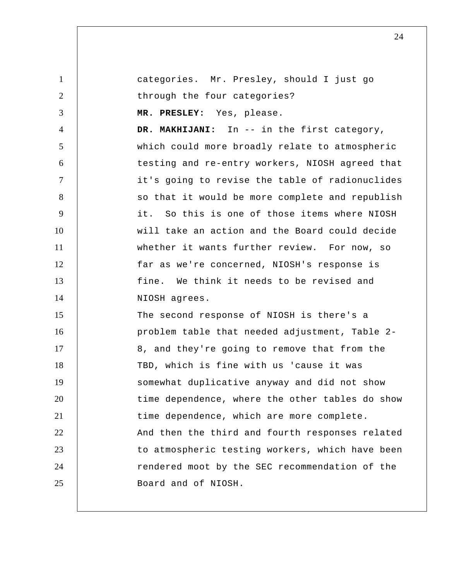1 2 3 4 5 6 7 8 9 10 11 12 13 14 15 16 17 18 19 20 21 22 23 24 25 categories. Mr. Presley, should I just go through the four categories?  **MR. PRESLEY:** Yes, please.  **DR. MAKHIJANI:** In -- in the first category, which could more broadly relate to atmospheric testing and re-entry workers, NIOSH agreed that it's going to revise the table of radionuclides so that it would be more complete and republish it. So this is one of those items where NIOSH will take an action and the Board could decide whether it wants further review. For now, so far as we're concerned, NIOSH's response is fine. We think it needs to be revised and NIOSH agrees. The second response of NIOSH is there's a problem table that needed adjustment, Table 2 8, and they're going to remove that from the TBD, which is fine with us 'cause it was somewhat duplicative anyway and did not show time dependence, where the other tables do show time dependence, which are more complete. And then the third and fourth responses related to atmospheric testing workers, which have been rendered moot by the SEC recommendation of the Board and of NIOSH.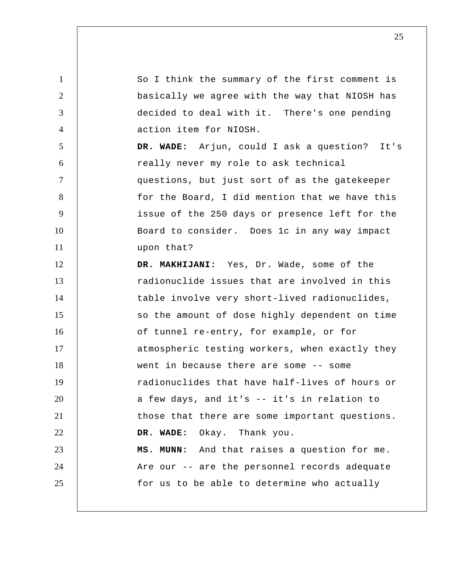1 2 3 4 5 6 7 8 9 10 11 12 13 14 15 16 17 18 19 20 21 22 23 24 25 So I think the summary of the first comment is basically we agree with the way that NIOSH has decided to deal with it. There's one pending action item for NIOSH.  **DR. WADE:** Arjun, could I ask a question? It's really never my role to ask technical questions, but just sort of as the gatekeeper for the Board, I did mention that we have this issue of the 250 days or presence left for the Board to consider. Does 1c in any way impact upon that?  **DR. MAKHIJANI:** Yes, Dr. Wade, some of the radionuclide issues that are involved in this table involve very short-lived radionuclides, so the amount of dose highly dependent on time of tunnel re-entry, for example, or for atmospheric testing workers, when exactly they went in because there are some -- some radionuclides that have half-lives of hours or a few days, and it's -- it's in relation to those that there are some important questions.  **DR. WADE:** Okay. Thank you.  **MS. MUNN:** And that raises a question for me. Are our -- are the personnel records adequate for us to be able to determine who actually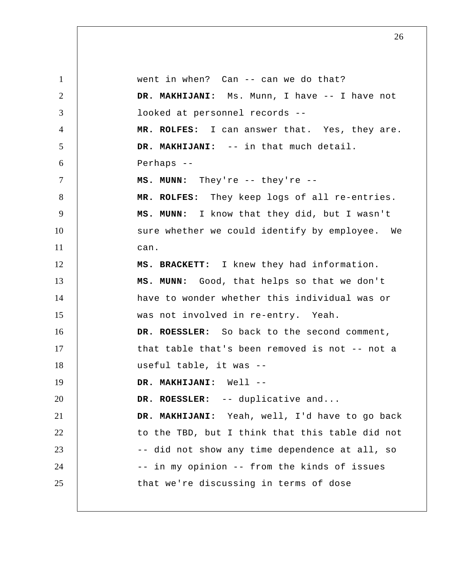1 2 3 4 5 6 7 8 9 10 11 12 13 14 15 16 17 18 19 20 21 22 23 24 25 went in when? Can -- can we do that?  **DR. MAKHIJANI:** Ms. Munn, I have -- I have not looked at personnel records --  **MR. ROLFES:** I can answer that. Yes, they are.  **DR. MAKHIJANI:** -- in that much detail. Perhaps --  **MS. MUNN:** They're -- they're -- **MR. ROLFES:** They keep logs of all re-entries.  **MS. MUNN:** I know that they did, but I wasn't sure whether we could identify by employee. We can. **MS. BRACKETT:** I knew they had information.  **MS. MUNN:** Good, that helps so that we don't have to wonder whether this individual was or was not involved in re-entry. Yeah. **DR. ROESSLER:** So back to the second comment, that table that's been removed is not -- not a useful table, it was -- **DR. MAKHIJANI:** Well --**DR. ROESSLER:** -- duplicative and...  **DR. MAKHIJANI:** Yeah, well, I'd have to go back to the TBD, but I think that this table did not -- did not show any time dependence at all, so -- in my opinion -- from the kinds of issues that we're discussing in terms of dose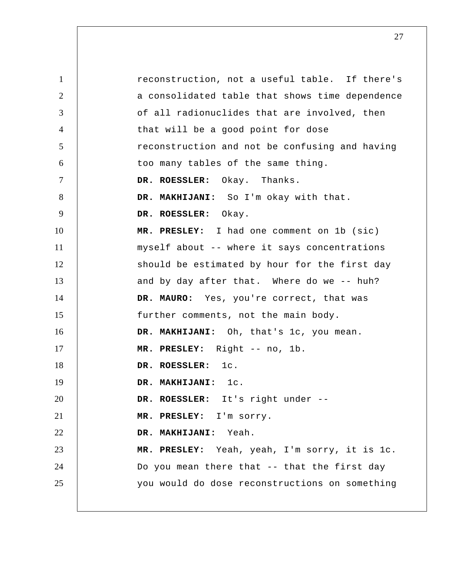1 2 3 4 5 6 7 8 9 10 11 12 13 14 15 16 17 18 19 20 21 22 23 24 25 reconstruction, not a useful table. If there's a consolidated table that shows time dependence of all radionuclides that are involved, then that will be a good point for dose reconstruction and not be confusing and having too many tables of the same thing. **DR. ROESSLER:** Okay. Thanks.  **DR. MAKHIJANI:** So I'm okay with that. **DR. ROESSLER:** Okay.  **MR. PRESLEY:** I had one comment on 1b (sic) myself about -- where it says concentrations should be estimated by hour for the first day and by day after that. Where do we -- huh? **DR. MAURO:** Yes, you're correct, that was further comments, not the main body.  **DR. MAKHIJANI:** Oh, that's 1c, you mean.  **MR. PRESLEY:** Right -- no, 1b. **DR. ROESSLER:** 1c.  **DR. MAKHIJANI:** 1c. **DR. ROESSLER:** It's right under -- **MR. PRESLEY:** I'm sorry.  **DR. MAKHIJANI:** Yeah.  **MR. PRESLEY:** Yeah, yeah, I'm sorry, it is 1c. Do you mean there that -- that the first day you would do dose reconstructions on something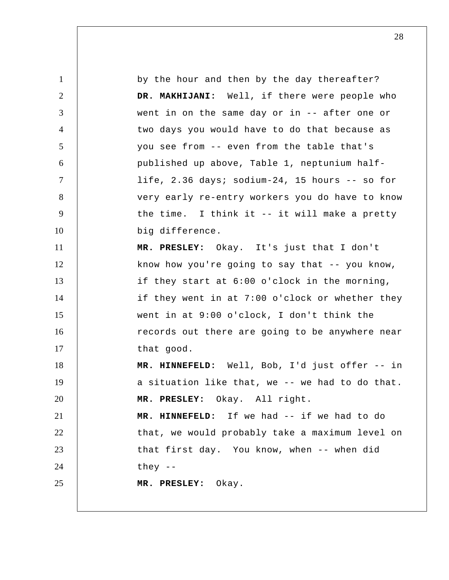1 2 3 4 5 6 7 8 9 10 11 12 13 14 15 16 17 18 19 20 21 22 23 24 25 by the hour and then by the day thereafter?  **DR. MAKHIJANI:** Well, if there were people who went in on the same day or in -- after one or two days you would have to do that because as you see from -- even from the table that's published up above, Table 1, neptunium halflife, 2.36 days; sodium-24, 15 hours -- so for very early re-entry workers you do have to know the time. I think it -- it will make a pretty big difference.  **MR. PRESLEY:** Okay. It's just that I don't know how you're going to say that  $-$ - you know, if they start at 6:00 o'clock in the morning, if they went in at 7:00 o'clock or whether they went in at 9:00 o'clock, I don't think the records out there are going to be anywhere near that good.  **MR. HINNEFELD:** Well, Bob, I'd just offer -- in a situation like that, we -- we had to do that.  **MR. PRESLEY:** Okay. All right.  **MR. HINNEFELD:** If we had -- if we had to do that, we would probably take a maximum level on that first day. You know, when -- when did they -- **MR. PRESLEY:** Okay.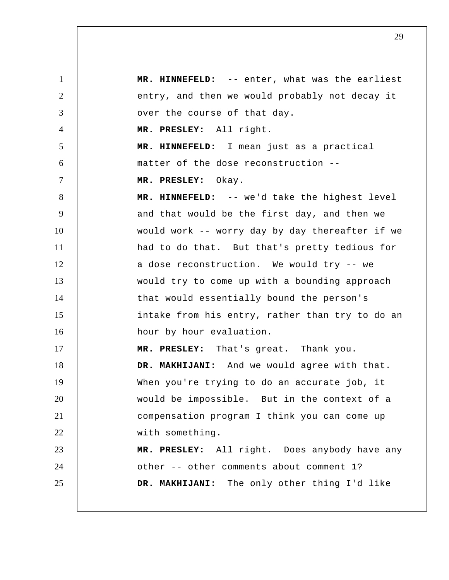1 2 3 4 5 6 7 8 9 10 11 12 13 14 15 16 17 18 19 20 21 22 23 24 25  **MR. HINNEFELD:** -- enter, what was the earliest entry, and then we would probably not decay it over the course of that day.  **MR. PRESLEY:** All right.  **MR. HINNEFELD:** I mean just as a practical matter of the dose reconstruction --  **MR. PRESLEY:** Okay.  **MR. HINNEFELD:** -- we'd take the highest level and that would be the first day, and then we would work -- worry day by day thereafter if we had to do that. But that's pretty tedious for a dose reconstruction. We would try -- we would try to come up with a bounding approach that would essentially bound the person's intake from his entry, rather than try to do an hour by hour evaluation.  **MR. PRESLEY:** That's great. Thank you.  **DR. MAKHIJANI:** And we would agree with that. When you're trying to do an accurate job, it would be impossible. But in the context of a compensation program I think you can come up with something.  **MR. PRESLEY:** All right. Does anybody have any other -- other comments about comment 1?  **DR. MAKHIJANI:** The only other thing I'd like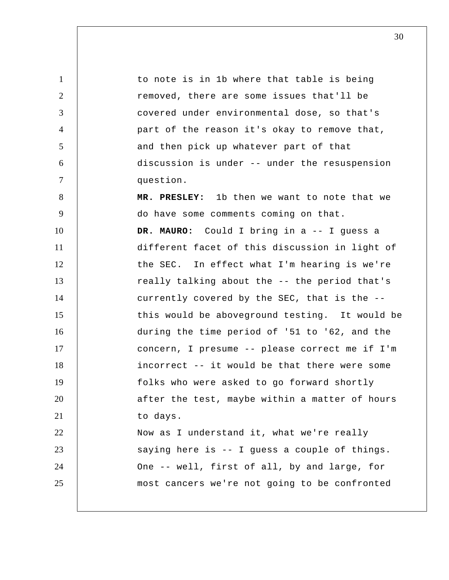1 2 3 4 5 6 7 8 9 10 11 12 13 14 15 16 17 18 19 20 21 22 23 24 25 to note is in 1b where that table is being removed, there are some issues that'll be covered under environmental dose, so that's part of the reason it's okay to remove that, and then pick up whatever part of that discussion is under -- under the resuspension question.  **MR. PRESLEY:** 1b then we want to note that we do have some comments coming on that. **DR. MAURO:** Could I bring in a -- I guess a different facet of this discussion in light of the SEC. In effect what I'm hearing is we're really talking about the -- the period that's currently covered by the SEC, that is the - this would be aboveground testing. It would be during the time period of '51 to '62, and the concern, I presume -- please correct me if I'm incorrect -- it would be that there were some folks who were asked to go forward shortly after the test, maybe within a matter of hours to days. Now as I understand it, what we're really saying here is -- I guess a couple of things. One -- well, first of all, by and large, for most cancers we're not going to be confronted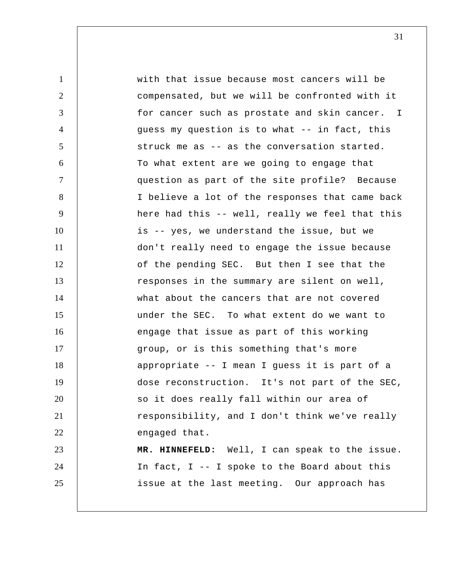1 2 3 4 5 6 7 8 9 10 11 12 13 14 15 16 17 18 19 20 21 22 23 24 25 for cancer such as prostate and skin cancer. I with that issue because most cancers will be compensated, but we will be confronted with it guess my question is to what -- in fact, this struck me as -- as the conversation started. To what extent are we going to engage that question as part of the site profile? Because I believe a lot of the responses that came back here had this -- well, really we feel that this is -- yes, we understand the issue, but we don't really need to engage the issue because of the pending SEC. But then I see that the responses in the summary are silent on well, what about the cancers that are not covered under the SEC. To what extent do we want to engage that issue as part of this working group, or is this something that's more appropriate -- I mean I guess it is part of a dose reconstruction. It's not part of the SEC, so it does really fall within our area of responsibility, and I don't think we've really engaged that.  **MR. HINNEFELD:** Well, I can speak to the issue. In fact, I -- I spoke to the Board about this issue at the last meeting. Our approach has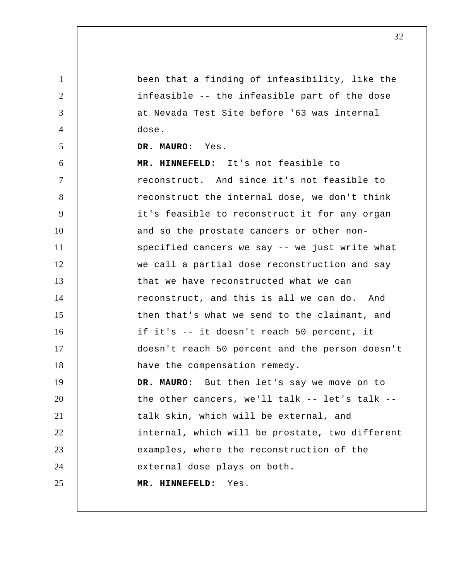1 2 3 4 5 6 7 8 9 10 11 12 13 14 15 16 17 18 19 20 21 22 23 24 25 been that a finding of infeasibility, like the infeasible -- the infeasible part of the dose at Nevada Test Site before '63 was internal dose. **DR. MAURO:** Yes.  **MR. HINNEFELD:** It's not feasible to reconstruct. And since it's not feasible to reconstruct the internal dose, we don't think it's feasible to reconstruct it for any organ and so the prostate cancers or other nonspecified cancers we say -- we just write what we call a partial dose reconstruction and say that we have reconstructed what we can reconstruct, and this is all we can do. And then that's what we send to the claimant, and if it's -- it doesn't reach 50 percent, it doesn't reach 50 percent and the person doesn't have the compensation remedy. **DR. MAURO:** But then let's say we move on to the other cancers, we'll talk -- let's talk - talk skin, which will be external, and internal, which will be prostate, two different examples, where the reconstruction of the external dose plays on both.  **MR. HINNEFELD:** Yes.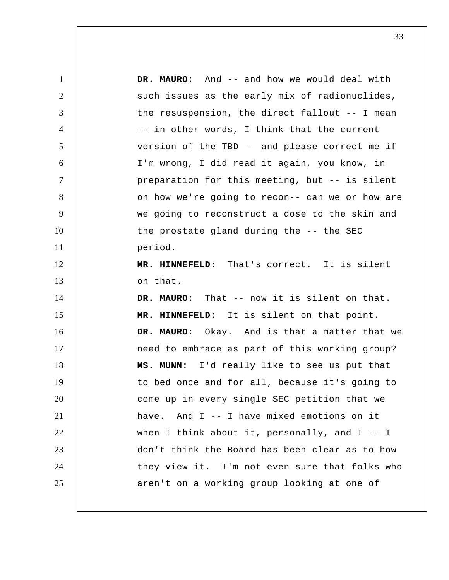1 2 3 4 5 6 7 8 9 10 11 12 13 14 15 16 17 18 19 20 21 22 23 24 25 **DR. MAURO:** And -- and how we would deal with such issues as the early mix of radionuclides, the resuspension, the direct fallout -- I mean -- in other words, I think that the current version of the TBD -- and please correct me if I'm wrong, I did read it again, you know, in preparation for this meeting, but -- is silent on how we're going to recon-- can we or how are we going to reconstruct a dose to the skin and the prostate gland during the -- the SEC period.  **MR. HINNEFELD:** That's correct. It is silent on that. **DR. MAURO:** That -- now it is silent on that.  **MR. HINNEFELD:** It is silent on that point. **DR. MAURO:** Okay. And is that a matter that we need to embrace as part of this working group?  **MS. MUNN:** I'd really like to see us put that to bed once and for all, because it's going to come up in every single SEC petition that we have. And I -- I have mixed emotions on it when I think about it, personally, and  $I - - I$ don't think the Board has been clear as to how they view it. I'm not even sure that folks who aren't on a working group looking at one of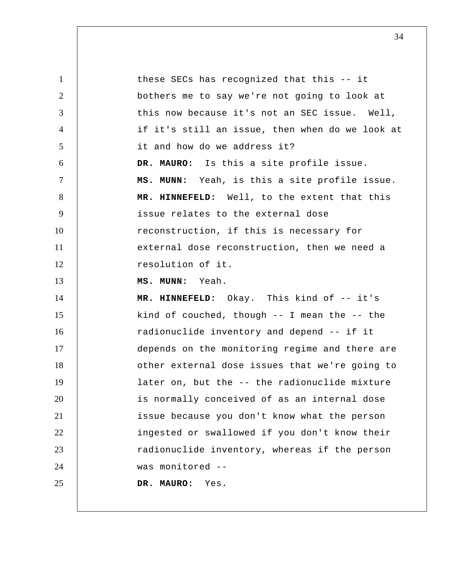| $\mathbf{1}$   | these SECs has recognized that this -- it       |
|----------------|-------------------------------------------------|
| $\overline{2}$ | bothers me to say we're not going to look at    |
| 3              | this now because it's not an SEC issue. Well,   |
| $\overline{4}$ | if it's still an issue, then when do we look at |
| 5              | it and how do we address it?                    |
| 6              | DR. MAURO: Is this a site profile issue.        |
| $\tau$         | MS. MUNN: Yeah, is this a site profile issue.   |
| 8              | MR. HINNEFELD: Well, to the extent that this    |
| 9              | issue relates to the external dose              |
| 10             | reconstruction, if this is necessary for        |
| 11             | external dose reconstruction, then we need a    |
| 12             | resolution of it.                               |
| 13             | MS. MUNN: Yeah.                                 |
| 14             | MR. HINNEFELD: Okay. This kind of -- it's       |
| 15             | kind of couched, though $-$ I mean the $-$ the  |
| 16             | radionuclide inventory and depend -- if it      |
| 17             | depends on the monitoring regime and there are  |
| 18             | other external dose issues that we're going to  |
| 19             | later on, but the -- the radionuclide mixture   |
| 20             | is normally conceived of as an internal dose    |
| 21             | issue because you don't know what the person    |
| 22             | ingested or swallowed if you don't know their   |
| 23             | radionuclide inventory, whereas if the person   |
| 24             | was monitored --                                |
| 25             | DR. MAURO:<br>Yes.                              |
|                |                                                 |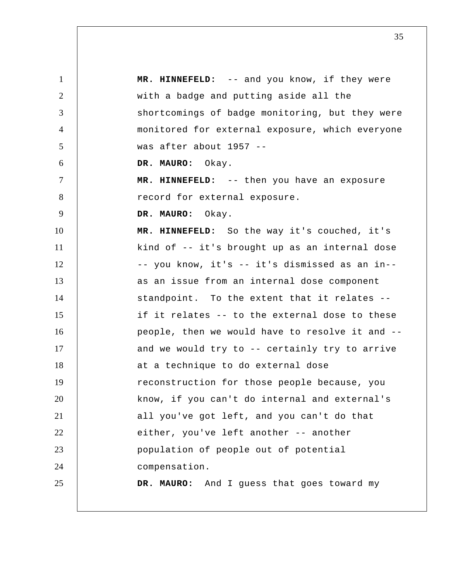1 2 3 4 5 6 7 8 9 10 11 12 13 14 15 16 17 18 19 20 21 22 23 24 25  **MR. HINNEFELD:** -- and you know, if they were with a badge and putting aside all the shortcomings of badge monitoring, but they were monitored for external exposure, which everyone was after about 1957 -- **DR. MAURO:** Okay.  **MR. HINNEFELD:** -- then you have an exposure record for external exposure. **DR. MAURO:** Okay.  **MR. HINNEFELD:** So the way it's couched, it's kind of -- it's brought up as an internal dose -- you know, it's -- it's dismissed as an in- as an issue from an internal dose component standpoint. To the extent that it relates - if it relates -- to the external dose to these people, then we would have to resolve it and - and we would try to -- certainly try to arrive at a technique to do external dose reconstruction for those people because, you know, if you can't do internal and external's all you've got left, and you can't do that either, you've left another -- another population of people out of potential compensation. **DR. MAURO:** And I guess that goes toward my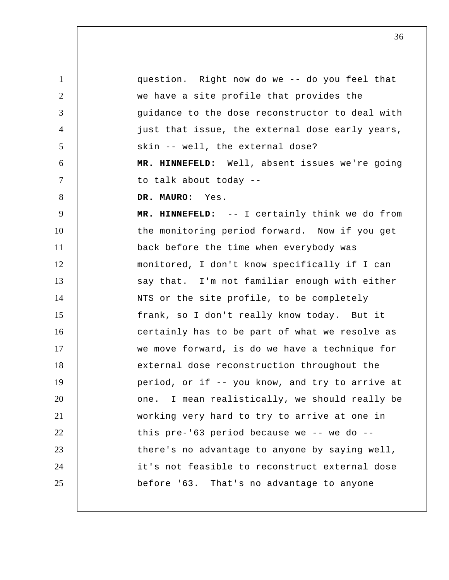1 2 3 4 5 6 7 8 9 10 11 12 13 14 15 16 17 18 19 20 21 22 23 24 25 question. Right now do we -- do you feel that we have a site profile that provides the guidance to the dose reconstructor to deal with just that issue, the external dose early years, skin -- well, the external dose?  **MR. HINNEFELD:** Well, absent issues we're going to talk about today -- **DR. MAURO:** Yes.  **MR. HINNEFELD:** -- I certainly think we do from the monitoring period forward. Now if you get back before the time when everybody was monitored, I don't know specifically if I can say that. I'm not familiar enough with either NTS or the site profile, to be completely frank, so I don't really know today. But it certainly has to be part of what we resolve as we move forward, is do we have a technique for external dose reconstruction throughout the period, or if -- you know, and try to arrive at one. I mean realistically, we should really be working very hard to try to arrive at one in this pre-'63 period because we -- we do -there's no advantage to anyone by saying well, it's not feasible to reconstruct external dose before '63. That's no advantage to anyone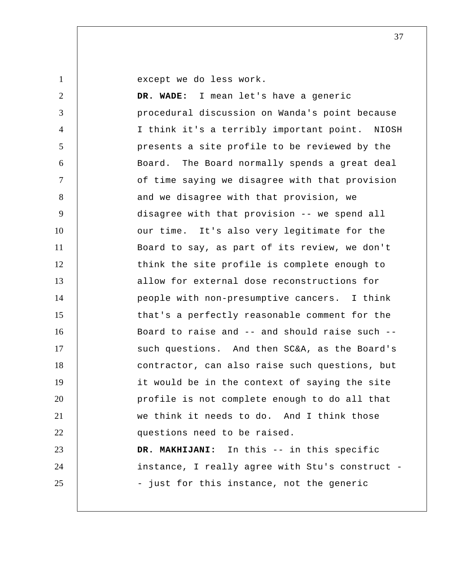1

except we do less work.

2 3 4 5 6 7 8 9 10 11 12 13 14 15 16 17 18 19 20 21 22 23 24 25  **DR. WADE:** I mean let's have a generic procedural discussion on Wanda's point because I think it's a terribly important point. NIOSH presents a site profile to be reviewed by the Board. The Board normally spends a great deal of time saying we disagree with that provision and we disagree with that provision, we disagree with that provision -- we spend all our time. It's also very legitimate for the Board to say, as part of its review, we don't think the site profile is complete enough to allow for external dose reconstructions for people with non-presumptive cancers. I think that's a perfectly reasonable comment for the Board to raise and -- and should raise such - such questions. And then SC&A, as the Board's contractor, can also raise such questions, but it would be in the context of saying the site profile is not complete enough to do all that we think it needs to do. And I think those questions need to be raised.  **DR. MAKHIJANI:** In this -- in this specific instance, I really agree with Stu's construct - just for this instance, not the generic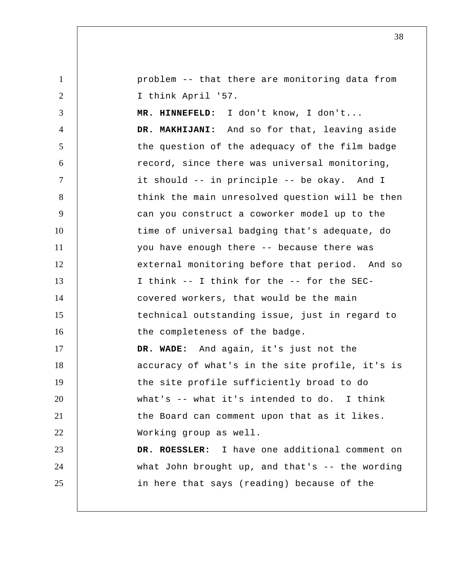1 2 3 4 5 6 7 8 9 10 11 12 13 14 15 16 17 18 19 20 21 22 23 24 25 problem -- that there are monitoring data from I think April '57.  **MR. HINNEFELD:** I don't know, I don't...  **DR. MAKHIJANI:** And so for that, leaving aside the question of the adequacy of the film badge record, since there was universal monitoring, it should -- in principle -- be okay. And I think the main unresolved question will be then can you construct a coworker model up to the time of universal badging that's adequate, do you have enough there -- because there was external monitoring before that period. And so I think -- I think for the -- for the SECcovered workers, that would be the main technical outstanding issue, just in regard to the completeness of the badge.  **DR. WADE:** And again, it's just not the accuracy of what's in the site profile, it's is the site profile sufficiently broad to do what's -- what it's intended to do. I think the Board can comment upon that as it likes. Working group as well. **DR. ROESSLER:** I have one additional comment on what John brought up, and that's -- the wording in here that says (reading) because of the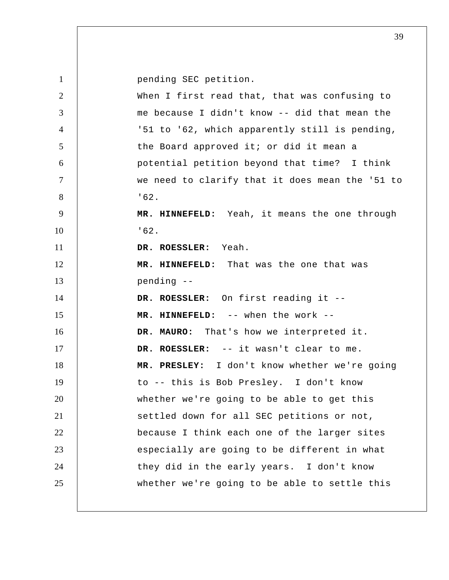1 pending SEC petition.

| $\overline{2}$ | When I first read that, that was confusing to   |
|----------------|-------------------------------------------------|
| 3              | me because I didn't know -- did that mean the   |
| 4              | '51 to '62, which apparently still is pending,  |
| 5              | the Board approved it; or did it mean a         |
| 6              | potential petition beyond that time? I think    |
| $\tau$         | we need to clarify that it does mean the '51 to |
| 8              | '62.                                            |
| 9              | MR. HINNEFELD: Yeah, it means the one through   |
| 10             | 162.                                            |
| 11             | DR. ROESSLER: Yeah.                             |
| 12             | MR. HINNEFELD: That was the one that was        |
| 13             | pending --                                      |
| 14             | DR. ROESSLER: On first reading it --            |
| 15             | MR. HINNEFELD: -- when the work --              |
| 16             | DR. MAURO: That's how we interpreted it.        |
| 17             | DR. ROESSLER: -- it wasn't clear to me.         |
| 18             | MR. PRESLEY: I don't know whether we're going   |
| 19             | to -- this is Bob Presley. I don't know         |
| 20             | whether we're going to be able to get this      |
| 21             | settled down for all SEC petitions or not,      |
| 22             | because I think each one of the larger sites    |
| 23             | especially are going to be different in what    |
| 24             | they did in the early years. I don't know       |
| 25             | whether we're going to be able to settle this   |
|                |                                                 |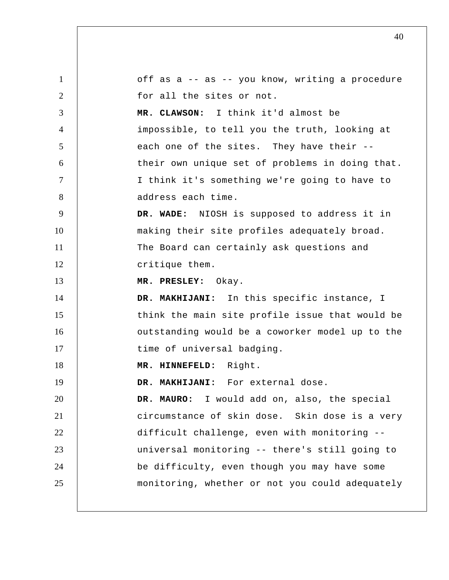| $\mathbf{1}$   | off as a -- as -- you know, writing a procedure |
|----------------|-------------------------------------------------|
| 2              | for all the sites or not.                       |
| 3              | MR. CLAWSON: I think it'd almost be             |
| $\overline{4}$ | impossible, to tell you the truth, looking at   |
| 5              | each one of the sites. They have their --       |
| 6              | their own unique set of problems in doing that. |
| $\tau$         | I think it's something we're going to have to   |
| 8              | address each time.                              |
| 9              | DR. WADE: NIOSH is supposed to address it in    |
| 10             | making their site profiles adequately broad.    |
| 11             | The Board can certainly ask questions and       |
| 12             | critique them.                                  |
| 13             | MR. PRESLEY: Okay.                              |
| 14             | DR. MAKHIJANI: In this specific instance, I     |
| 15             | think the main site profile issue that would be |
| 16             | outstanding would be a coworker model up to the |
| 17             | time of universal badging.                      |
| 18             | MR. HINNEFELD: Right.                           |
| 19             | DR. MAKHIJANI: For external dose.               |
| 20             | DR. MAURO: I would add on, also, the special    |
| 21             | circumstance of skin dose. Skin dose is a very  |
| 22             | difficult challenge, even with monitoring --    |
| 23             | universal monitoring -- there's still going to  |
| 24             | be difficulty, even though you may have some    |
| 25             | monitoring, whether or not you could adequately |
|                |                                                 |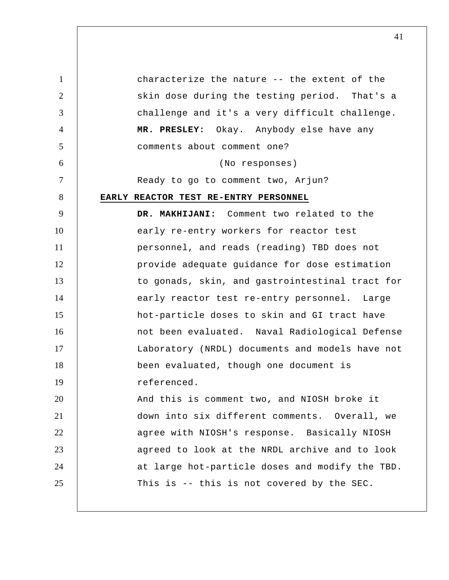1 2 3 4 5 6 7 8 9 10 11 12 13 14 15 16 17 18 19 20 21 22 23 24 25 characterize the nature -- the extent of the skin dose during the testing period. That's a challenge and it's a very difficult challenge.  **MR. PRESLEY:** Okay. Anybody else have any comments about comment one? (No responses) Ready to go to comment two, Arjun? **EARLY REACTOR TEST RE-ENTRY PERSONNEL DR. MAKHIJANI:** Comment two related to the early re-entry workers for reactor test personnel, and reads (reading) TBD does not provide adequate guidance for dose estimation to gonads, skin, and gastrointestinal tract for early reactor test re-entry personnel. Large hot-particle doses to skin and GI tract have not been evaluated. Naval Radiological Defense Laboratory (NRDL) documents and models have not been evaluated, though one document is referenced. And this is comment two, and NIOSH broke it down into six different comments. Overall, we agree with NIOSH's response. Basically NIOSH agreed to look at the NRDL archive and to look at large hot-particle doses and modify the TBD. This is -- this is not covered by the SEC.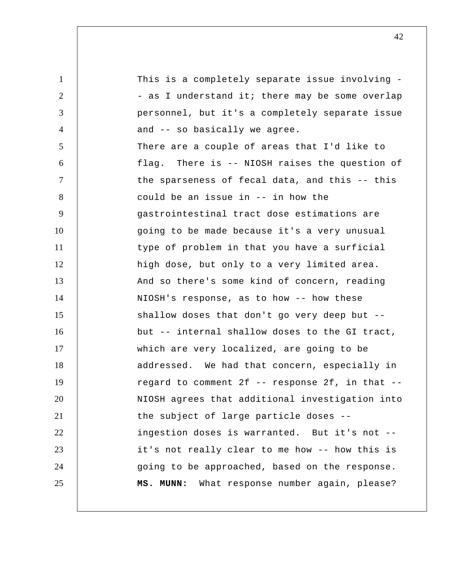1 2 3 4 5 6 7 8 9 10 11 12 13 14 15 16 17 18 19 20 21 22 23 24 25 This is a completely separate issue involving -- as I understand it; there may be some overlap personnel, but it's a completely separate issue and -- so basically we agree. There are a couple of areas that I'd like to flag. There is -- NIOSH raises the question of the sparseness of fecal data, and this -- this could be an issue in -- in how the gastrointestinal tract dose estimations are going to be made because it's a very unusual type of problem in that you have a surficial high dose, but only to a very limited area. And so there's some kind of concern, reading NIOSH's response, as to how -- how these shallow doses that don't go very deep but - but -- internal shallow doses to the GI tract, which are very localized, are going to be addressed. We had that concern, especially in regard to comment  $2f -$  response  $2f$ , in that  $-$ NIOSH agrees that additional investigation into the subject of large particle doses - ingestion doses is warranted. But it's not - it's not really clear to me how -- how this is going to be approached, based on the response.  **MS. MUNN:** What response number again, please?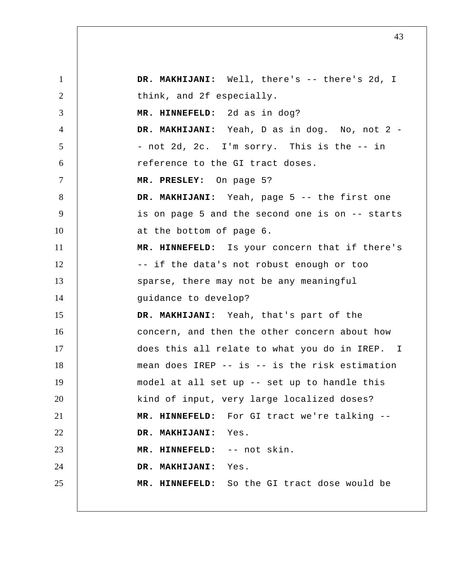1 2 3 4 5 6 7 8 9 10 11 12 13 14 15 16 17 18 19 20 21 22 23 24 25  **DR. MAKHIJANI:** Well, there's -- there's 2d, I think, and 2f especially.  **MR. HINNEFELD:** 2d as in dog? DR. MAKHIJANI: Yeah, D as in dog. No, not 2 -- not 2d, 2c. I'm sorry. This is the -- in reference to the GI tract doses.  **MR. PRESLEY:** On page 5?  **DR. MAKHIJANI:** Yeah, page 5 -- the first one is on page 5 and the second one is on -- starts at the bottom of page 6.  **MR. HINNEFELD:** Is your concern that if there's -- if the data's not robust enough or too sparse, there may not be any meaningful guidance to develop?  **DR. MAKHIJANI:** Yeah, that's part of the concern, and then the other concern about how does this all relate to what you do in IREP. mean does IREP -- is -- is the risk estimation model at all set up -- set up to handle this kind of input, very large localized doses?  **MR. HINNEFELD:** For GI tract we're talking --  **DR. MAKHIJANI:** Yes.  **MR. HINNEFELD:** -- not skin.  **DR. MAKHIJANI:** Yes.  **MR. HINNEFELD:** So the GI tract dose would be I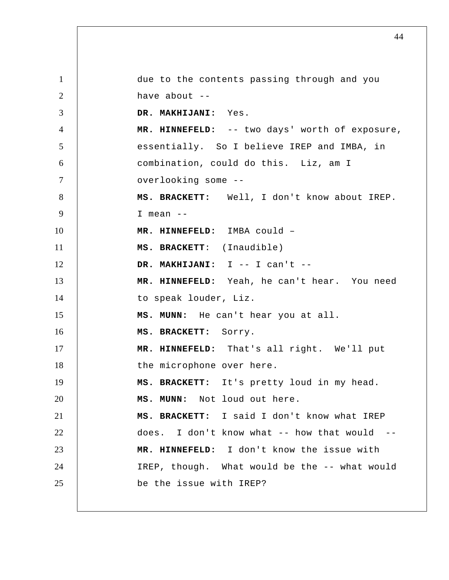1 2 3 4 5 6 7 8 9 10 11 12 13 14 15 16 17 18 19 20 21 22 23 24 25 due to the contents passing through and you have about  $-$  **DR. MAKHIJANI:** Yes.  **MR. HINNEFELD:** -- two days' worth of exposure, essentially. So I believe IREP and IMBA, in combination, could do this. Liz, am I overlooking some --**MS. BRACKETT:** Well, I don't know about IREP. I mean -- **MR. HINNEFELD:** IMBA could –  **MS. BRACKETT**: (Inaudible)  **DR. MAKHIJANI:** I -- I can't -- **MR. HINNEFELD:** Yeah, he can't hear. You need to speak louder, Liz.  **MS. MUNN:** He can't hear you at all. **MS. BRACKETT:** Sorry.  **MR. HINNEFELD:** That's all right. We'll put the microphone over here. **MS. BRACKETT:** It's pretty loud in my head.  **MS. MUNN:** Not loud out here. **MS. BRACKETT:** I said I don't know what IREP does. I don't know what  $-$  how that would  $-$  **MR. HINNEFELD:** I don't know the issue with IREP, though. What would be the -- what would be the issue with IREP?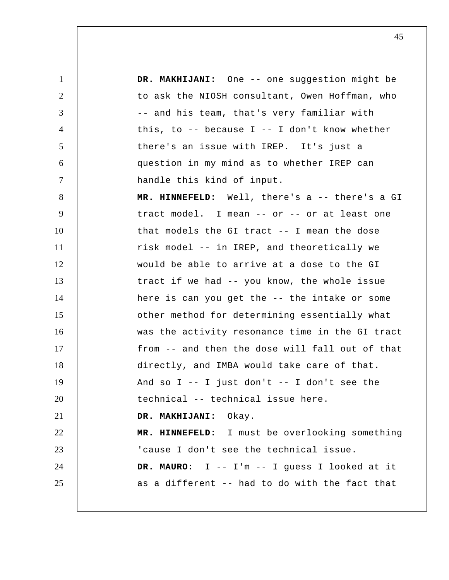1 2 3 4 5 6 7 8 9 10 11 12 13 14 15 16 17 18 19 20 21 22 23 24 25  **DR. MAKHIJANI:** One -- one suggestion might be to ask the NIOSH consultant, Owen Hoffman, who -- and his team, that's very familiar with this, to  $-$ - because I  $-$ - I don't know whether there's an issue with IREP. It's just a question in my mind as to whether IREP can handle this kind of input.  **MR. HINNEFELD:** Well, there's a -- there's a GI tract model. I mean -- or -- or at least one that models the GI tract -- I mean the dose risk model -- in IREP, and theoretically we would be able to arrive at a dose to the GI tract if we had -- you know, the whole issue here is can you get the -- the intake or some other method for determining essentially what was the activity resonance time in the GI tract from -- and then the dose will fall out of that directly, and IMBA would take care of that. And so  $I$  -- I just don't -- I don't see the technical -- technical issue here.  **DR. MAKHIJANI:** Okay.  **MR. HINNEFELD:** I must be overlooking something 'cause I don't see the technical issue. **DR. MAURO:** I -- I'm -- I guess I looked at it as a different -- had to do with the fact that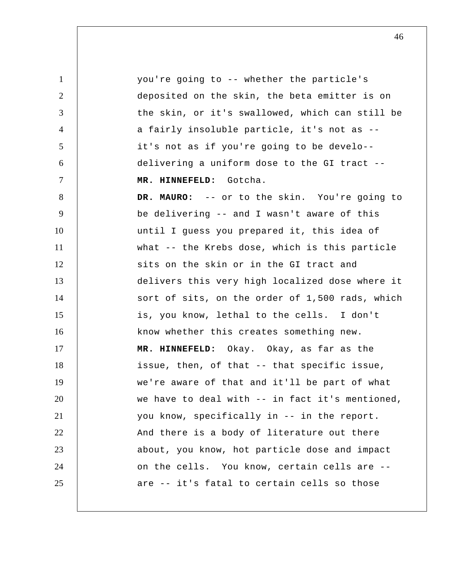1 2 3 4 5 6 7 8 9 10 11 12 13 14 15 16 17 18 19 20 21 22 23 24 25 you're going to -- whether the particle's deposited on the skin, the beta emitter is on the skin, or it's swallowed, which can still be a fairly insoluble particle, it's not as - it's not as if you're going to be develo- delivering a uniform dose to the GI tract --  **MR. HINNEFELD:** Gotcha. **DR. MAURO:** -- or to the skin. You're going to be delivering -- and I wasn't aware of this until I guess you prepared it, this idea of what -- the Krebs dose, which is this particle sits on the skin or in the GI tract and delivers this very high localized dose where it sort of sits, on the order of 1,500 rads, which is, you know, lethal to the cells. I don't know whether this creates something new.  **MR. HINNEFELD:** Okay. Okay, as far as the issue, then, of that -- that specific issue, we're aware of that and it'll be part of what we have to deal with -- in fact it's mentioned, you know, specifically in -- in the report. And there is a body of literature out there about, you know, hot particle dose and impact on the cells. You know, certain cells are - are -- it's fatal to certain cells so those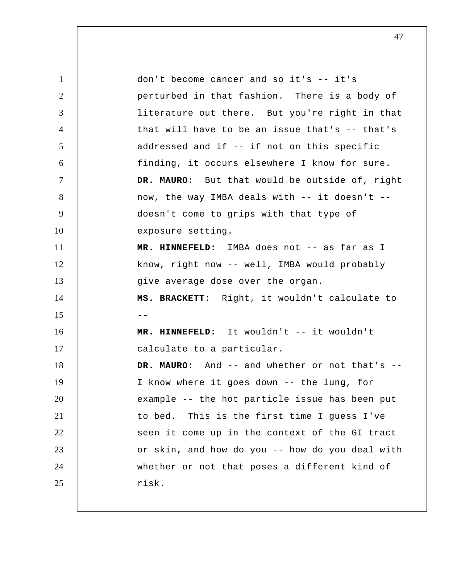1 2 3 4 5 6 7 8 9 10 11 12 13 14  $15$  --16 17 18 19 20 21 22 23 24 25 don't become cancer and so it's -- it's perturbed in that fashion. There is a body of literature out there. But you're right in that that will have to be an issue that's -- that's addressed and if -- if not on this specific finding, it occurs elsewhere I know for sure. **DR. MAURO:** But that would be outside of, right now, the way IMBA deals with -- it doesn't - doesn't come to grips with that type of exposure setting.  **MR. HINNEFELD:** IMBA does not -- as far as I know, right now -- well, IMBA would probably give average dose over the organ. **MS. BRACKETT:** Right, it wouldn't calculate to  **MR. HINNEFELD:** It wouldn't -- it wouldn't calculate to a particular. **DR. MAURO:** And -- and whether or not that's -- I know where it goes down -- the lung, for example -- the hot particle issue has been put to bed. This is the first time I guess I've seen it come up in the context of the GI tract or skin, and how do you -- how do you deal with whether or not that poses a different kind of risk.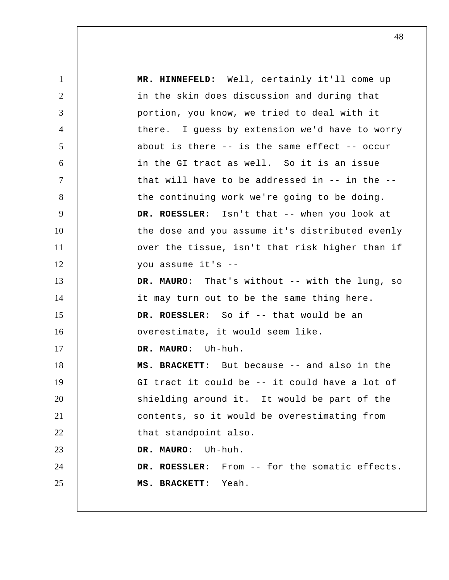1 2 3 4 5 6 7 8 9 10 11 12 13 14 15 16 17 18 19 20 21 22 23 24 25  **MR. HINNEFELD:** Well, certainly it'll come up in the skin does discussion and during that portion, you know, we tried to deal with it there. I guess by extension we'd have to worry about is there -- is the same effect -- occur in the GI tract as well. So it is an issue that will have to be addressed in -- in the - the continuing work we're going to be doing. **DR. ROESSLER:** Isn't that -- when you look at the dose and you assume it's distributed evenly over the tissue, isn't that risk higher than if you assume it's --**DR. MAURO:** That's without -- with the lung, so it may turn out to be the same thing here. **DR. ROESSLER:** So if -- that would be an overestimate, it would seem like. **DR. MAURO:** Uh-huh. **MS. BRACKETT:** But because -- and also in the GI tract it could be -- it could have a lot of shielding around it. It would be part of the contents, so it would be overestimating from that standpoint also. **DR. MAURO:** Uh-huh. **DR. ROESSLER:** From -- for the somatic effects. **MS. BRACKETT:** Yeah.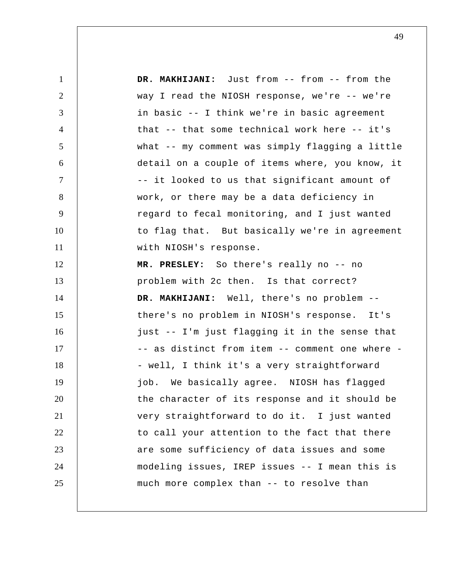1 2 3 4 5 6 7 8 9 10 11 12 13 14 15 16 17 18 19 20 21 22 23 24 25  **DR. MAKHIJANI:** Just from -- from -- from the way I read the NIOSH response, we're -- we're in basic -- I think we're in basic agreement that -- that some technical work here -- it's what -- my comment was simply flagging a little detail on a couple of items where, you know, it -- it looked to us that significant amount of work, or there may be a data deficiency in regard to fecal monitoring, and I just wanted to flag that. But basically we're in agreement with NIOSH's response.  **MR. PRESLEY:** So there's really no -- no problem with 2c then. Is that correct?  **DR. MAKHIJANI:** Well, there's no problem - there's no problem in NIOSH's response. It's just -- I'm just flagging it in the sense that -- as distinct from item -- comment one where -- well, I think it's a very straightforward job. We basically agree. NIOSH has flagged the character of its response and it should be very straightforward to do it. I just wanted to call your attention to the fact that there are some sufficiency of data issues and some modeling issues, IREP issues -- I mean this is much more complex than -- to resolve than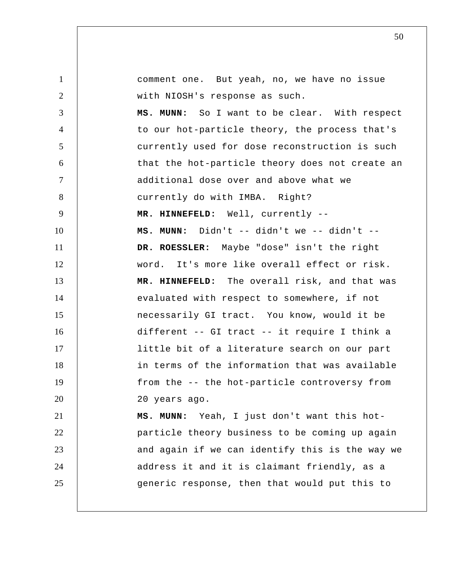1 2 3 4 5 6 7 8 9 10 11 12 13 14 15 16 17 18 19 20 21 22 23 24 25 comment one. But yeah, no, we have no issue with NIOSH's response as such.  **MS. MUNN:** So I want to be clear. With respect to our hot-particle theory, the process that's currently used for dose reconstruction is such that the hot-particle theory does not create an additional dose over and above what we currently do with IMBA. Right?  **MR. HINNEFELD:** Well, currently -- **MS. MUNN:** Didn't -- didn't we -- didn't -- **DR. ROESSLER:** Maybe "dose" isn't the right word. It's more like overall effect or risk.  **MR. HINNEFELD:** The overall risk, and that was evaluated with respect to somewhere, if not necessarily GI tract. You know, would it be different -- GI tract -- it require I think a little bit of a literature search on our part in terms of the information that was available from the -- the hot-particle controversy from 20 years ago.  **MS. MUNN:** Yeah, I just don't want this hotparticle theory business to be coming up again and again if we can identify this is the way we address it and it is claimant friendly, as a generic response, then that would put this to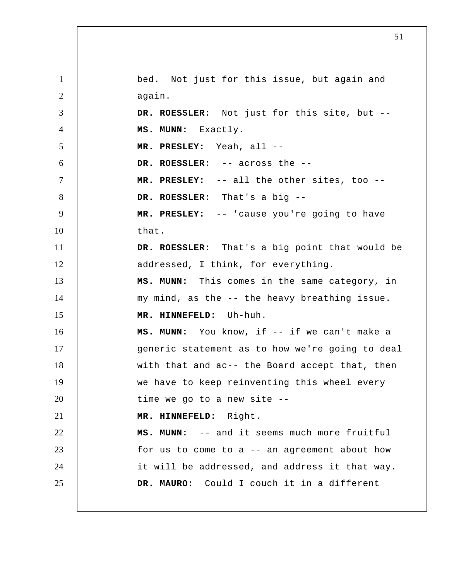1 2 3 4 5 6 7 8 9 10 11 12 13 14 15 16 17 18 19 20 21 22 23 24 25 bed. Not just for this issue, but again and again. **DR. ROESSLER:** Not just for this site, but --  **MS. MUNN:** Exactly.  **MR. PRESLEY:** Yeah, all --**DR. ROESSLER:** -- across the -- **MR. PRESLEY:** -- all the other sites, too -- **DR. ROESSLER:** That's a big -- **MR. PRESLEY:** -- 'cause you're going to have that. **DR. ROESSLER:** That's a big point that would be addressed, I think, for everything.  **MS. MUNN:** This comes in the same category, in my mind, as the -- the heavy breathing issue.  **MR. HINNEFELD:** Uh-huh.  **MS. MUNN:** You know, if -- if we can't make a generic statement as to how we're going to deal with that and ac-- the Board accept that, then we have to keep reinventing this wheel every time we go to a new site --  **MR. HINNEFELD:** Right.  **MS. MUNN:** -- and it seems much more fruitful for us to come to  $a$  -- an agreement about how it will be addressed, and address it that way. **DR. MAURO:** Could I couch it in a different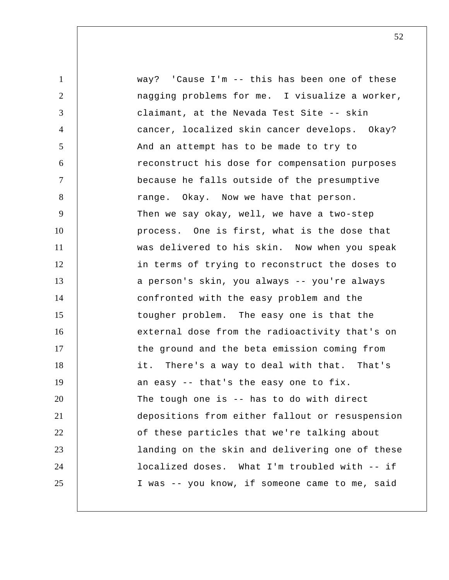1 2 3 4 5 6 7 8 9 10 11 12 13 14 15 16 17 18 19 20 21 22 23 24 25 way? 'Cause I'm -- this has been one of these nagging problems for me. I visualize a worker, claimant, at the Nevada Test Site -- skin cancer, localized skin cancer develops. Okay? And an attempt has to be made to try to reconstruct his dose for compensation purposes because he falls outside of the presumptive range. Okay. Now we have that person. Then we say okay, well, we have a two-step process. One is first, what is the dose that was delivered to his skin. Now when you speak in terms of trying to reconstruct the doses to a person's skin, you always -- you're always confronted with the easy problem and the tougher problem. The easy one is that the external dose from the radioactivity that's on the ground and the beta emission coming from it. There's a way to deal with that. That's an easy -- that's the easy one to fix. The tough one is -- has to do with direct depositions from either fallout or resuspension of these particles that we're talking about landing on the skin and delivering one of these localized doses. What I'm troubled with -- if I was -- you know, if someone came to me, said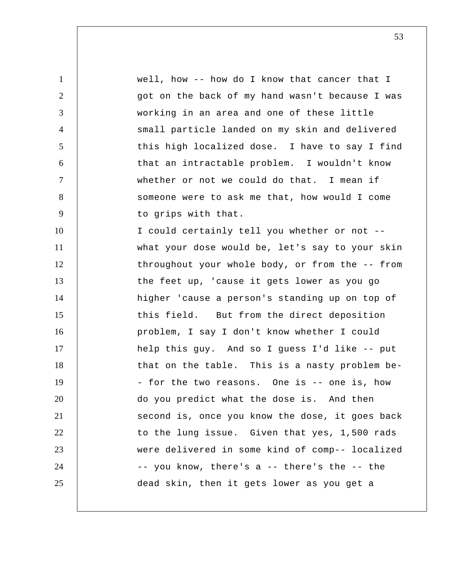1 2 3 4 5 6 7 8 9 10 11 12 13 14 15 16 17 18 19 20 21 22 23 24 25 well, how -- how do I know that cancer that I got on the back of my hand wasn't because I was working in an area and one of these little small particle landed on my skin and delivered this high localized dose. I have to say I find that an intractable problem. I wouldn't know whether or not we could do that. I mean if someone were to ask me that, how would I come to grips with that. I could certainly tell you whether or not - what your dose would be, let's say to your skin throughout your whole body, or from the -- from the feet up, 'cause it gets lower as you go higher 'cause a person's standing up on top of this field. But from the direct deposition problem, I say I don't know whether I could help this guy. And so I guess I'd like -- put that on the table. This is a nasty problem be - for the two reasons. One is -- one is, how do you predict what the dose is. And then second is, once you know the dose, it goes back to the lung issue. Given that yes, 1,500 rads were delivered in some kind of comp-- localized -- you know, there's a -- there's the -- the dead skin, then it gets lower as you get a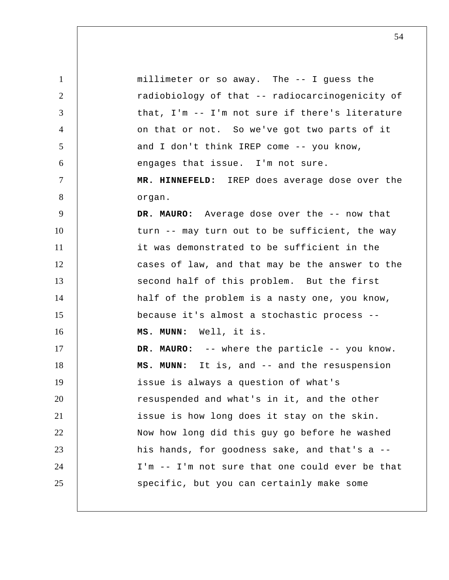1 2 3 4 5 6 7 8 9 10 11 12 13 14 15 16 17 18 19 20 21 22 23 24 25 millimeter or so away. The -- I guess the radiobiology of that -- radiocarcinogenicity of that, I'm -- I'm not sure if there's literature on that or not. So we've got two parts of it and I don't think IREP come -- you know, engages that issue. I'm not sure.  **MR. HINNEFELD:** IREP does average dose over the organ. **DR. MAURO:** Average dose over the -- now that turn -- may turn out to be sufficient, the way it was demonstrated to be sufficient in the cases of law, and that may be the answer to the second half of this problem. But the first half of the problem is a nasty one, you know, because it's almost a stochastic process --  **MS. MUNN:** Well, it is. **DR. MAURO:** -- where the particle -- you know.  **MS. MUNN:** It is, and -- and the resuspension issue is always a question of what's resuspended and what's in it, and the other issue is how long does it stay on the skin. Now how long did this guy go before he washed his hands, for goodness sake, and that's a -- I'm -- I'm not sure that one could ever be that specific, but you can certainly make some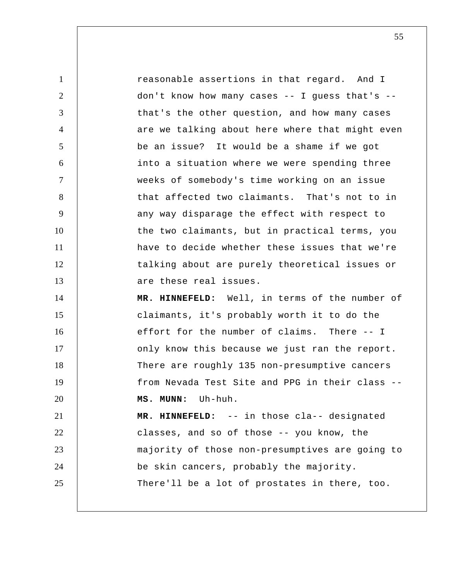1 2 3 4 5 6 7 8 9 10 11 12 13 14 15 16 17 18 19 20 21 22 23 24 25 reasonable assertions in that regard. And I don't know how many cases -- I guess that's - that's the other question, and how many cases are we talking about here where that might even be an issue? It would be a shame if we got into a situation where we were spending three weeks of somebody's time working on an issue that affected two claimants. That's not to in any way disparage the effect with respect to the two claimants, but in practical terms, you have to decide whether these issues that we're talking about are purely theoretical issues or are these real issues.  **MR. HINNEFELD:** Well, in terms of the number of claimants, it's probably worth it to do the effort for the number of claims. There -- I only know this because we just ran the report. There are roughly 135 non-presumptive cancers from Nevada Test Site and PPG in their class --  **MS. MUNN:** Uh-huh.  **MR. HINNEFELD:** -- in those cla-- designated classes, and so of those -- you know, the majority of those non-presumptives are going to be skin cancers, probably the majority. There'll be a lot of prostates in there, too.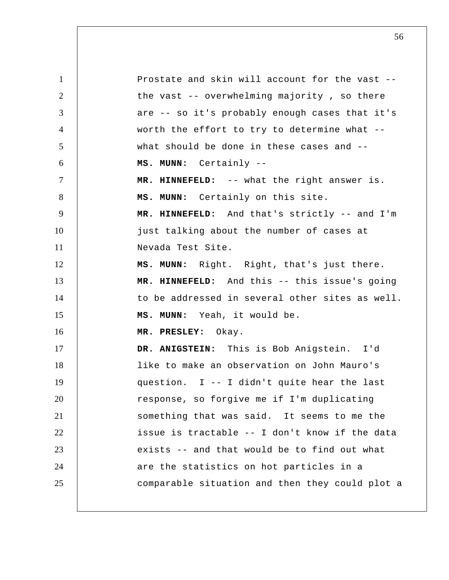1 2 3 4 5 6 7 8 9 10 11 12 13 14 15 16 17 18 19 20 21 22 23 24 25 Prostate and skin will account for the vast - the vast -- overwhelming majority , so there are -- so it's probably enough cases that it's worth the effort to try to determine what - what should be done in these cases and -- **MS. MUNN:** Certainly -- **MR. HINNEFELD:** -- what the right answer is.  **MS. MUNN:** Certainly on this site.  **MR. HINNEFELD:** And that's strictly -- and I'm just talking about the number of cases at Nevada Test Site.  **MS. MUNN:** Right. Right, that's just there.  **MR. HINNEFELD:** And this -- this issue's going to be addressed in several other sites as well.  **MS. MUNN:** Yeah, it would be.  **MR. PRESLEY:** Okay.  **DR. ANIGSTEIN:** This is Bob Anigstein. I'd like to make an observation on John Mauro's question. I -- I didn't quite hear the last response, so forgive me if I'm duplicating something that was said. It seems to me the issue is tractable -- I don't know if the data exists -- and that would be to find out what are the statistics on hot particles in a comparable situation and then they could plot a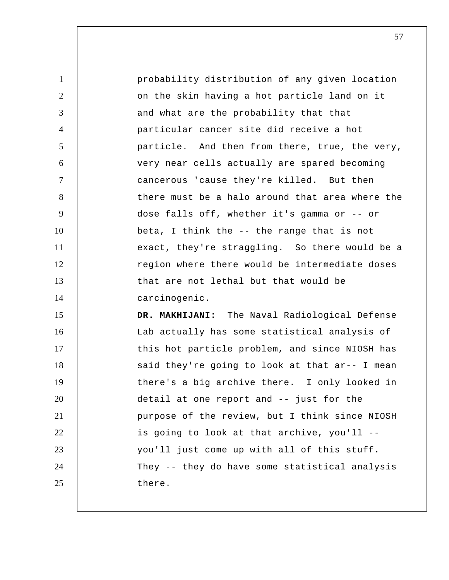1 2 3 4 5 6 7 8 9 10 11 12 13 14 15 16 17 18 19 20 21 22 23 24 probability distribution of any given location on the skin having a hot particle land on it and what are the probability that that particular cancer site did receive a hot particle. And then from there, true, the very, very near cells actually are spared becoming cancerous 'cause they're killed. But then there must be a halo around that area where the dose falls off, whether it's gamma or -- or beta, I think the -- the range that is not exact, they're straggling. So there would be a region where there would be intermediate doses that are not lethal but that would be carcinogenic.  **DR. MAKHIJANI:** The Naval Radiological Defense Lab actually has some statistical analysis of this hot particle problem, and since NIOSH has said they're going to look at that ar-- I mean there's a big archive there. I only looked in detail at one report and -- just for the purpose of the review, but I think since NIOSH is going to look at that archive, you'll - you'll just come up with all of this stuff. They -- they do have some statistical analysis

there.

25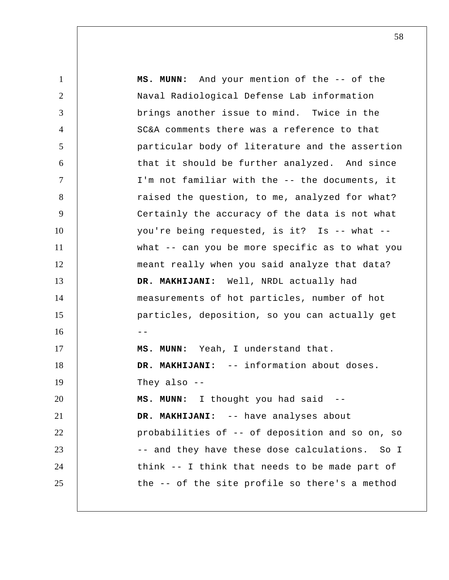1 2 3 4 5 6 7 8 9 10 11 12 13 14 15  $16$  --17 18 19 20 21 22 23 24 25  **MS. MUNN:** And your mention of the -- of the Naval Radiological Defense Lab information brings another issue to mind. Twice in the SC&A comments there was a reference to that particular body of literature and the assertion that it should be further analyzed. And since I'm not familiar with the -- the documents, it raised the question, to me, analyzed for what? Certainly the accuracy of the data is not what you're being requested, is it? Is -- what - what -- can you be more specific as to what you meant really when you said analyze that data?  **DR. MAKHIJANI:** Well, NRDL actually had measurements of hot particles, number of hot particles, deposition, so you can actually get  **MS. MUNN:** Yeah, I understand that.  **DR. MAKHIJANI:** -- information about doses. They also --  **MS. MUNN:** I thought you had said -- **DR. MAKHIJANI:** -- have analyses about probabilities of -- of deposition and so on, so -- and they have these dose calculations. So I think -- I think that needs to be made part of the -- of the site profile so there's a method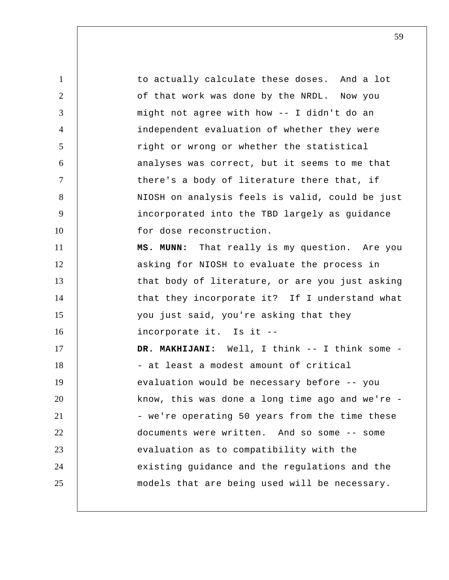1 2 3 4 5 6 7 8 9 10 11 12 13 14 15 16 17 18 19 20 21 22 23 24 25 to actually calculate these doses. And a lot of that work was done by the NRDL. Now you might not agree with how -- I didn't do an independent evaluation of whether they were right or wrong or whether the statistical analyses was correct, but it seems to me that there's a body of literature there that, if NIOSH on analysis feels is valid, could be just incorporated into the TBD largely as guidance for dose reconstruction.  **MS. MUNN:** That really is my question. Are you asking for NIOSH to evaluate the process in that body of literature, or are you just asking that they incorporate it? If I understand what you just said, you're asking that they incorporate it. Is it --DR. MAKHIJANI: Well, I think -- I think some -- at least a modest amount of critical evaluation would be necessary before -- you know, this was done a long time ago and we're - we're operating 50 years from the time these documents were written. And so some -- some evaluation as to compatibility with the existing guidance and the regulations and the models that are being used will be necessary.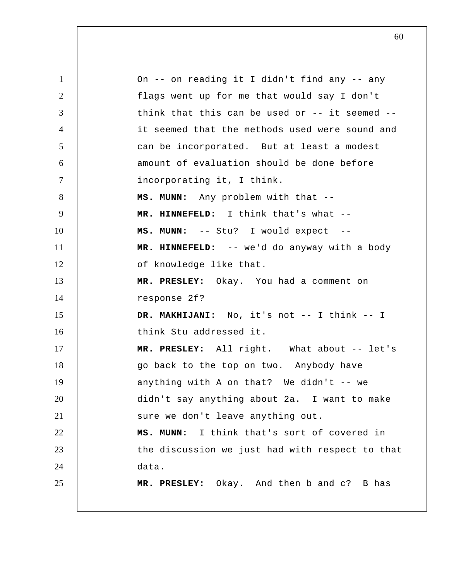1 2 3 4 5 6 7 8 9 10 11 12 13 14 15 16 17 18 19 20 21 22 23 24 25 On -- on reading it I didn't find any -- any flags went up for me that would say I don't think that this can be used or -- it seemed - it seemed that the methods used were sound and can be incorporated. But at least a modest amount of evaluation should be done before incorporating it, I think.  **MS. MUNN:** Any problem with that --  **MR. HINNEFELD:** I think that's what --  **MS. MUNN:** -- Stu? I would expect -- **MR. HINNEFELD:** -- we'd do anyway with a body of knowledge like that.  **MR. PRESLEY:** Okay. You had a comment on response 2f?  **DR. MAKHIJANI:** No, it's not -- I think -- I think Stu addressed it.  **MR. PRESLEY:** All right. What about -- let's go back to the top on two. Anybody have anything with A on that? We didn't  $--$  we didn't say anything about 2a. I want to make sure we don't leave anything out.  **MS. MUNN:** I think that's sort of covered in the discussion we just had with respect to that data.  **MR. PRESLEY:** Okay. And then b and c? B has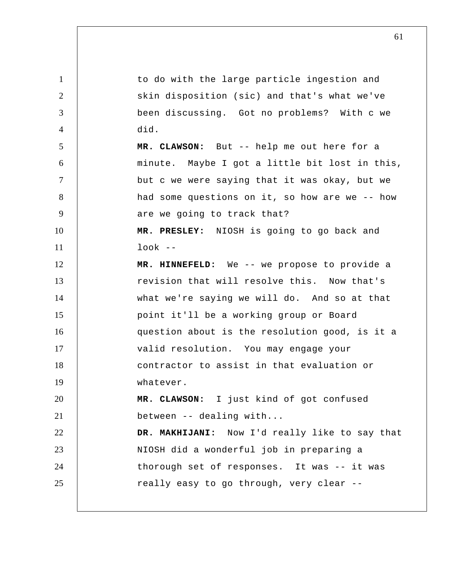1 2 3 4 5 6 7 8 9 10 11 12 13 14 15 16 17 18 19 20 21 22 23 24 25 to do with the large particle ingestion and skin disposition (sic) and that's what we've been discussing. Got no problems? With c we did.  **MR. CLAWSON:** But -- help me out here for a minute. Maybe I got a little bit lost in this, but c we were saying that it was okay, but we had some questions on it, so how are we -- how are we going to track that?  **MR. PRESLEY:** NIOSH is going to go back and  $look$   $--$  **MR. HINNEFELD:** We -- we propose to provide a revision that will resolve this. Now that's what we're saying we will do. And so at that point it'll be a working group or Board question about is the resolution good, is it a valid resolution. You may engage your contractor to assist in that evaluation or whatever.  **MR. CLAWSON:** I just kind of got confused between -- dealing with...  **DR. MAKHIJANI:** Now I'd really like to say that NIOSH did a wonderful job in preparing a thorough set of responses. It was -- it was really easy to go through, very clear --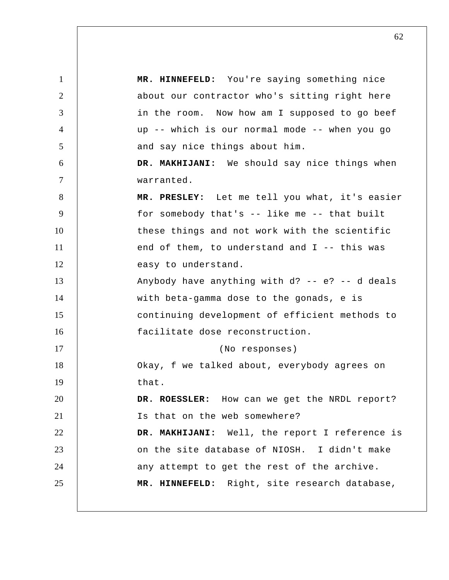1 2 3 4 5 6 7 8 9 10 11 12 13 14 15 16 17 18 19 20 21 22 23 24 25  **MR. HINNEFELD:** You're saying something nice about our contractor who's sitting right here in the room. Now how am I supposed to go beef up -- which is our normal mode -- when you go and say nice things about him.  **DR. MAKHIJANI:** We should say nice things when warranted.  **MR. PRESLEY:** Let me tell you what, it's easier for somebody that's -- like me -- that built these things and not work with the scientific end of them, to understand and  $I$  -- this was easy to understand. Anybody have anything with d? -- e? -- d deals with beta-gamma dose to the gonads, e is continuing development of efficient methods to facilitate dose reconstruction. (No responses) Okay, f we talked about, everybody agrees on that. **DR. ROESSLER:** How can we get the NRDL report? Is that on the web somewhere?  **DR. MAKHIJANI:** Well, the report I reference is on the site database of NIOSH. I didn't make any attempt to get the rest of the archive.  **MR. HINNEFELD:** Right, site research database,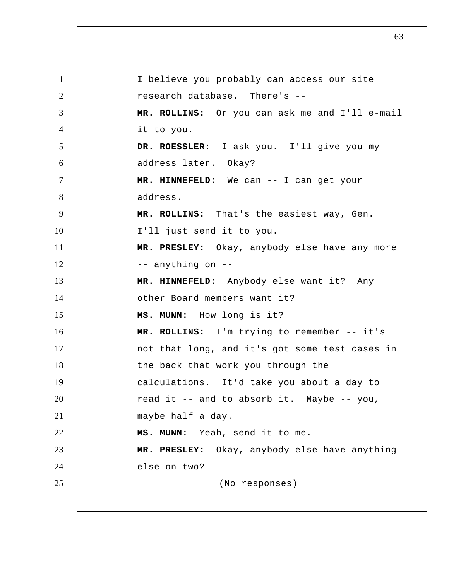1 2 3 4 5 6 7 8 9 10 11 12 13 14 15 16 17 18 19 20 21 22 23 24 25 I believe you probably can access our site research database. There's -- **MR. ROLLINS:** Or you can ask me and I'll e-mail it to you. **DR. ROESSLER:** I ask you. I'll give you my address later. Okay?  **MR. HINNEFELD:** We can -- I can get your address.  **MR. ROLLINS:** That's the easiest way, Gen. I'll just send it to you.  **MR. PRESLEY:** Okay, anybody else have any more -- anything on -- **MR. HINNEFELD:** Anybody else want it? Any other Board members want it?  **MS. MUNN:** How long is it?  **MR. ROLLINS:** I'm trying to remember -- it's not that long, and it's got some test cases in the back that work you through the calculations. It'd take you about a day to read it -- and to absorb it. Maybe -- you, maybe half a day.  **MS. MUNN:** Yeah, send it to me.  **MR. PRESLEY:** Okay, anybody else have anything else on two? (No responses)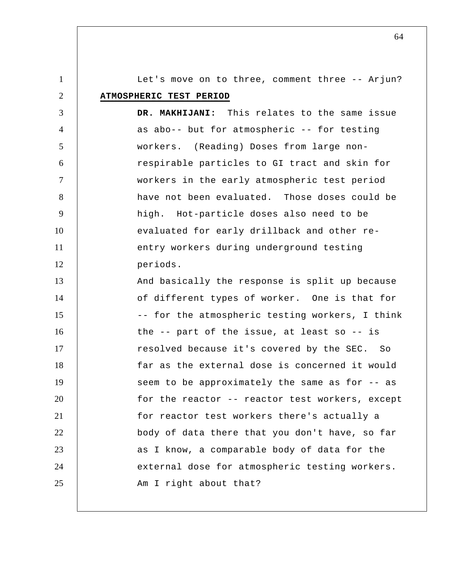1 2 3 4 5 6 7 8 9 10 11 12 13 14 15 16 17 18 19 20 21 22 23 24 Let's move on to three, comment three -- Arjun? **ATMOSPHERIC TEST PERIOD DR. MAKHIJANI:** This relates to the same issue as abo-- but for atmospheric -- for testing workers. (Reading) Doses from large nonrespirable particles to GI tract and skin for workers in the early atmospheric test period have not been evaluated. Those doses could be high. Hot-particle doses also need to be evaluated for early drillback and other reentry workers during underground testing periods. And basically the response is split up because of different types of worker. One is that for -- for the atmospheric testing workers, I think the -- part of the issue, at least so -- is resolved because it's covered by the SEC. So far as the external dose is concerned it would seem to be approximately the same as for -- as for the reactor -- reactor test workers, except for reactor test workers there's actually a body of data there that you don't have, so far as I know, a comparable body of data for the external dose for atmospheric testing workers.

Am I right about that?

25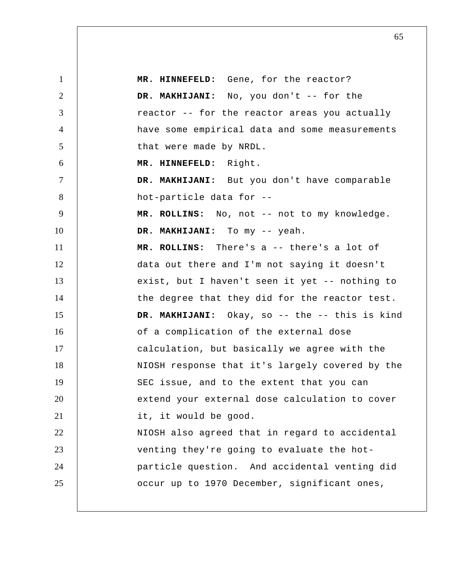1 2 3 4 5 6 7 8 9 10 11 12 13 14 15 16 17 18 19 20 21 22 23 24 25  **MR. HINNEFELD:** Gene, for the reactor?  **DR. MAKHIJANI:** No, you don't -- for the reactor -- for the reactor areas you actually have some empirical data and some measurements that were made by NRDL.  **MR. HINNEFELD:** Right.  **DR. MAKHIJANI:** But you don't have comparable hot-particle data for --  **MR. ROLLINS:** No, not -- not to my knowledge.  **DR. MAKHIJANI:** To my -- yeah.  **MR. ROLLINS:** There's a -- there's a lot of data out there and I'm not saying it doesn't exist, but I haven't seen it yet -- nothing to the degree that they did for the reactor test.  **DR. MAKHIJANI:** Okay, so -- the -- this is kind of a complication of the external dose calculation, but basically we agree with the NIOSH response that it's largely covered by the SEC issue, and to the extent that you can extend your external dose calculation to cover it, it would be good. NIOSH also agreed that in regard to accidental venting they're going to evaluate the hotparticle question. And accidental venting did occur up to 1970 December, significant ones,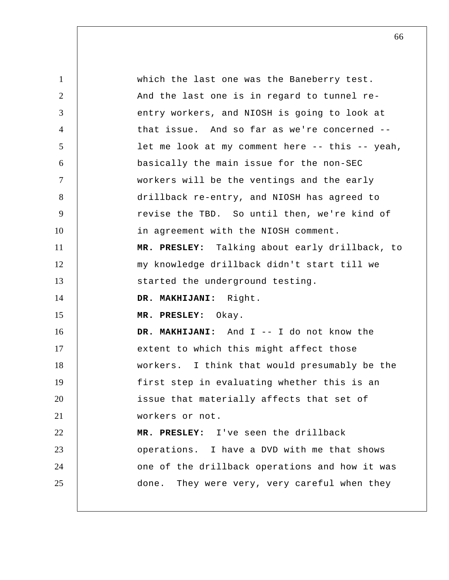1 2 3 4 5 6 7 8 9 10 11 12 13 14 15 16 17 18 19 20 21 22 23 24 25 which the last one was the Baneberry test. And the last one is in regard to tunnel reentry workers, and NIOSH is going to look at that issue. And so far as we're concerned - let me look at my comment here -- this -- yeah, basically the main issue for the non-SEC workers will be the ventings and the early drillback re-entry, and NIOSH has agreed to revise the TBD. So until then, we're kind of in agreement with the NIOSH comment.  **MR. PRESLEY:** Talking about early drillback, to my knowledge drillback didn't start till we started the underground testing.  **DR. MAKHIJANI:** Right.  **MR. PRESLEY:** Okay.  **DR. MAKHIJANI:** And I -- I do not know the extent to which this might affect those workers. I think that would presumably be the first step in evaluating whether this is an issue that materially affects that set of workers or not.  **MR. PRESLEY:** I've seen the drillback operations. I have a DVD with me that shows one of the drillback operations and how it was done. They were very, very careful when they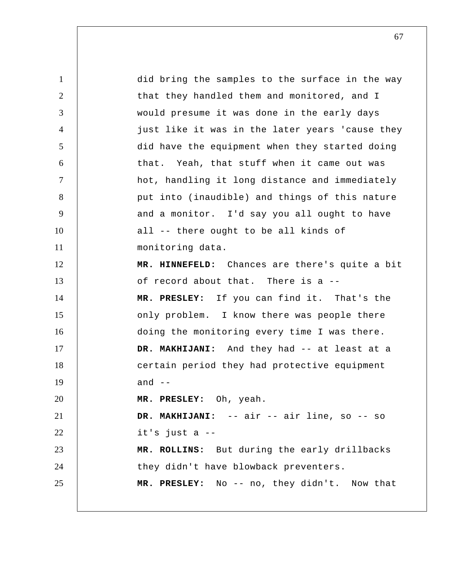1 2 3 4 5 6 7 8 9 10 11 12 13 14 15 16 17 18 19 20 21 22 23 24 25 did bring the samples to the surface in the way that they handled them and monitored, and I would presume it was done in the early days just like it was in the later years 'cause they did have the equipment when they started doing that. Yeah, that stuff when it came out was hot, handling it long distance and immediately put into (inaudible) and things of this nature and a monitor. I'd say you all ought to have all -- there ought to be all kinds of monitoring data.  **MR. HINNEFELD:** Chances are there's quite a bit of record about that. There is a -- **MR. PRESLEY:** If you can find it. That's the only problem. I know there was people there doing the monitoring every time I was there.  **DR. MAKHIJANI:** And they had -- at least at a certain period they had protective equipment and  $-$  **MR. PRESLEY:** Oh, yeah.  **DR. MAKHIJANI:** -- air -- air line, so -- so it's just a -- **MR. ROLLINS:** But during the early drillbacks they didn't have blowback preventers.  **MR. PRESLEY:** No -- no, they didn't. Now that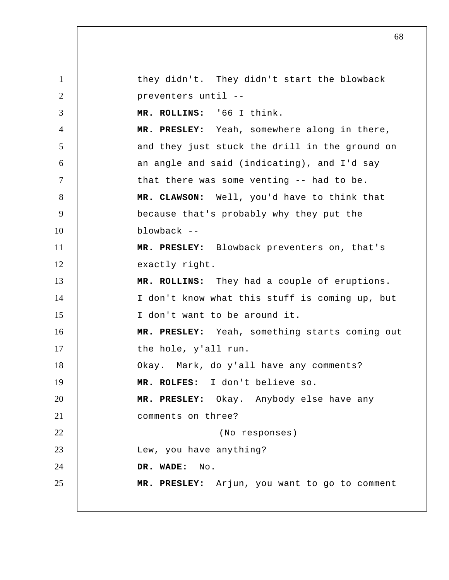1 2 3 4 5 6 7 8 9 10 11 12 13 14 15 16 17 18 19 20 21 22 23 24 25 they didn't. They didn't start the blowback preventers until -- **MR. ROLLINS:** '66 I think.  **MR. PRESLEY:** Yeah, somewhere along in there, and they just stuck the drill in the ground on an angle and said (indicating), and I'd say that there was some venting -- had to be.  **MR. CLAWSON:** Well, you'd have to think that because that's probably why they put the blowback -- **MR. PRESLEY:** Blowback preventers on, that's exactly right.  **MR. ROLLINS:** They had a couple of eruptions. I don't know what this stuff is coming up, but I don't want to be around it.  **MR. PRESLEY:** Yeah, something starts coming out the hole, y'all run. Okay. Mark, do y'all have any comments?  **MR. ROLFES:** I don't believe so.  **MR. PRESLEY:** Okay. Anybody else have any comments on three? (No responses) Lew, you have anything?  **DR. WADE:** No.  **MR. PRESLEY:** Arjun, you want to go to comment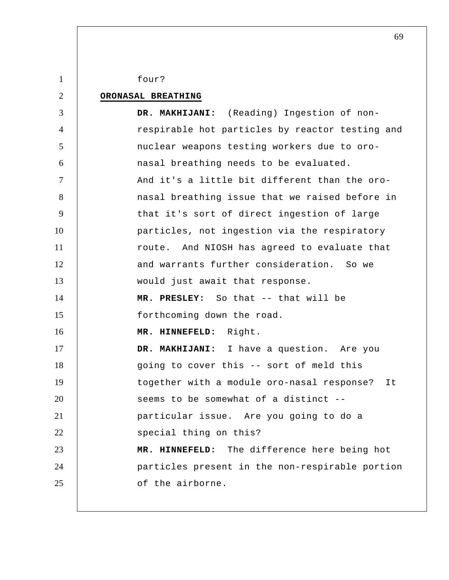1 2 3 4 5 6 7 8 9 10 11 12 13 14 15 16 17 18 19 20 21 22 23 24 25 four? **ORONASAL BREATHING DR. MAKHIJANI:** (Reading) Ingestion of nonrespirable hot particles by reactor testing and nuclear weapons testing workers due to oronasal breathing needs to be evaluated. And it's a little bit different than the oronasal breathing issue that we raised before in that it's sort of direct ingestion of large particles, not ingestion via the respiratory route. And NIOSH has agreed to evaluate that and warrants further consideration. So we would just await that response.  **MR. PRESLEY:** So that -- that will be forthcoming down the road.  **MR. HINNEFELD:** Right.  **DR. MAKHIJANI:** I have a question. Are you going to cover this -- sort of meld this together with a module oro-nasal response? It seems to be somewhat of a distinct - particular issue. Are you going to do a special thing on this?  **MR. HINNEFELD:** The difference here being hot particles present in the non-respirable portion of the airborne.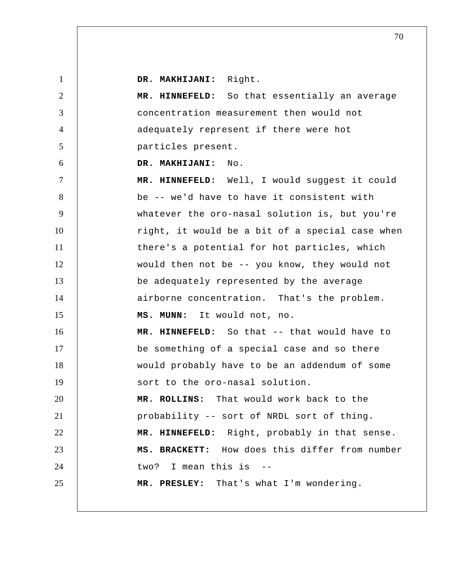1 2 3 4 5 6 7 8 9 10 11 12 13 14 15 16 17 18 19 20 21 22 23 24 25  **DR. MAKHIJANI:** Right.  **MR. HINNEFELD:** So that essentially an average concentration measurement then would not adequately represent if there were hot particles present.  **DR. MAKHIJANI:** No.  **MR. HINNEFELD:** Well, I would suggest it could be -- we'd have to have it consistent with whatever the oro-nasal solution is, but you're right, it would be a bit of a special case when there's a potential for hot particles, which would then not be -- you know, they would not be adequately represented by the average airborne concentration. That's the problem.  **MS. MUNN:** It would not, no.  **MR. HINNEFELD:** So that -- that would have to be something of a special case and so there would probably have to be an addendum of some sort to the oro-nasal solution.  **MR. ROLLINS:** That would work back to the probability -- sort of NRDL sort of thing.  **MR. HINNEFELD:** Right, probably in that sense. **MS. BRACKETT:** How does this differ from number two? I mean this is -- **MR. PRESLEY:** That's what I'm wondering.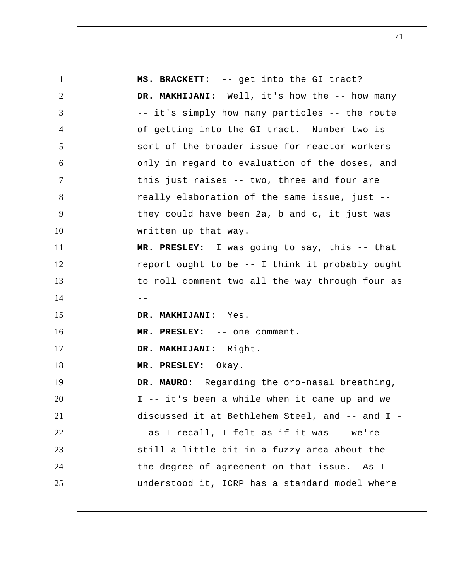1 2 3 4 5 6 7 8 9 10 11 12 13  $14$  --15 16 17 18 19 20 21 22 23 24 25 **MS. BRACKETT:** -- get into the GI tract? DR. MAKHIJANI: Well, it's how the -- how many -- it's simply how many particles -- the route of getting into the GI tract. Number two is sort of the broader issue for reactor workers only in regard to evaluation of the doses, and this just raises -- two, three and four are really elaboration of the same issue, just - they could have been 2a, b and c, it just was written up that way.  **MR. PRESLEY:** I was going to say, this -- that report ought to be -- I think it probably ought to roll comment two all the way through four as  **DR. MAKHIJANI:** Yes.  **MR. PRESLEY:** -- one comment.  **DR. MAKHIJANI:** Right.  **MR. PRESLEY:** Okay. **DR. MAURO:** Regarding the oro-nasal breathing, I -- it's been a while when it came up and we discussed it at Bethlehem Steel, and -- and I - as I recall, I felt as if it was -- we're still a little bit in a fuzzy area about the - the degree of agreement on that issue. As I understood it, ICRP has a standard model where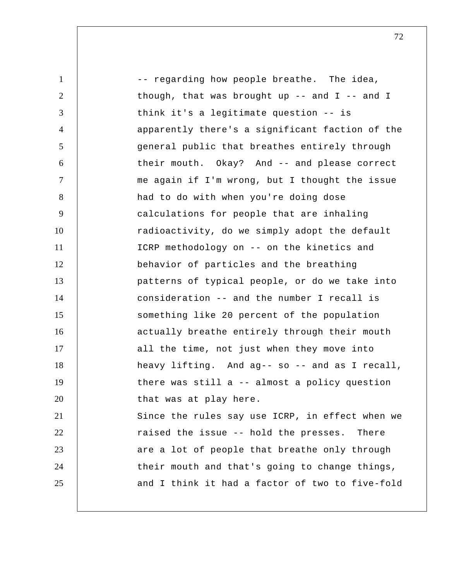| $\mathbf{1}$   | -- regarding how people breathe. The idea,      |
|----------------|-------------------------------------------------|
| 2              | though, that was brought up $-$ and I $-$ and I |
| 3              | think it's a legitimate question -- is          |
| $\overline{4}$ | apparently there's a significant faction of the |
| 5              | general public that breathes entirely through   |
| 6              | their mouth. Okay? And -- and please correct    |
| $\tau$         | me again if I'm wrong, but I thought the issue  |
| 8              | had to do with when you're doing dose           |
| 9              | calculations for people that are inhaling       |
| 10             | radioactivity, do we simply adopt the default   |
| 11             | ICRP methodology on -- on the kinetics and      |
| 12             | behavior of particles and the breathing         |
| 13             | patterns of typical people, or do we take into  |
| 14             | consideration -- and the number I recall is     |
| 15             | something like 20 percent of the population     |
| 16             | actually breathe entirely through their mouth   |
| 17             | all the time, not just when they move into      |
| 18             | heavy lifting. And ag-- so -- and as I recall,  |
| 19             | there was still a -- almost a policy question   |
| 20             | that was at play here.                          |
| 21             | Since the rules say use ICRP, in effect when we |
| 22             | raised the issue -- hold the presses.<br>There  |
| 23             | are a lot of people that breathe only through   |
| 24             | their mouth and that's going to change things,  |
| 25             | and I think it had a factor of two to five-fold |
|                |                                                 |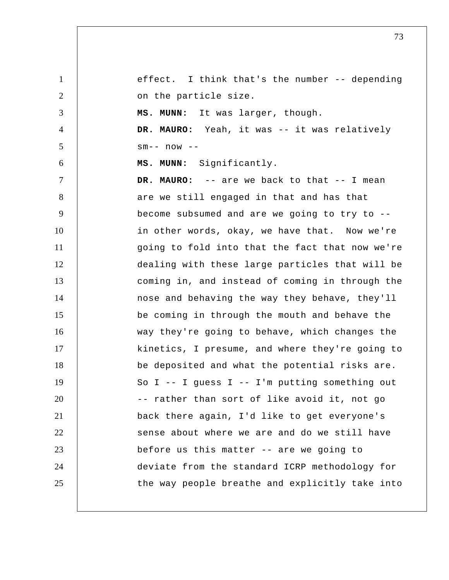1 2 3 4 5 6 7 8 9 10 11 12 13 14 15 16 17 18 19 20 21 22 23 24 25 effect. I think that's the number -- depending on the particle size.  **MS. MUNN:** It was larger, though. **DR. MAURO:** Yeah, it was -- it was relatively  $sm--$  now  $--$  **MS. MUNN:** Significantly. **DR. MAURO:** -- are we back to that -- I mean are we still engaged in that and has that become subsumed and are we going to try to - in other words, okay, we have that. Now we're going to fold into that the fact that now we're dealing with these large particles that will be coming in, and instead of coming in through the nose and behaving the way they behave, they'll be coming in through the mouth and behave the way they're going to behave, which changes the kinetics, I presume, and where they're going to be deposited and what the potential risks are. So  $I$  -- I guess  $I$  -- I'm putting something out -- rather than sort of like avoid it, not go back there again, I'd like to get everyone's sense about where we are and do we still have before us this matter -- are we going to deviate from the standard ICRP methodology for the way people breathe and explicitly take into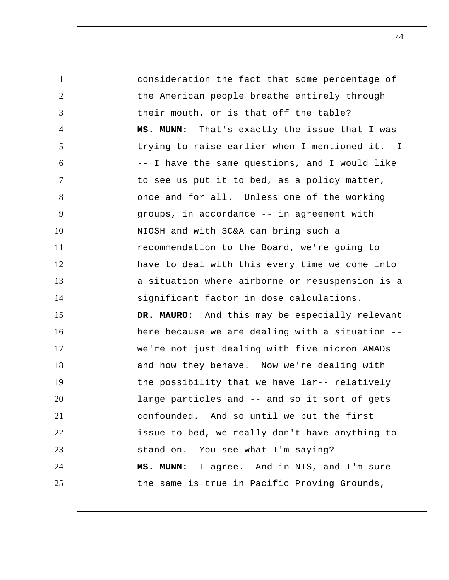1 2 3 4 5 6 7 8 9 10 11 12 13 14 15 16 17 18 19 20 21 22 23 24 25 consideration the fact that some percentage of the American people breathe entirely through their mouth, or is that off the table?  **MS. MUNN:** That's exactly the issue that I was trying to raise earlier when I mentioned it. -- I have the same questions, and I would like to see us put it to bed, as a policy matter, once and for all. Unless one of the working groups, in accordance -- in agreement with NIOSH and with SC&A can bring such a recommendation to the Board, we're going to have to deal with this every time we come into a situation where airborne or resuspension is a significant factor in dose calculations. **DR. MAURO:** And this may be especially relevant here because we are dealing with a situation - we're not just dealing with five micron AMADs and how they behave. Now we're dealing with the possibility that we have lar-- relatively large particles and -- and so it sort of gets confounded. And so until we put the first issue to bed, we really don't have anything to stand on. You see what I'm saying?  **MS. MUNN:** I agree. And in NTS, and I'm sure the same is true in Pacific Proving Grounds,  $\mathsf{T}$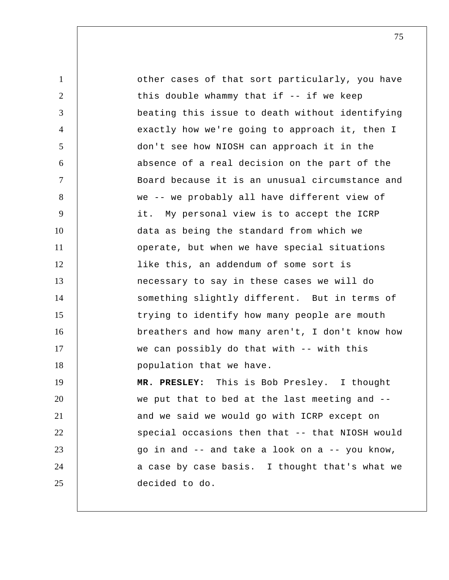1 2 3 4 5 6 7 8 9 10 11 12 13 14 15 16 17 18 19 20 21 22 23 24 25 other cases of that sort particularly, you have this double whammy that if -- if we keep beating this issue to death without identifying exactly how we're going to approach it, then I don't see how NIOSH can approach it in the absence of a real decision on the part of the Board because it is an unusual circumstance and we -- we probably all have different view of it. My personal view is to accept the ICRP data as being the standard from which we operate, but when we have special situations like this, an addendum of some sort is necessary to say in these cases we will do something slightly different. But in terms of trying to identify how many people are mouth breathers and how many aren't, I don't know how we can possibly do that with -- with this population that we have.  **MR. PRESLEY:** This is Bob Presley. I thought we put that to bed at the last meeting and - and we said we would go with ICRP except on special occasions then that -- that NIOSH would go in and -- and take a look on a -- you know, a case by case basis. I thought that's what we decided to do.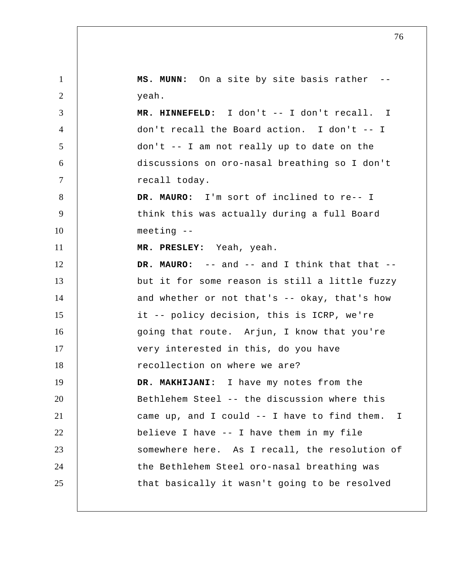1 2 3 4 5 6 7 8 9 10 11 12 13 14 15 16 17 18 19 20 21 22 23 24 25 I **MS. MUNN:** On a site by site basis rather yeah.  **MR. HINNEFELD:** I don't -- I don't recall. don't recall the Board action. I don't -- I don't -- I am not really up to date on the discussions on oro-nasal breathing so I don't recall today. **DR. MAURO:** I'm sort of inclined to re-- I think this was actually during a full Board meeting --  **MR. PRESLEY:** Yeah, yeah. **DR. MAURO:** -- and -- and I think that that - but it for some reason is still a little fuzzy and whether or not that's -- okay, that's how it -- policy decision, this is ICRP, we're going that route. Arjun, I know that you're very interested in this, do you have recollection on where we are?  **DR. MAKHIJANI:** I have my notes from the Bethlehem Steel -- the discussion where this came up, and I could -- I have to find them. believe I have -- I have them in my file somewhere here. As I recall, the resolution of the Bethlehem Steel oro-nasal breathing was that basically it wasn't going to be resolved I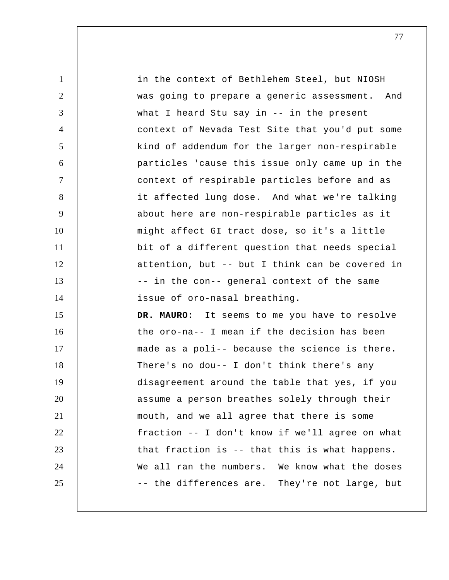1 2 3 4 5 6 7 8 9 10 11 12 13 14 15 16 17 18 19 20 21 22 23 24 25 in the context of Bethlehem Steel, but NIOSH was going to prepare a generic assessment. And what I heard Stu say in -- in the present context of Nevada Test Site that you'd put some kind of addendum for the larger non-respirable particles 'cause this issue only came up in the context of respirable particles before and as it affected lung dose. And what we're talking about here are non-respirable particles as it might affect GI tract dose, so it's a little bit of a different question that needs special attention, but -- but I think can be covered in -- in the con-- general context of the same issue of oro-nasal breathing. **DR. MAURO:** It seems to me you have to resolve the oro-na-- I mean if the decision has been made as a poli-- because the science is there. There's no dou-- I don't think there's any disagreement around the table that yes, if you assume a person breathes solely through their mouth, and we all agree that there is some fraction -- I don't know if we'll agree on what that fraction is -- that this is what happens. We all ran the numbers. We know what the doses -- the differences are. They're not large, but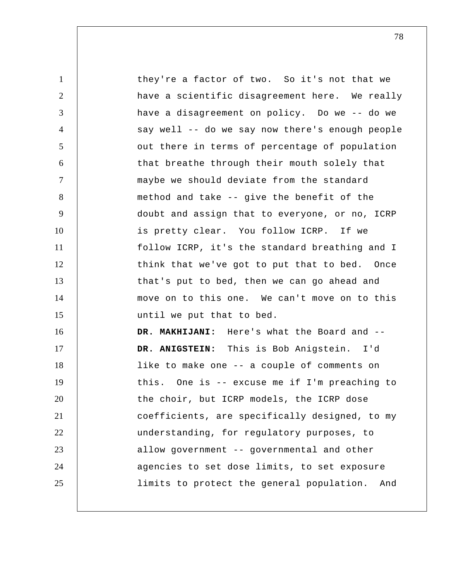1 2 3 4 5 6 7 8 9 10 11 12 13 14 15 16 17 18 19 20 21 22 23 24 25 they're a factor of two. So it's not that we have a scientific disagreement here. We really have a disagreement on policy. Do we -- do we say well -- do we say now there's enough people out there in terms of percentage of population that breathe through their mouth solely that maybe we should deviate from the standard method and take -- give the benefit of the doubt and assign that to everyone, or no, ICRP is pretty clear. You follow ICRP. If we follow ICRP, it's the standard breathing and I think that we've got to put that to bed. Once that's put to bed, then we can go ahead and move on to this one. We can't move on to this until we put that to bed.  **DR. MAKHIJANI:** Here's what the Board and --  **DR. ANIGSTEIN:** This is Bob Anigstein. I'd like to make one -- a couple of comments on this. One is -- excuse me if I'm preaching to the choir, but ICRP models, the ICRP dose coefficients, are specifically designed, to my understanding, for regulatory purposes, to allow government -- governmental and other agencies to set dose limits, to set exposure limits to protect the general population. And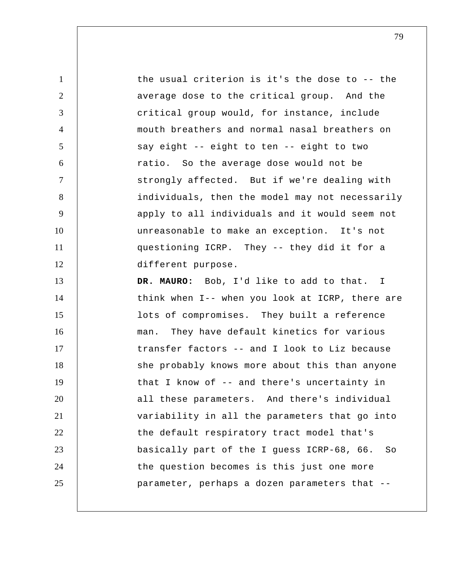1 2 3 4 5 6 7 8 9 10 11 12 13 14 15 16 17 18 19 20 21 22 23 24 25 the usual criterion is it's the dose to -- the average dose to the critical group. And the critical group would, for instance, include mouth breathers and normal nasal breathers on say eight -- eight to ten -- eight to two ratio. So the average dose would not be strongly affected. But if we're dealing with individuals, then the model may not necessarily apply to all individuals and it would seem not unreasonable to make an exception. It's not questioning ICRP. They -- they did it for a different purpose. **DR. MAURO:** Bob, I'd like to add to that. I think when I-- when you look at ICRP, there are lots of compromises. They built a reference man. They have default kinetics for various transfer factors -- and I look to Liz because she probably knows more about this than anyone that I know of -- and there's uncertainty in all these parameters. And there's individual variability in all the parameters that go into the default respiratory tract model that's basically part of the I guess ICRP-68, 66. So the question becomes is this just one more parameter, perhaps a dozen parameters that --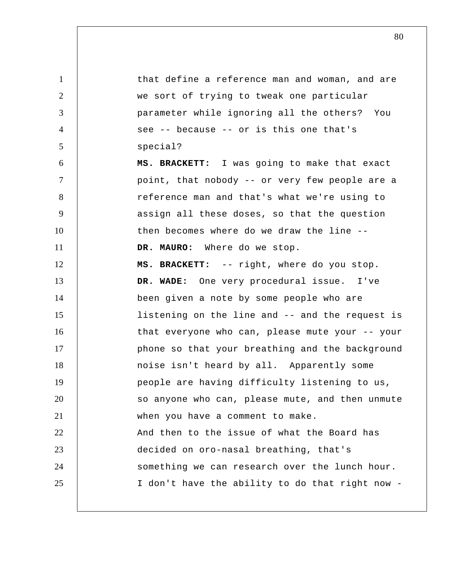1 2 3 4 5 6 7 8 9 10 11 12 13 14 15 16 17 18 19 20 21 22 23 24 25 that define a reference man and woman, and are we sort of trying to tweak one particular parameter while ignoring all the others? You see -- because -- or is this one that's special? **MS. BRACKETT:** I was going to make that exact point, that nobody -- or very few people are a reference man and that's what we're using to assign all these doses, so that the question then becomes where do we draw the line -- **DR. MAURO:** Where do we stop. **MS. BRACKETT:** -- right, where do you stop.  **DR. WADE:** One very procedural issue. I've been given a note by some people who are listening on the line and -- and the request is that everyone who can, please mute your -- your phone so that your breathing and the background noise isn't heard by all. Apparently some people are having difficulty listening to us, so anyone who can, please mute, and then unmute when you have a comment to make. And then to the issue of what the Board has decided on oro-nasal breathing, that's something we can research over the lunch hour. I don't have the ability to do that right now -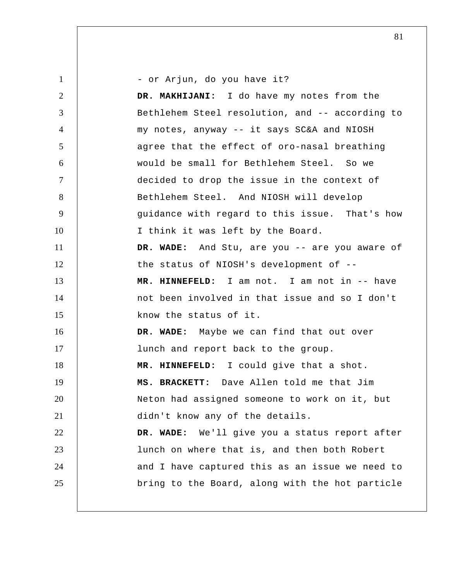1 2 3 4 5 6 7 8 9 10 11 12 13 14 15 16 17 18 19 20 21 22 23 24 25 - or Arjun, do you have it?  **DR. MAKHIJANI:** I do have my notes from the Bethlehem Steel resolution, and -- according to my notes, anyway -- it says SC&A and NIOSH agree that the effect of oro-nasal breathing would be small for Bethlehem Steel. So we decided to drop the issue in the context of Bethlehem Steel. And NIOSH will develop guidance with regard to this issue. That's how I think it was left by the Board.  **DR. WADE:** And Stu, are you -- are you aware of the status of NIOSH's development of --  **MR. HINNEFELD:** I am not. I am not in -- have not been involved in that issue and so I don't know the status of it.  **DR. WADE:** Maybe we can find that out over lunch and report back to the group.  **MR. HINNEFELD:** I could give that a shot. **MS. BRACKETT:** Dave Allen told me that Jim Neton had assigned someone to work on it, but didn't know any of the details.  **DR. WADE:** We'll give you a status report after lunch on where that is, and then both Robert and I have captured this as an issue we need to bring to the Board, along with the hot particle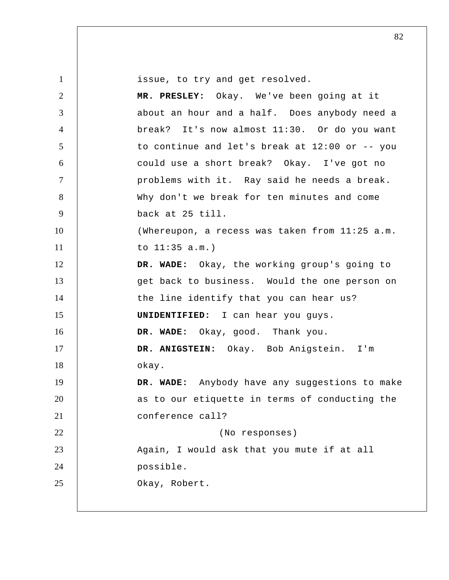1 2 3 4 5 6 7 8 9 10 11 12 13 14 15 16 17 18 19 20 21 22 23 24 25 issue, to try and get resolved.  **MR. PRESLEY:** Okay. We've been going at it about an hour and a half. Does anybody need a break? It's now almost 11:30. Or do you want to continue and let's break at 12:00 or -- you could use a short break? Okay. I've got no problems with it. Ray said he needs a break. Why don't we break for ten minutes and come back at 25 till. (Whereupon, a recess was taken from 11:25 a.m. to 11:35 a.m.)  **DR. WADE:** Okay, the working group's going to get back to business. Would the one person on the line identify that you can hear us? **UNIDENTIFIED:** I can hear you guys.  **DR. WADE:** Okay, good. Thank you.  **DR. ANIGSTEIN:** Okay. Bob Anigstein. I'm okay.  **DR. WADE:** Anybody have any suggestions to make as to our etiquette in terms of conducting the conference call? (No responses) Again, I would ask that you mute if at all possible. Okay, Robert.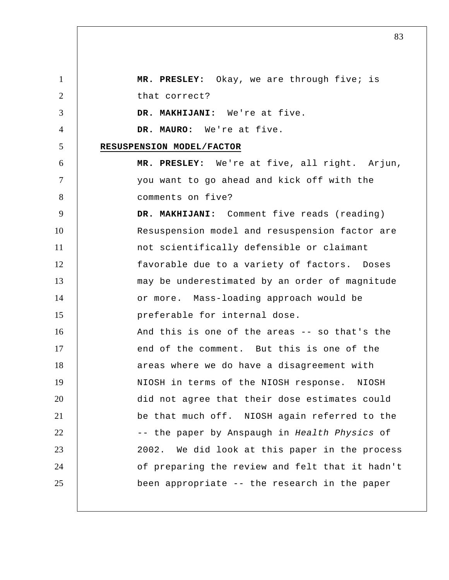1 2 3 4 5 6 7 8 9 10 11 12 13 14 15 16 17 18 19 20 21 22 23 24 25  **MR. PRESLEY:** Okay, we are through five; is that correct?  **DR. MAKHIJANI:** We're at five. **DR. MAURO:** We're at five. **RESUSPENSION MODEL/FACTOR MR. PRESLEY:** We're at five, all right. Arjun, you want to go ahead and kick off with the comments on five?  **DR. MAKHIJANI:** Comment five reads (reading) Resuspension model and resuspension factor are not scientifically defensible or claimant favorable due to a variety of factors. Doses may be underestimated by an order of magnitude or more. Mass-loading approach would be preferable for internal dose. And this is one of the areas -- so that's the end of the comment. But this is one of the areas where we do have a disagreement with NIOSH in terms of the NIOSH response. NIOSH did not agree that their dose estimates could be that much off. NIOSH again referred to the -- the paper by Anspaugh in *Health Physics* of 2002. We did look at this paper in the process of preparing the review and felt that it hadn't been appropriate -- the research in the paper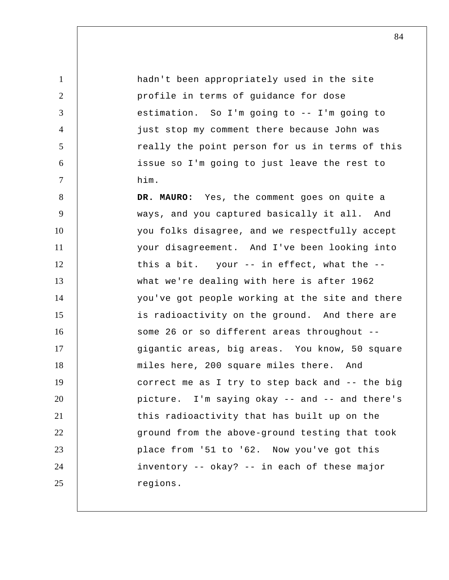1 2 3 4 5 6 7 8 9 10 11 12 13 14 15 16 17 18 19 20 21 22 23 24 25 hadn't been appropriately used in the site profile in terms of guidance for dose estimation. So I'm going to -- I'm going to just stop my comment there because John was really the point person for us in terms of this issue so I'm going to just leave the rest to him. **DR. MAURO:** Yes, the comment goes on quite a ways, and you captured basically it all. And you folks disagree, and we respectfully accept your disagreement. And I've been looking into this a bit. your -- in effect, what the - what we're dealing with here is after 1962 you've got people working at the site and there is radioactivity on the ground. And there are some 26 or so different areas throughout - gigantic areas, big areas. You know, 50 square miles here, 200 square miles there. And correct me as I try to step back and -- the big picture. I'm saying okay -- and -- and there's this radioactivity that has built up on the ground from the above-ground testing that took place from '51 to '62. Now you've got this inventory -- okay? -- in each of these major regions.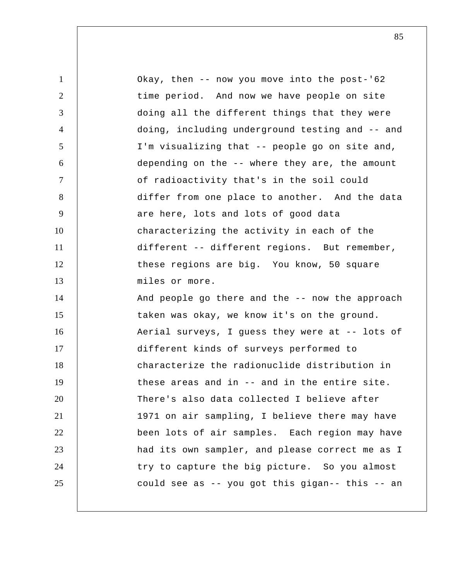| $\mathbf{1}$    | Okay, then -- now you move into the post-'62    |
|-----------------|-------------------------------------------------|
| $\overline{2}$  | time period. And now we have people on site     |
| 3               | doing all the different things that they were   |
| $\overline{4}$  | doing, including underground testing and -- and |
| $5\overline{)}$ | I'm visualizing that -- people go on site and,  |
| 6               | depending on the -- where they are, the amount  |
| $\tau$          | of radioactivity that's in the soil could       |
| 8               | differ from one place to another. And the data  |
| 9               | are here, lots and lots of good data            |
| 10              | characterizing the activity in each of the      |
| 11              | different -- different regions. But remember,   |
| 12              | these regions are big. You know, 50 square      |
| 13              | miles or more.                                  |
| 14              | And people go there and the -- now the approach |
| 15              | taken was okay, we know it's on the ground.     |
| 16              | Aerial surveys, I guess they were at -- lots of |
| 17              | different kinds of surveys performed to         |
| 18              | characterize the radionuclide distribution in   |
| 19              | these areas and in -- and in the entire site.   |
| 20              | There's also data collected I believe after     |
| 21              | 1971 on air sampling, I believe there may have  |
| 22              | been lots of air samples. Each region may have  |
| 23              | had its own sampler, and please correct me as I |
| 24              | try to capture the big picture. So you almost   |
| 25              | could see as -- you got this gigan-- this -- an |
|                 |                                                 |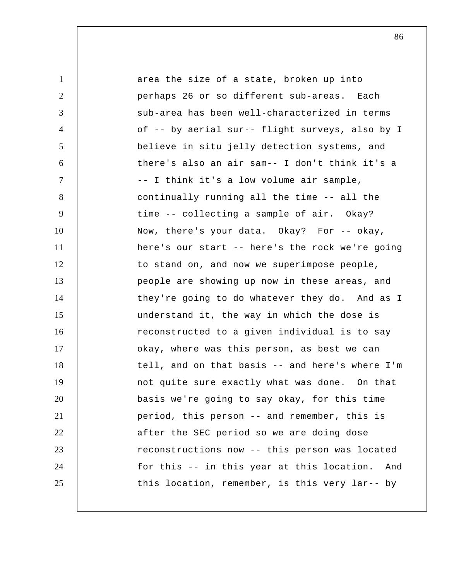1 2 3 4 5 6 7 8 9 10 11 12 13 14 15 16 17 18 19 20 21 22 23 24 25 area the size of a state, broken up into perhaps 26 or so different sub-areas. Each sub-area has been well-characterized in terms of -- by aerial sur-- flight surveys, also by I believe in situ jelly detection systems, and there's also an air sam-- I don't think it's a -- I think it's a low volume air sample, continually running all the time -- all the time -- collecting a sample of air. Okay? Now, there's your data. Okay? For -- okay, here's our start -- here's the rock we're going to stand on, and now we superimpose people, people are showing up now in these areas, and they're going to do whatever they do. And as I understand it, the way in which the dose is reconstructed to a given individual is to say okay, where was this person, as best we can tell, and on that basis -- and here's where I'm not quite sure exactly what was done. On that basis we're going to say okay, for this time period, this person -- and remember, this is after the SEC period so we are doing dose reconstructions now -- this person was located for this -- in this year at this location. And this location, remember, is this very lar-- by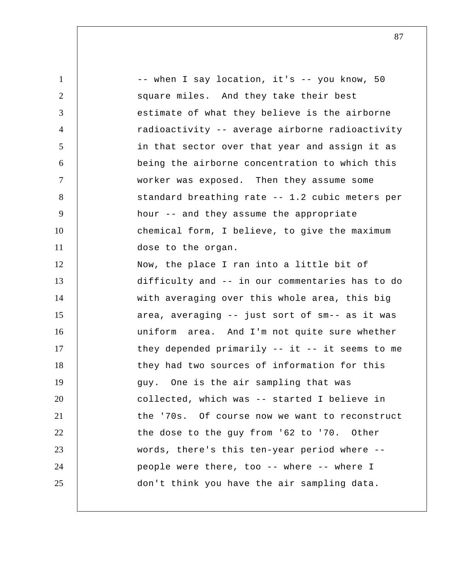1 2 3 4 5 6 7 8 9 10 11 12 13 14 15 16 17 18 19 20 21 22 23 24 25 -- when I say location, it's -- you know, 50 square miles. And they take their best estimate of what they believe is the airborne radioactivity -- average airborne radioactivity in that sector over that year and assign it as being the airborne concentration to which this worker was exposed. Then they assume some standard breathing rate -- 1.2 cubic meters per hour -- and they assume the appropriate chemical form, I believe, to give the maximum dose to the organ. Now, the place I ran into a little bit of difficulty and -- in our commentaries has to do with averaging over this whole area, this big area, averaging -- just sort of sm-- as it was uniform area. And I'm not quite sure whether they depended primarily  $--$  it  $--$  it seems to me they had two sources of information for this guy. One is the air sampling that was collected, which was -- started I believe in the '70s. Of course now we want to reconstruct the dose to the guy from '62 to '70. Other words, there's this ten-year period where - people were there, too -- where -- where I don't think you have the air sampling data.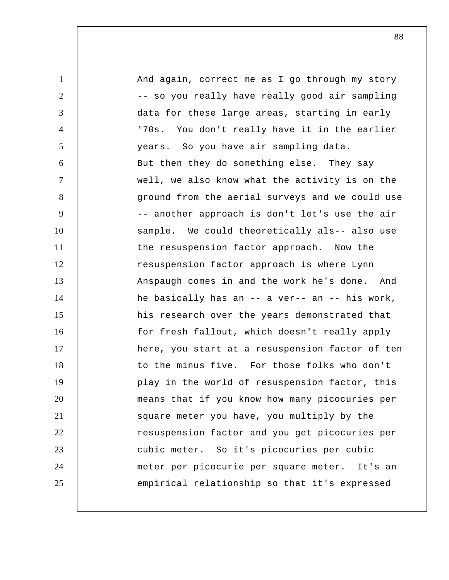1 2 3 4 5 6 7 8 9 10 11 12 13 14 15 16 17 18 19 20 21 22 23 24 25 And again, correct me as I go through my story -- so you really have really good air sampling data for these large areas, starting in early '70s. You don't really have it in the earlier years. So you have air sampling data. But then they do something else. They say well, we also know what the activity is on the ground from the aerial surveys and we could use -- another approach is don't let's use the air sample. We could theoretically als-- also use the resuspension factor approach. Now the resuspension factor approach is where Lynn Anspaugh comes in and the work he's done. And he basically has an -- a ver-- an -- his work, his research over the years demonstrated that for fresh fallout, which doesn't really apply here, you start at a resuspension factor of ten to the minus five. For those folks who don't play in the world of resuspension factor, this means that if you know how many picocuries per square meter you have, you multiply by the resuspension factor and you get picocuries per cubic meter. So it's picocuries per cubic meter per picocurie per square meter. It's an empirical relationship so that it's expressed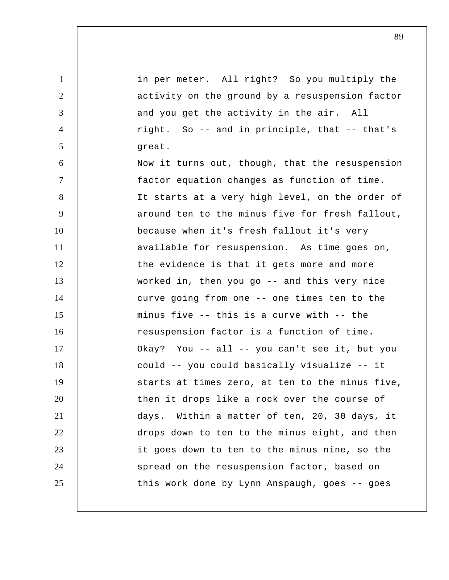1 2 3 4 5 6 7 8 9 10 11 12 13 14 15 16 17 18 19 20 21 22 23 24 25 in per meter. All right? So you multiply the activity on the ground by a resuspension factor and you get the activity in the air. All right. So -- and in principle, that -- that's great. Now it turns out, though, that the resuspension factor equation changes as function of time. It starts at a very high level, on the order of around ten to the minus five for fresh fallout, because when it's fresh fallout it's very available for resuspension. As time goes on, the evidence is that it gets more and more worked in, then you go -- and this very nice curve going from one -- one times ten to the minus five -- this is a curve with -- the resuspension factor is a function of time. Okay? You -- all -- you can't see it, but you could -- you could basically visualize -- it starts at times zero, at ten to the minus five, then it drops like a rock over the course of days. Within a matter of ten, 20, 30 days, it drops down to ten to the minus eight, and then it goes down to ten to the minus nine, so the spread on the resuspension factor, based on this work done by Lynn Anspaugh, goes -- goes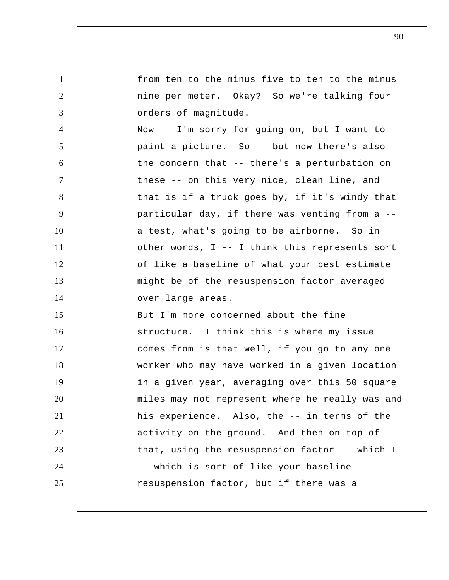1 2 3 4 5 6 7 8 9 10 11 12 13 14 15 16 17 18 19 20 21 22 23 24 25 from ten to the minus five to ten to the minus nine per meter. Okay? So we're talking four orders of magnitude. Now -- I'm sorry for going on, but I want to paint a picture. So -- but now there's also the concern that -- there's a perturbation on these -- on this very nice, clean line, and that is if a truck goes by, if it's windy that particular day, if there was venting from a - a test, what's going to be airborne. So in other words, I -- I think this represents sort of like a baseline of what your best estimate might be of the resuspension factor averaged over large areas. But I'm more concerned about the fine structure. I think this is where my issue comes from is that well, if you go to any one worker who may have worked in a given location in a given year, averaging over this 50 square miles may not represent where he really was and his experience. Also, the -- in terms of the activity on the ground. And then on top of that, using the resuspension factor -- which I -- which is sort of like your baseline resuspension factor, but if there was a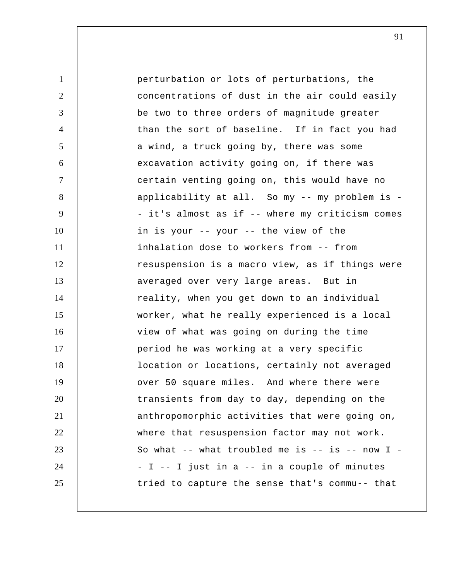| $\mathbf{1}$   | perturbation or lots of perturbations, the        |
|----------------|---------------------------------------------------|
| $\overline{2}$ | concentrations of dust in the air could easily    |
| 3              | be two to three orders of magnitude greater       |
| $\overline{4}$ | than the sort of baseline. If in fact you had     |
| 5              | a wind, a truck going by, there was some          |
| 6              | excavation activity going on, if there was        |
| $\tau$         | certain venting going on, this would have no      |
| 8              | applicability at all. So my -- my problem is -    |
| 9              | - it's almost as if -- where my criticism comes   |
| 10             | in is your -- your -- the view of the             |
| 11             | inhalation dose to workers from -- from           |
| 12             | resuspension is a macro view, as if things were   |
| 13             | averaged over very large areas. But in            |
| 14             | reality, when you get down to an individual       |
| 15             | worker, what he really experienced is a local     |
| 16             | view of what was going on during the time         |
| 17             | period he was working at a very specific          |
| 18             | location or locations, certainly not averaged     |
| 19             | over 50 square miles. And where there were        |
| 20             | transients from day to day, depending on the      |
| 21             | anthropomorphic activities that were going on,    |
| 22             | where that resuspension factor may not work.      |
| 23             | So what -- what troubled me is -- is -- now $I$ - |
| 24             | - I -- I just in a -- in a couple of minutes      |
| 25             | tried to capture the sense that's commu-- that    |
|                |                                                   |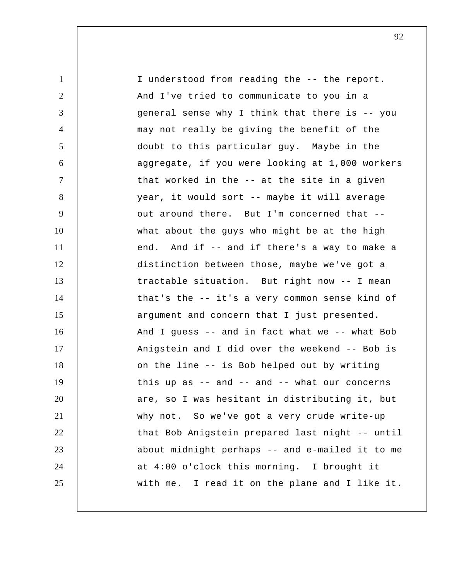| $\mathbf{1}$   | I understood from reading the -- the report.     |
|----------------|--------------------------------------------------|
| $\overline{2}$ | And I've tried to communicate to you in a        |
| 3              | general sense why I think that there is -- you   |
| $\overline{4}$ | may not really be giving the benefit of the      |
| 5              | doubt to this particular guy. Maybe in the       |
| 6              | aggregate, if you were looking at 1,000 workers  |
| 7              | that worked in the -- at the site in a given     |
| 8              | year, it would sort -- maybe it will average     |
| 9              | out around there. But I'm concerned that --      |
| 10             | what about the guys who might be at the high     |
| 11             | end. And if -- and if there's a way to make a    |
| 12             | distinction between those, maybe we've got a     |
| 13             | tractable situation. But right now -- I mean     |
| 14             | that's the -- it's a very common sense kind of   |
| 15             | argument and concern that I just presented.      |
| 16             | And I guess -- and in fact what we -- what Bob   |
| 17             | Anigstein and I did over the weekend -- Bob is   |
| 18             | on the line -- is Bob helped out by writing      |
| 19             | this up as $-$ and $-$ and $-$ what our concerns |
| 20             | are, so I was hesitant in distributing it, but   |
| 21             | why not. So we've got a very crude write-up      |
| 22             | that Bob Anigstein prepared last night -- until  |
| 23             | about midnight perhaps -- and e-mailed it to me  |
| 24             | at 4:00 o'clock this morning. I brought it       |
| 25             | with me. I read it on the plane and I like it.   |
|                |                                                  |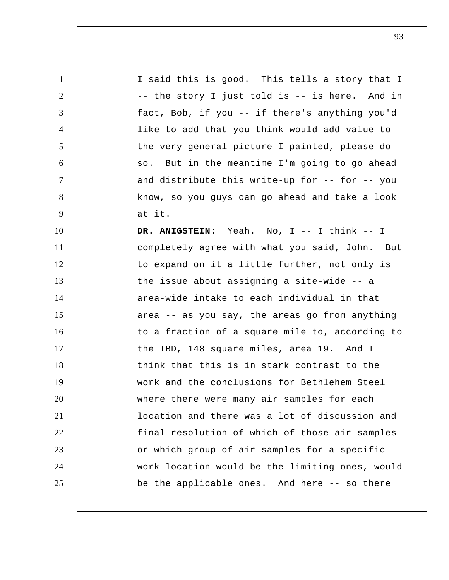1 2 3 4 5 6 7 8 9 10 11 12 13 14 15 16 17 18 19 20 21 22 23 24 25 I said this is good. This tells a story that I -- the story I just told is -- is here. And in fact, Bob, if you -- if there's anything you'd like to add that you think would add value to the very general picture I painted, please do so. But in the meantime I'm going to go ahead and distribute this write-up for -- for -- you know, so you guys can go ahead and take a look at it.  **DR. ANIGSTEIN:** Yeah. No, I -- I think -- I completely agree with what you said, John. But to expand on it a little further, not only is the issue about assigning a site-wide -- a area-wide intake to each individual in that area -- as you say, the areas go from anything to a fraction of a square mile to, according to the TBD, 148 square miles, area 19. And I think that this is in stark contrast to the work and the conclusions for Bethlehem Steel where there were many air samples for each location and there was a lot of discussion and final resolution of which of those air samples or which group of air samples for a specific work location would be the limiting ones, would be the applicable ones. And here -- so there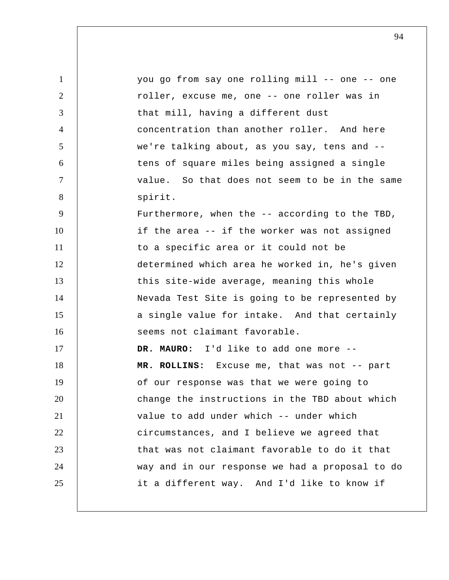| $\mathbf{1}$   | you go from say one rolling mill -- one -- one  |
|----------------|-------------------------------------------------|
| $\overline{2}$ | roller, excuse me, one -- one roller was in     |
| 3              | that mill, having a different dust              |
| $\overline{4}$ | concentration than another roller. And here     |
| 5              | we're talking about, as you say, tens and --    |
| 6              | tens of square miles being assigned a single    |
| $\tau$         | value. So that does not seem to be in the same  |
| 8              | spirit.                                         |
| 9              | Furthermore, when the -- according to the TBD,  |
| 10             | if the area -- if the worker was not assigned   |
| 11             | to a specific area or it could not be           |
| 12             | determined which area he worked in, he's given  |
| 13             | this site-wide average, meaning this whole      |
| 14             | Nevada Test Site is going to be represented by  |
| 15             | a single value for intake. And that certainly   |
| 16             | seems not claimant favorable.                   |
| 17             | DR. MAURO: I'd like to add one more --          |
| 18             | MR. ROLLINS: Excuse me, that was not -- part    |
| 19             | of our response was that we were going to       |
| 20             | change the instructions in the TBD about which  |
| 21             | value to add under which -- under which         |
| 22             | circumstances, and I believe we agreed that     |
| 23             | that was not claimant favorable to do it that   |
| 24             | way and in our response we had a proposal to do |
| 25             | it a different way. And I'd like to know if     |
|                |                                                 |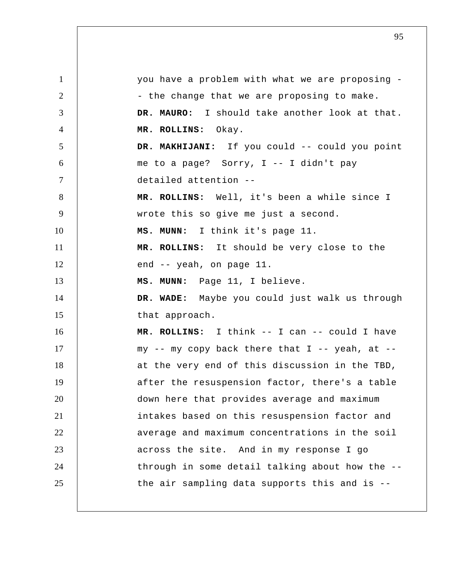1 2 3 4 5 6 7 8 9 10 11 12 13 14 15 16 17 18 19 20 21 22 23 24 25 you have a problem with what we are proposing - the change that we are proposing to make. **DR. MAURO:** I should take another look at that.  **MR. ROLLINS:** Okay.  **DR. MAKHIJANI:** If you could -- could you point me to a page? Sorry, I -- I didn't pay detailed attention -- **MR. ROLLINS:** Well, it's been a while since I wrote this so give me just a second.  **MS. MUNN:** I think it's page 11.  **MR. ROLLINS:** It should be very close to the end -- yeah, on page 11.  **MS. MUNN:** Page 11, I believe.  **DR. WADE:** Maybe you could just walk us through that approach.  **MR. ROLLINS:** I think -- I can -- could I have my  $--$  my copy back there that I  $--$  yeah, at  $-$ at the very end of this discussion in the TBD, after the resuspension factor, there's a table down here that provides average and maximum intakes based on this resuspension factor and average and maximum concentrations in the soil across the site. And in my response I go through in some detail talking about how the - the air sampling data supports this and is --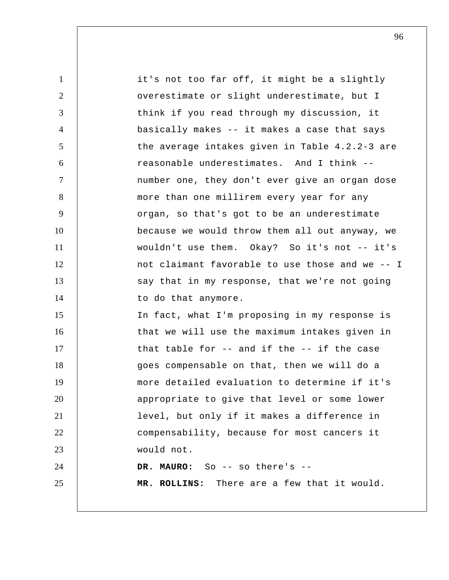1 2 3 4 5 6 7 8 9 10 11 12 13 14 15 16 17 18 19 20 21 22 23 24 25 it's not too far off, it might be a slightly overestimate or slight underestimate, but I think if you read through my discussion, it basically makes -- it makes a case that says the average intakes given in Table 4.2.2-3 are reasonable underestimates. And I think - number one, they don't ever give an organ dose more than one millirem every year for any organ, so that's got to be an underestimate because we would throw them all out anyway, we wouldn't use them. Okay? So it's not -- it's not claimant favorable to use those and we -- I say that in my response, that we're not going to do that anymore. In fact, what I'm proposing in my response is that we will use the maximum intakes given in that table for -- and if the -- if the case goes compensable on that, then we will do a more detailed evaluation to determine if it's appropriate to give that level or some lower level, but only if it makes a difference in compensability, because for most cancers it would not. **DR. MAURO:** So -- so there's -- **MR. ROLLINS:** There are a few that it would.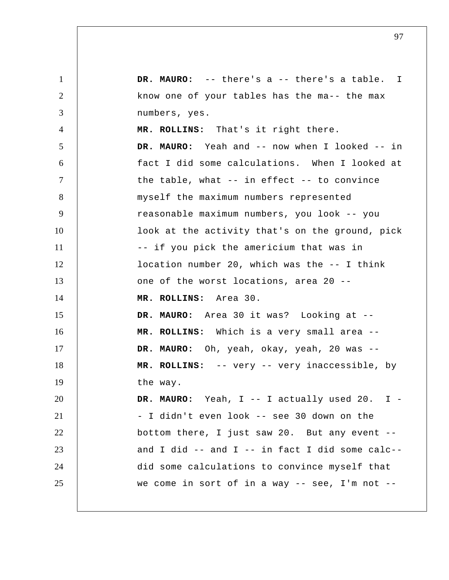1 2 3 4 5 6 7 8 9 10 11 12 13 14 15 16 17 18 19 20 21 22 23 24 25 **DR. MAURO:** -- there's a -- there's a table. I know one of your tables has the ma-- the max numbers, yes.  **MR. ROLLINS:** That's it right there. **DR. MAURO:** Yeah and -- now when I looked -- in fact I did some calculations. When I looked at the table, what -- in effect -- to convince myself the maximum numbers represented reasonable maximum numbers, you look -- you look at the activity that's on the ground, pick -- if you pick the americium that was in location number 20, which was the -- I think one of the worst locations, area 20 --  **MR. ROLLINS:** Area 30. **DR. MAURO:** Area 30 it was? Looking at --  **MR. ROLLINS:** Which is a very small area -- **DR. MAURO:** Oh, yeah, okay, yeah, 20 was --  **MR. ROLLINS:** -- very -- very inaccessible, by the way. DR. MAURO: Yeah, I -- I actually used 20. I -- I didn't even look -- see 30 down on the bottom there, I just saw 20. But any event - and I did -- and I -- in fact I did some calc- did some calculations to convince myself that we come in sort of in a way  $--$  see, I'm not  $--$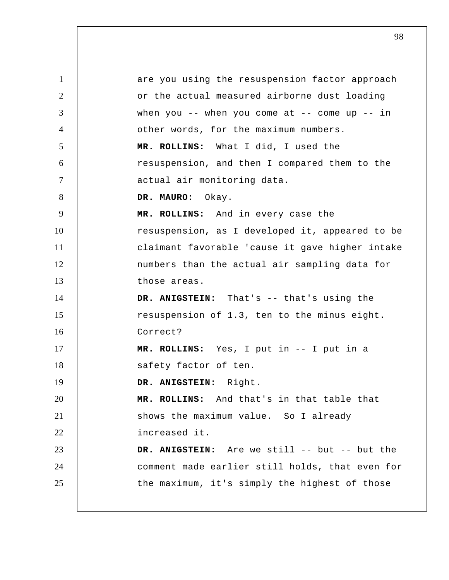1 2 3 4 5 6 7 8 9 10 11 12 13 14 15 16 17 18 19 20 21 22 23 24 25 are you using the resuspension factor approach or the actual measured airborne dust loading when you  $--$  when you come at  $--$  come up  $--$  in other words, for the maximum numbers.  **MR. ROLLINS:** What I did, I used the resuspension, and then I compared them to the actual air monitoring data. **DR. MAURO:** Okay.  **MR. ROLLINS:** And in every case the resuspension, as I developed it, appeared to be claimant favorable 'cause it gave higher intake numbers than the actual air sampling data for those areas.  **DR. ANIGSTEIN:** That's -- that's using the resuspension of 1.3, ten to the minus eight. Correct?  **MR. ROLLINS:** Yes, I put in -- I put in a safety factor of ten.  **DR. ANIGSTEIN:** Right.  **MR. ROLLINS:** And that's in that table that shows the maximum value. So I already increased it.  **DR. ANIGSTEIN:** Are we still -- but -- but the comment made earlier still holds, that even for the maximum, it's simply the highest of those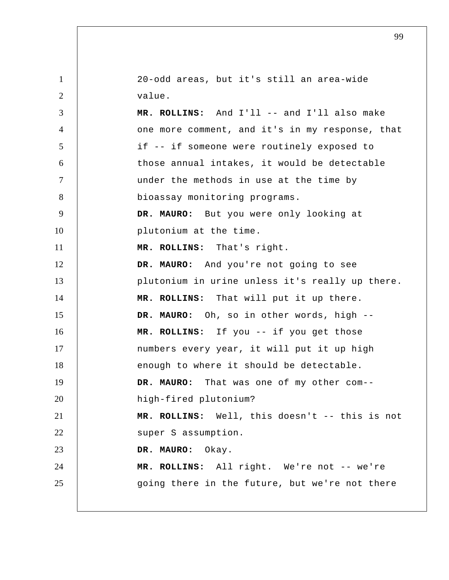| $\mathbf{1}$   | 20-odd areas, but it's still an area-wide       |
|----------------|-------------------------------------------------|
| $\overline{2}$ | value.                                          |
| 3              | MR. ROLLINS: And I'll -- and I'll also make     |
| $\overline{4}$ | one more comment, and it's in my response, that |
| $\mathfrak{S}$ | if -- if someone were routinely exposed to      |
| 6              | those annual intakes, it would be detectable    |
| $\tau$         | under the methods in use at the time by         |
| 8              | bioassay monitoring programs.                   |
| 9              | DR. MAURO: But you were only looking at         |
| 10             | plutonium at the time.                          |
| 11             | MR. ROLLINS: That's right.                      |
| 12             | DR. MAURO: And you're not going to see          |
| 13             | plutonium in urine unless it's really up there. |
| 14             | MR. ROLLINS: That will put it up there.         |
| 15             | DR. MAURO: Oh, so in other words, high --       |
| 16             | MR. ROLLINS: If you -- if you get those         |
| 17             | numbers every year, it will put it up high      |
| 18             | enough to where it should be detectable.        |
| 19             | DR. MAURO: That was one of my other com--       |
| 20             | high-fired plutonium?                           |
| 21             | MR. ROLLINS: Well, this doesn't -- this is not  |
| 22             | super S assumption.                             |
| 23             | DR. MAURO: Okay.                                |
| 24             | MR. ROLLINS: All right. We're not -- we're      |
| 25             | going there in the future, but we're not there  |
|                |                                                 |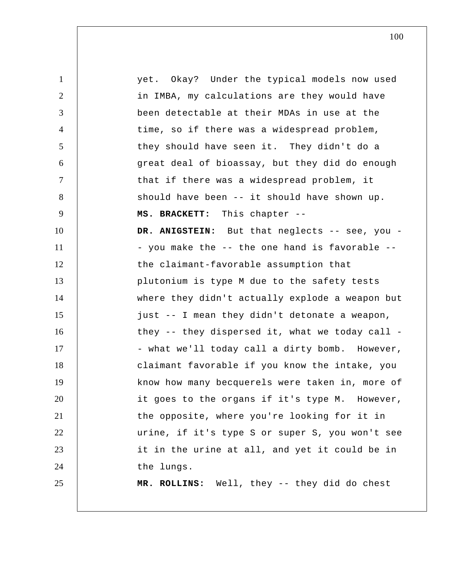1 2 3 4 5 6 7 8 9 10 11 12 13 14 15 16 17 18 19 20 21 22 23 24 25 yet. Okay? Under the typical models now used in IMBA, my calculations are they would have been detectable at their MDAs in use at the time, so if there was a widespread problem, they should have seen it. They didn't do a great deal of bioassay, but they did do enough that if there was a widespread problem, it should have been -- it should have shown up. **MS. BRACKETT:** This chapter --DR. ANIGSTEIN: But that neglects -- see, you -- you make the -- the one hand is favorable - the claimant-favorable assumption that plutonium is type M due to the safety tests where they didn't actually explode a weapon but just -- I mean they didn't detonate a weapon, they -- they dispersed it, what we today call - what we'll today call a dirty bomb. However, claimant favorable if you know the intake, you know how many becquerels were taken in, more of it goes to the organs if it's type M. However, the opposite, where you're looking for it in urine, if it's type S or super S, you won't see it in the urine at all, and yet it could be in the lungs.  **MR. ROLLINS:** Well, they -- they did do chest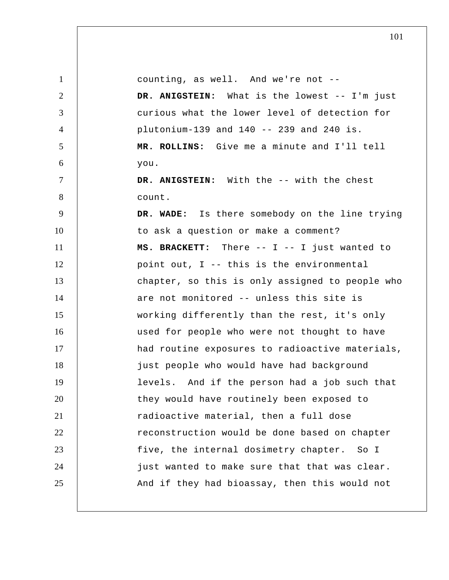| $\mathbf{1}$   | counting, as well. And we're not --             |
|----------------|-------------------------------------------------|
| 2              | DR. ANIGSTEIN: What is the lowest -- I'm just   |
| 3              | curious what the lower level of detection for   |
| $\overline{4}$ | plutonium-139 and $140$ -- 239 and 240 is.      |
| 5              | MR. ROLLINS: Give me a minute and I'll tell     |
| 6              | you.                                            |
| $\tau$         | DR. ANIGSTEIN: With the -- with the chest       |
| 8              | count.                                          |
| 9              | DR. WADE: Is there somebody on the line trying  |
| 10             | to ask a question or make a comment?            |
| 11             | MS. BRACKETT: There -- I -- I just wanted to    |
| 12             | point out, I -- this is the environmental       |
| 13             | chapter, so this is only assigned to people who |
| 14             | are not monitored -- unless this site is        |
| 15             | working differently than the rest, it's only    |
| 16             | used for people who were not thought to have    |
| 17             | had routine exposures to radioactive materials, |
| 18             | just people who would have had background       |
| 19             | levels. And if the person had a job such that   |
| 20             | they would have routinely been exposed to       |
| 21             | radioactive material, then a full dose          |
| 22             | reconstruction would be done based on chapter   |
| 23             | five, the internal dosimetry chapter. So I      |
| 24             | just wanted to make sure that that was clear.   |
| 25             | And if they had bioassay, then this would not   |
|                |                                                 |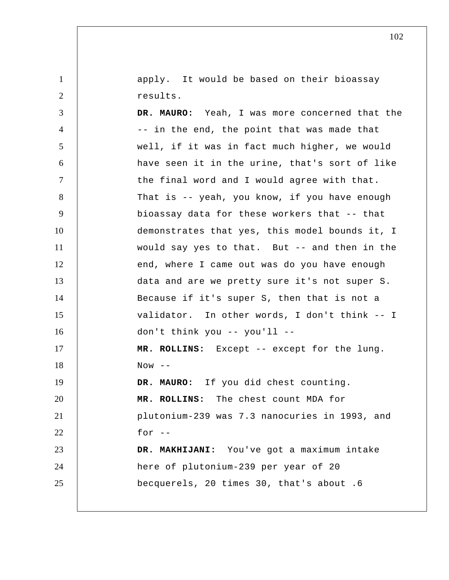apply. It would be based on their bioassay results.

1

2

3 4 5 6 7 8 9 10 11 12 13 14 15 16 17 18 19 20 21 22 23 24 25 **DR. MAURO:** Yeah, I was more concerned that the -- in the end, the point that was made that well, if it was in fact much higher, we would have seen it in the urine, that's sort of like the final word and I would agree with that. That is -- yeah, you know, if you have enough bioassay data for these workers that -- that demonstrates that yes, this model bounds it, I would say yes to that. But -- and then in the end, where I came out was do you have enough data and are we pretty sure it's not super S. Because if it's super S, then that is not a validator. In other words, I don't think -- I don't think you -- you'll --  **MR. ROLLINS:** Except -- except for the lung.  $Now$   $-$ **DR. MAURO:** If you did chest counting.  **MR. ROLLINS:** The chest count MDA for plutonium-239 was 7.3 nanocuries in 1993, and for  $-$  **DR. MAKHIJANI:** You've got a maximum intake here of plutonium-239 per year of 20 becquerels, 20 times 30, that's about .6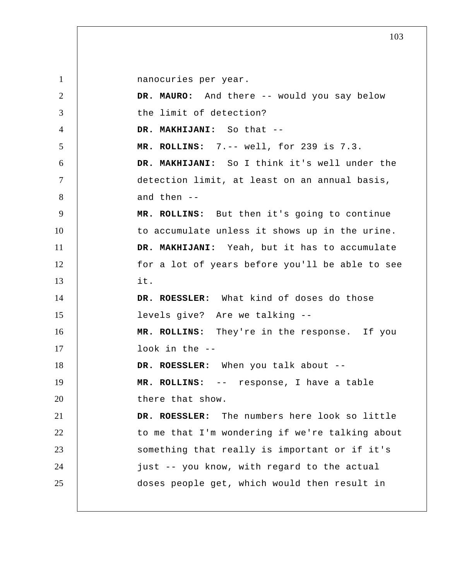1 2 3 4 5 6 7 8 9 10 11 12 13 14 15 16 17 18 19 20 21 22 23 24 25 nanocuries per year. **DR. MAURO:** And there -- would you say below the limit of detection?  **DR. MAKHIJANI:** So that -- **MR. ROLLINS:** 7.-- well, for 239 is 7.3.  **DR. MAKHIJANI:** So I think it's well under the detection limit, at least on an annual basis, and then -- **MR. ROLLINS:** But then it's going to continue to accumulate unless it shows up in the urine.  **DR. MAKHIJANI:** Yeah, but it has to accumulate for a lot of years before you'll be able to see it. **DR. ROESSLER:** What kind of doses do those levels give? Are we talking --  **MR. ROLLINS:** They're in the response. If you look in the --**DR. ROESSLER:** When you talk about --  **MR. ROLLINS:** -- response, I have a table there that show. **DR. ROESSLER:** The numbers here look so little to me that I'm wondering if we're talking about something that really is important or if it's just -- you know, with regard to the actual doses people get, which would then result in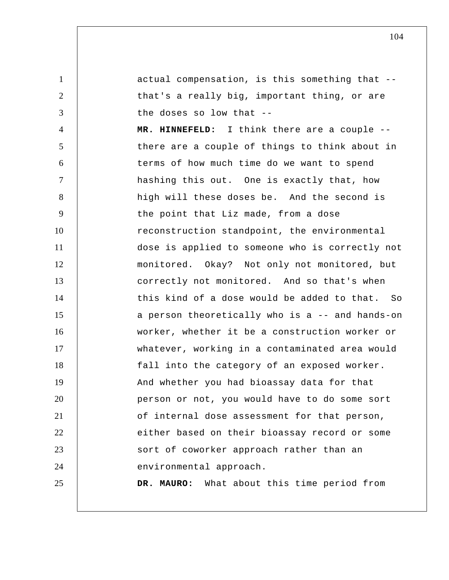1 2 3 4 5 6 7 8 9 10 11 12 13 14 15 16 17 18 19 20 21 22 23 24 25 actual compensation, is this something that - that's a really big, important thing, or are the doses so low that --  **MR. HINNEFELD:** I think there are a couple - there are a couple of things to think about in terms of how much time do we want to spend hashing this out. One is exactly that, how high will these doses be. And the second is the point that Liz made, from a dose reconstruction standpoint, the environmental dose is applied to someone who is correctly not monitored. Okay? Not only not monitored, but correctly not monitored. And so that's when this kind of a dose would be added to that. So a person theoretically who is a -- and hands-on worker, whether it be a construction worker or whatever, working in a contaminated area would fall into the category of an exposed worker. And whether you had bioassay data for that person or not, you would have to do some sort of internal dose assessment for that person, either based on their bioassay record or some sort of coworker approach rather than an environmental approach. **DR. MAURO:** What about this time period from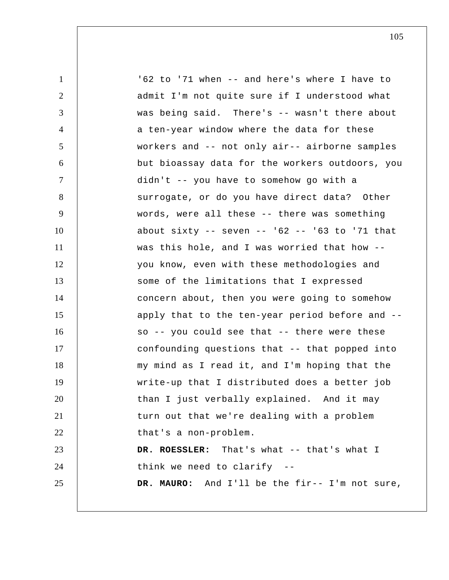| $\mathbf{1}$   | '62 to '71 when -- and here's where I have to        |
|----------------|------------------------------------------------------|
| $\overline{2}$ | admit I'm not quite sure if I understood what        |
| 3              | was being said. There's -- wasn't there about        |
| $\overline{4}$ | a ten-year window where the data for these           |
| 5              | workers and -- not only air-- airborne samples       |
| 6              | but bioassay data for the workers outdoors, you      |
| $\tau$         | didn't -- you have to somehow go with a              |
| 8              | surrogate, or do you have direct data? Other         |
| 9              | words, were all these -- there was something         |
| 10             | about sixty -- seven -- $162$ -- $163$ to $171$ that |
| 11             | was this hole, and I was worried that how --         |
| 12             | you know, even with these methodologies and          |
| 13             | some of the limitations that I expressed             |
| 14             | concern about, then you were going to somehow        |
| 15             | apply that to the ten-year period before and --      |
| 16             | so -- you could see that -- there were these         |
| 17             | confounding questions that -- that popped into       |
| 18             | my mind as I read it, and I'm hoping that the        |
| 19             | write-up that I distributed does a better job        |
| 20             | than I just verbally explained. And it may           |
| 21             | turn out that we're dealing with a problem           |
| 22             | that's a non-problem.                                |
| 23             | DR. ROESSLER: That's what -- that's what I           |
| 24             | think we need to clarify --                          |
| 25             | DR. MAURO: And I'll be the fir-- I'm not sure,       |
|                |                                                      |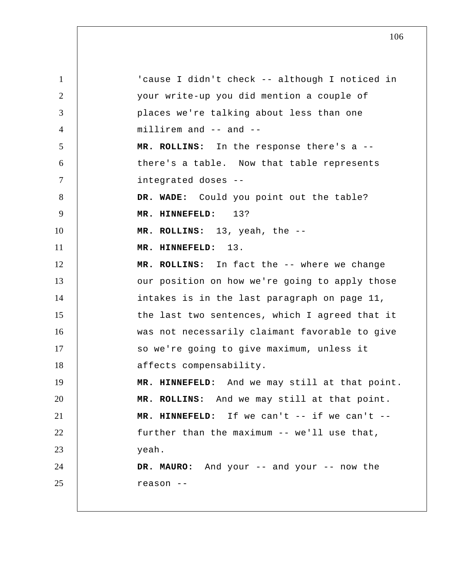1 2 3 4 5 6 7 8 9 10 11 12 13 14 15 16 17 18 19 20 21 22 23 24 25 'cause I didn't check -- although I noticed in your write-up you did mention a couple of places we're talking about less than one millirem and -- and -- **MR. ROLLINS:** In the response there's a - there's a table. Now that table represents integrated doses --  **DR. WADE:** Could you point out the table?  **MR. HINNEFELD:** 13?  **MR. ROLLINS:** 13, yeah, the -- **MR. HINNEFELD:** 13.  **MR. ROLLINS:** In fact the -- where we change our position on how we're going to apply those intakes is in the last paragraph on page 11, the last two sentences, which I agreed that it was not necessarily claimant favorable to give so we're going to give maximum, unless it affects compensability.  **MR. HINNEFELD:** And we may still at that point.  **MR. ROLLINS:** And we may still at that point.  **MR. HINNEFELD:** If we can't -- if we can't - further than the maximum -- we'll use that, yeah. **DR. MAURO:** And your -- and your -- now the reason --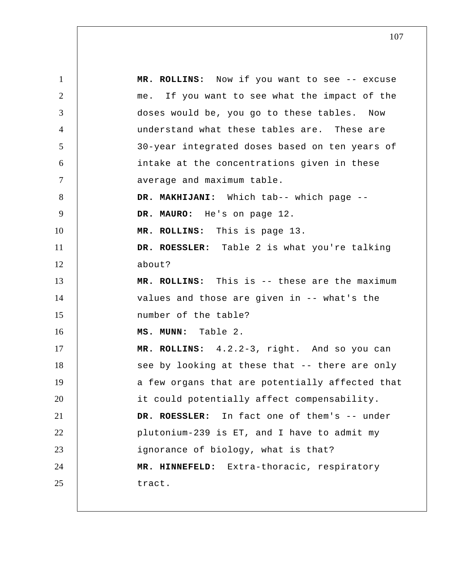1 2 3 4 5 6 7 8 9 10 11 12 13 14 15 16 17 18 19 20 21 22 23 24 25  **MR. ROLLINS:** Now if you want to see -- excuse me. If you want to see what the impact of the doses would be, you go to these tables. Now understand what these tables are. These are 30-year integrated doses based on ten years of intake at the concentrations given in these average and maximum table.  **DR. MAKHIJANI:** Which tab-- which page -- **DR. MAURO:** He's on page 12.  **MR. ROLLINS:** This is page 13. **DR. ROESSLER:** Table 2 is what you're talking about?  **MR. ROLLINS:** This is -- these are the maximum values and those are given in -- what's the number of the table?  **MS. MUNN:** Table 2.  **MR. ROLLINS:** 4.2.2-3, right. And so you can see by looking at these that -- there are only a few organs that are potentially affected that it could potentially affect compensability. **DR. ROESSLER:** In fact one of them's -- under plutonium-239 is ET, and I have to admit my ignorance of biology, what is that?  **MR. HINNEFELD:** Extra-thoracic, respiratory tract.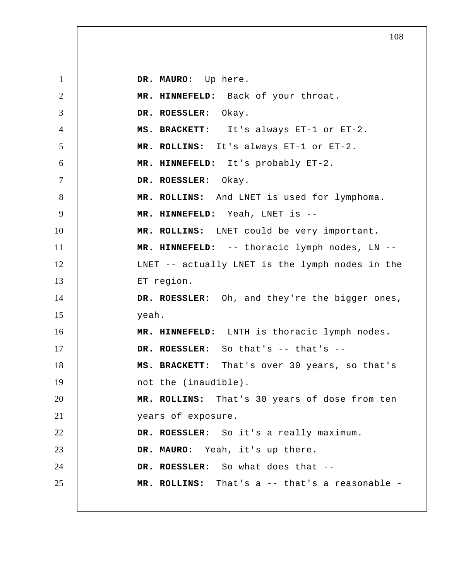1 2 3 4 5 6 7 8 9 10 11 12 13 14 15 16 17 18 19 20 21 22 23 24 25 **DR. MAURO:** Up here.  **MR. HINNEFELD:** Back of your throat. **DR. ROESSLER:** Okay. **MS. BRACKETT:** It's always ET-1 or ET-2.  **MR. ROLLINS:** It's always ET-1 or ET-2.  **MR. HINNEFELD:** It's probably ET-2. **DR. ROESSLER:** Okay.  **MR. ROLLINS:** And LNET is used for lymphoma.  **MR. HINNEFELD:** Yeah, LNET is -- **MR. ROLLINS:** LNET could be very important.  **MR. HINNEFELD:** -- thoracic lymph nodes, LN -- LNET -- actually LNET is the lymph nodes in the ET region. **DR. ROESSLER:** Oh, and they're the bigger ones, yeah.  **MR. HINNEFELD:** LNTH is thoracic lymph nodes. **DR. ROESSLER:** So that's -- that's --**MS. BRACKETT:** That's over 30 years, so that's not the (inaudible).  **MR. ROLLINS:** That's 30 years of dose from ten years of exposure. **DR. ROESSLER:** So it's a really maximum. **DR. MAURO:** Yeah, it's up there. **DR. ROESSLER:** So what does that -- **MR. ROLLINS:** That's a -- that's a reasonable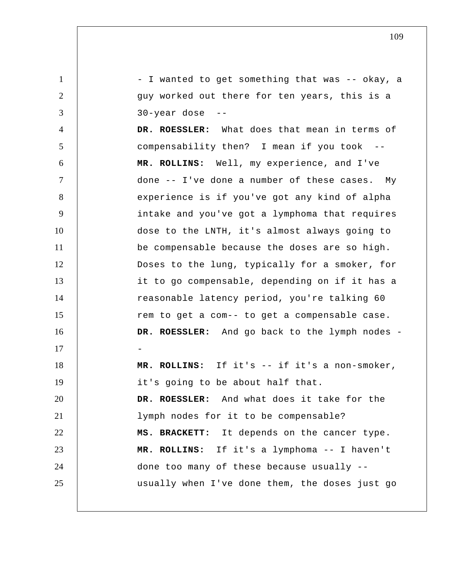1 2 3 4 5 6 7 8 9 10 11 12 13 14 15 16 17 18 19 20 21 22 23 24 25 - I wanted to get something that was -- okay, a guy worked out there for ten years, this is a 30-year dose --**DR. ROESSLER:** What does that mean in terms of compensability then? I mean if you took  **MR. ROLLINS:** Well, my experience, and I've done -- I've done a number of these cases. My experience is if you've got any kind of alpha intake and you've got a lymphoma that requires dose to the LNTH, it's almost always going to be compensable because the doses are so high. Doses to the lung, typically for a smoker, for it to go compensable, depending on if it has a reasonable latency period, you're talking 60 rem to get a com-- to get a compensable case. DR. ROESSLER: And go back to the lymph nodes -- **MR. ROLLINS:** If it's -- if it's a non-smoker, it's going to be about half that. **DR. ROESSLER:** And what does it take for the lymph nodes for it to be compensable? **MS. BRACKETT:** It depends on the cancer type.  **MR. ROLLINS:** If it's a lymphoma -- I haven't done too many of these because usually - usually when I've done them, the doses just go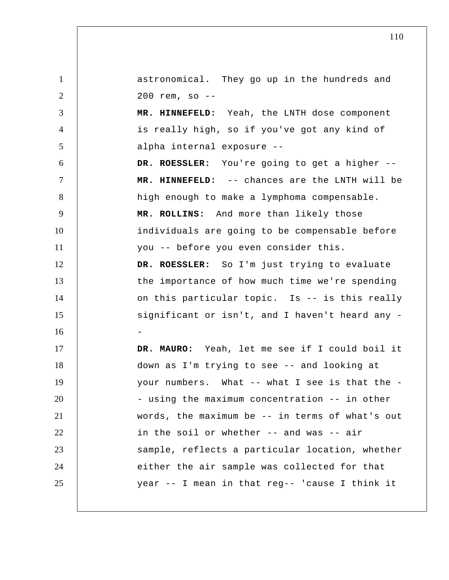1 2 3 4 5 6 7 8 9 10 11 12 13 14 15 16 17 18 19 20 21 22 23 24 25 astronomical. They go up in the hundreds and 200 rem, so --  **MR. HINNEFELD:** Yeah, the LNTH dose component is really high, so if you've got any kind of alpha internal exposure -- **DR. ROESSLER:** You're going to get a higher --  **MR. HINNEFELD:** -- chances are the LNTH will be high enough to make a lymphoma compensable.  **MR. ROLLINS:** And more than likely those individuals are going to be compensable before you -- before you even consider this. **DR. ROESSLER:** So I'm just trying to evaluate the importance of how much time we're spending on this particular topic. Is -- is this really significant or isn't, and I haven't heard any -**DR. MAURO:** Yeah, let me see if I could boil it down as I'm trying to see -- and looking at your numbers. What -- what I see is that the - using the maximum concentration -- in other words, the maximum be -- in terms of what's out in the soil or whether -- and was -- air sample, reflects a particular location, whether either the air sample was collected for that year -- I mean in that reg-- 'cause I think it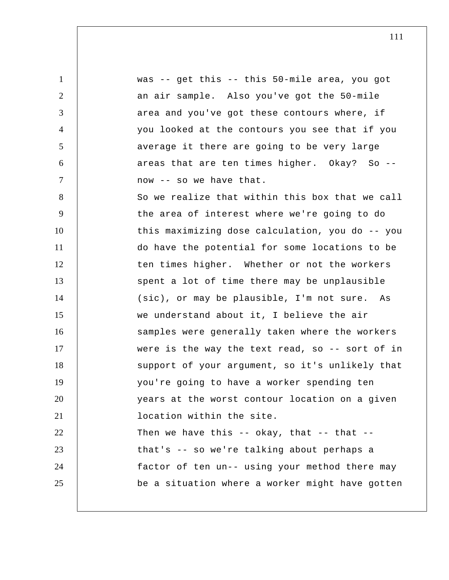1 2 3 4 5 6 7 8 9 10 11 12 13 14 15 16 17 18 19 20 21 22 23 24 25 was -- get this -- this 50-mile area, you got an air sample. Also you've got the 50-mile area and you've got these contours where, if you looked at the contours you see that if you average it there are going to be very large areas that are ten times higher. Okay? So -now -- so we have that. So we realize that within this box that we call the area of interest where we're going to do this maximizing dose calculation, you do -- you do have the potential for some locations to be ten times higher. Whether or not the workers spent a lot of time there may be unplausible (sic), or may be plausible, I'm not sure. As we understand about it, I believe the air samples were generally taken where the workers were is the way the text read, so -- sort of in support of your argument, so it's unlikely that you're going to have a worker spending ten years at the worst contour location on a given location within the site. Then we have this  $-$  okay, that  $-$  that  $$ that's -- so we're talking about perhaps a factor of ten un-- using your method there may be a situation where a worker might have gotten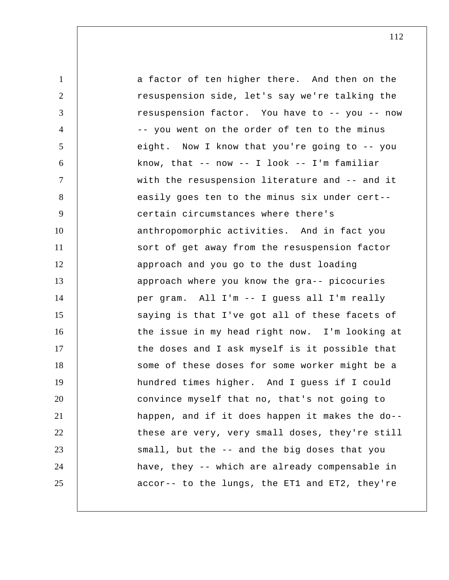1 2 3 4 5 6 7 8 9 10 11 12 13 14 15 16 17 18 19 20 21 22 23 24 25 a factor of ten higher there. And then on the resuspension side, let's say we're talking the resuspension factor. You have to -- you -- now -- you went on the order of ten to the minus eight. Now I know that you're going to -- you know, that  $--$  now  $--$  I look  $--$  I'm familiar with the resuspension literature and -- and it easily goes ten to the minus six under cert- certain circumstances where there's anthropomorphic activities. And in fact you sort of get away from the resuspension factor approach and you go to the dust loading approach where you know the gra-- picocuries per gram. All I'm -- I guess all I'm really saying is that I've got all of these facets of the issue in my head right now. I'm looking at the doses and I ask myself is it possible that some of these doses for some worker might be a hundred times higher. And I guess if I could convince myself that no, that's not going to happen, and if it does happen it makes the do- these are very, very small doses, they're still small, but the -- and the big doses that you have, they -- which are already compensable in accor-- to the lungs, the ET1 and ET2, they're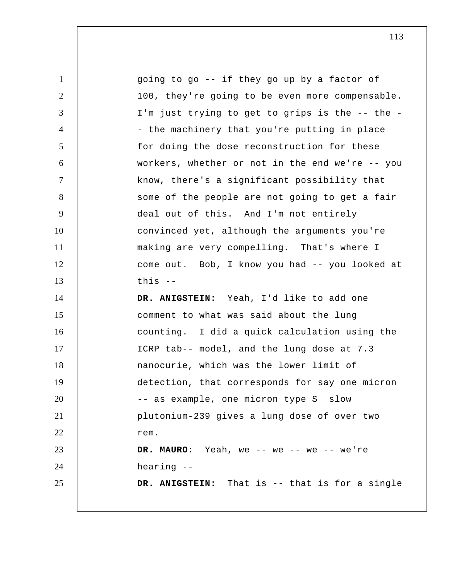1 2 3 4 5 6 7 8 9 10 11 12 13 14 15 16 17 18 19 20 21 22 23 24 25 going to go -- if they go up by a factor of 100, they're going to be even more compensable. I'm just trying to get to grips is the -- the - the machinery that you're putting in place for doing the dose reconstruction for these workers, whether or not in the end we're -- you know, there's a significant possibility that some of the people are not going to get a fair deal out of this. And I'm not entirely convinced yet, although the arguments you're making are very compelling. That's where I come out. Bob, I know you had -- you looked at this -- **DR. ANIGSTEIN:** Yeah, I'd like to add one comment to what was said about the lung counting. I did a quick calculation using the ICRP tab-- model, and the lung dose at 7.3 nanocurie, which was the lower limit of detection, that corresponds for say one micron -- as example, one micron type S slow plutonium-239 gives a lung dose of over two rem. DR. MAURO: Yeah, we -- we -- we -- we're hearing -- **DR. ANIGSTEIN:** That is -- that is for a single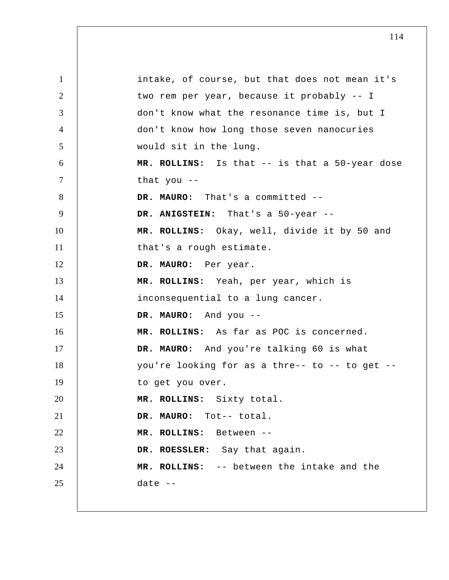1 2 3 4 5 6 7 8 9 10 11 12 13 14 15 16 17 18 19 20 21 22 23 24 25 intake, of course, but that does not mean it's two rem per year, because it probably -- I don't know what the resonance time is, but I don't know how long those seven nanocuries would sit in the lung.  **MR. ROLLINS:** Is that -- is that a 50-year dose that you -- **DR. MAURO:** That's a committed -- **DR. ANIGSTEIN:** That's a 50-year -- **MR. ROLLINS:** Okay, well, divide it by 50 and that's a rough estimate. **DR. MAURO:** Per year.  **MR. ROLLINS:** Yeah, per year, which is inconsequential to a lung cancer. **DR. MAURO:** And you -- **MR. ROLLINS:** As far as POC is concerned. **DR. MAURO:** And you're talking 60 is what you're looking for as a thre-- to -- to get - to get you over.  **MR. ROLLINS:** Sixty total. **DR. MAURO:** Tot-- total.  **MR. ROLLINS:** Between --**DR. ROESSLER:** Say that again.  **MR. ROLLINS:** -- between the intake and the date --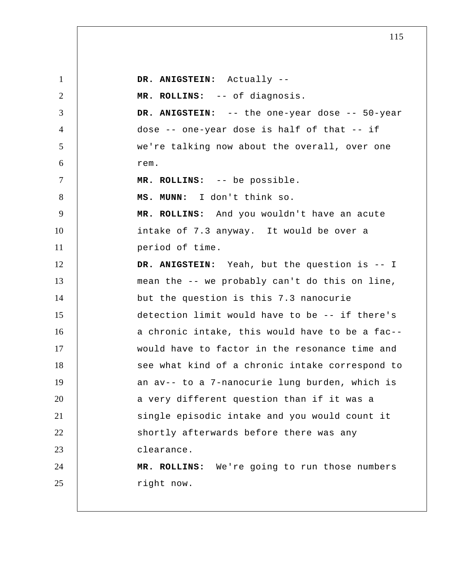1 2 3 4 5 6 7 8 9 10 11 12 13 14 15 16 17 18 19 20 21 22 23 24 25  **DR. ANIGSTEIN:** Actually -- **MR. ROLLINS:** -- of diagnosis.  **DR. ANIGSTEIN:** -- the one-year dose -- 50-year dose -- one-year dose is half of that -- if we're talking now about the overall, over one rem.  **MR. ROLLINS:** -- be possible.  **MS. MUNN:** I don't think so.  **MR. ROLLINS:** And you wouldn't have an acute intake of 7.3 anyway. It would be over a period of time.  **DR. ANIGSTEIN:** Yeah, but the question is -- I mean the -- we probably can't do this on line, but the question is this 7.3 nanocurie detection limit would have to be -- if there's a chronic intake, this would have to be a fac- would have to factor in the resonance time and see what kind of a chronic intake correspond to an av-- to a 7-nanocurie lung burden, which is a very different question than if it was a single episodic intake and you would count it shortly afterwards before there was any clearance.  **MR. ROLLINS:** We're going to run those numbers right now.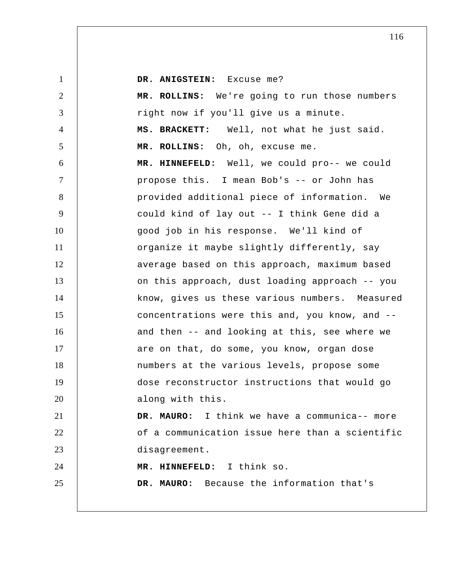1 2 3 4 5 6 7 8 9 10 11 12 13 14 15 16 17 18 19 20 21 22 23 24 25  **DR. ANIGSTEIN:** Excuse me?  **MR. ROLLINS:** We're going to run those numbers right now if you'll give us a minute. **MS. BRACKETT:** Well, not what he just said.  **MR. ROLLINS:** Oh, oh, excuse me.  **MR. HINNEFELD:** Well, we could pro-- we could propose this. I mean Bob's -- or John has provided additional piece of information. We could kind of lay out -- I think Gene did a good job in his response. We'll kind of organize it maybe slightly differently, say average based on this approach, maximum based on this approach, dust loading approach -- you know, gives us these various numbers. Measured concentrations were this and, you know, and - and then -- and looking at this, see where we are on that, do some, you know, organ dose numbers at the various levels, propose some dose reconstructor instructions that would go along with this. **DR. MAURO:** I think we have a communica-- more of a communication issue here than a scientific disagreement.  **MR. HINNEFELD:** I think so. **DR. MAURO:** Because the information that's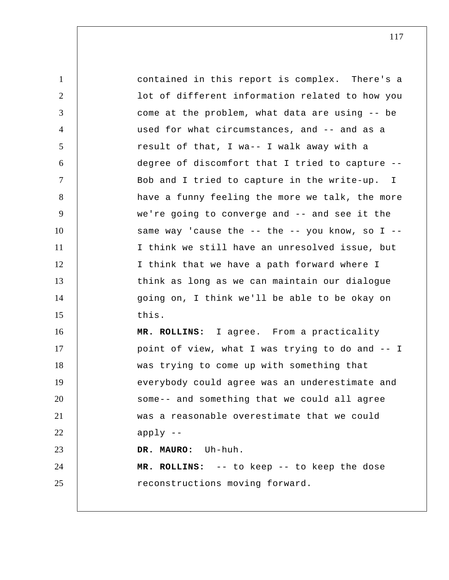1 2 3 4 5 6 7 8 9 10 11 12 13 14 15 16 17 18 19 20 21 22 23 24 25 contained in this report is complex. There's a lot of different information related to how you come at the problem, what data are using -- be used for what circumstances, and -- and as a result of that, I wa-- I walk away with a degree of discomfort that I tried to capture -- Bob and I tried to capture in the write-up. I have a funny feeling the more we talk, the more we're going to converge and -- and see it the same way 'cause the  $-$ - the  $-$ - you know, so I  $-$ -I think we still have an unresolved issue, but I think that we have a path forward where I think as long as we can maintain our dialogue going on, I think we'll be able to be okay on this.  **MR. ROLLINS:** I agree. From a practicality point of view, what I was trying to do and -- I was trying to come up with something that everybody could agree was an underestimate and some-- and something that we could all agree was a reasonable overestimate that we could apply -- **DR. MAURO:** Uh-huh.  **MR. ROLLINS:** -- to keep -- to keep the dose reconstructions moving forward.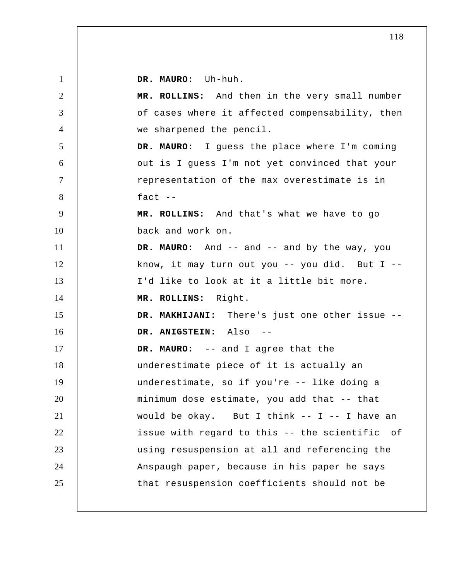**DR. MAURO:** Uh-huh.

| $\overline{2}$ | MR. ROLLINS: And then in the very small number     |
|----------------|----------------------------------------------------|
| 3              | of cases where it affected compensability, then    |
| $\overline{4}$ | we sharpened the pencil.                           |
| 5              | DR. MAURO: I guess the place where I'm coming      |
| 6              | out is I guess I'm not yet convinced that your     |
| $\tau$         | representation of the max overestimate is in       |
| 8              | fact $--$                                          |
| 9              | MR. ROLLINS: And that's what we have to go         |
| 10             | back and work on.                                  |
| 11             | DR. MAURO: And -- and -- and by the way, you       |
| 12             | know, it may turn out you $--$ you did. But I $--$ |
| 13             | I'd like to look at it a little bit more.          |
| 14             | MR. ROLLINS: Right.                                |
| 15             | DR. MAKHIJANI: There's just one other issue --     |
| 16             | DR. ANIGSTEIN: Also                                |
| 17             | DR. MAURO: -- and I agree that the                 |
| 18             | underestimate piece of it is actually an           |
| 19             | underestimate, so if you're -- like doing a        |
| 20             | minimum dose estimate, you add that -- that        |
| 21             | would be okay. But I think $--$ I $--$ I have an   |
| 22             | issue with regard to this -- the scientific of     |
| 23             | using resuspension at all and referencing the      |
| 24             | Anspaugh paper, because in his paper he says       |
| 25             | that resuspension coefficients should not be       |
|                |                                                    |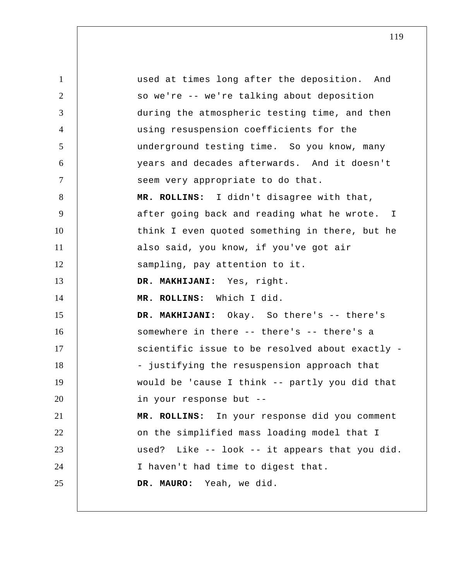1 2 3 4 5 6 7 8 9 10 11 12 13 14 15 16 17 18 19 20 21 22 23 24 25 used at times long after the deposition. And so we're -- we're talking about deposition during the atmospheric testing time, and then using resuspension coefficients for the underground testing time. So you know, many years and decades afterwards. And it doesn't seem very appropriate to do that.  **MR. ROLLINS:** I didn't disagree with that, after going back and reading what he wrote. I think I even quoted something in there, but he also said, you know, if you've got air sampling, pay attention to it.  **DR. MAKHIJANI:** Yes, right.  **MR. ROLLINS:** Which I did.  **DR. MAKHIJANI:** Okay. So there's -- there's somewhere in there -- there's -- there's a scientific issue to be resolved about exactly - justifying the resuspension approach that would be 'cause I think -- partly you did that in your response but --  **MR. ROLLINS:** In your response did you comment on the simplified mass loading model that I used? Like -- look -- it appears that you did. I haven't had time to digest that. **DR. MAURO:** Yeah, we did.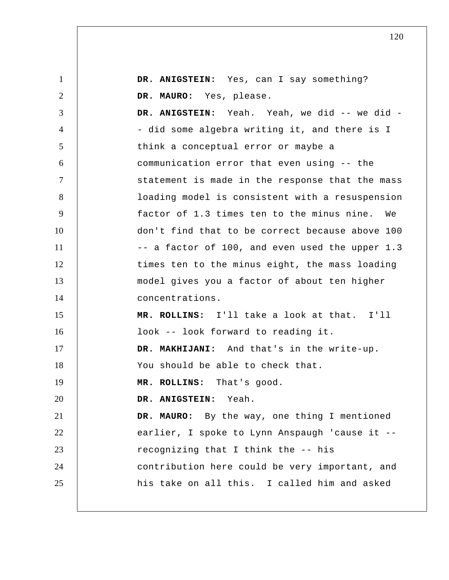| $\mathbf{1}$   | DR. ANIGSTEIN: Yes, can I say something?        |
|----------------|-------------------------------------------------|
| $\overline{2}$ | DR. MAURO: Yes, please.                         |
| 3              | DR. ANIGSTEIN: Yeah. Yeah, we did -- we did -   |
| $\overline{4}$ | - did some algebra writing it, and there is I   |
| 5              | think a conceptual error or maybe a             |
| 6              | communication error that even using -- the      |
| $\tau$         | statement is made in the response that the mass |
| 8              | loading model is consistent with a resuspension |
| 9              | factor of 1.3 times ten to the minus nine. We   |
| 10             | don't find that to be correct because above 100 |
| 11             | -- a factor of 100, and even used the upper 1.3 |
| 12             | times ten to the minus eight, the mass loading  |
| 13             | model gives you a factor of about ten higher    |
| 14             | concentrations.                                 |
| 15             | MR. ROLLINS: I'll take a look at that. I'll     |
| 16             | look -- look forward to reading it.             |
| 17             | DR. MAKHIJANI: And that's in the write-up.      |
| 18             | You should be able to check that.               |
| 19             | MR. ROLLINS:<br>That's good.                    |
| 20             | DR. ANIGSTEIN: Yeah.                            |
| 21             | DR. MAURO: By the way, one thing I mentioned    |
| 22             | earlier, I spoke to Lynn Anspaugh 'cause it --  |
| 23             | recognizing that I think the -- his             |
| 24             | contribution here could be very important, and  |
| 25             | his take on all this. I called him and asked    |
|                |                                                 |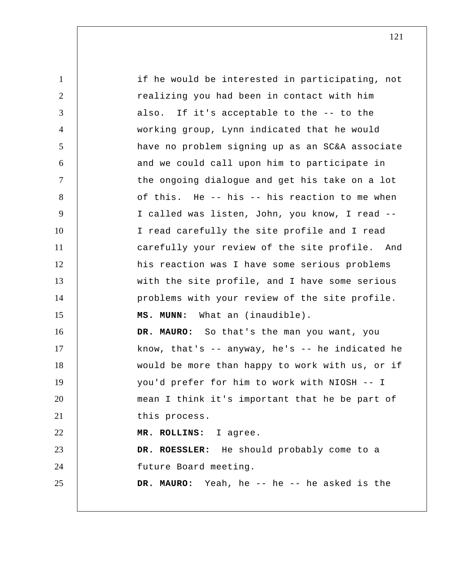| $\mathbf{1}$   | if he would be interested in participating, not   |
|----------------|---------------------------------------------------|
| 2              | realizing you had been in contact with him        |
| 3              | also. If it's acceptable to the -- to the         |
| $\overline{4}$ | working group, Lynn indicated that he would       |
| 5              | have no problem signing up as an SC&A associate   |
| 6              | and we could call upon him to participate in      |
| $\overline{7}$ | the ongoing dialogue and get his take on a lot    |
| 8              | of this. He -- his -- his reaction to me when     |
| 9              | I called was listen, John, you know, I read --    |
| 10             | I read carefully the site profile and I read      |
| 11             | carefully your review of the site profile. And    |
| 12             | his reaction was I have some serious problems     |
| 13             | with the site profile, and I have some serious    |
| 14             | problems with your review of the site profile.    |
| 15             | MS. MUNN: What an (inaudible).                    |
| 16             | DR. MAURO: So that's the man you want, you        |
| 17             | know, that's $-$ anyway, he's $-$ he indicated he |
| 18             | would be more than happy to work with us, or if   |
| 19             | you'd prefer for him to work with NIOSH -- I      |
| 20             | mean I think it's important that he be part of    |
| 21             | this process.                                     |
| 22             | MR. ROLLINS: I agree.                             |
| 23             | DR. ROESSLER: He should probably come to a        |
| 24             | future Board meeting.                             |
| 25             | DR. MAURO: Yeah, he -- he -- he asked is the      |
|                |                                                   |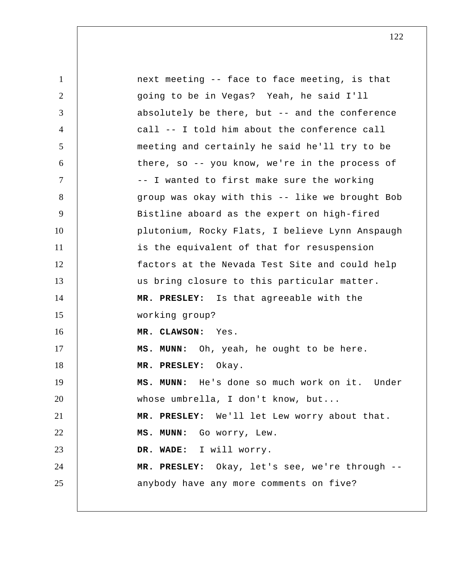| $\mathbf{1}$   | next meeting -- face to face meeting, is that   |
|----------------|-------------------------------------------------|
| $\overline{2}$ | going to be in Vegas? Yeah, he said I'll        |
| 3              | absolutely be there, but -- and the conference  |
| $\overline{4}$ | call -- I told him about the conference call    |
| 5              | meeting and certainly he said he'll try to be   |
| 6              | there, so -- you know, we're in the process of  |
| $\tau$         | -- I wanted to first make sure the working      |
| 8              | group was okay with this -- like we brought Bob |
| 9              | Bistline aboard as the expert on high-fired     |
| 10             | plutonium, Rocky Flats, I believe Lynn Anspaugh |
| 11             | is the equivalent of that for resuspension      |
| 12             | factors at the Nevada Test Site and could help  |
| 13             | us bring closure to this particular matter.     |
| 14             | MR. PRESLEY: Is that agreeable with the         |
| 15             | working group?                                  |
| 16             | MR. CLAWSON: Yes.                               |
| 17             | MS. MUNN: Oh, yeah, he ought to be here.        |
| 18             | MR. PRESLEY: Okay.                              |
| 19             | MS. MUNN: He's done so much work on it. Under   |
| 20             | whose umbrella, I don't know, but               |
| 21             | MR. PRESLEY: We'll let Lew worry about that.    |
| 22             | MS. MUNN: Go worry, Lew.                        |
| 23             | DR. WADE: I will worry.                         |
| 24             | MR. PRESLEY: Okay, let's see, we're through --  |
| 25             | anybody have any more comments on five?         |
|                |                                                 |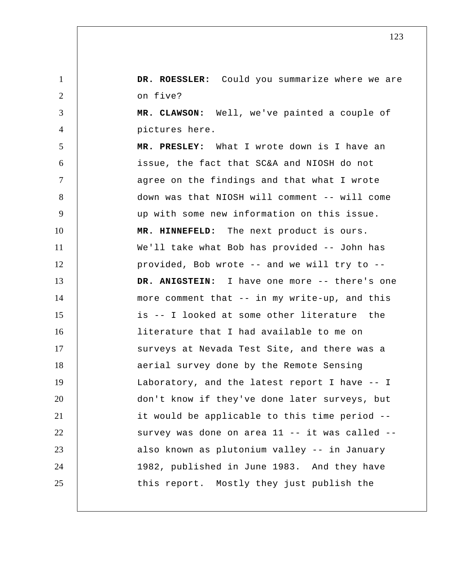**DR. ROESSLER:** Could you summarize where we are on five?

1

2

3

4

 **MR. CLAWSON:** Well, we've painted a couple of pictures here.

5 6 7 8 9 10 11 12 13 14 15 16 17 18 19 20 21 22 23 24 25  **MR. PRESLEY:** What I wrote down is I have an issue, the fact that SC&A and NIOSH do not agree on the findings and that what I wrote down was that NIOSH will comment -- will come up with some new information on this issue.  **MR. HINNEFELD:** The next product is ours. We'll take what Bob has provided -- John has provided, Bob wrote -- and we will try to --  **DR. ANIGSTEIN:** I have one more -- there's one more comment that -- in my write-up, and this is -- I looked at some other literature the literature that I had available to me on surveys at Nevada Test Site, and there was a aerial survey done by the Remote Sensing Laboratory, and the latest report I have -- I don't know if they've done later surveys, but it would be applicable to this time period - survey was done on area 11 -- it was called - also known as plutonium valley -- in January 1982, published in June 1983. And they have this report. Mostly they just publish the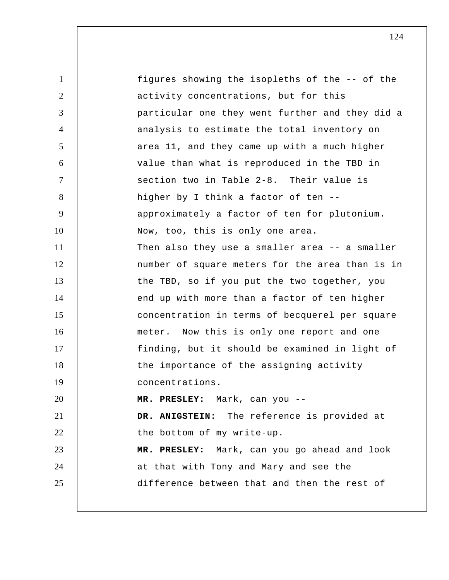1 2 3 4 5 6 7 8 9 10 11 12 13 14 15 16 17 18 19 20 21 22 23 24 25 figures showing the isopleths of the -- of the activity concentrations, but for this particular one they went further and they did a analysis to estimate the total inventory on area 11, and they came up with a much higher value than what is reproduced in the TBD in section two in Table 2-8. Their value is higher by I think a factor of ten - approximately a factor of ten for plutonium. Now, too, this is only one area. Then also they use a smaller area -- a smaller number of square meters for the area than is in the TBD, so if you put the two together, you end up with more than a factor of ten higher concentration in terms of becquerel per square meter. Now this is only one report and one finding, but it should be examined in light of the importance of the assigning activity concentrations.  **MR. PRESLEY:** Mark, can you -- **DR. ANIGSTEIN:** The reference is provided at the bottom of my write-up.  **MR. PRESLEY:** Mark, can you go ahead and look at that with Tony and Mary and see the difference between that and then the rest of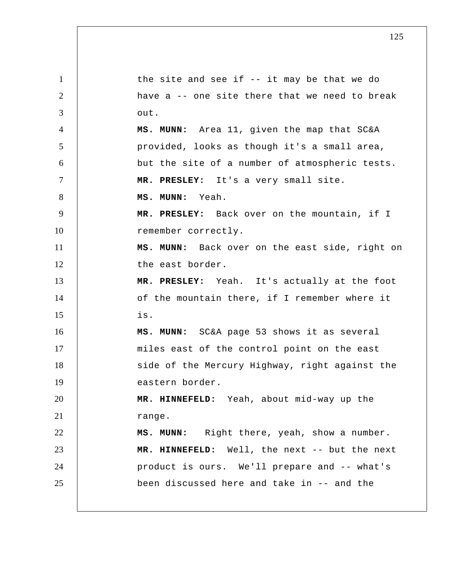1 2 3 4 5 6 7 8 9 10 11 12 13 14 15 16 17 18 19 20 21 22 23 24 25 the site and see if -- it may be that we do have a -- one site there that we need to break out.  **MS. MUNN:** Area 11, given the map that SC&A provided, looks as though it's a small area, but the site of a number of atmospheric tests.  **MR. PRESLEY:** It's a very small site.  **MS. MUNN:** Yeah.  **MR. PRESLEY:** Back over on the mountain, if I remember correctly.  **MS. MUNN:** Back over on the east side, right on the east border.  **MR. PRESLEY:** Yeah. It's actually at the foot of the mountain there, if I remember where it is.  **MS. MUNN:** SC&A page 53 shows it as several miles east of the control point on the east side of the Mercury Highway, right against the eastern border.  **MR. HINNEFELD:** Yeah, about mid-way up the range.  **MS. MUNN:** Right there, yeah, show a number.  **MR. HINNEFELD:** Well, the next -- but the next product is ours. We'll prepare and -- what's been discussed here and take in -- and the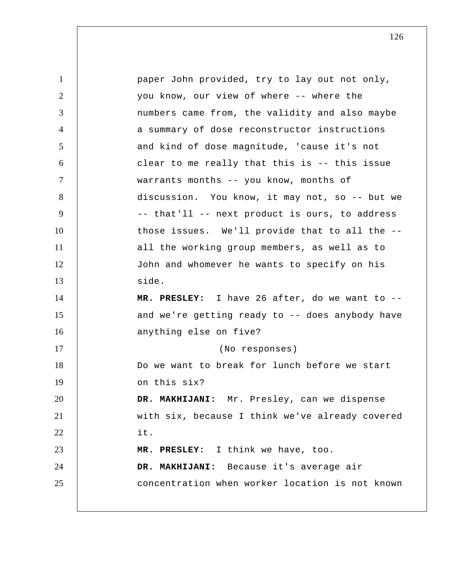1 2 3 4 5 6 7 8 9 10 11 12 13 14 15 16 17 18 19 20 21 22 23 24 25 paper John provided, try to lay out not only, you know, our view of where -- where the numbers came from, the validity and also maybe a summary of dose reconstructor instructions and kind of dose magnitude, 'cause it's not clear to me really that this is -- this issue warrants months -- you know, months of discussion. You know, it may not, so -- but we -- that'll -- next product is ours, to address those issues. We'll provide that to all the - all the working group members, as well as to John and whomever he wants to specify on his side.  **MR. PRESLEY:** I have 26 after, do we want to - and we're getting ready to -- does anybody have anything else on five? (No responses) Do we want to break for lunch before we start on this six?  **DR. MAKHIJANI:** Mr. Presley, can we dispense with six, because I think we've already covered it.  **MR. PRESLEY:** I think we have, too.  **DR. MAKHIJANI:** Because it's average air concentration when worker location is not known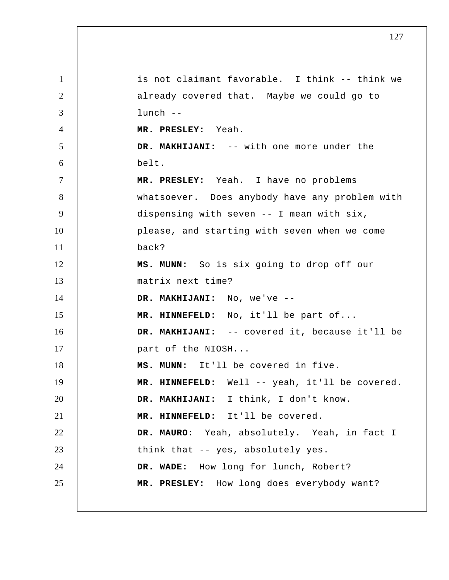1 2 3 4 5 6 7 8 9 10 11 12 13 14 15 16 17 18 19 20 21 22 23 24 25 is not claimant favorable. I think -- think we already covered that. Maybe we could go to lunch -- **MR. PRESLEY:** Yeah.  **DR. MAKHIJANI:** -- with one more under the belt.  **MR. PRESLEY:** Yeah. I have no problems whatsoever. Does anybody have any problem with dispensing with seven -- I mean with six, please, and starting with seven when we come back?  **MS. MUNN:** So is six going to drop off our matrix next time?  **DR. MAKHIJANI:** No, we've -- **MR. HINNEFELD:** No, it'll be part of...  **DR. MAKHIJANI:** -- covered it, because it'll be part of the NIOSH...  **MS. MUNN:** It'll be covered in five.  **MR. HINNEFELD:** Well -- yeah, it'll be covered.  **DR. MAKHIJANI:** I think, I don't know.  **MR. HINNEFELD:** It'll be covered. **DR. MAURO:** Yeah, absolutely. Yeah, in fact I think that -- yes, absolutely yes.  **DR. WADE:** How long for lunch, Robert?  **MR. PRESLEY:** How long does everybody want?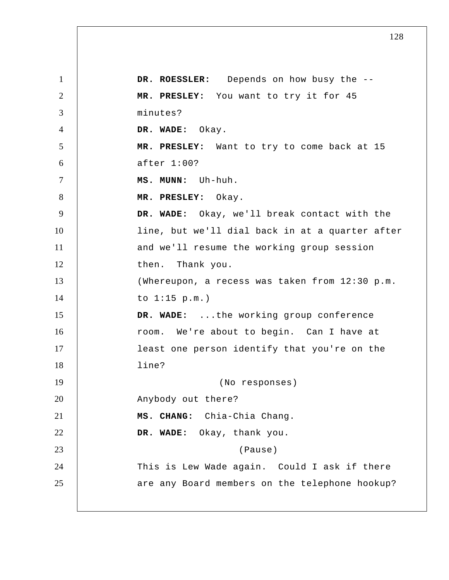1 2 3 4 5 6 7 8 9 10 11 12 13 14 15 16 17 18 19 20 21 22 23 24 25 **DR. ROESSLER:** Depends on how busy the --  **MR. PRESLEY:** You want to try it for 45 minutes?  **DR. WADE:** Okay.  **MR. PRESLEY:** Want to try to come back at 15 after 1:00?  **MS. MUNN:** Uh-huh.  **MR. PRESLEY:** Okay.  **DR. WADE:** Okay, we'll break contact with the line, but we'll dial back in at a quarter after and we'll resume the working group session then. Thank you. (Whereupon, a recess was taken from 12:30 p.m. to 1:15 p.m.)  **DR. WADE:** ...the working group conference room. We're about to begin. Can I have at least one person identify that you're on the line? (No responses) Anybody out there? **MS. CHANG:** Chia-Chia Chang.  **DR. WADE:** Okay, thank you. (Pause) This is Lew Wade again. Could I ask if there are any Board members on the telephone hookup?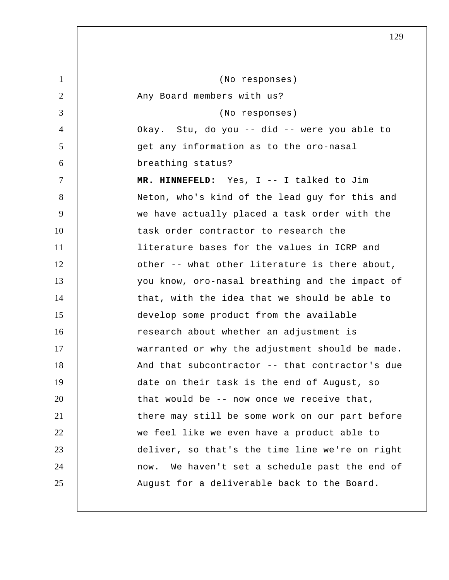| 1      | (No responses)                                  |
|--------|-------------------------------------------------|
| 2      | Any Board members with us?                      |
| 3      | (No responses)                                  |
| 4      | Okay. Stu, do you -- did -- were you able to    |
| 5      | get any information as to the oro-nasal         |
| 6      | breathing status?                               |
| $\tau$ | MR. HINNEFELD: Yes, I -- I talked to Jim        |
| 8      | Neton, who's kind of the lead guy for this and  |
| 9      | we have actually placed a task order with the   |
| 10     | task order contractor to research the           |
| 11     | literature bases for the values in ICRP and     |
| 12     | other -- what other literature is there about,  |
| 13     | you know, oro-nasal breathing and the impact of |
| 14     | that, with the idea that we should be able to   |
| 15     | develop some product from the available         |
| 16     | research about whether an adjustment is         |
| 17     | warranted or why the adjustment should be made. |
| 18     | And that subcontractor -- that contractor's due |
| 19     | date on their task is the end of August, so     |
| 20     | that would be -- now once we receive that,      |
| 21     | there may still be some work on our part before |
| 22     | we feel like we even have a product able to     |
| 23     | deliver, so that's the time line we're on right |
| 24     | now. We haven't set a schedule past the end of  |
| 25     | August for a deliverable back to the Board.     |
|        |                                                 |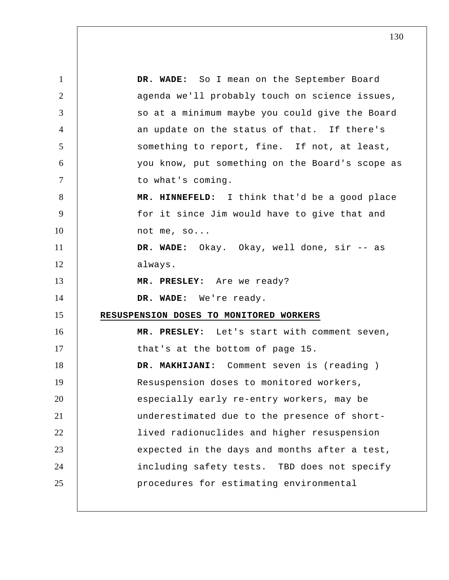1 2 3 4 5 6 7 8 9 10 11 12 13 14 15 16 17 18 19 20 21 22 23 24 25  **DR. WADE:** So I mean on the September Board agenda we'll probably touch on science issues, so at a minimum maybe you could give the Board an update on the status of that. If there's something to report, fine. If not, at least, you know, put something on the Board's scope as to what's coming.  **MR. HINNEFELD:** I think that'd be a good place for it since Jim would have to give that and not me, so...  **DR. WADE:** Okay. Okay, well done, sir -- as always.  **MR. PRESLEY:** Are we ready?  **DR. WADE:** We're ready. **RESUSPENSION DOSES TO MONITORED WORKERS MR. PRESLEY:** Let's start with comment seven, that's at the bottom of page 15.  **DR. MAKHIJANI:** Comment seven is (reading ) Resuspension doses to monitored workers, especially early re-entry workers, may be underestimated due to the presence of shortlived radionuclides and higher resuspension expected in the days and months after a test, including safety tests. TBD does not specify procedures for estimating environmental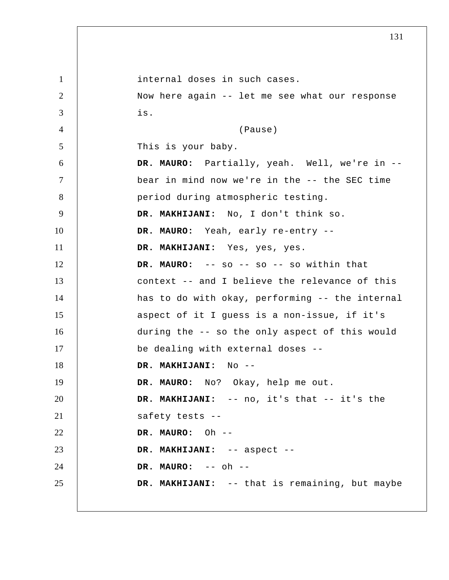1 2 3 4 5 6 7 8 9 10 11 12 13 14 15 16 17 18 19 20 21 22 23 24 25 internal doses in such cases. Now here again -- let me see what our response is. (Pause) This is your baby. **DR. MAURO:** Partially, yeah. Well, we're in -bear in mind now we're in the -- the SEC time period during atmospheric testing.  **DR. MAKHIJANI:** No, I don't think so. **DR. MAURO:** Yeah, early re-entry --  **DR. MAKHIJANI:** Yes, yes, yes. **DR. MAURO:** -- so -- so -- so within that context -- and I believe the relevance of this has to do with okay, performing -- the internal aspect of it I guess is a non-issue, if it's during the -- so the only aspect of this would be dealing with external doses --  **DR. MAKHIJANI:** No --**DR. MAURO:** No? Okay, help me out.  **DR. MAKHIJANI:** -- no, it's that -- it's the safety tests --**DR. MAURO:** Oh -- **DR. MAKHIJANI:** -- aspect --**DR. MAURO:** -- oh -- **DR. MAKHIJANI:** -- that is remaining, but maybe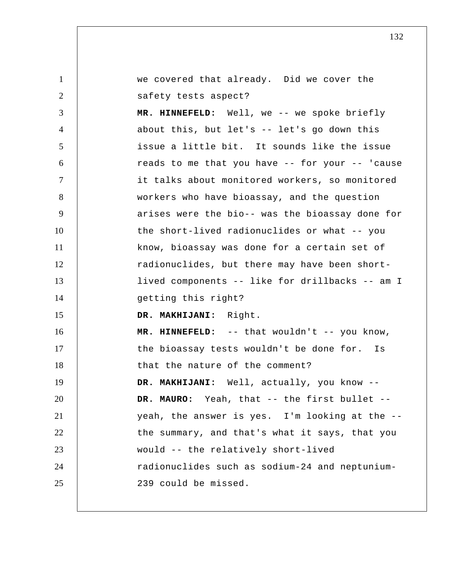| $\mathbf{1}$   | we covered that already. Did we cover the       |
|----------------|-------------------------------------------------|
| 2              | safety tests aspect?                            |
| 3              | MR. HINNEFELD: Well, we -- we spoke briefly     |
| $\overline{4}$ | about this, but let's -- let's go down this     |
| 5              | issue a little bit. It sounds like the issue    |
| 6              | reads to me that you have -- for your -- 'cause |
| $\tau$         | it talks about monitored workers, so monitored  |
| 8              | workers who have bioassay, and the question     |
| 9              | arises were the bio-- was the bioassay done for |
| 10             | the short-lived radionuclides or what -- you    |
| 11             | know, bioassay was done for a certain set of    |
| 12             | radionuclides, but there may have been short-   |
| 13             | lived components -- like for drillbacks -- am I |
| 14             | getting this right?                             |
| 15             | DR. MAKHIJANI: Right.                           |
| 16             | MR. HINNEFELD: -- that wouldn't -- you know,    |
| 17             | the bioassay tests wouldn't be done for. Is     |
| 18             | that the nature of the comment?                 |
| 19             | DR. MAKHIJANI: Well, actually, you know         |
| 20             | DR. MAURO: Yeah, that -- the first bullet --    |
| 21             | yeah, the answer is yes. I'm looking at the --  |
| 22             | the summary, and that's what it says, that you  |
| 23             | would -- the relatively short-lived             |
| 24             | radionuclides such as sodium-24 and neptunium-  |
| 25             | 239 could be missed.                            |
|                |                                                 |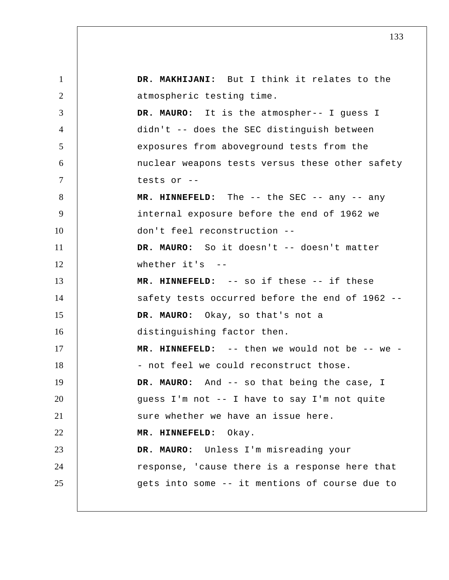1 2 3 4 5 6 7 8 9 10 11 12 13 14 15 16 17 18 19 20 21 22 23 24 25  **DR. MAKHIJANI:** But I think it relates to the atmospheric testing time. **DR. MAURO:** It is the atmospher-- I guess I didn't -- does the SEC distinguish between exposures from aboveground tests from the nuclear weapons tests versus these other safety tests or -- **MR. HINNEFELD:** The -- the SEC -- any -- any internal exposure before the end of 1962 we don't feel reconstruction -- DR. MAURO: So it doesn't -- doesn't matter whether  $it's$  -- **MR. HINNEFELD:** -- so if these -- if these safety tests occurred before the end of 1962 -- **DR. MAURO:** Okay, so that's not a distinguishing factor then.  **MR. HINNEFELD:** -- then we would not be -- we - not feel we could reconstruct those. **DR. MAURO:** And -- so that being the case, I guess I'm not -- I have to say I'm not quite sure whether we have an issue here.  **MR. HINNEFELD:** Okay. **DR. MAURO:** Unless I'm misreading your response, 'cause there is a response here that gets into some -- it mentions of course due to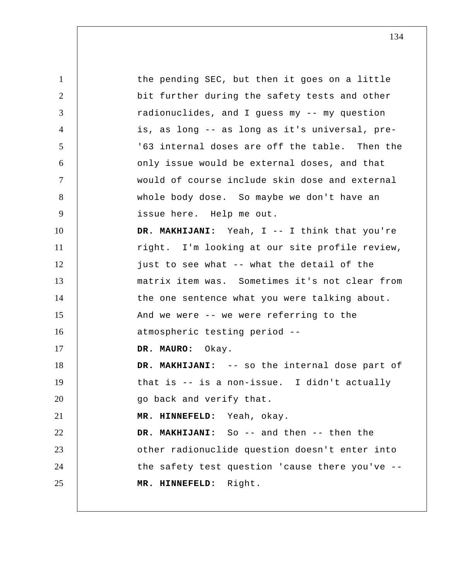1 2 3 4 5 6 7 8 9 10 11 12 13 14 15 16 17 18 19 20 21 22 23 24 25 the pending SEC, but then it goes on a little bit further during the safety tests and other radionuclides, and I guess my -- my question is, as long -- as long as it's universal, pre '63 internal doses are off the table. Then the only issue would be external doses, and that would of course include skin dose and external whole body dose. So maybe we don't have an issue here. Help me out.  **DR. MAKHIJANI:** Yeah, I -- I think that you're right. I'm looking at our site profile review, just to see what -- what the detail of the matrix item was. Sometimes it's not clear from the one sentence what you were talking about. And we were -- we were referring to the atmospheric testing period -- **DR. MAURO:** Okay.  **DR. MAKHIJANI:** -- so the internal dose part of that is -- is a non-issue. I didn't actually go back and verify that.  **MR. HINNEFELD:** Yeah, okay.  **DR. MAKHIJANI:** So -- and then -- then the other radionuclide question doesn't enter into the safety test question 'cause there you've --  **MR. HINNEFELD:** Right.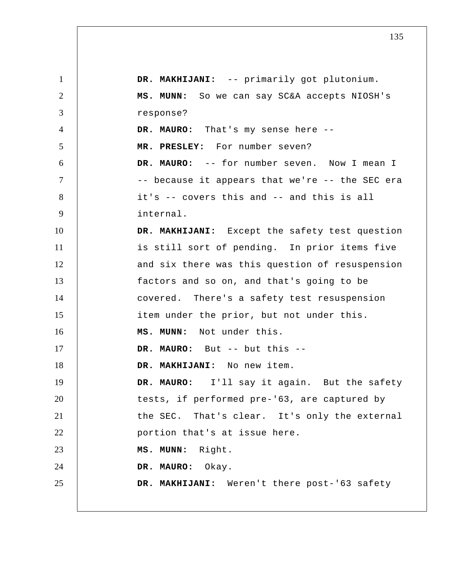1 2 3 4 5 6 7 8 9 10 11 12 13 14 15 16 17 18 19 20 21 22 23 24 25  **DR. MAKHIJANI:** -- primarily got plutonium.  **MS. MUNN:** So we can say SC&A accepts NIOSH's response? **DR. MAURO:** That's my sense here --  **MR. PRESLEY:** For number seven? **DR. MAURO:** -- for number seven. Now I mean I -- because it appears that we're -- the SEC era it's -- covers this and -- and this is all internal.  **DR. MAKHIJANI:** Except the safety test question is still sort of pending. In prior items five and six there was this question of resuspension factors and so on, and that's going to be covered. There's a safety test resuspension item under the prior, but not under this.  **MS. MUNN:** Not under this. **DR. MAURO:** But -- but this -- **DR. MAKHIJANI:** No new item. **DR. MAURO:** I'll say it again. But the safety tests, if performed pre-'63, are captured by the SEC. That's clear. It's only the external portion that's at issue here.  **MS. MUNN:** Right. **DR. MAURO:** Okay.  **DR. MAKHIJANI:** Weren't there post-'63 safety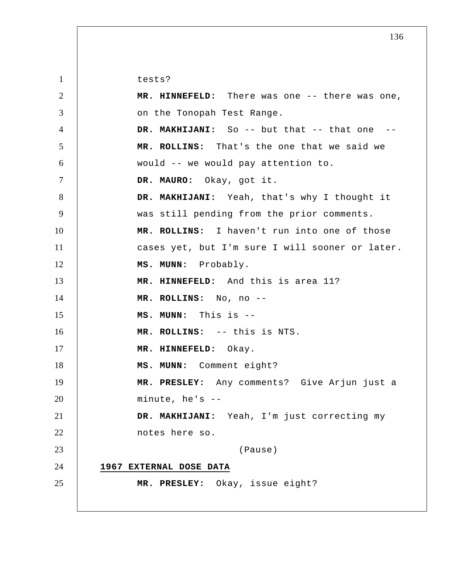1 2 3 4 5 6 7 8 9 10 11 12 13 14 15 16 17 18 19 20 21 22 23 24 25 tests?  **MR. HINNEFELD:** There was one -- there was one, on the Tonopah Test Range.  **DR. MAKHIJANI:** So -- but that -- that one -- **MR. ROLLINS:** That's the one that we said we would -- we would pay attention to. **DR. MAURO:** Okay, got it.  **DR. MAKHIJANI:** Yeah, that's why I thought it was still pending from the prior comments.  **MR. ROLLINS:** I haven't run into one of those cases yet, but I'm sure I will sooner or later.  **MS. MUNN:** Probably.  **MR. HINNEFELD:** And this is area 11?  **MR. ROLLINS:** No, no -- **MS. MUNN:** This is -- **MR. ROLLINS:** -- this is NTS.  **MR. HINNEFELD:** Okay.  **MS. MUNN:** Comment eight?  **MR. PRESLEY:** Any comments? Give Arjun just a minute, he's -- **DR. MAKHIJANI:** Yeah, I'm just correcting my notes here so. (Pause) **1967 EXTERNAL DOSE DATA MR. PRESLEY:** Okay, issue eight?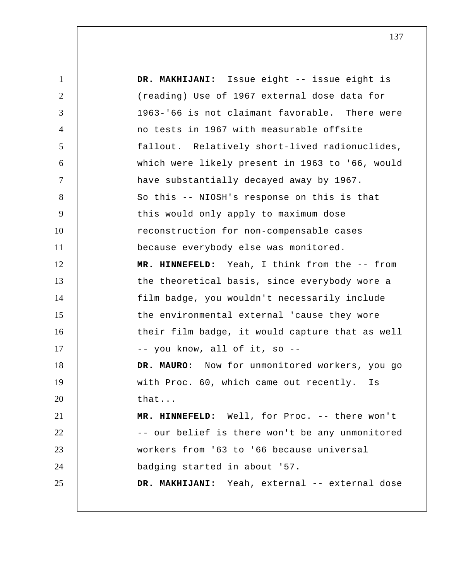| $\mathbf{1}$   | DR. MAKHIJANI: Issue eight -- issue eight is    |
|----------------|-------------------------------------------------|
| $\overline{2}$ | (reading) Use of 1967 external dose data for    |
| 3              | 1963-'66 is not claimant favorable. There were  |
| $\overline{4}$ | no tests in 1967 with measurable offsite        |
| 5              | fallout. Relatively short-lived radionuclides,  |
| 6              | which were likely present in 1963 to '66, would |
| $\overline{7}$ | have substantially decayed away by 1967.        |
| 8              | So this -- NIOSH's response on this is that     |
| 9              | this would only apply to maximum dose           |
| 10             | reconstruction for non-compensable cases        |
| 11             | because everybody else was monitored.           |
| 12             | MR. HINNEFELD: Yeah, I think from the -- from   |
| 13             | the theoretical basis, since everybody wore a   |
| 14             | film badge, you wouldn't necessarily include    |
| 15             | the environmental external 'cause they wore     |
| 16             | their film badge, it would capture that as well |
| 17             | -- you know, all of it, so --                   |
| 18             | DR. MAURO: Now for unmonitored workers, you go  |
| 19             | with Proc. 60, which came out recently.<br>Is   |
| 20             | that                                            |
| 21             | MR. HINNEFELD: Well, for Proc. -- there won't   |
| 22             | -- our belief is there won't be any unmonitored |
| 23             | workers from '63 to '66 because universal       |
| 24             | badging started in about '57.                   |
| 25             | DR. MAKHIJANI: Yeah, external -- external dose  |
|                |                                                 |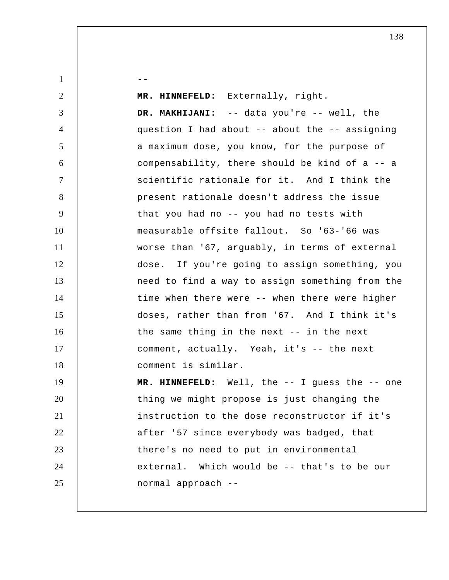$1 \quad \vert \quad \vert \quad \vert \quad \vert \quad \vert \quad \vert$ 2 3 4 5 6 7 8 9 10 11 12 13 14 15 16 17 18 19 20 21 22 23 24 25  **MR. HINNEFELD:** Externally, right.  **DR. MAKHIJANI:** -- data you're -- well, the question I had about -- about the -- assigning a maximum dose, you know, for the purpose of compensability, there should be kind of a -- a scientific rationale for it. And I think the present rationale doesn't address the issue that you had no -- you had no tests with measurable offsite fallout. So '63-'66 was worse than '67, arguably, in terms of external dose. If you're going to assign something, you need to find a way to assign something from the time when there were -- when there were higher doses, rather than from '67. And I think it's the same thing in the next -- in the next comment, actually. Yeah, it's -- the next comment is similar.  **MR. HINNEFELD:** Well, the -- I guess the -- one thing we might propose is just changing the instruction to the dose reconstructor if it's after '57 since everybody was badged, that there's no need to put in environmental external. Which would be -- that's to be our normal approach --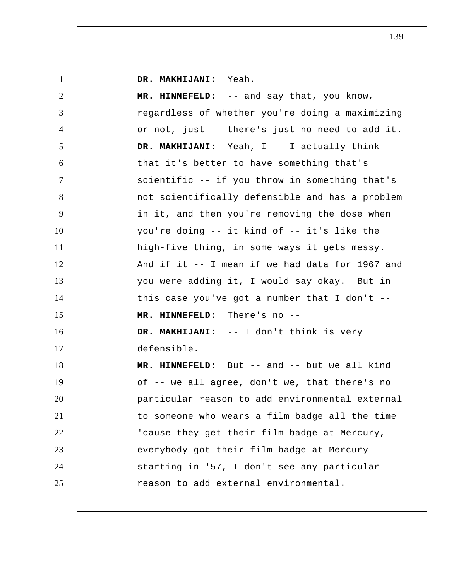**DR. MAKHIJANI:** Yeah.

| $\overline{2}$ | MR. HINNEFELD: -- and say that, you know,        |
|----------------|--------------------------------------------------|
| 3              | regardless of whether you're doing a maximizing  |
| $\overline{4}$ | or not, just -- there's just no need to add it.  |
| 5              | DR. MAKHIJANI: Yeah, I -- I actually think       |
| 6              | that it's better to have something that's        |
| 7              | scientific -- if you throw in something that's   |
| 8              | not scientifically defensible and has a problem  |
| 9              | in it, and then you're removing the dose when    |
| 10             | you're doing -- it kind of -- it's like the      |
| 11             | high-five thing, in some ways it gets messy.     |
| 12             | And if it -- I mean if we had data for 1967 and  |
| 13             | you were adding it, I would say okay. But in     |
| 14             | this case you've got a number that I don't $-$ - |
|                |                                                  |
| 15             | MR. HINNEFELD: There's no --                     |
| 16             | DR. MAKHIJANI: -- I don't think is very          |
| 17             | defensible.                                      |
| 18             | MR. HINNEFELD: But -- and -- but we all kind     |
| 19             | of -- we all agree, don't we, that there's no    |
| 20             | particular reason to add environmental external  |
| 21             | to someone who wears a film badge all the time   |
| 22             | 'cause they get their film badge at Mercury,     |
| 23             | everybody got their film badge at Mercury        |
| 24             | starting in '57, I don't see any particular      |
| 25             | reason to add external environmental.            |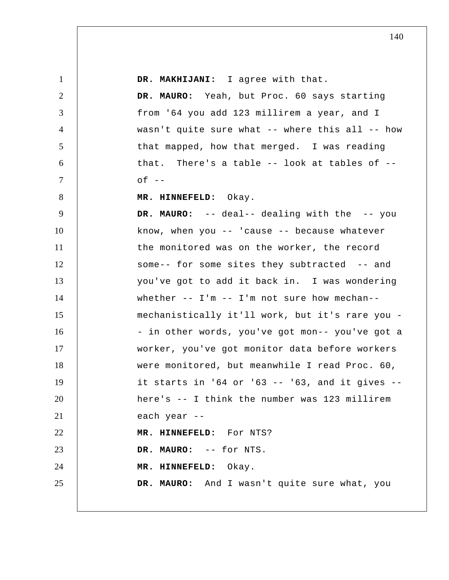| $\mathbf{1}$   | DR. MAKHIJANI: I agree with that.                      |
|----------------|--------------------------------------------------------|
| 2              | DR. MAURO: Yeah, but Proc. 60 says starting            |
| 3              | from '64 you add 123 millirem a year, and I            |
| $\overline{4}$ | wasn't quite sure what -- where this all -- how        |
| 5              | that mapped, how that merged. I was reading            |
| 6              | that. There's a table $--$ look at tables of $--$      |
| 7              | $of --$                                                |
| 8              | MR. HINNEFELD: Okay.                                   |
| 9              | DR. MAURO: -- deal-- dealing with the -- you           |
| 10             | know, when you $--$ 'cause $--$ because whatever       |
| 11             | the monitored was on the worker, the record            |
| 12             | some-- for some sites they subtracted -- and           |
| 13             | you've got to add it back in. I was wondering          |
| 14             | whether $--$ I'm $--$ I'm not sure how mechan--        |
| 15             | mechanistically it'll work, but it's rare you -        |
| 16             | - in other words, you've got mon-- you've got a        |
| 17             | worker, you've got monitor data before workers         |
| 18             | were monitored, but meanwhile I read Proc. 60,         |
| 19             | it starts in $164$ or $163$ -- $163$ , and it gives -- |
| 20             | here's -- I think the number was 123 millirem          |
| 21             | each year --                                           |
| 22             | MR. HINNEFELD: For NTS?                                |
| 23             | DR. MAURO: -- for NTS.                                 |
| 24             | MR. HINNEFELD: Okay.                                   |
| 25             | DR. MAURO: And I wasn't quite sure what, you           |
|                |                                                        |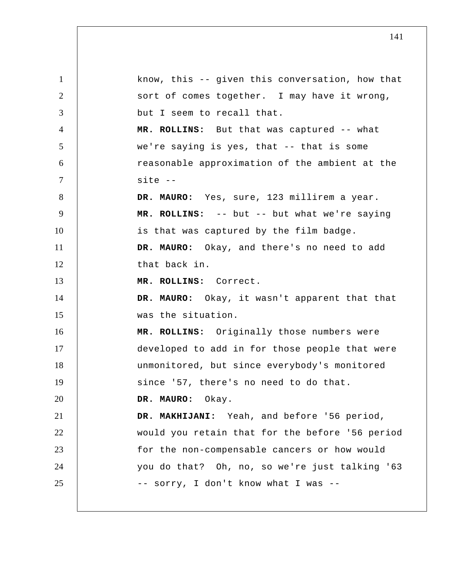1 2 3 4 5 6 7 8 9 10 11 12 13 14 15 16 17 18 19 20 21 22 23 24 25 know, this -- given this conversation, how that sort of comes together. I may have it wrong, but I seem to recall that.  **MR. ROLLINS:** But that was captured -- what we're saying is yes, that -- that is some reasonable approximation of the ambient at the site --**DR. MAURO:** Yes, sure, 123 millirem a year.  **MR. ROLLINS:** -- but -- but what we're saying is that was captured by the film badge. **DR. MAURO:** Okay, and there's no need to add that back in.  **MR. ROLLINS:** Correct. **DR. MAURO:** Okay, it wasn't apparent that that was the situation.  **MR. ROLLINS:** Originally those numbers were developed to add in for those people that were unmonitored, but since everybody's monitored since '57, there's no need to do that. **DR. MAURO:** Okay.  **DR. MAKHIJANI:** Yeah, and before '56 period, would you retain that for the before '56 period for the non-compensable cancers or how would you do that? Oh, no, so we're just talking '63 -- sorry, I don't know what I was --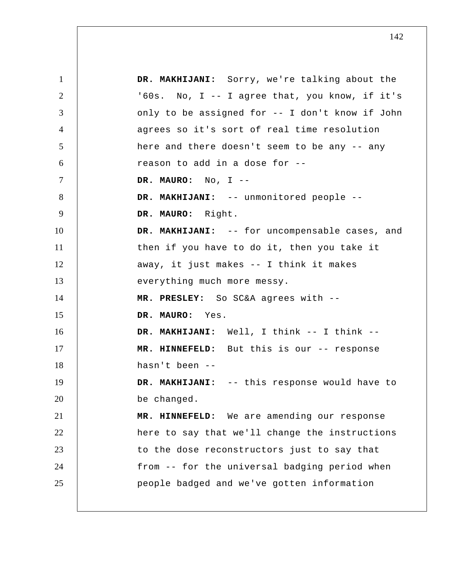1 2 3 4 5 6 7 8 9 10 11 12 13 14 15 16 17 18 19 20 21 22 23 24 25  **DR. MAKHIJANI:** Sorry, we're talking about the '60s. No, I -- I agree that, you know, if it's only to be assigned for -- I don't know if John agrees so it's sort of real time resolution here and there doesn't seem to be any -- any reason to add in a dose for -- **DR. MAURO:** No, I -- **DR. MAKHIJANI:** -- unmonitored people -- **DR. MAURO:** Right.  **DR. MAKHIJANI:** -- for uncompensable cases, and then if you have to do it, then you take it away, it just makes -- I think it makes everything much more messy.  **MR. PRESLEY:** So SC&A agrees with -- **DR. MAURO:** Yes.  **DR. MAKHIJANI:** Well, I think -- I think --  **MR. HINNEFELD:** But this is our -- response hasn't been --  **DR. MAKHIJANI:** -- this response would have to be changed.  **MR. HINNEFELD:** We are amending our response here to say that we'll change the instructions to the dose reconstructors just to say that from -- for the universal badging period when people badged and we've gotten information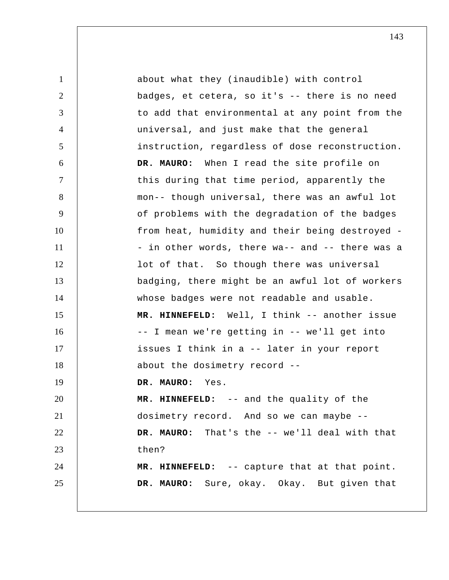| $\mathbf{1}$   | about what they (inaudible) with control        |
|----------------|-------------------------------------------------|
| 2              | badges, et cetera, so it's -- there is no need  |
| 3              | to add that environmental at any point from the |
| $\overline{4}$ | universal, and just make that the general       |
| 5              | instruction, regardless of dose reconstruction. |
| 6              | DR. MAURO: When I read the site profile on      |
| $\tau$         | this during that time period, apparently the    |
| 8              | mon-- though universal, there was an awful lot  |
| 9              | of problems with the degradation of the badges  |
| 10             | from heat, humidity and their being destroyed - |
| 11             | - in other words, there wa-- and -- there was a |
| 12             | lot of that. So though there was universal      |
| 13             | badging, there might be an awful lot of workers |
| 14             | whose badges were not readable and usable.      |
| 15             | MR. HINNEFELD: Well, I think -- another issue   |
| 16             | -- I mean we're getting in -- we'll get into    |
| 17             | issues I think in a -- later in your report     |
| 18             | about the dosimetry record --                   |
| 19             | DR. MAURO: Yes.                                 |
| 20             | MR. HINNEFELD: -- and the quality of the        |
| 21             | dosimetry record. And so we can maybe --        |
| 22             | DR. MAURO: That's the -- we'll deal with that   |
| 23             | then?                                           |
| 24             | MR. HINNEFELD: -- capture that at that point.   |
| 25             | DR. MAURO: Sure, okay. Okay. But given that     |
|                |                                                 |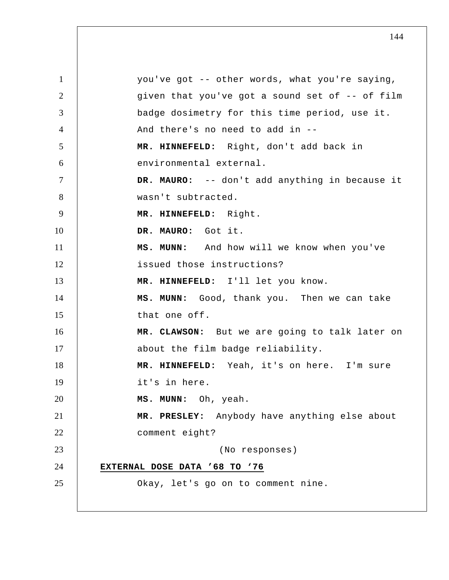1 2 3 4 5 6 7 8 9 10 11 12 13 14 15 16 17 18 19 20 21 22 23 24 25 you've got -- other words, what you're saying, given that you've got a sound set of -- of film badge dosimetry for this time period, use it. And there's no need to add in --  **MR. HINNEFELD:** Right, don't add back in environmental external. **DR. MAURO:** -- don't add anything in because it wasn't subtracted.  **MR. HINNEFELD:** Right. **DR. MAURO:** Got it.  **MS. MUNN:** And how will we know when you've issued those instructions?  **MR. HINNEFELD:** I'll let you know.  **MS. MUNN:** Good, thank you. Then we can take that one off.  **MR. CLAWSON:** But we are going to talk later on about the film badge reliability.  **MR. HINNEFELD:** Yeah, it's on here. I'm sure it's in here.  **MS. MUNN:** Oh, yeah.  **MR. PRESLEY:** Anybody have anything else about comment eight? (No responses) **EXTERNAL DOSE DATA '68 TO '76** Okay, let's go on to comment nine.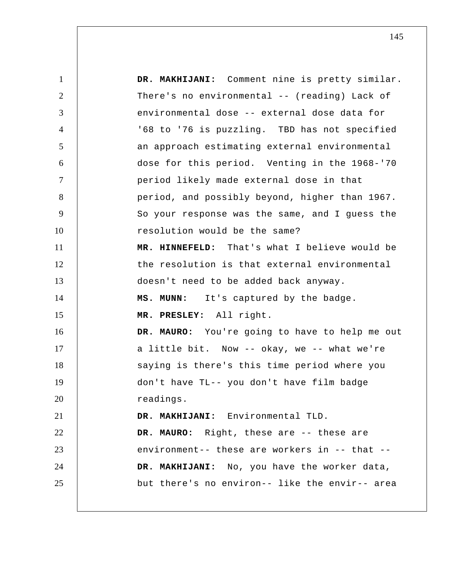1 2 3 4 5 6 7 8 9 10 11 12 13 14 15 16 17 18 19 20 21 22 23 24 25  **DR. MAKHIJANI:** Comment nine is pretty similar. There's no environmental -- (reading) Lack of environmental dose -- external dose data for '68 to '76 is puzzling. TBD has not specified an approach estimating external environmental dose for this period. Venting in the 1968-'70 period likely made external dose in that period, and possibly beyond, higher than 1967. So your response was the same, and I guess the resolution would be the same?  **MR. HINNEFELD:** That's what I believe would be the resolution is that external environmental doesn't need to be added back anyway.  **MS. MUNN:** It's captured by the badge.  **MR. PRESLEY:** All right. **DR. MAURO:** You're going to have to help me out a little bit. Now -- okay, we -- what we're saying is there's this time period where you don't have TL-- you don't have film badge readings.  **DR. MAKHIJANI:** Environmental TLD. **DR. MAURO:** Right, these are -- these are environment-- these are workers in -- that --  **DR. MAKHIJANI:** No, you have the worker data, but there's no environ-- like the envir-- area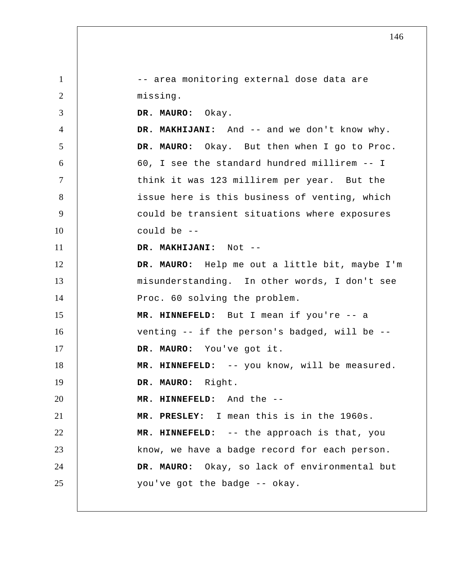1 2 3 4 5 6 7 8 9 10 11 12 13 14 15 16 17 18 19 20 21 22 23 24 25 -- area monitoring external dose data are missing. **DR. MAURO:** Okay.  **DR. MAKHIJANI:** And -- and we don't know why. **DR. MAURO:** Okay. But then when I go to Proc. 60, I see the standard hundred millirem -- I think it was 123 millirem per year. But the issue here is this business of venting, which could be transient situations where exposures could be -- **DR. MAKHIJANI:** Not --**DR. MAURO:** Help me out a little bit, maybe I'm misunderstanding. In other words, I don't see Proc. 60 solving the problem.  **MR. HINNEFELD:** But I mean if you're -- a venting -- if the person's badged, will be -- **DR. MAURO:** You've got it.  **MR. HINNEFELD:** -- you know, will be measured. **DR. MAURO:** Right.  **MR. HINNEFELD:** And the -- **MR. PRESLEY:** I mean this is in the 1960s.  **MR. HINNEFELD:** -- the approach is that, you know, we have a badge record for each person. **DR. MAURO:** Okay, so lack of environmental but you've got the badge -- okay.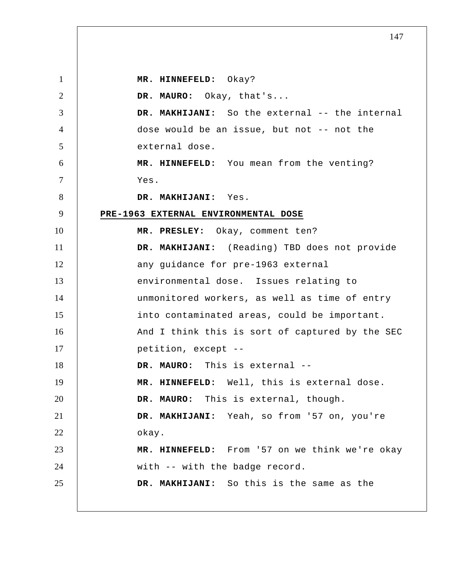1 2 3 4 5 6 7 8 9 10 11 12 13 14 15 16 17 18 19 20 21 22 23 24 25  **MR. HINNEFELD:** Okay? **DR. MAURO:** Okay, that's...  **DR. MAKHIJANI:** So the external -- the internal dose would be an issue, but not -- not the external dose.  **MR. HINNEFELD:** You mean from the venting? Yes.  **DR. MAKHIJANI:** Yes. **PRE-1963 EXTERNAL ENVIRONMENTAL DOSE MR. PRESLEY:** Okay, comment ten?  **DR. MAKHIJANI:** (Reading) TBD does not provide any guidance for pre-1963 external environmental dose. Issues relating to unmonitored workers, as well as time of entry into contaminated areas, could be important. And I think this is sort of captured by the SEC petition, except --**DR. MAURO:** This is external -- **MR. HINNEFELD:** Well, this is external dose. **DR. MAURO:** This is external, though.  **DR. MAKHIJANI:** Yeah, so from '57 on, you're okay.  **MR. HINNEFELD:** From '57 on we think we're okay with -- with the badge record.  **DR. MAKHIJANI:** So this is the same as the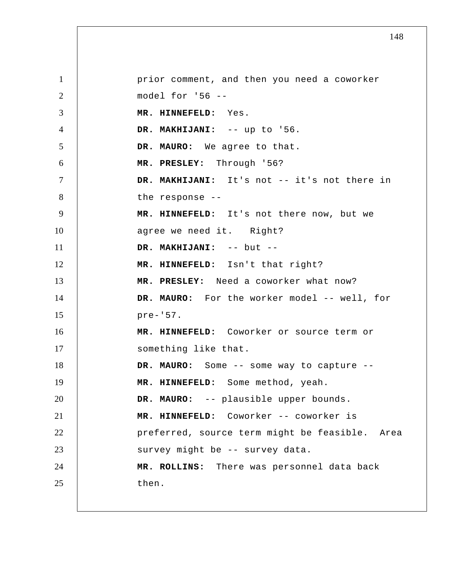1 2 3 4 5 6 7 8 9 10 11 12 13 14 15 16 17 18 19 20 21 22 23 24 25 prior comment, and then you need a coworker model for '56 -- **MR. HINNEFELD:** Yes.  **DR. MAKHIJANI:** -- up to '56. **DR. MAURO:** We agree to that.  **MR. PRESLEY:** Through '56?  **DR. MAKHIJANI:** It's not -- it's not there in the response --  **MR. HINNEFELD:** It's not there now, but we agree we need it. Right?  **DR. MAKHIJANI:** -- but -- **MR. HINNEFELD:** Isn't that right?  **MR. PRESLEY:** Need a coworker what now? DR. MAURO: For the worker model -- well, for pre-'57.  **MR. HINNEFELD:** Coworker or source term or something like that. **DR. MAURO:** Some -- some way to capture --  **MR. HINNEFELD:** Some method, yeah. **DR. MAURO:** -- plausible upper bounds.  **MR. HINNEFELD:** Coworker -- coworker is preferred, source term might be feasible. Area survey might be -- survey data.  **MR. ROLLINS:** There was personnel data back then.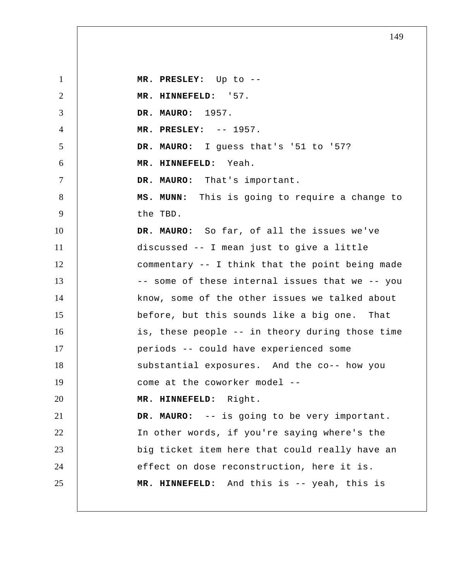1 2 3 4 5 6 7 8 9 10 11 12 13 14 15 16 17 18 19 20 21 22 23 24 25  **MR. PRESLEY:** Up to -- **MR. HINNEFELD:** '57. **DR. MAURO:** 1957.  **MR. PRESLEY:** -- 1957. **DR. MAURO:** I guess that's '51 to '57?  **MR. HINNEFELD:** Yeah. **DR. MAURO:** That's important.  **MS. MUNN:** This is going to require a change to the TBD. **DR. MAURO:** So far, of all the issues we've discussed -- I mean just to give a little commentary -- I think that the point being made -- some of these internal issues that we -- you know, some of the other issues we talked about before, but this sounds like a big one. That is, these people -- in theory during those time periods -- could have experienced some substantial exposures. And the co-- how you come at the coworker model --  **MR. HINNEFELD:** Right. **DR. MAURO:** -- is going to be very important. In other words, if you're saying where's the big ticket item here that could really have an effect on dose reconstruction, here it is.  **MR. HINNEFELD:** And this is -- yeah, this is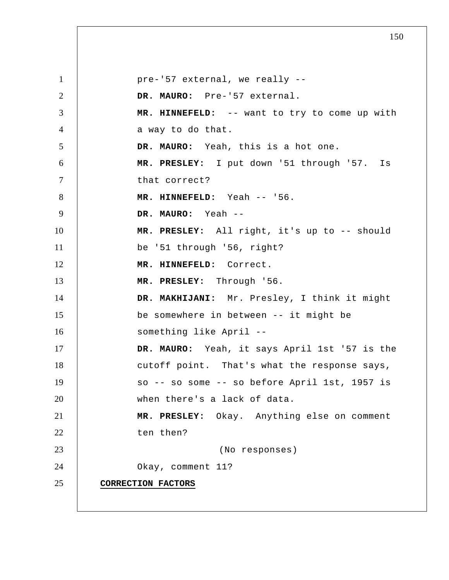1 2 3 4 5 6 7 8 9 10 11 12 13 14 15 16 17 18 19 20 21 22 23 24 25 pre-'57 external, we really -- **DR. MAURO:** Pre-'57 external.  **MR. HINNEFELD:** -- want to try to come up with a way to do that. **DR. MAURO:** Yeah, this is a hot one.  **MR. PRESLEY:** I put down '51 through '57. Is that correct?  **MR. HINNEFELD:** Yeah -- '56. **DR. MAURO:** Yeah -- **MR. PRESLEY:** All right, it's up to -- should be '51 through '56, right?  **MR. HINNEFELD:** Correct.  **MR. PRESLEY:** Through '56.  **DR. MAKHIJANI:** Mr. Presley, I think it might be somewhere in between -- it might be something like April -- **DR. MAURO:** Yeah, it says April 1st '57 is the cutoff point. That's what the response says, so -- so some -- so before April 1st, 1957 is when there's a lack of data.  **MR. PRESLEY:** Okay. Anything else on comment ten then? (No responses) Okay, comment 11? **CORRECTION FACTORS**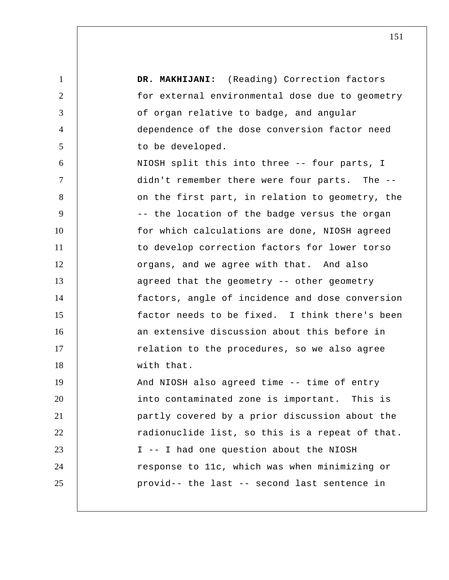| $\mathbf{1}$   | DR. MAKHIJANI: (Reading) Correction factors     |
|----------------|-------------------------------------------------|
| $\overline{2}$ | for external environmental dose due to geometry |
| 3              | of organ relative to badge, and angular         |
| $\overline{4}$ | dependence of the dose conversion factor need   |
| 5              | to be developed.                                |
| 6              | NIOSH split this into three -- four parts, I    |
| $\overline{7}$ | didn't remember there were four parts. The --   |
| 8              | on the first part, in relation to geometry, the |
| 9              | -- the location of the badge versus the organ   |
| 10             | for which calculations are done, NIOSH agreed   |
| 11             | to develop correction factors for lower torso   |
| 12             | organs, and we agree with that. And also        |
| 13             | agreed that the geometry -- other geometry      |
| 14             | factors, angle of incidence and dose conversion |
| 15             | factor needs to be fixed. I think there's been  |
| 16             | an extensive discussion about this before in    |
| 17             | relation to the procedures, so we also agree    |
| 18             | with that.                                      |
| 19             | And NIOSH also agreed time -- time of entry     |
| 20             | into contaminated zone is important. This is    |
| 21             | partly covered by a prior discussion about the  |
| 22             | radionuclide list, so this is a repeat of that. |
| 23             | I -- I had one question about the NIOSH         |
| 24             | response to 11c, which was when minimizing or   |
| 25             | provid-- the last -- second last sentence in    |
|                |                                                 |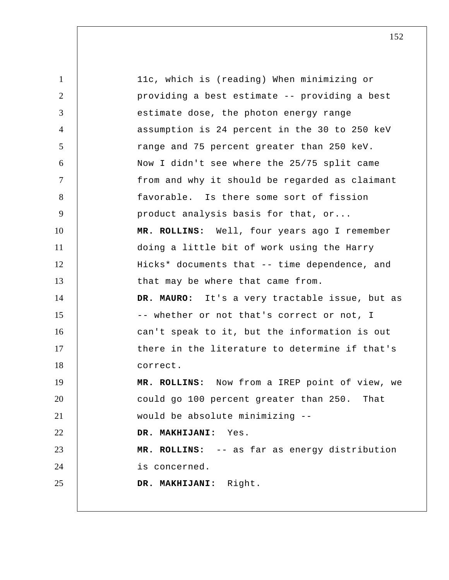| $\mathbf{1}$   | 11c, which is (reading) When minimizing or     |
|----------------|------------------------------------------------|
| $\overline{2}$ | providing a best estimate -- providing a best  |
| 3              | estimate dose, the photon energy range         |
| $\overline{4}$ | assumption is 24 percent in the 30 to 250 keV  |
| 5              | range and 75 percent greater than 250 keV.     |
| 6              | Now I didn't see where the 25/75 split came    |
| $\tau$         | from and why it should be regarded as claimant |
| 8              | favorable. Is there some sort of fission       |
| 9              | product analysis basis for that, or            |
| 10             | MR. ROLLINS: Well, four years ago I remember   |
| 11             | doing a little bit of work using the Harry     |
| 12             | Hicks* documents that -- time dependence, and  |
| 13             | that may be where that came from.              |
| 14             | DR. MAURO: It's a very tractable issue, but as |
| 15             | -- whether or not that's correct or not, I     |
| 16             | can't speak to it, but the information is out  |
| 17             | there in the literature to determine if that's |
| 18             | correct.                                       |
| 19             | MR. ROLLINS: Now from a IREP point of view, we |
| 20             | could go 100 percent greater than 250. That    |
| 21             | would be absolute minimizing --                |
| 22             | DR. MAKHIJANI: Yes.                            |
| 23             | MR. ROLLINS: -- as far as energy distribution  |
| 24             | is concerned.                                  |
| 25             | DR. MAKHIJANI: Right.                          |
|                |                                                |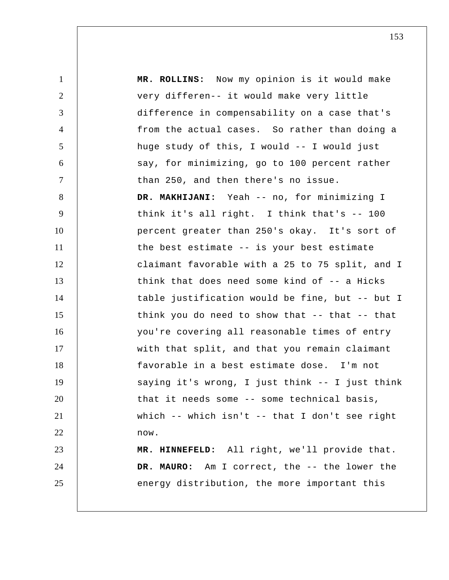1 2 3 4 5 6 7 8 9 10 11 12 13 14 15 16 17 18 19 20 21 22 23 24 25  **MR. ROLLINS:** Now my opinion is it would make very differen-- it would make very little difference in compensability on a case that's from the actual cases. So rather than doing a huge study of this, I would -- I would just say, for minimizing, go to 100 percent rather than 250, and then there's no issue.  **DR. MAKHIJANI:** Yeah -- no, for minimizing I think it's all right. I think that's -- 100 percent greater than 250's okay. It's sort of the best estimate -- is your best estimate claimant favorable with a 25 to 75 split, and I think that does need some kind of -- a Hicks table justification would be fine, but -- but I think you do need to show that -- that -- that you're covering all reasonable times of entry with that split, and that you remain claimant favorable in a best estimate dose. I'm not saying it's wrong, I just think -- I just think that it needs some -- some technical basis, which -- which isn't -- that I don't see right now.  **MR. HINNEFELD:** All right, we'll provide that. **DR. MAURO:** Am I correct, the -- the lower the energy distribution, the more important this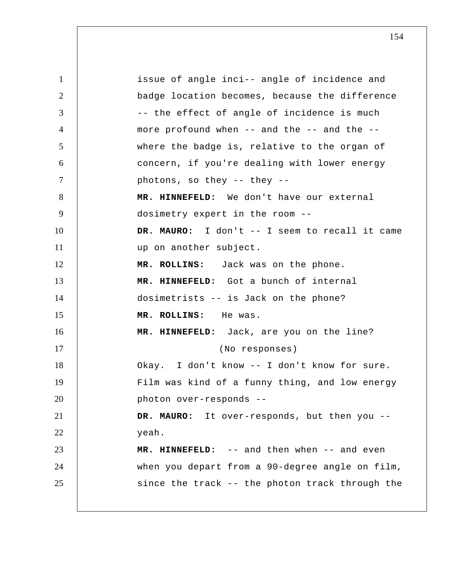1 2 3 4 5 6 7 8 9 10 11 12 13 14 15 16 17 18 19 20 21 22 23 24 25 issue of angle inci-- angle of incidence and badge location becomes, because the difference -- the effect of angle of incidence is much more profound when -- and the -- and the - where the badge is, relative to the organ of concern, if you're dealing with lower energy photons, so they -- they --  **MR. HINNEFELD:** We don't have our external dosimetry expert in the room -- **DR. MAURO:** I don't -- I seem to recall it came up on another subject.  **MR. ROLLINS:** Jack was on the phone.  **MR. HINNEFELD:** Got a bunch of internal dosimetrists -- is Jack on the phone?  **MR. ROLLINS:** He was.  **MR. HINNEFELD:** Jack, are you on the line? (No responses) Okay. I don't know -- I don't know for sure. Film was kind of a funny thing, and low energy photon over-responds -- **DR. MAURO:** It over-responds, but then you - yeah.  **MR. HINNEFELD:** -- and then when -- and even when you depart from a 90-degree angle on film, since the track -- the photon track through the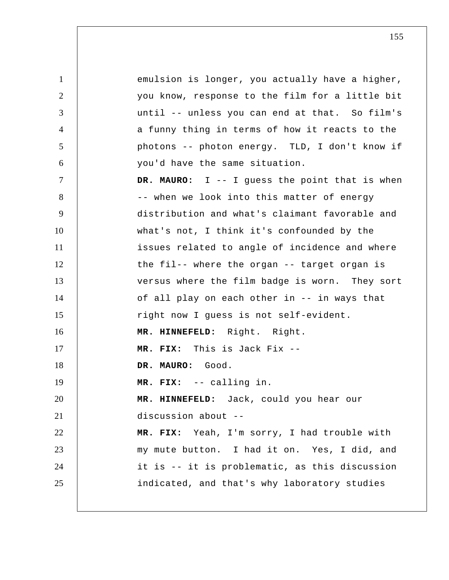1 2 3 4 5 6 7 8 9 10 11 12 13 14 15 16 17 18 19 20 21 22 23 24 25 emulsion is longer, you actually have a higher, you know, response to the film for a little bit until -- unless you can end at that. So film's a funny thing in terms of how it reacts to the photons -- photon energy. TLD, I don't know if you'd have the same situation. **DR. MAURO:** I -- I guess the point that is when -- when we look into this matter of energy distribution and what's claimant favorable and what's not, I think it's confounded by the issues related to angle of incidence and where the fil-- where the organ -- target organ is versus where the film badge is worn. They sort of all play on each other in -- in ways that right now I guess is not self-evident.  **MR. HINNEFELD:** Right. Right.  **MR. FIX:** This is Jack Fix --**DR. MAURO:** Good.  **MR. FIX:** -- calling in.  **MR. HINNEFELD:** Jack, could you hear our discussion about -- **MR. FIX:** Yeah, I'm sorry, I had trouble with my mute button. I had it on. Yes, I did, and it is -- it is problematic, as this discussion indicated, and that's why laboratory studies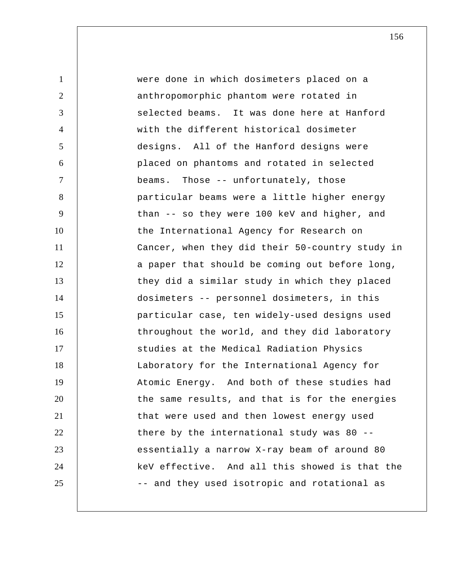1 2 3 4 5 6 7 8 9 10 11 12 13 14 15 16 17 18 19 20 21 22 23 24 25 were done in which dosimeters placed on a anthropomorphic phantom were rotated in selected beams. It was done here at Hanford with the different historical dosimeter designs. All of the Hanford designs were placed on phantoms and rotated in selected beams. Those -- unfortunately, those particular beams were a little higher energy than -- so they were 100 keV and higher, and the International Agency for Research on Cancer, when they did their 50-country study in a paper that should be coming out before long, they did a similar study in which they placed dosimeters -- personnel dosimeters, in this particular case, ten widely-used designs used throughout the world, and they did laboratory studies at the Medical Radiation Physics Laboratory for the International Agency for Atomic Energy. And both of these studies had the same results, and that is for the energies that were used and then lowest energy used there by the international study was 80 - essentially a narrow X-ray beam of around 80 keV effective. And all this showed is that the -- and they used isotropic and rotational as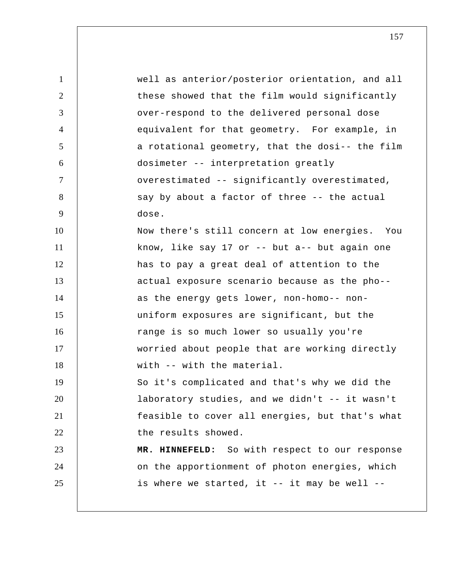| $\mathbf{1}$   | well as anterior/posterior orientation, and all |
|----------------|-------------------------------------------------|
| $\overline{2}$ | these showed that the film would significantly  |
| 3              | over-respond to the delivered personal dose     |
| $\overline{4}$ | equivalent for that geometry. For example, in   |
| 5              | a rotational geometry, that the dosi-- the film |
| 6              | dosimeter -- interpretation greatly             |
| $\tau$         | overestimated -- significantly overestimated,   |
| 8              | say by about a factor of three -- the actual    |
| 9              | dose.                                           |
| 10             | Now there's still concern at low energies. You  |
| 11             | know, like say 17 or $-$ but a-- but again one  |
| 12             | has to pay a great deal of attention to the     |
| 13             | actual exposure scenario because as the pho--   |
| 14             | as the energy gets lower, non-homo-- non-       |
| 15             | uniform exposures are significant, but the      |
| 16             | range is so much lower so usually you're        |
| 17             | worried about people that are working directly  |
| 18             | with -- with the material.                      |
| 19             | So it's complicated and that's why we did the   |
| 20             | laboratory studies, and we didn't -- it wasn't  |
| 21             | feasible to cover all energies, but that's what |
| 22             | the results showed.                             |
| 23             | MR. HINNEFELD: So with respect to our response  |
| 24             | on the apportionment of photon energies, which  |
| 25             | is where we started, it -- it may be well --    |
|                |                                                 |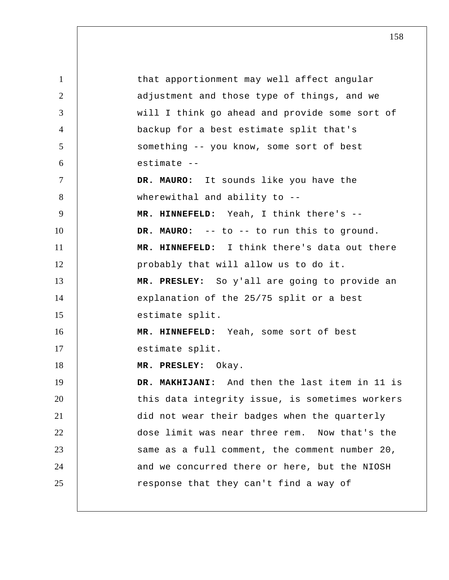1 2 3 4 5 6 7 8 9 10 11 12 13 14 15 16 17 18 19 20 21 22 23 24 25 that apportionment may well affect angular adjustment and those type of things, and we will I think go ahead and provide some sort of backup for a best estimate split that's something -- you know, some sort of best estimate --**DR. MAURO:** It sounds like you have the wherewithal and ability to --  **MR. HINNEFELD:** Yeah, I think there's -- **DR. MAURO:** -- to -- to run this to ground.  **MR. HINNEFELD:** I think there's data out there probably that will allow us to do it.  **MR. PRESLEY:** So y'all are going to provide an explanation of the 25/75 split or a best estimate split.  **MR. HINNEFELD:** Yeah, some sort of best estimate split.  **MR. PRESLEY:** Okay.  **DR. MAKHIJANI:** And then the last item in 11 is this data integrity issue, is sometimes workers did not wear their badges when the quarterly dose limit was near three rem. Now that's the same as a full comment, the comment number 20, and we concurred there or here, but the NIOSH response that they can't find a way of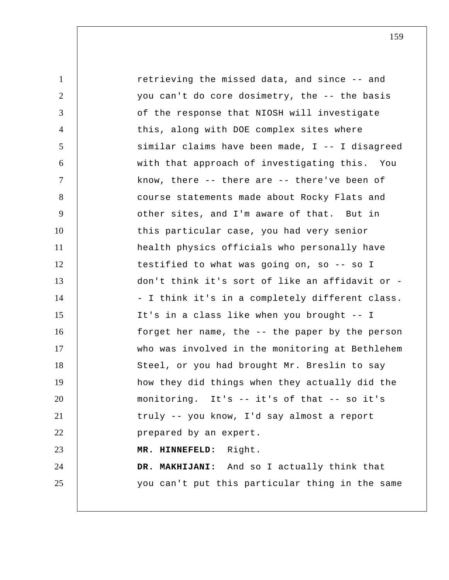1 2 3 4 5 6 7 8 9 10 11 12 13 14 15 16 17 18 19 20 21 22 23 24 25 retrieving the missed data, and since -- and you can't do core dosimetry, the -- the basis of the response that NIOSH will investigate this, along with DOE complex sites where similar claims have been made, I -- I disagreed with that approach of investigating this. You know, there -- there are -- there've been of course statements made about Rocky Flats and other sites, and I'm aware of that. But in this particular case, you had very senior health physics officials who personally have testified to what was going on, so -- so I don't think it's sort of like an affidavit or - I think it's in a completely different class. It's in a class like when you brought -- I forget her name, the -- the paper by the person who was involved in the monitoring at Bethlehem Steel, or you had brought Mr. Breslin to say how they did things when they actually did the monitoring. It's -- it's of that -- so it's truly -- you know, I'd say almost a report prepared by an expert.  **MR. HINNEFELD:** Right.  **DR. MAKHIJANI:** And so I actually think that you can't put this particular thing in the same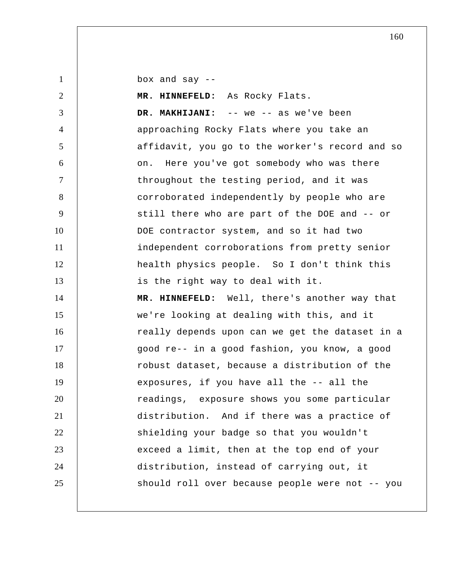box and say --

| 2              | MR. HINNEFELD: As Rocky Flats.                  |
|----------------|-------------------------------------------------|
| 3              | DR. MAKHIJANI: -- we -- as we've been           |
| $\overline{4}$ | approaching Rocky Flats where you take an       |
| 5              | affidavit, you go to the worker's record and so |
| 6              | on. Here you've got somebody who was there      |
| $\overline{7}$ | throughout the testing period, and it was       |
| 8              | corroborated independently by people who are    |
| 9              | still there who are part of the DOE and -- or   |
| 10             | DOE contractor system, and so it had two        |
| 11             | independent corroborations from pretty senior   |
| 12             | health physics people. So I don't think this    |
| 13             | is the right way to deal with it.               |
| 14             | MR. HINNEFELD: Well, there's another way that   |
|                |                                                 |
| 15             | we're looking at dealing with this, and it      |
| 16             | really depends upon can we get the dataset in a |
| 17             | good re-- in a good fashion, you know, a good   |
| 18             | robust dataset, because a distribution of the   |
| 19             | exposures, if you have all the -- all the       |
| 20             | readings, exposure shows you some particular    |
| 21             | distribution. And if there was a practice of    |
| 22             | shielding your badge so that you wouldn't       |
| 23             | exceed a limit, then at the top end of your     |
| 24             | distribution, instead of carrying out, it       |
| 25             | should roll over because people were not -- you |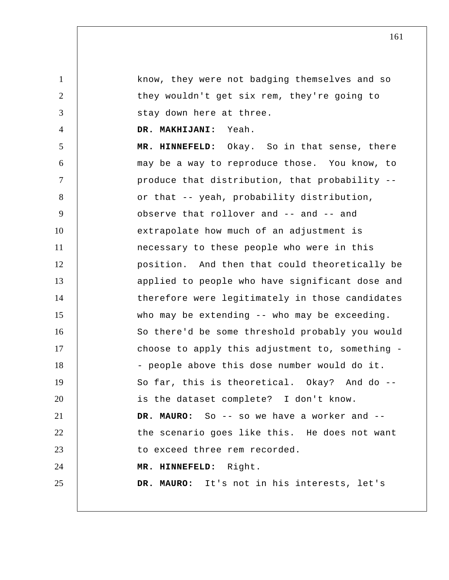1 2 3 4 5 6 7 8 9 10 11 12 13 14 15 16 17 know, they were not badging themselves and so they wouldn't get six rem, they're going to stay down here at three.  **DR. MAKHIJANI:** Yeah.  **MR. HINNEFELD:** Okay. So in that sense, there may be a way to reproduce those. You know, to produce that distribution, that probability - or that -- yeah, probability distribution, observe that rollover and -- and -- and extrapolate how much of an adjustment is necessary to these people who were in this position. And then that could theoretically be applied to people who have significant dose and therefore were legitimately in those candidates who may be extending -- who may be exceeding. So there'd be some threshold probably you would choose to apply this adjustment to, something

19 20 21 22 23 24 So far, this is theoretical. Okay? And do -is the dataset complete? I don't know. **DR. MAURO:** So -- so we have a worker and - the scenario goes like this. He does not want to exceed three rem recorded.  **MR. HINNEFELD:** Right.

- people above this dose number would do it.

18

25

**DR. MAURO:** It's not in his interests, let's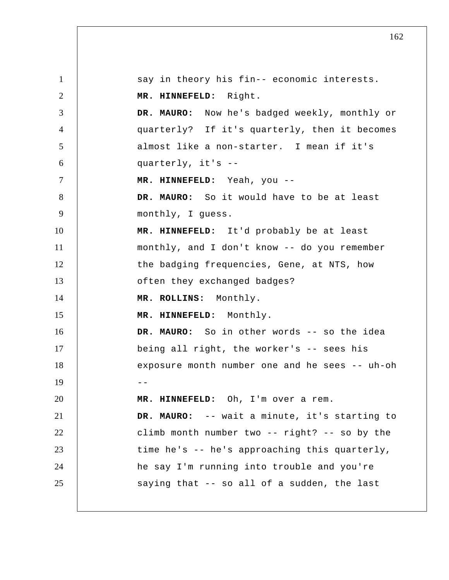1 2 3 4 5 6 7 8 9 10 11 12 13 14 15 16 17 18  $19$  --20 21 22 23 24 25 say in theory his fin-- economic interests.  **MR. HINNEFELD:** Right. **DR. MAURO:** Now he's badged weekly, monthly or quarterly? If it's quarterly, then it becomes almost like a non-starter. I mean if it's quarterly, it's -- **MR. HINNEFELD:** Yeah, you --**DR. MAURO:** So it would have to be at least monthly, I guess.  **MR. HINNEFELD:** It'd probably be at least monthly, and I don't know -- do you remember the badging frequencies, Gene, at NTS, how often they exchanged badges?  **MR. ROLLINS:** Monthly.  **MR. HINNEFELD:** Monthly. **DR. MAURO:** So in other words -- so the idea being all right, the worker's -- sees his exposure month number one and he sees -- uh-oh  **MR. HINNEFELD:** Oh, I'm over a rem. **DR. MAURO:** -- wait a minute, it's starting to climb month number two -- right? -- so by the time he's -- he's approaching this quarterly, he say I'm running into trouble and you're saying that -- so all of a sudden, the last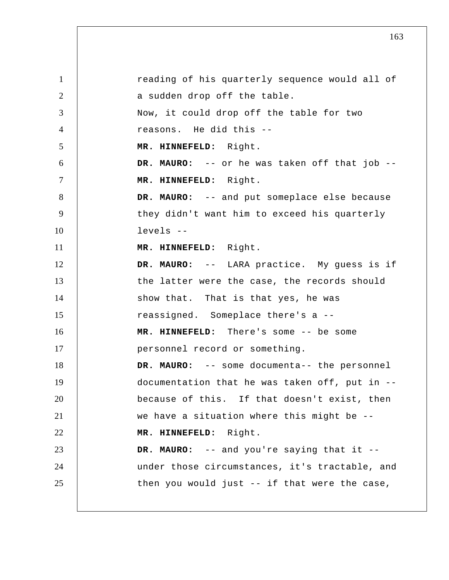1 2 3 4 5 6 7 8 9 10 11 12 13 14 15 16 17 18 19 20 21 22 23 24 25 reading of his quarterly sequence would all of a sudden drop off the table. Now, it could drop off the table for two reasons. He did this -- **MR. HINNEFELD:** Right. **DR. MAURO:** -- or he was taken off that job --  **MR. HINNEFELD:** Right. **DR. MAURO:** -- and put someplace else because they didn't want him to exceed his quarterly levels -- **MR. HINNEFELD:** Right. **DR. MAURO:** -- LARA practice. My guess is if the latter were the case, the records should show that. That is that yes, he was reassigned. Someplace there's a --  **MR. HINNEFELD:** There's some -- be some personnel record or something. **DR. MAURO:** -- some documenta-- the personnel documentation that he was taken off, put in - because of this. If that doesn't exist, then we have a situation where this might be --  **MR. HINNEFELD:** Right. **DR. MAURO:** -- and you're saying that it - under those circumstances, it's tractable, and then you would just -- if that were the case,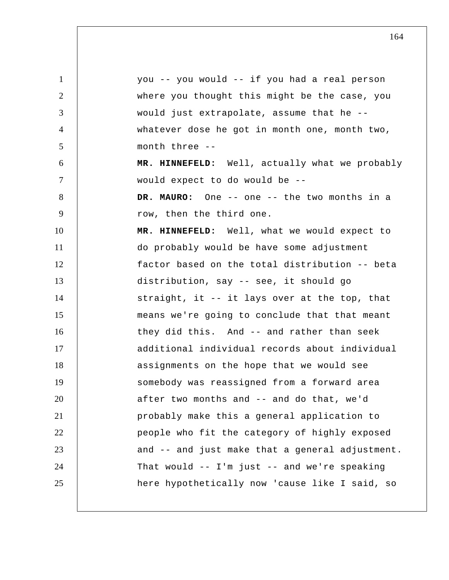| $\mathbf{1}$   | you -- you would -- if you had a real person     |
|----------------|--------------------------------------------------|
| $\overline{2}$ | where you thought this might be the case, you    |
| 3              | would just extrapolate, assume that he --        |
| $\overline{4}$ | whatever dose he got in month one, month two,    |
| 5              | month three --                                   |
| 6              | MR. HINNEFELD: Well, actually what we probably   |
| $\tau$         | would expect to do would be --                   |
| 8              | DR. MAURO: One -- one -- the two months in a     |
| 9              | row, then the third one.                         |
| 10             | MR. HINNEFELD: Well, what we would expect to     |
| 11             | do probably would be have some adjustment        |
| 12             | factor based on the total distribution -- beta   |
| 13             | distribution, say -- see, it should go           |
| 14             | straight, it -- it lays over at the top, that    |
| 15             | means we're going to conclude that that meant    |
| 16             | they did this. And -- and rather than seek       |
| 17             | additional individual records about individual   |
| 18             | assignments on the hope that we would see        |
| 19             | somebody was reassigned from a forward area      |
| 20             | after two months and -- and do that, we'd        |
| 21             | probably make this a general application to      |
| 22             | people who fit the category of highly exposed    |
| 23             | and -- and just make that a general adjustment.  |
| 24             | That would $--$ I'm just $--$ and we're speaking |
| 25             | here hypothetically now 'cause like I said, so   |
|                |                                                  |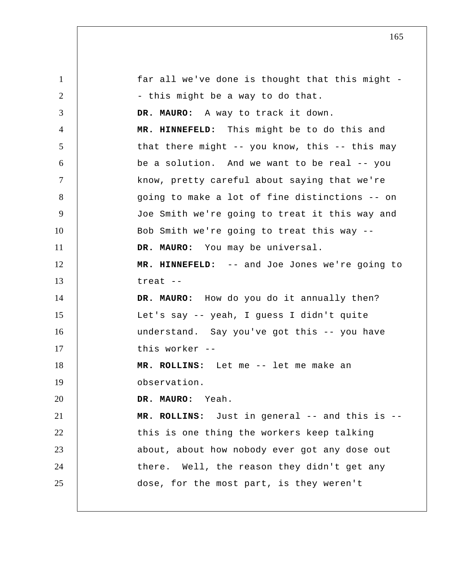1 2 3 4 5 6 7 8 9 10 11 12 13 14 15 16 17 18 19 20 21 22 23 24 25 far all we've done is thought that this might - this might be a way to do that. **DR. MAURO:** A way to track it down.  **MR. HINNEFELD:** This might be to do this and that there might  $-$ - you know, this  $-$ - this may be a solution. And we want to be real -- you know, pretty careful about saying that we're going to make a lot of fine distinctions -- on Joe Smith we're going to treat it this way and Bob Smith we're going to treat this way -- **DR. MAURO:** You may be universal.  **MR. HINNEFELD:** -- and Joe Jones we're going to treat --**DR. MAURO:** How do you do it annually then? Let's say -- yeah, I guess I didn't quite understand. Say you've got this -- you have this worker -- **MR. ROLLINS:** Let me -- let me make an observation. **DR. MAURO:** Yeah.  **MR. ROLLINS:** Just in general -- and this is - this is one thing the workers keep talking about, about how nobody ever got any dose out there. Well, the reason they didn't get any dose, for the most part, is they weren't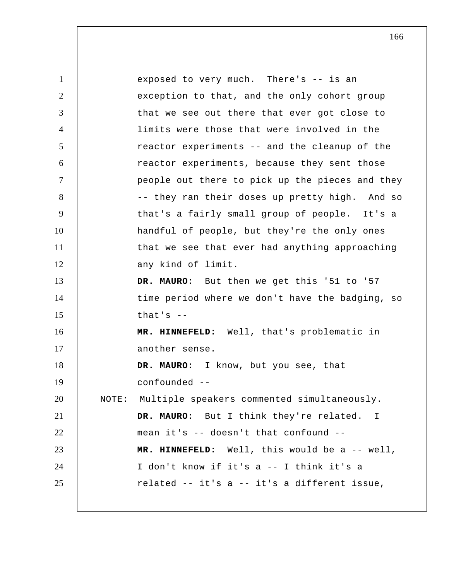1 2 3 4 5 6 7 8 9 10 11 12 13 14 15 16 17 18 19 20 21 22 23 24 25 exposed to very much. There's -- is an exception to that, and the only cohort group that we see out there that ever got close to limits were those that were involved in the reactor experiments -- and the cleanup of the reactor experiments, because they sent those people out there to pick up the pieces and they -- they ran their doses up pretty high. And so that's a fairly small group of people. It's a handful of people, but they're the only ones that we see that ever had anything approaching any kind of limit. DR. MAURO: But then we get this '51 to '57 time period where we don't have the badging, so that's --  **MR. HINNEFELD:** Well, that's problematic in another sense. **DR. MAURO:** I know, but you see, that confounded --NOTE: Multiple speakers commented simultaneously. **DR. MAURO:** But I think they're related. I mean it's -- doesn't that confound --  **MR. HINNEFELD:** Well, this would be a -- well, I don't know if it's a -- I think it's a related -- it's a -- it's a different issue,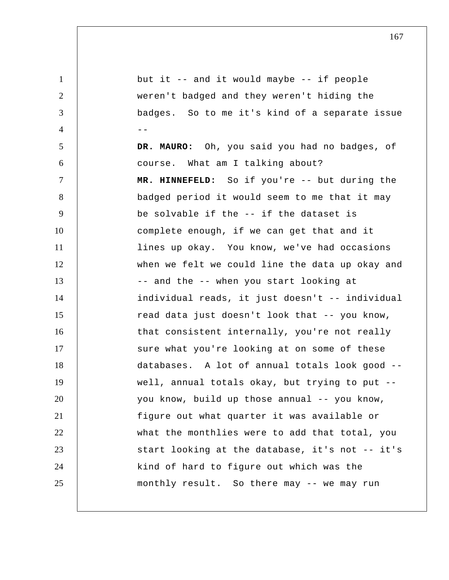1 2 3 4 --5 6 7 8 9 10 11 12 13 14 15 16 17 18 19 20 21 22 23 24 25 but it -- and it would maybe -- if people weren't badged and they weren't hiding the badges. So to me it's kind of a separate issue **DR. MAURO:** Oh, you said you had no badges, of course. What am I talking about?  **MR. HINNEFELD:** So if you're -- but during the badged period it would seem to me that it may be solvable if the -- if the dataset is complete enough, if we can get that and it lines up okay. You know, we've had occasions when we felt we could line the data up okay and -- and the -- when you start looking at individual reads, it just doesn't -- individual read data just doesn't look that -- you know, that consistent internally, you're not really sure what you're looking at on some of these databases. A lot of annual totals look good - well, annual totals okay, but trying to put - you know, build up those annual -- you know, figure out what quarter it was available or what the monthlies were to add that total, you start looking at the database, it's not -- it's kind of hard to figure out which was the monthly result. So there may -- we may run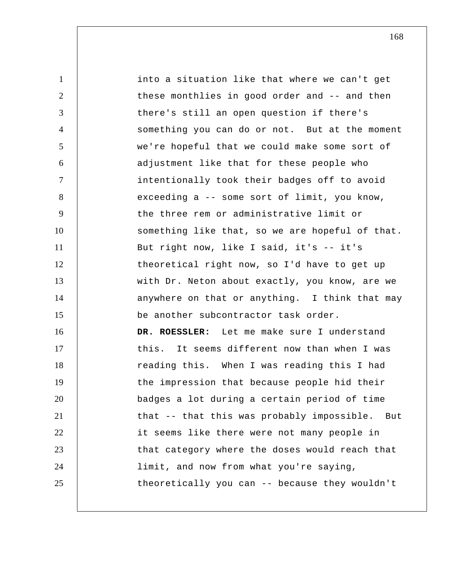1 2 3 4 5 6 7 8 9 10 11 12 13 14 15 16 17 18 19 20 21 22 23 24 25 into a situation like that where we can't get these monthlies in good order and -- and then there's still an open question if there's something you can do or not. But at the moment we're hopeful that we could make some sort of adjustment like that for these people who intentionally took their badges off to avoid exceeding a -- some sort of limit, you know, the three rem or administrative limit or something like that, so we are hopeful of that. But right now, like I said, it's -- it's theoretical right now, so I'd have to get up with Dr. Neton about exactly, you know, are we anywhere on that or anything. I think that may be another subcontractor task order. **DR. ROESSLER:** Let me make sure I understand this. It seems different now than when I was reading this. When I was reading this I had the impression that because people hid their badges a lot during a certain period of time that -- that this was probably impossible. But it seems like there were not many people in that category where the doses would reach that limit, and now from what you're saying, theoretically you can -- because they wouldn't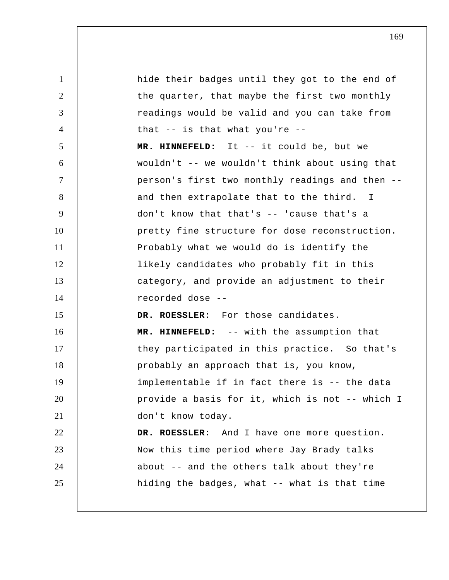1 2 3 4 5 6 7 8 9 10 11 12 13 14 15 16 17 18 19 20 21 22 23 24 25 hide their badges until they got to the end of the quarter, that maybe the first two monthly readings would be valid and you can take from that -- is that what you're --  **MR. HINNEFELD:** It -- it could be, but we wouldn't -- we wouldn't think about using that person's first two monthly readings and then - and then extrapolate that to the third. I don't know that that's -- 'cause that's a pretty fine structure for dose reconstruction. Probably what we would do is identify the likely candidates who probably fit in this category, and provide an adjustment to their recorded dose --DR. ROESSLER: For those candidates.  **MR. HINNEFELD:** -- with the assumption that they participated in this practice. So that's probably an approach that is, you know, implementable if in fact there is -- the data provide a basis for it, which is not -- which I don't know today. **DR. ROESSLER:** And I have one more question. Now this time period where Jay Brady talks about -- and the others talk about they're hiding the badges, what -- what is that time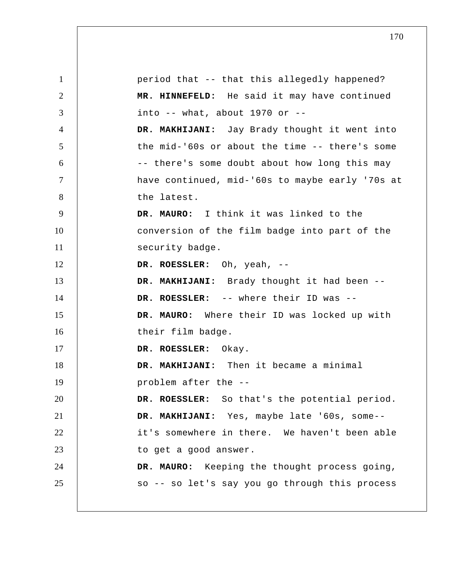1 2 3 4 5 6 7 8 9 10 11 12 13 14 15 16 17 18 19 20 21 22 23 24 25 period that -- that this allegedly happened?  **MR. HINNEFELD:** He said it may have continued into  $--$  what, about 1970 or  $--$  **DR. MAKHIJANI:** Jay Brady thought it went into the mid-'60s or about the time -- there's some -- there's some doubt about how long this may have continued, mid-'60s to maybe early '70s at the latest. **DR. MAURO:** I think it was linked to the conversion of the film badge into part of the security badge. **DR. ROESSLER:** Oh, yeah, -- **DR. MAKHIJANI:** Brady thought it had been -- **DR. ROESSLER:** -- where their ID was -- **DR. MAURO:** Where their ID was locked up with their film badge. **DR. ROESSLER:** Okay.  **DR. MAKHIJANI:** Then it became a minimal problem after the --**DR. ROESSLER:** So that's the potential period.  **DR. MAKHIJANI:** Yes, maybe late '60s, some- it's somewhere in there. We haven't been able to get a good answer. **DR. MAURO:** Keeping the thought process going, so -- so let's say you go through this process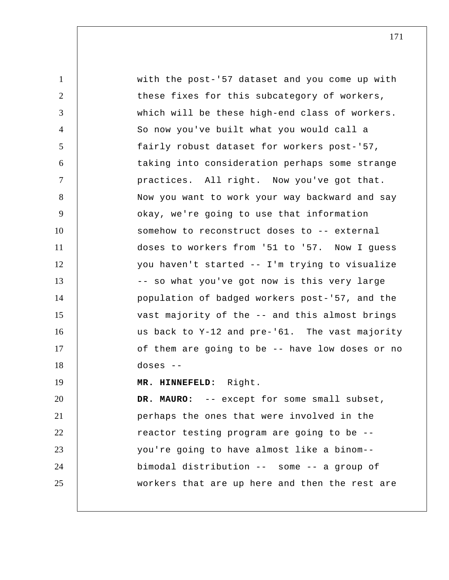1 2 3 4 5 6 7 8 9 10 11 12 13 14 15 16 17 18 19 20 21 22 23 24 25 with the post-'57 dataset and you come up with these fixes for this subcategory of workers, which will be these high-end class of workers. So now you've built what you would call a fairly robust dataset for workers post-'57, taking into consideration perhaps some strange practices. All right. Now you've got that. Now you want to work your way backward and say okay, we're going to use that information somehow to reconstruct doses to -- external doses to workers from '51 to '57. Now I guess you haven't started -- I'm trying to visualize -- so what you've got now is this very large population of badged workers post-'57, and the vast majority of the -- and this almost brings us back to Y-12 and pre-'61. The vast majority of them are going to be -- have low doses or no doses -- **MR. HINNEFELD:** Right. **DR. MAURO:** -- except for some small subset, perhaps the ones that were involved in the reactor testing program are going to be - you're going to have almost like a binom- bimodal distribution -- some -- a group of workers that are up here and then the rest are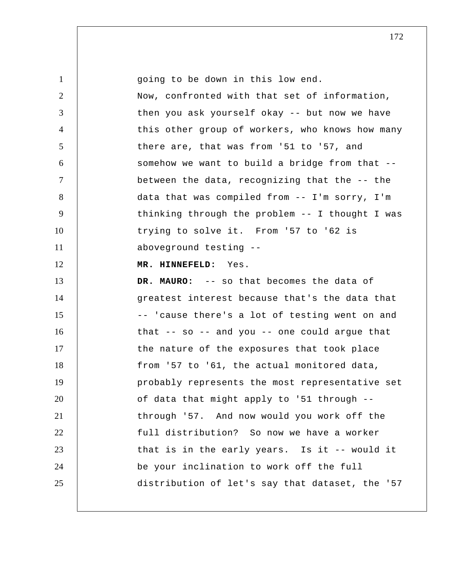| $\mathbf{1}$         | going to be down in this low end.               |
|----------------------|-------------------------------------------------|
| $\overline{2}$       | Now, confronted with that set of information,   |
| 3                    | then you ask yourself okay -- but now we have   |
| $\overline{4}$       | this other group of workers, who knows how many |
| $\mathfrak{S}$       | there are, that was from '51 to '57, and        |
| 6                    | somehow we want to build a bridge from that --  |
| $\tau$               | between the data, recognizing that the -- the   |
| 8                    | data that was compiled from -- I'm sorry, I'm   |
| 9                    | thinking through the problem -- I thought I was |
| 10                   | trying to solve it. From '57 to '62 is          |
| 11                   | aboveground testing --                          |
| 12                   | MR. HINNEFELD: Yes.                             |
|                      |                                                 |
|                      | DR. MAURO: -- so that becomes the data of       |
| 13<br>14             | greatest interest because that's the data that  |
| 15                   | -- 'cause there's a lot of testing went on and  |
| 16                   | that -- so -- and you -- one could argue that   |
|                      | the nature of the exposures that took place     |
| 18                   | from '57 to '61, the actual monitored data,     |
| 19                   | probably represents the most representative set |
|                      | of data that might apply to '51 through --      |
| 21                   | through '57. And now would you work off the     |
|                      | full distribution? So now we have a worker      |
| 23                   | that is in the early years. Is it -- would it   |
| 17<br>20<br>22<br>24 | be your inclination to work off the full        |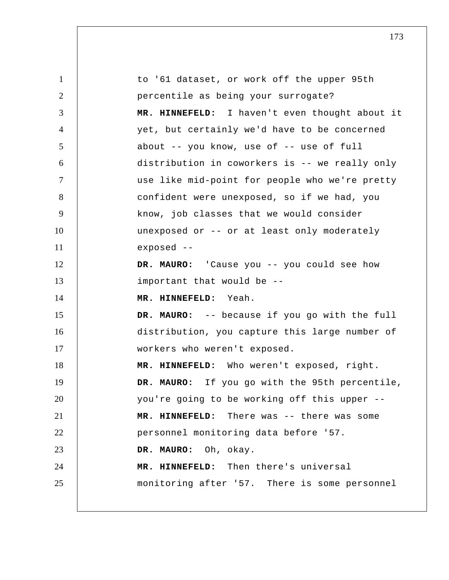1 2 3 4 5 6 7 8 9 10 11 12 13 14 15 16 17 18 19 20 21 22 23 24 25 to '61 dataset, or work off the upper 95th percentile as being your surrogate?  **MR. HINNEFELD:** I haven't even thought about it yet, but certainly we'd have to be concerned about -- you know, use of -- use of full distribution in coworkers is -- we really only use like mid-point for people who we're pretty confident were unexposed, so if we had, you know, job classes that we would consider unexposed or -- or at least only moderately exposed -- **DR. MAURO:** 'Cause you -- you could see how important that would be --  **MR. HINNEFELD:** Yeah. **DR. MAURO:** -- because if you go with the full distribution, you capture this large number of workers who weren't exposed.  **MR. HINNEFELD:** Who weren't exposed, right. **DR. MAURO:** If you go with the 95th percentile, you're going to be working off this upper --  **MR. HINNEFELD:** There was -- there was some personnel monitoring data before '57. **DR. MAURO:** Oh, okay.  **MR. HINNEFELD:** Then there's universal monitoring after '57. There is some personnel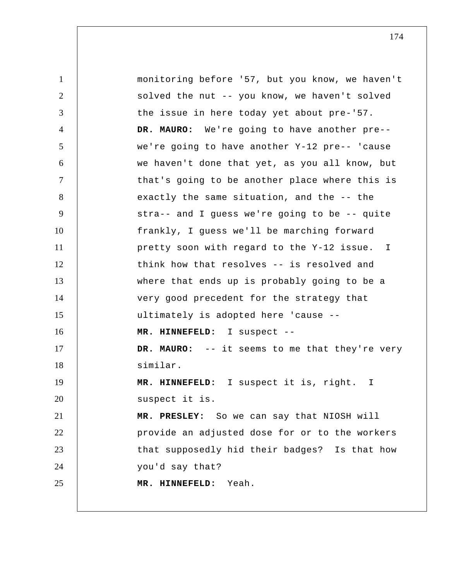1 2 3 4 5 6 7 8 9 10 11 12 13 14 15 16 17 18 19 20 21 22 23 24 25 monitoring before '57, but you know, we haven't solved the nut -- you know, we haven't solved the issue in here today yet about pre-'57. **DR. MAURO:** We're going to have another pre- we're going to have another Y-12 pre-- 'cause we haven't done that yet, as you all know, but that's going to be another place where this is exactly the same situation, and the -- the stra-- and I guess we're going to be -- quite frankly, I guess we'll be marching forward pretty soon with regard to the Y-12 issue. I think how that resolves -- is resolved and where that ends up is probably going to be a very good precedent for the strategy that ultimately is adopted here 'cause --  **MR. HINNEFELD:** I suspect -- **DR. MAURO:** -- it seems to me that they're very similar.  **MR. HINNEFELD:** I suspect it is, right. I suspect it is.  **MR. PRESLEY:** So we can say that NIOSH will provide an adjusted dose for or to the workers that supposedly hid their badges? Is that how you'd say that?  **MR. HINNEFELD:** Yeah.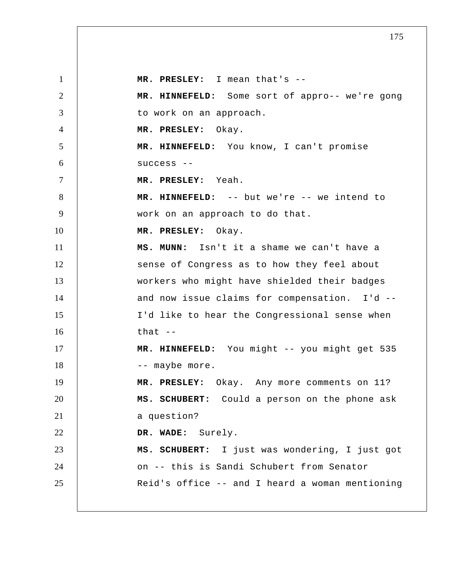1 2 3 4 5 6 7 8 9 10 11 12 13 14 15 16 17 18 19 20 21 22 23 24 25  **MR. PRESLEY:** I mean that's -- **MR. HINNEFELD:** Some sort of appro-- we're gong to work on an approach.  **MR. PRESLEY:** Okay.  **MR. HINNEFELD:** You know, I can't promise success -- **MR. PRESLEY:** Yeah.  **MR. HINNEFELD:** -- but we're -- we intend to work on an approach to do that.  **MR. PRESLEY:** Okay.  **MS. MUNN:** Isn't it a shame we can't have a sense of Congress as to how they feel about workers who might have shielded their badges and now issue claims for compensation. I'd --I'd like to hear the Congressional sense when that  $-$  **MR. HINNEFELD:** You might -- you might get 535 -- maybe more.  **MR. PRESLEY:** Okay. Any more comments on 11? **MS. SCHUBERT:** Could a person on the phone ask a question?  **DR. WADE:** Surely. **MS. SCHUBERT:** I just was wondering, I just got on -- this is Sandi Schubert from Senator Reid's office -- and I heard a woman mentioning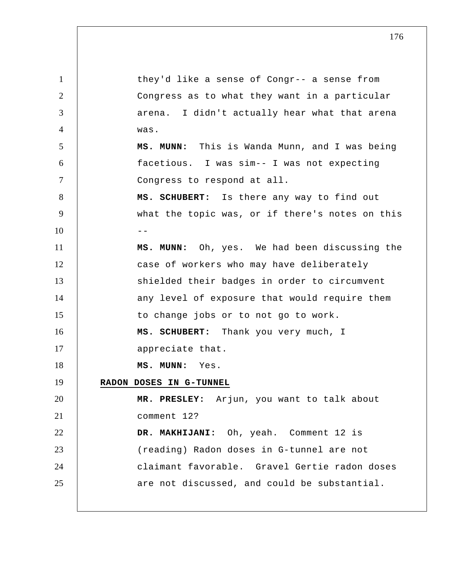1 2 3 4 5 6 7 8 9  $10$  --11 12 13 14 15 16 17 18 19 20 21 22 23 24 25 they'd like a sense of Congr-- a sense from Congress as to what they want in a particular arena. I didn't actually hear what that arena was.  **MS. MUNN:** This is Wanda Munn, and I was being facetious. I was sim-- I was not expecting Congress to respond at all. **MS. SCHUBERT:** Is there any way to find out what the topic was, or if there's notes on this  **MS. MUNN:** Oh, yes. We had been discussing the case of workers who may have deliberately shielded their badges in order to circumvent any level of exposure that would require them to change jobs or to not go to work. **MS. SCHUBERT:** Thank you very much, I appreciate that.  **MS. MUNN:** Yes. **RADON DOSES IN G-TUNNEL MR. PRESLEY:** Arjun, you want to talk about comment 12?  **DR. MAKHIJANI:** Oh, yeah. Comment 12 is (reading) Radon doses in G-tunnel are not claimant favorable. Gravel Gertie radon doses are not discussed, and could be substantial.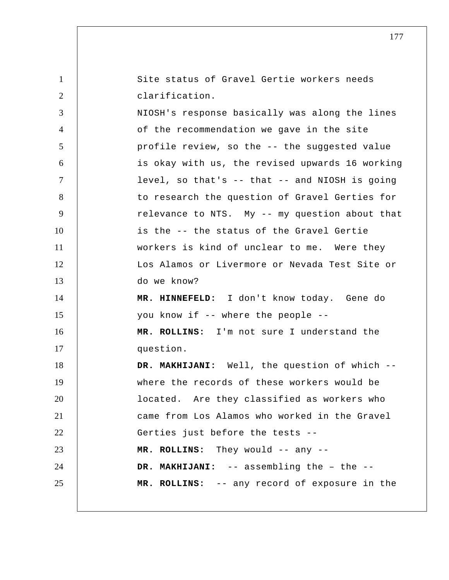1 2 3 4 5 6 7 8 9 10 11 12 13 14 15 16 17 18 19 20 21 22 23 24 25 Site status of Gravel Gertie workers needs clarification. NIOSH's response basically was along the lines of the recommendation we gave in the site profile review, so the -- the suggested value is okay with us, the revised upwards 16 working level, so that's -- that -- and NIOSH is going to research the question of Gravel Gerties for relevance to NTS. My -- my question about that is the -- the status of the Gravel Gertie workers is kind of unclear to me. Were they Los Alamos or Livermore or Nevada Test Site or do we know?  **MR. HINNEFELD:** I don't know today. Gene do you know if -- where the people --  **MR. ROLLINS:** I'm not sure I understand the question.  **DR. MAKHIJANI:** Well, the question of which - where the records of these workers would be located. Are they classified as workers who came from Los Alamos who worked in the Gravel Gerties just before the tests --  **MR. ROLLINS:** They would -- any -- **DR. MAKHIJANI:** -- assembling the – the --  **MR. ROLLINS:** -- any record of exposure in the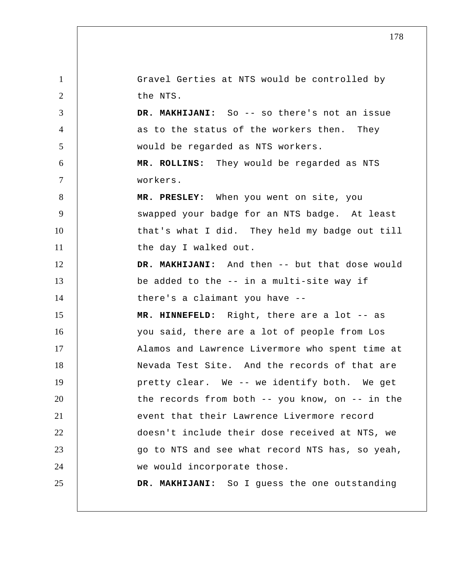1 2 3 4 5 6 7 8 9 10 11 12 13 14 15 16 17 18 19 20 21 22 23 24 25 Gravel Gerties at NTS would be controlled by the NTS.  **DR. MAKHIJANI:** So -- so there's not an issue as to the status of the workers then. They would be regarded as NTS workers.  **MR. ROLLINS:** They would be regarded as NTS workers.  **MR. PRESLEY:** When you went on site, you swapped your badge for an NTS badge. At least that's what I did. They held my badge out till the day I walked out.  **DR. MAKHIJANI:** And then -- but that dose would be added to the -- in a multi-site way if there's a claimant you have --  **MR. HINNEFELD:** Right, there are a lot -- as you said, there are a lot of people from Los Alamos and Lawrence Livermore who spent time at Nevada Test Site. And the records of that are pretty clear. We -- we identify both. We get the records from both -- you know, on -- in the event that their Lawrence Livermore record doesn't include their dose received at NTS, we go to NTS and see what record NTS has, so yeah, we would incorporate those.  **DR. MAKHIJANI:** So I guess the one outstanding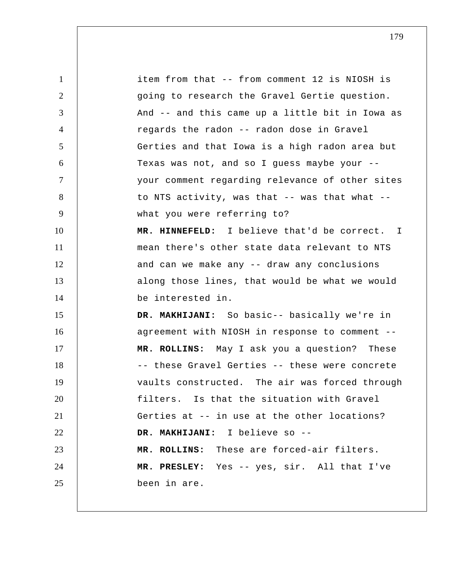1 2 3 4 5 6 7 8 9 10 11 12 13 14 15 16 17 18 19 20 21 22 23 24 25 item from that -- from comment 12 is NIOSH is going to research the Gravel Gertie question. And -- and this came up a little bit in Iowa as regards the radon -- radon dose in Gravel Gerties and that Iowa is a high radon area but Texas was not, and so I guess maybe your - your comment regarding relevance of other sites to NTS activity, was that -- was that what - what you were referring to?  **MR. HINNEFELD:** I believe that'd be correct. mean there's other state data relevant to NTS and can we make any -- draw any conclusions along those lines, that would be what we would be interested in.  **DR. MAKHIJANI:** So basic-- basically we're in agreement with NIOSH in response to comment --  **MR. ROLLINS:** May I ask you a question? These -- these Gravel Gerties -- these were concrete vaults constructed. The air was forced through filters. Is that the situation with Gravel Gerties at -- in use at the other locations?  **DR. MAKHIJANI:** I believe so -- **MR. ROLLINS:** These are forced-air filters.  **MR. PRESLEY:** Yes -- yes, sir. All that I've been in are. I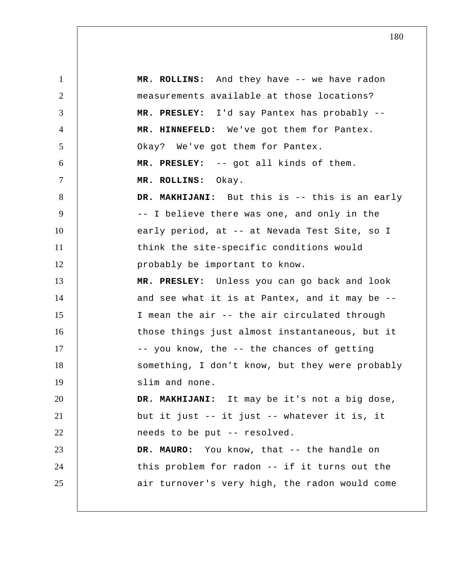1 2 3 4 5 6 7 8 9 10 11 12 13 14 15 16 17 18 19 20 21 22 23 24 25  **MR. ROLLINS:** And they have -- we have radon measurements available at those locations?  **MR. PRESLEY:** I'd say Pantex has probably --  **MR. HINNEFELD:** We've got them for Pantex. Okay? We've got them for Pantex.  **MR. PRESLEY:** -- got all kinds of them.  **MR. ROLLINS:** Okay.  **DR. MAKHIJANI:** But this is -- this is an early -- I believe there was one, and only in the early period, at -- at Nevada Test Site, so I think the site-specific conditions would probably be important to know.  **MR. PRESLEY:** Unless you can go back and look and see what it is at Pantex, and it may be -- I mean the air -- the air circulated through those things just almost instantaneous, but it -- you know, the -- the chances of getting something, I don't know, but they were probably slim and none.  **DR. MAKHIJANI:** It may be it's not a big dose, but it just -- it just -- whatever it is, it needs to be put -- resolved. **DR. MAURO:** You know, that -- the handle on this problem for radon -- if it turns out the air turnover's very high, the radon would come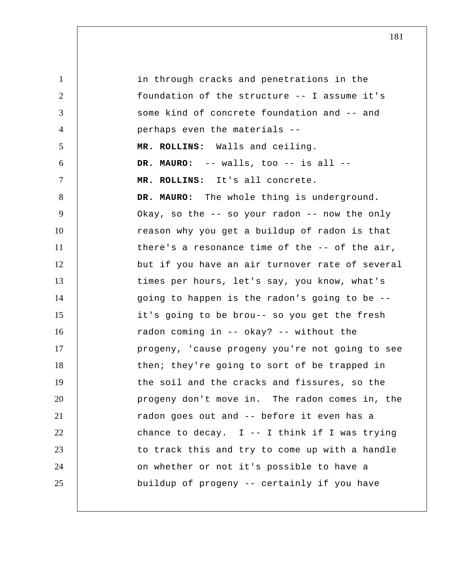1 2 3 4 5 6 7 8 9 10 11 12 13 14 15 16 17 18 19 20 21 22 23 24 25 in through cracks and penetrations in the foundation of the structure -- I assume it's some kind of concrete foundation and -- and perhaps even the materials --  **MR. ROLLINS:** Walls and ceiling. **DR. MAURO:** -- walls, too -- is all --  **MR. ROLLINS:** It's all concrete. **DR. MAURO:** The whole thing is underground. Okay, so the -- so your radon -- now the only reason why you get a buildup of radon is that there's a resonance time of the -- of the air, but if you have an air turnover rate of several times per hours, let's say, you know, what's going to happen is the radon's going to be - it's going to be brou-- so you get the fresh radon coming in -- okay? -- without the progeny, 'cause progeny you're not going to see then; they're going to sort of be trapped in the soil and the cracks and fissures, so the progeny don't move in. The radon comes in, the radon goes out and -- before it even has a chance to decay.  $I$  -- I think if I was trying to track this and try to come up with a handle on whether or not it's possible to have a buildup of progeny -- certainly if you have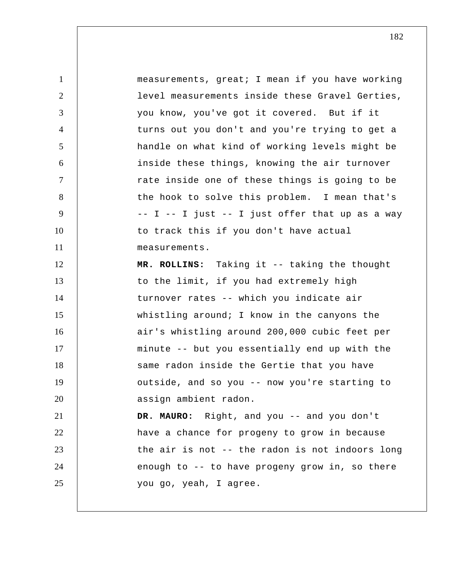1 2 3 4 5 6 7 8 9 10 11 12 13 14 15 16 17 18 19 20 21 22 23 24 25 measurements, great; I mean if you have working level measurements inside these Gravel Gerties, you know, you've got it covered. But if it turns out you don't and you're trying to get a handle on what kind of working levels might be inside these things, knowing the air turnover rate inside one of these things is going to be the hook to solve this problem. I mean that's  $-$  I  $-$  I just  $-$  I just offer that up as a way to track this if you don't have actual measurements.  **MR. ROLLINS:** Taking it -- taking the thought to the limit, if you had extremely high turnover rates -- which you indicate air whistling around; I know in the canyons the air's whistling around 200,000 cubic feet per minute -- but you essentially end up with the same radon inside the Gertie that you have outside, and so you -- now you're starting to assign ambient radon. **DR. MAURO:** Right, and you -- and you don't have a chance for progeny to grow in because the air is not -- the radon is not indoors long enough to -- to have progeny grow in, so there you go, yeah, I agree.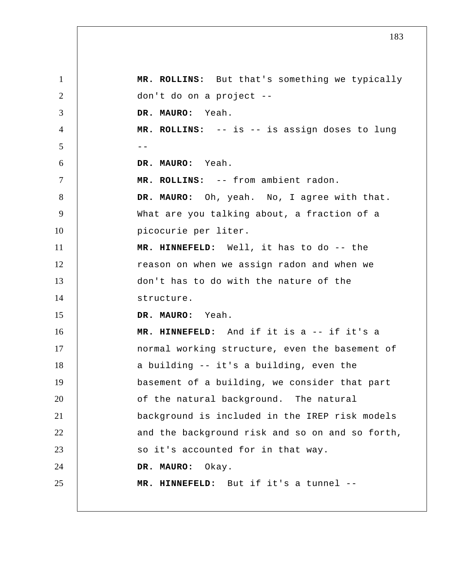1 2 3 4  $5$  --6 7 8 9 10 11 12 13 14 15 16 17 18 19 20 21 22 23 24 25  **MR. ROLLINS:** But that's something we typically don't do on a project --**DR. MAURO:** Yeah.  **MR. ROLLINS:** -- is -- is assign doses to lung **DR. MAURO:** Yeah.  **MR. ROLLINS:** -- from ambient radon. **DR. MAURO:** Oh, yeah. No, I agree with that. What are you talking about, a fraction of a picocurie per liter.  **MR. HINNEFELD:** Well, it has to do -- the reason on when we assign radon and when we don't has to do with the nature of the structure. **DR. MAURO:** Yeah.  **MR. HINNEFELD:** And if it is a -- if it's a normal working structure, even the basement of a building -- it's a building, even the basement of a building, we consider that part of the natural background. The natural background is included in the IREP risk models and the background risk and so on and so forth, so it's accounted for in that way. **DR. MAURO:** Okay.  **MR. HINNEFELD:** But if it's a tunnel --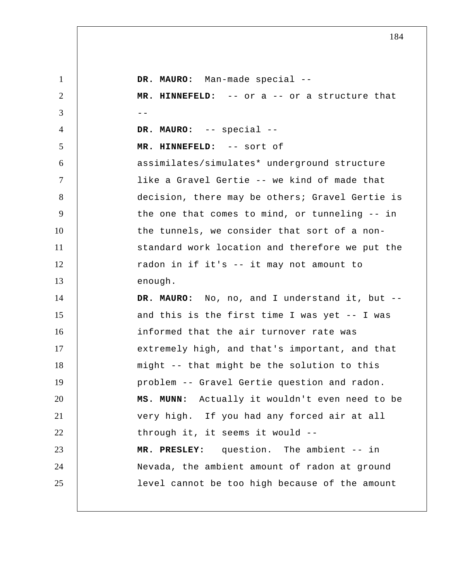| $\mathbf{1}$   | DR. MAURO: Man-made special --                  |
|----------------|-------------------------------------------------|
| $\overline{2}$ | MR. HINNEFELD: -- or a -- or a structure that   |
| 3              | $ -$                                            |
| $\overline{4}$ | DR. MAURO: -- special --                        |
| $\mathfrak{S}$ | MR. HINNEFELD: -- sort of                       |
| 6              | assimilates/simulates* underground structure    |
| $\overline{7}$ | like a Gravel Gertie -- we kind of made that    |
| 8              | decision, there may be others; Gravel Gertie is |
| 9              | the one that comes to mind, or tunneling -- in  |
| 10             | the tunnels, we consider that sort of a non-    |
| 11             | standard work location and therefore we put the |
| 12             | radon in if it's -- it may not amount to        |
| 13             | enough.                                         |
| 14             | DR. MAURO: No, no, and I understand it, but --  |
| 15             | and this is the first time I was yet -- I was   |
| 16             | informed that the air turnover rate was         |
| 17             | extremely high, and that's important, and that  |
| 18             | might -- that might be the solution to this     |
| 19             | problem -- Gravel Gertie question and radon.    |
| 20             | MS. MUNN: Actually it wouldn't even need to be  |
| 21             | very high. If you had any forced air at all     |
| 22             | through it, it seems it would --                |
| 23             | MR. PRESLEY: question. The ambient -- in        |
| 24             | Nevada, the ambient amount of radon at ground   |
| 25             | level cannot be too high because of the amount  |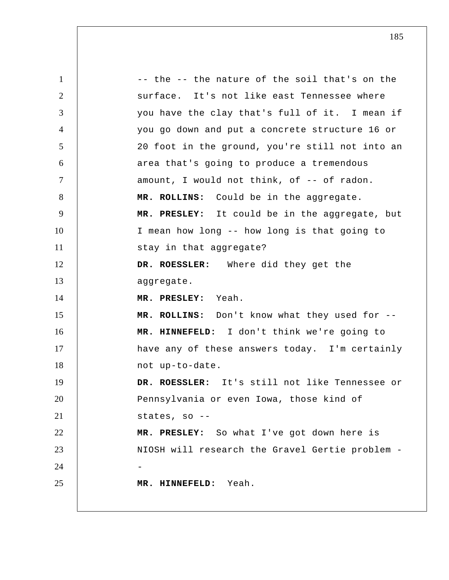1 2 3 4 5 6 7 8 9 10 11 12 13 14 15 16 17 18 19 20 21 22 23 24 25 -- the -- the nature of the soil that's on the surface. It's not like east Tennessee where you have the clay that's full of it. I mean if you go down and put a concrete structure 16 or 20 foot in the ground, you're still not into an area that's going to produce a tremendous amount, I would not think, of -- of radon.  **MR. ROLLINS:** Could be in the aggregate.  **MR. PRESLEY:** It could be in the aggregate, but I mean how long -- how long is that going to stay in that aggregate? **DR. ROESSLER:** Where did they get the aggregate.  **MR. PRESLEY:** Yeah.  **MR. ROLLINS:** Don't know what they used for --  **MR. HINNEFELD:** I don't think we're going to have any of these answers today. I'm certainly not up-to-date. **DR. ROESSLER:** It's still not like Tennessee or Pennsylvania or even Iowa, those kind of states, so --  **MR. PRESLEY:** So what I've got down here is NIOSH will research the Gravel Gertie problem - **MR. HINNEFELD:** Yeah.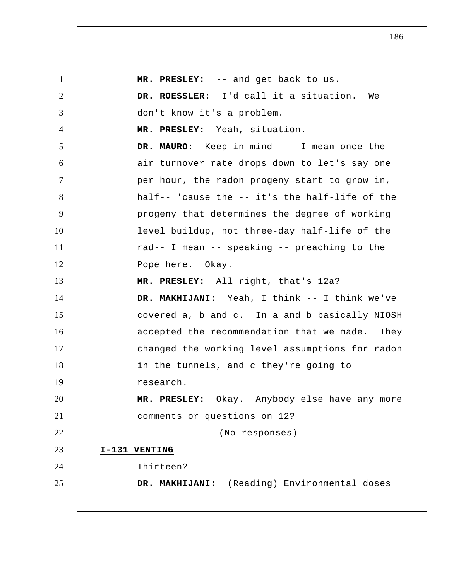1 2 3 4 5 6 7 8 9 10 11 12 13 14 15 16 17 18 19 20 21 22 23 24 25  **MR. PRESLEY:** -- and get back to us. **DR. ROESSLER:** I'd call it a situation. We don't know it's a problem.  **MR. PRESLEY:** Yeah, situation. **DR. MAURO:** Keep in mind -- I mean once the air turnover rate drops down to let's say one per hour, the radon progeny start to grow in, half-- 'cause the -- it's the half-life of the progeny that determines the degree of working level buildup, not three-day half-life of the rad-- I mean -- speaking -- preaching to the Pope here. Okay.  **MR. PRESLEY:** All right, that's 12a? DR. MAKHIJANI: Yeah, I think -- I think we've covered a, b and c. In a and b basically NIOSH accepted the recommendation that we made. They changed the working level assumptions for radon in the tunnels, and c they're going to research.  **MR. PRESLEY:** Okay. Anybody else have any more comments or questions on 12? (No responses) **I-131 VENTING**  Thirteen?  **DR. MAKHIJANI:** (Reading) Environmental doses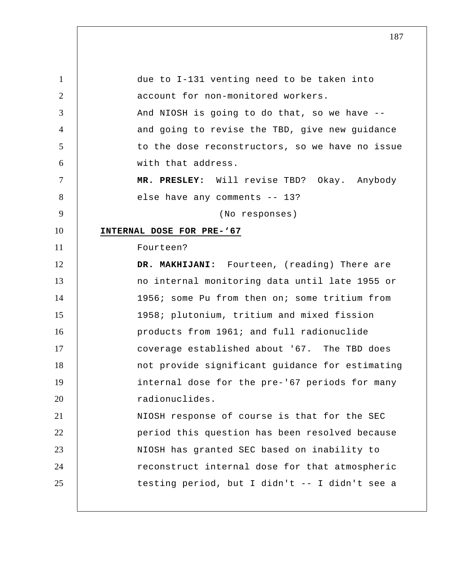1 2 3 4 5 6 7 8 9 10 11 12 13 14 15 16 17 18 19 20 21 22 23 24 25 due to I-131 venting need to be taken into account for non-monitored workers. And NIOSH is going to do that, so we have - and going to revise the TBD, give new guidance to the dose reconstructors, so we have no issue with that address.  **MR. PRESLEY:** Will revise TBD? Okay. Anybody else have any comments -- 13? (No responses) **INTERNAL DOSE FOR PRE-'67**  Fourteen?  **DR. MAKHIJANI:** Fourteen, (reading) There are no internal monitoring data until late 1955 or 1956; some Pu from then on; some tritium from 1958; plutonium, tritium and mixed fission products from 1961; and full radionuclide coverage established about '67. The TBD does not provide significant guidance for estimating internal dose for the pre-'67 periods for many radionuclides. NIOSH response of course is that for the SEC period this question has been resolved because NIOSH has granted SEC based on inability to reconstruct internal dose for that atmospheric testing period, but I didn't -- I didn't see a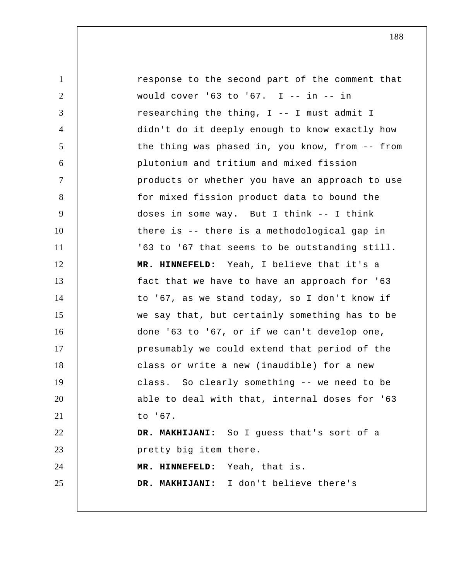1 2 3 4 5 6 7 8 9 10 11 12 13 14 15 16 17 18 19 20 21 22 23 24 25 response to the second part of the comment that would cover '63 to '67. I -- in -- in researching the thing, I -- I must admit I didn't do it deeply enough to know exactly how the thing was phased in, you know, from -- from plutonium and tritium and mixed fission products or whether you have an approach to use for mixed fission product data to bound the doses in some way. But I think -- I think there is -- there is a methodological gap in '63 to '67 that seems to be outstanding still.  **MR. HINNEFELD:** Yeah, I believe that it's a fact that we have to have an approach for '63 to '67, as we stand today, so I don't know if we say that, but certainly something has to be done '63 to '67, or if we can't develop one, presumably we could extend that period of the class or write a new (inaudible) for a new class. So clearly something -- we need to be able to deal with that, internal doses for '63 to '67.  **DR. MAKHIJANI:** So I guess that's sort of a pretty big item there.  **MR. HINNEFELD:** Yeah, that is.  **DR. MAKHIJANI:** I don't believe there's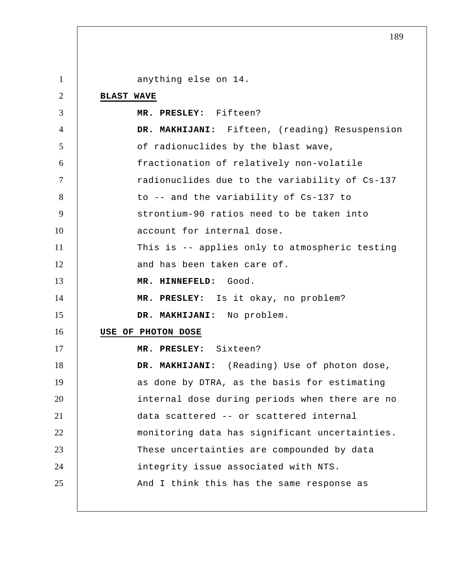1 2 3 4 5 6 7 8 9 10 11 12 13 14 15 16 17 18 19 20 21 22 23 24 25 anything else on 14. **BLAST WAVE MR. PRESLEY:** Fifteen?  **DR. MAKHIJANI:** Fifteen, (reading) Resuspension of radionuclides by the blast wave, fractionation of relatively non-volatile radionuclides due to the variability of Cs-137 to -- and the variability of Cs-137 to strontium-90 ratios need to be taken into account for internal dose. This is -- applies only to atmospheric testing and has been taken care of.  **MR. HINNEFELD:** Good.  **MR. PRESLEY:** Is it okay, no problem?  **DR. MAKHIJANI:** No problem. **USE OF PHOTON DOSE MR. PRESLEY:** Sixteen?  **DR. MAKHIJANI:** (Reading) Use of photon dose, as done by DTRA, as the basis for estimating internal dose during periods when there are no data scattered -- or scattered internal monitoring data has significant uncertainties. These uncertainties are compounded by data integrity issue associated with NTS. And I think this has the same response as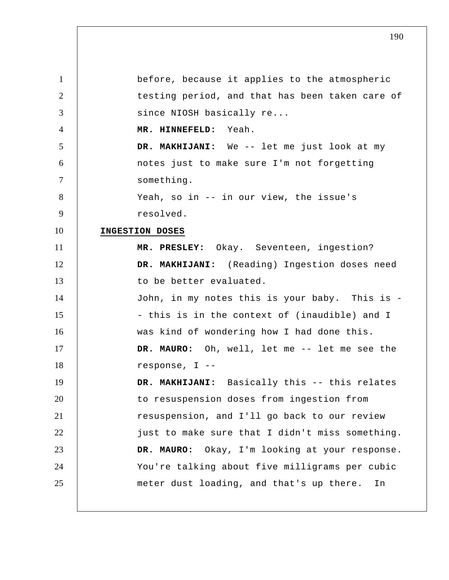1 2 3 4 5 6 7 8 9 10 11 12 13 14 15 16 17 18 19 20 21 22 23 24 25 before, because it applies to the atmospheric testing period, and that has been taken care of since NIOSH basically re...  **MR. HINNEFELD:** Yeah.  **DR. MAKHIJANI:** We -- let me just look at my notes just to make sure I'm not forgetting something. Yeah, so in -- in our view, the issue's resolved. **INGESTION DOSES MR. PRESLEY:** Okay. Seventeen, ingestion?  **DR. MAKHIJANI:** (Reading) Ingestion doses need to be better evaluated. John, in my notes this is your baby. This is -- this is in the context of (inaudible) and I was kind of wondering how I had done this. **DR. MAURO:** Oh, well, let me -- let me see the response, I --  **DR. MAKHIJANI:** Basically this -- this relates to resuspension doses from ingestion from resuspension, and I'll go back to our review just to make sure that I didn't miss something. **DR. MAURO:** Okay, I'm looking at your response. You're talking about five milligrams per cubic meter dust loading, and that's up there. In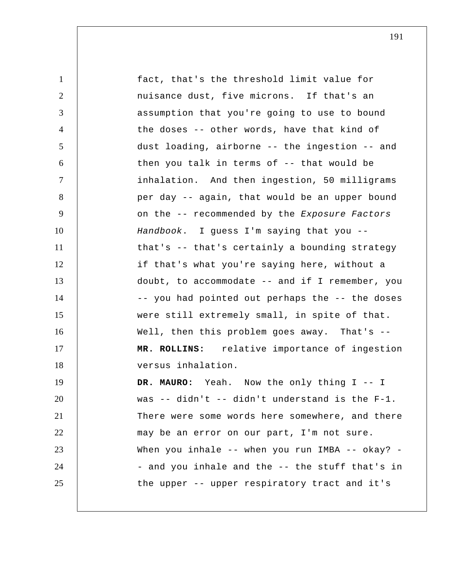1 2 3 4 5 6 7 8 9 10 11 12 13 14 15 16 17 18 19 20 21 22 23 24 25 fact, that's the threshold limit value for nuisance dust, five microns. If that's an assumption that you're going to use to bound the doses -- other words, have that kind of dust loading, airborne -- the ingestion -- and then you talk in terms of -- that would be inhalation. And then ingestion, 50 milligrams per day -- again, that would be an upper bound on the -- recommended by the *Exposure Factors Handbook*. I guess I'm saying that you - that's -- that's certainly a bounding strategy if that's what you're saying here, without a doubt, to accommodate -- and if I remember, you -- you had pointed out perhaps the -- the doses were still extremely small, in spite of that. Well, then this problem goes away. That's -- **MR. ROLLINS:** relative importance of ingestion versus inhalation. **DR. MAURO:** Yeah. Now the only thing I -- I was -- didn't -- didn't understand is the F-1. There were some words here somewhere, and there may be an error on our part, I'm not sure. When you inhale -- when you run IMBA -- okay? -- and you inhale and the -- the stuff that's in the upper -- upper respiratory tract and it's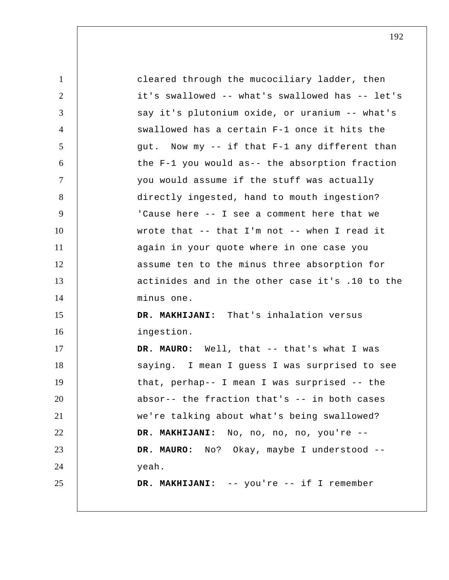| $\mathbf{1}$   | cleared through the mucociliary ladder, then     |
|----------------|--------------------------------------------------|
| $\overline{2}$ | it's swallowed -- what's swallowed has -- let's  |
| 3              | say it's plutonium oxide, or uranium -- what's   |
| $\overline{4}$ | swallowed has a certain F-1 once it hits the     |
| 5              | gut. Now my -- if that F-1 any different than    |
| 6              | the F-1 you would as-- the absorption fraction   |
| $\tau$         | you would assume if the stuff was actually       |
| 8              | directly ingested, hand to mouth ingestion?      |
| 9              | 'Cause here -- I see a comment here that we      |
| 10             | wrote that $--$ that I'm not $--$ when I read it |
| 11             | again in your quote where in one case you        |
| 12             | assume ten to the minus three absorption for     |
| 13             | actinides and in the other case it's .10 to the  |
| 14             | minus one.                                       |
| 15             | DR. MAKHIJANI: That's inhalation versus          |
| 16             | ingestion.                                       |
| 17             | DR. MAURO: Well, that -- that's what I was       |
| 18             | saying. I mean I guess I was surprised to see    |
| 19             | that, perhap-- I mean I was surprised -- the     |
| 20             | absor-- the fraction that's -- in both cases     |
| 21             | we're talking about what's being swallowed?      |
| 22             | DR. MAKHIJANI: No, no, no, no, you're --         |
| 23             | DR. MAURO: No? Okay, maybe I understood --       |
| 24             | yeah.                                            |
| 25             | DR. MAKHIJANI: -- you're -- if I remember        |
|                |                                                  |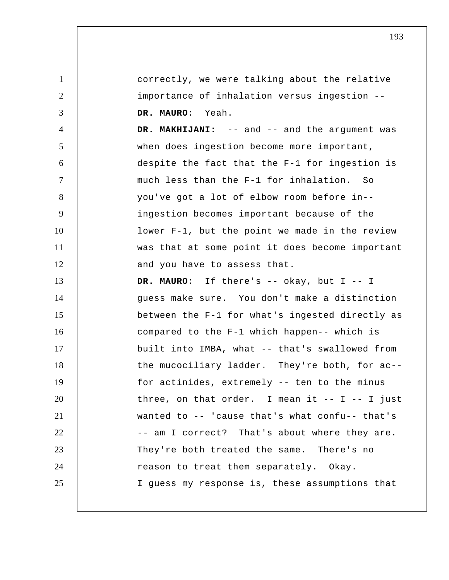1 2 3 4 5 6 7 8 9 10 11 12 13 14 15 16 17 18 19 20 21 22 23 24 25 correctly, we were talking about the relative importance of inhalation versus ingestion -- **DR. MAURO:** Yeah.  **DR. MAKHIJANI:** -- and -- and the argument was when does ingestion become more important, despite the fact that the F-1 for ingestion is much less than the F-1 for inhalation. So you've got a lot of elbow room before in- ingestion becomes important because of the lower F-1, but the point we made in the review was that at some point it does become important and you have to assess that. **DR. MAURO:** If there's -- okay, but I -- I guess make sure. You don't make a distinction between the F-1 for what's ingested directly as compared to the F-1 which happen-- which is built into IMBA, what -- that's swallowed from the mucociliary ladder. They're both, for ac- for actinides, extremely -- ten to the minus three, on that order. I mean it  $-$ - I  $-$  I just wanted to -- 'cause that's what confu-- that's -- am I correct? That's about where they are. They're both treated the same. There's no reason to treat them separately. Okay. I guess my response is, these assumptions that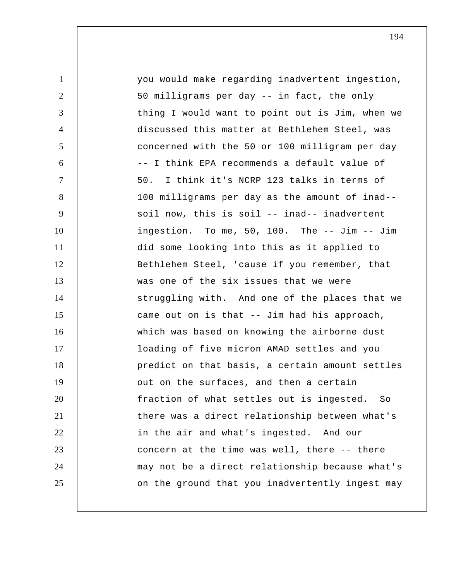| $\mathbf{1}$   | you would make regarding inadvertent ingestion,  |
|----------------|--------------------------------------------------|
| $\overline{2}$ | 50 milligrams per day -- in fact, the only       |
| 3              | thing I would want to point out is Jim, when we  |
| $\overline{4}$ | discussed this matter at Bethlehem Steel, was    |
| 5              | concerned with the 50 or 100 milligram per day   |
| 6              | -- I think EPA recommends a default value of     |
| $\tau$         | 50. I think it's NCRP 123 talks in terms of      |
| 8              | 100 milligrams per day as the amount of inad--   |
| 9              | soil now, this is soil -- inad-- inadvertent     |
| 10             | ingestion. To me, 50, 100. The -- Jim -- Jim     |
| 11             | did some looking into this as it applied to      |
| 12             | Bethlehem Steel, 'cause if you remember, that    |
| 13             | was one of the six issues that we were           |
| 14             | struggling with. And one of the places that we   |
| 15             | came out on is that -- Jim had his approach,     |
| 16             | which was based on knowing the airborne dust     |
| 17             | loading of five micron AMAD settles and you      |
| 18             | predict on that basis, a certain amount settles  |
| 19             | out on the surfaces, and then a certain          |
| 20             | fraction of what settles out is ingested.<br>So. |
| 21             | there was a direct relationship between what's   |
| 22             | in the air and what's ingested. And our          |
| 23             | concern at the time was well, there -- there     |
| 24             | may not be a direct relationship because what's  |
| 25             | on the ground that you inadvertently ingest may  |
|                |                                                  |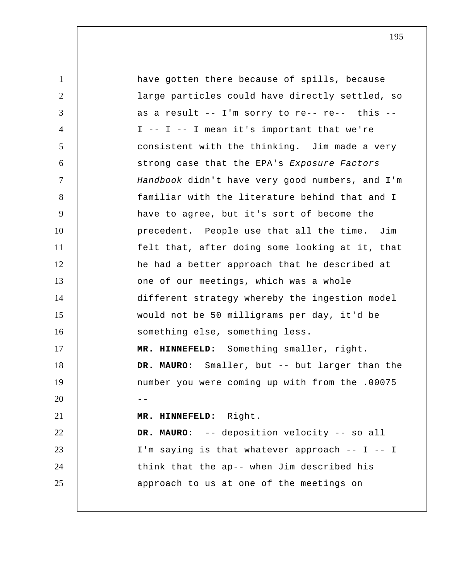1 2 3 4 5 6 7 8 9 10 11 12 13 14 15 16 17 18 19  $20$   $-$ 21 22 23 24 25 have gotten there because of spills, because large particles could have directly settled, so as a result -- I'm sorry to re-- re-- this --  $I$  --  $I$  --  $I$  mean it's important that we're consistent with the thinking. Jim made a very strong case that the EPA's *Exposure Factors Handbook* didn't have very good numbers, and I'm familiar with the literature behind that and I have to agree, but it's sort of become the precedent. People use that all the time. Jim felt that, after doing some looking at it, that he had a better approach that he described at one of our meetings, which was a whole different strategy whereby the ingestion model would not be 50 milligrams per day, it'd be something else, something less.  **MR. HINNEFELD:** Something smaller, right. **DR. MAURO:** Smaller, but -- but larger than the number you were coming up with from the .00075  **MR. HINNEFELD:** Right. **DR. MAURO:** -- deposition velocity -- so all I'm saying is that whatever approach -- I -- I think that the ap-- when Jim described his approach to us at one of the meetings on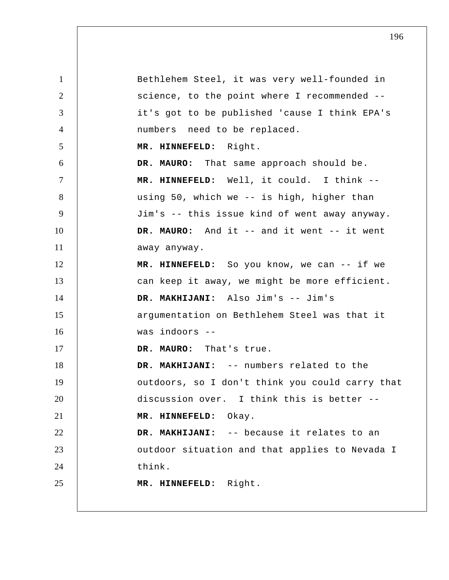1 2 3 4 5 6 7 8 9 10 11 12 13 14 15 16 17 18 19 20 21 22 23 24 25 Bethlehem Steel, it was very well-founded in science, to the point where I recommended - it's got to be published 'cause I think EPA's numbers need to be replaced.  **MR. HINNEFELD:** Right. **DR. MAURO:** That same approach should be.  **MR. HINNEFELD:** Well, it could. I think - using 50, which we -- is high, higher than Jim's -- this issue kind of went away anyway. **DR. MAURO:** And it -- and it went -- it went away anyway.  **MR. HINNEFELD:** So you know, we can -- if we can keep it away, we might be more efficient.  **DR. MAKHIJANI:** Also Jim's -- Jim's argumentation on Bethlehem Steel was that it was indoors --**DR. MAURO:** That's true.  **DR. MAKHIJANI:** -- numbers related to the outdoors, so I don't think you could carry that discussion over. I think this is better --  **MR. HINNEFELD:** Okay.  **DR. MAKHIJANI:** -- because it relates to an outdoor situation and that applies to Nevada I think.  **MR. HINNEFELD:** Right.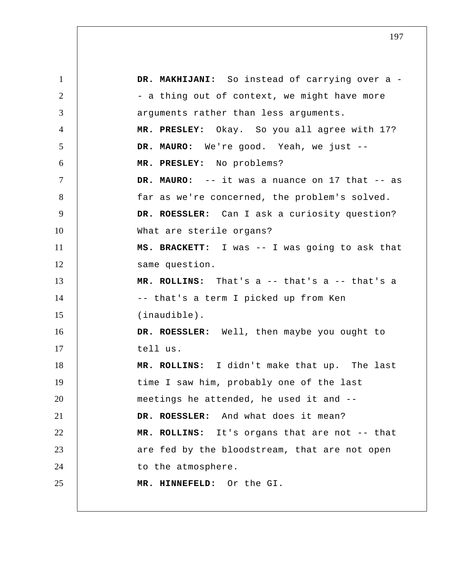1 2 3 4 5 6 7 8 9 10 11 12 13 14 15 16 17 18 19 20 21 22 23 24 25 DR. MAKHIJANI: So instead of carrying over a -- a thing out of context, we might have more arguments rather than less arguments.  **MR. PRESLEY:** Okay. So you all agree with 17? **DR. MAURO:** We're good. Yeah, we just --  **MR. PRESLEY:** No problems? **DR. MAURO:** -- it was a nuance on 17 that -- as far as we're concerned, the problem's solved. **DR. ROESSLER:** Can I ask a curiosity question? What are sterile organs? **MS. BRACKETT:** I was -- I was going to ask that same question.  **MR. ROLLINS:** That's a -- that's a -- that's a -- that's a term I picked up from Ken (inaudible). **DR. ROESSLER:** Well, then maybe you ought to tell us.  **MR. ROLLINS:** I didn't make that up. The last time I saw him, probably one of the last meetings he attended, he used it and -- **DR. ROESSLER:** And what does it mean?  **MR. ROLLINS:** It's organs that are not -- that are fed by the bloodstream, that are not open to the atmosphere.  **MR. HINNEFELD:** Or the GI.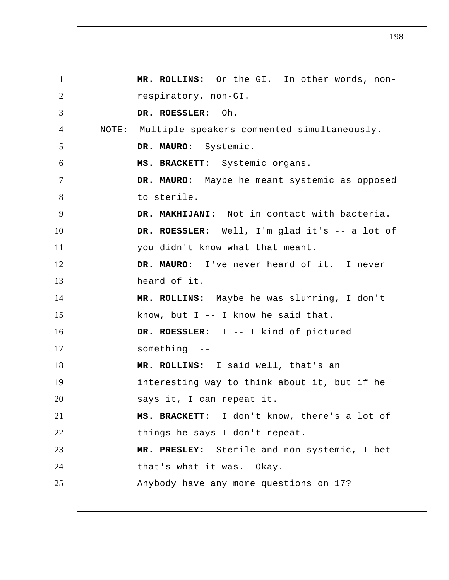1 2 3 4 5 6 7 8 9 10 11 12 13 14 15 16 17 18 19 20 21 22 23 24 25  **MR. ROLLINS:** Or the GI. In other words, nonrespiratory, non-GI. **DR. ROESSLER:** Oh. NOTE: Multiple speakers commented simultaneously. **DR. MAURO:** Systemic. **MS. BRACKETT:** Systemic organs. **DR. MAURO:** Maybe he meant systemic as opposed to sterile.  **DR. MAKHIJANI:** Not in contact with bacteria. **DR. ROESSLER:** Well, I'm glad it's -- a lot of you didn't know what that meant. **DR. MAURO:** I've never heard of it. I never heard of it.  **MR. ROLLINS:** Maybe he was slurring, I don't know, but  $I$  -- I know he said that. **DR. ROESSLER:** I -- I kind of pictured something --  **MR. ROLLINS:** I said well, that's an interesting way to think about it, but if he says it, I can repeat it. **MS. BRACKETT:** I don't know, there's a lot of things he says I don't repeat.  **MR. PRESLEY:** Sterile and non-systemic, I bet that's what it was. Okay. Anybody have any more questions on 17?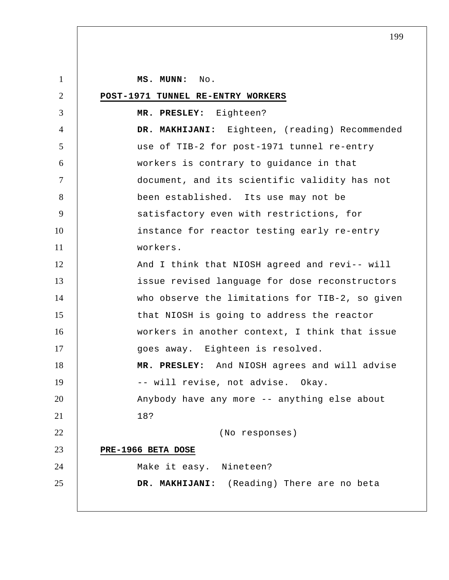1 2 3 4 5 6 7 8 9 10 11 12 13 14 15 16 17 18 19 20 21 22 23 24 25  **MS. MUNN:** No. **POST-1971 TUNNEL RE-ENTRY WORKERS MR. PRESLEY:** Eighteen?  **DR. MAKHIJANI:** Eighteen, (reading) Recommended use of TIB-2 for post-1971 tunnel re-entry workers is contrary to guidance in that document, and its scientific validity has not been established. Its use may not be satisfactory even with restrictions, for instance for reactor testing early re-entry workers. And I think that NIOSH agreed and revi-- will issue revised language for dose reconstructors who observe the limitations for TIB-2, so given that NIOSH is going to address the reactor workers in another context, I think that issue goes away. Eighteen is resolved.  **MR. PRESLEY:** And NIOSH agrees and will advise -- will revise, not advise. Okay. Anybody have any more -- anything else about 18? (No responses) **PRE-1966 BETA DOSE** Make it easy. Nineteen?  **DR. MAKHIJANI:** (Reading) There are no beta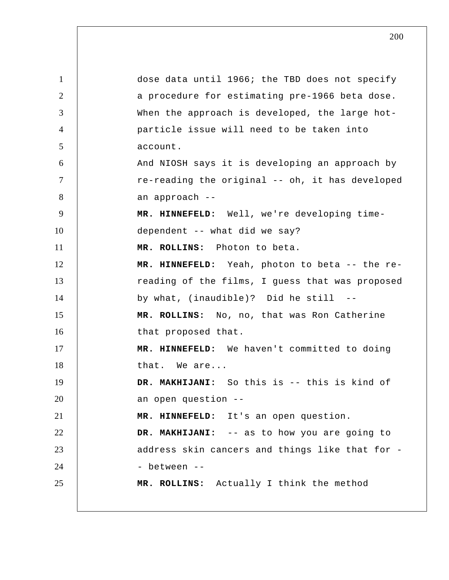1 2 3 4 5 6 7 8 9 10 11 12 13 14 15 16 17 18 19 20 21 22 23 24 25 dose data until 1966; the TBD does not specify a procedure for estimating pre-1966 beta dose. When the approach is developed, the large hot particle issue will need to be taken into account. And NIOSH says it is developing an approach by re-reading the original -- oh, it has developed an approach -- **MR. HINNEFELD:** Well, we're developing timedependent -- what did we say?  **MR. ROLLINS:** Photon to beta.  **MR. HINNEFELD:** Yeah, photon to beta -- the rereading of the films, I guess that was proposed by what, (inaudible)? Did he still -- **MR. ROLLINS:** No, no, that was Ron Catherine that proposed that.  **MR. HINNEFELD:** We haven't committed to doing that. We are...  **DR. MAKHIJANI:** So this is -- this is kind of an open question -- **MR. HINNEFELD:** It's an open question.  **DR. MAKHIJANI:** -- as to how you are going to address skin cancers and things like that for - between -- **MR. ROLLINS:** Actually I think the method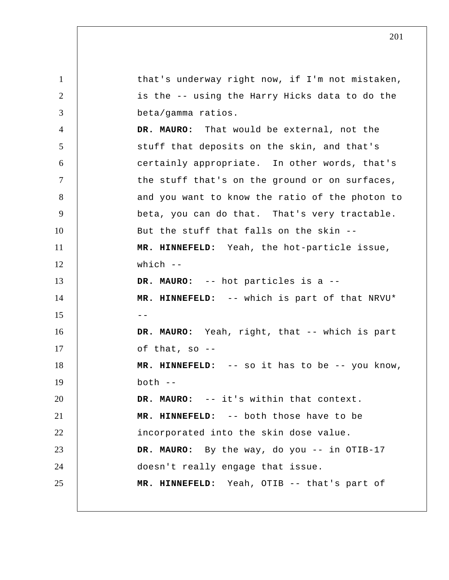1 2 3 4 5 6 7 8 9 10 11 12 13 14  $15$  --16 17 18 19 20 21 22 23 24 25 that's underway right now, if I'm not mistaken, is the -- using the Harry Hicks data to do the beta/gamma ratios. **DR. MAURO:** That would be external, not the stuff that deposits on the skin, and that's certainly appropriate. In other words, that's the stuff that's on the ground or on surfaces, and you want to know the ratio of the photon to beta, you can do that. That's very tractable. But the stuff that falls on the skin --  **MR. HINNEFELD:** Yeah, the hot-particle issue, which  $--$ **DR. MAURO:** -- hot particles is a --  **MR. HINNEFELD:** -- which is part of that NRVU\* **DR. MAURO:** Yeah, right, that -- which is part of that, so --  **MR. HINNEFELD:** -- so it has to be -- you know,  $both --$ **DR. MAURO:** -- it's within that context.  **MR. HINNEFELD:** -- both those have to be incorporated into the skin dose value. **DR. MAURO:** By the way, do you -- in OTIB-17 doesn't really engage that issue.  **MR. HINNEFELD:** Yeah, OTIB -- that's part of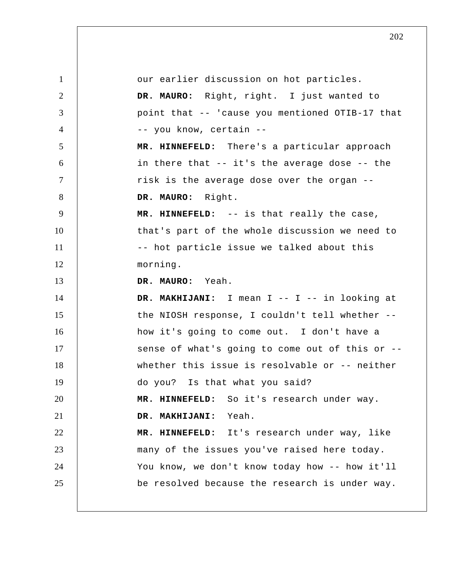1 2 3 4 5 6 7 8 9 10 11 12 13 14 15 16 17 18 19 20 21 22 23 24 25 our earlier discussion on hot particles. **DR. MAURO:** Right, right. I just wanted to point that -- 'cause you mentioned OTIB-17 that -- you know, certain --  **MR. HINNEFELD:** There's a particular approach in there that -- it's the average dose -- the risk is the average dose over the organ -- **DR. MAURO:** Right.  **MR. HINNEFELD:** -- is that really the case, that's part of the whole discussion we need to -- hot particle issue we talked about this morning. **DR. MAURO:** Yeah.  **DR. MAKHIJANI:** I mean I -- I -- in looking at the NIOSH response, I couldn't tell whether - how it's going to come out. I don't have a sense of what's going to come out of this or - whether this issue is resolvable or -- neither do you? Is that what you said?  **MR. HINNEFELD:** So it's research under way.  **DR. MAKHIJANI:** Yeah.  **MR. HINNEFELD:** It's research under way, like many of the issues you've raised here today. You know, we don't know today how -- how it'll be resolved because the research is under way.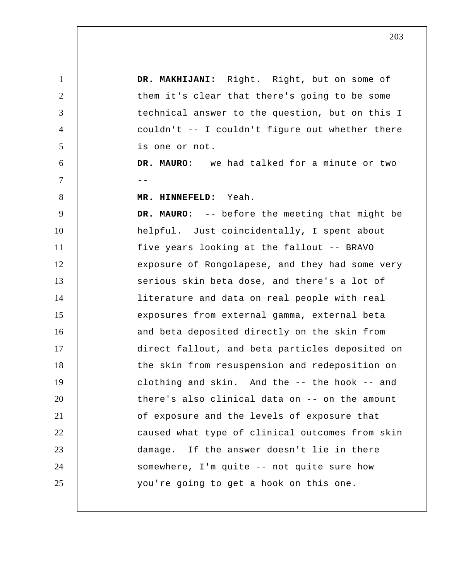1 2 3 4 5 6  $7$  --8 9 10 11 12 13 14 15 16 17 18 19 20 21 22 23 24 25  **DR. MAKHIJANI:** Right. Right, but on some of them it's clear that there's going to be some technical answer to the question, but on this I couldn't -- I couldn't figure out whether there is one or not. **DR. MAURO:** we had talked for a minute or two  **MR. HINNEFELD:** Yeah. **DR. MAURO:** -- before the meeting that might be helpful. Just coincidentally, I spent about five years looking at the fallout -- BRAVO exposure of Rongolapese, and they had some very serious skin beta dose, and there's a lot of literature and data on real people with real exposures from external gamma, external beta and beta deposited directly on the skin from direct fallout, and beta particles deposited on the skin from resuspension and redeposition on clothing and skin. And the -- the hook -- and there's also clinical data on -- on the amount of exposure and the levels of exposure that caused what type of clinical outcomes from skin damage. If the answer doesn't lie in there somewhere, I'm quite -- not quite sure how you're going to get a hook on this one.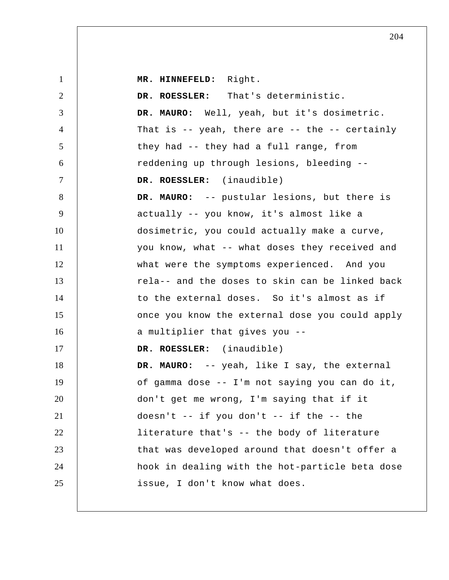1 2 3 4 5 6 7 8 9 10 11 12 13 14 15 16 17 18 19 20 21 22 23 24 25  **MR. HINNEFELD:** Right. **DR. ROESSLER:** That's deterministic. **DR. MAURO:** Well, yeah, but it's dosimetric. That is -- yeah, there are -- the -- certainly they had -- they had a full range, from reddening up through lesions, bleeding -- **DR. ROESSLER:** (inaudible) **DR. MAURO:** -- pustular lesions, but there is actually -- you know, it's almost like a dosimetric, you could actually make a curve, you know, what -- what doses they received and what were the symptoms experienced. And you rela-- and the doses to skin can be linked back to the external doses. So it's almost as if once you know the external dose you could apply a multiplier that gives you -- **DR. ROESSLER:** (inaudible) **DR. MAURO:** -- yeah, like I say, the external of gamma dose -- I'm not saying you can do it, don't get me wrong, I'm saying that if it doesn't -- if you don't -- if the -- the literature that's -- the body of literature that was developed around that doesn't offer a hook in dealing with the hot-particle beta dose issue, I don't know what does.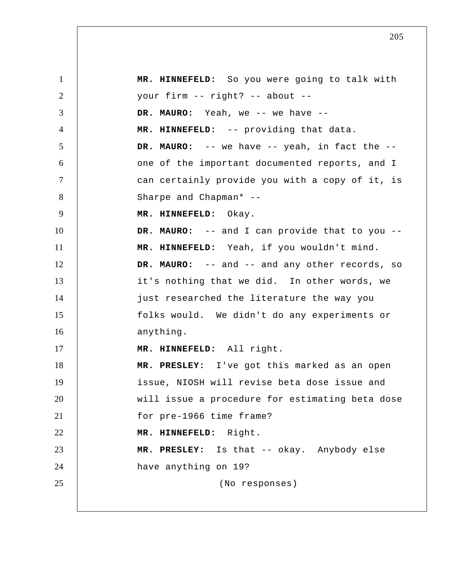1 2 3 4 5 6 7 8 9 10 11 12 13 14 15 16 17 18 19 20 21 22 23 24 25  **MR. HINNEFELD:** So you were going to talk with your firm -- right? -- about -- **DR. MAURO:** Yeah, we -- we have -- **MR. HINNEFELD:** -- providing that data. **DR. MAURO:** -- we have -- yeah, in fact the - one of the important documented reports, and I can certainly provide you with a copy of it, is Sharpe and Chapman\* -- **MR. HINNEFELD:** Okay. **DR. MAURO:** -- and I can provide that to you --  **MR. HINNEFELD:** Yeah, if you wouldn't mind. **DR. MAURO:** -- and -- and any other records, so it's nothing that we did. In other words, we just researched the literature the way you folks would. We didn't do any experiments or anything.  **MR. HINNEFELD:** All right.  **MR. PRESLEY:** I've got this marked as an open issue, NIOSH will revise beta dose issue and will issue a procedure for estimating beta dose for pre-1966 time frame?  **MR. HINNEFELD:** Right.  **MR. PRESLEY:** Is that -- okay. Anybody else have anything on 19? (No responses)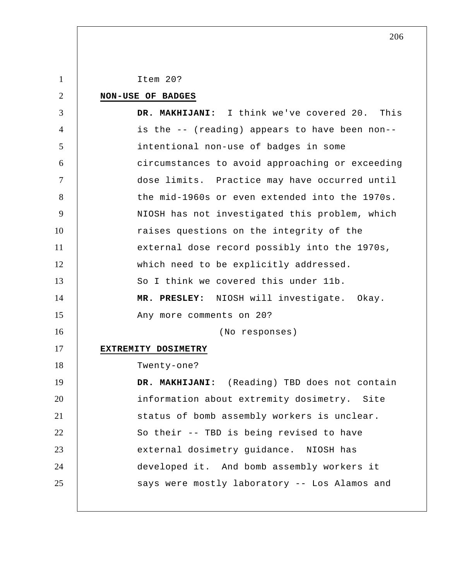| $\mathbf{1}$   | Item 20?                                        |
|----------------|-------------------------------------------------|
| $\overline{2}$ | NON-USE OF BADGES                               |
| 3              | DR. MAKHIJANI: I think we've covered 20. This   |
| $\overline{4}$ | is the -- (reading) appears to have been non--  |
| 5              | intentional non-use of badges in some           |
| 6              | circumstances to avoid approaching or exceeding |
| $\overline{7}$ | dose limits. Practice may have occurred until   |
| 8              | the mid-1960s or even extended into the 1970s.  |
| 9              | NIOSH has not investigated this problem, which  |
| 10             | raises questions on the integrity of the        |
| 11             | external dose record possibly into the 1970s,   |
| 12             | which need to be explicitly addressed.          |
| 13             | So I think we covered this under 11b.           |
| 14             | MR. PRESLEY: NIOSH will investigate. Okay.      |
| 15             | Any more comments on 20?                        |
| 16             | (No responses)                                  |
| 17             | EXTREMITY DOSIMETRY                             |
| 18             | Twenty-one?                                     |
| 19             | DR. MAKHIJANI: (Reading) TBD does not contain   |
| 20             | information about extremity dosimetry.<br>Site  |
| 21             | status of bomb assembly workers is unclear.     |
| 22             | So their -- TBD is being revised to have        |
| 23             | external dosimetry guidance. NIOSH has          |
| 24             | developed it. And bomb assembly workers it      |
| 25             | says were mostly laboratory -- Los Alamos and   |
|                |                                                 |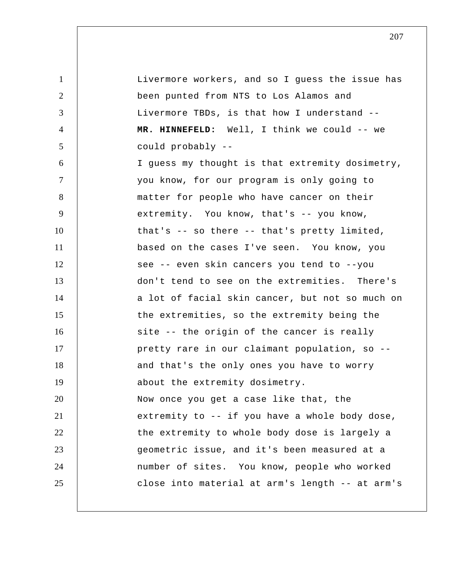1 2 3 4 5 6 7 8 9 10 11 12 13 14 15 16 17 18 19 20 21 22 23 24 25 Livermore workers, and so I guess the issue has been punted from NTS to Los Alamos and Livermore TBDs, is that how I understand --  **MR. HINNEFELD:** Well, I think we could -- we could probably -- I guess my thought is that extremity dosimetry, you know, for our program is only going to matter for people who have cancer on their extremity. You know, that's -- you know, that's -- so there -- that's pretty limited, based on the cases I've seen. You know, you see -- even skin cancers you tend to --you don't tend to see on the extremities. There's a lot of facial skin cancer, but not so much on the extremities, so the extremity being the site -- the origin of the cancer is really pretty rare in our claimant population, so - and that's the only ones you have to worry about the extremity dosimetry. Now once you get a case like that, the extremity to -- if you have a whole body dose, the extremity to whole body dose is largely a geometric issue, and it's been measured at a number of sites. You know, people who worked close into material at arm's length -- at arm's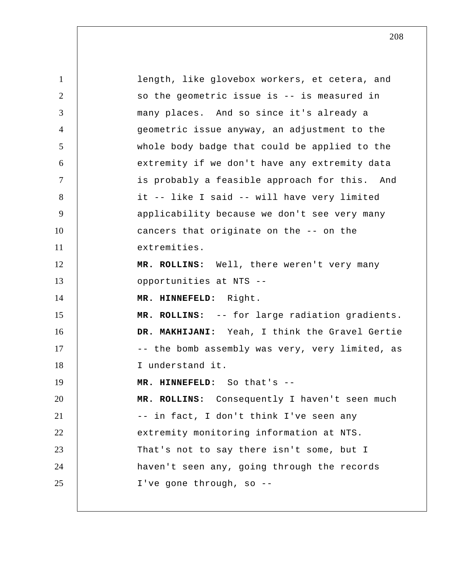1 2 3 4 5 6 7 8 9 10 11 12 13 14 15 16 17 18 19 20 21 22 23 24 25 length, like glovebox workers, et cetera, and so the geometric issue is -- is measured in many places. And so since it's already a geometric issue anyway, an adjustment to the whole body badge that could be applied to the extremity if we don't have any extremity data is probably a feasible approach for this. And it -- like I said -- will have very limited applicability because we don't see very many cancers that originate on the -- on the extremities.  **MR. ROLLINS:** Well, there weren't very many opportunities at NTS --  **MR. HINNEFELD:** Right.  **MR. ROLLINS:** -- for large radiation gradients.  **DR. MAKHIJANI:** Yeah, I think the Gravel Gertie -- the bomb assembly was very, very limited, as I understand it.  **MR. HINNEFELD:** So that's -- **MR. ROLLINS:** Consequently I haven't seen much -- in fact, I don't think I've seen any extremity monitoring information at NTS. That's not to say there isn't some, but I haven't seen any, going through the records I've gone through, so --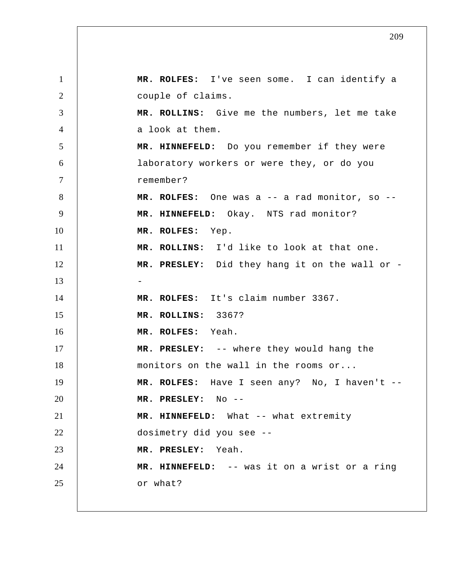1 2 3 4 5 6 7 8 9 10 11 12 13 14 15 16 17 18 19 20 21 22 23 24 25  **MR. ROLFES:** I've seen some. I can identify a couple of claims.  **MR. ROLLINS:** Give me the numbers, let me take a look at them.  **MR. HINNEFELD:** Do you remember if they were laboratory workers or were they, or do you remember?  **MR. ROLFES:** One was a -- a rad monitor, so --  **MR. HINNEFELD:** Okay. NTS rad monitor?  **MR. ROLFES:** Yep.  **MR. ROLLINS:** I'd like to look at that one.  **MR. PRESLEY:** Did they hang it on the wall or - **MR. ROLFES:** It's claim number 3367.  **MR. ROLLINS:** 3367?  **MR. ROLFES:** Yeah.  **MR. PRESLEY:** -- where they would hang the monitors on the wall in the rooms or...  **MR. ROLFES:** Have I seen any? No, I haven't -- **MR. PRESLEY:** No -- **MR. HINNEFELD:** What -- what extremity dosimetry did you see --  **MR. PRESLEY:** Yeah.  **MR. HINNEFELD:** -- was it on a wrist or a ring or what?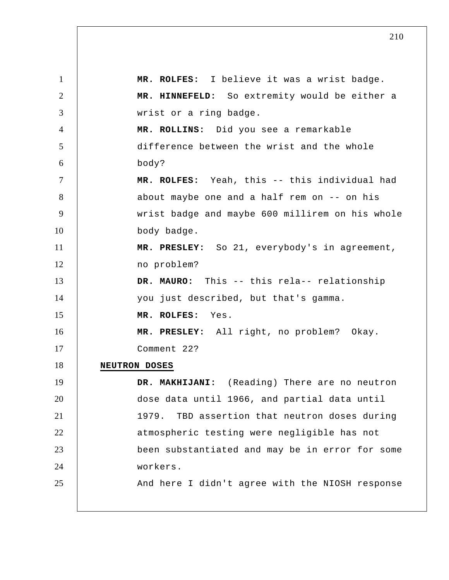1 2 3 4 5 6 7 8 9 10 11 12 13 14 15 16 17 18 19 20 21 22 23 24 25  **MR. ROLFES:** I believe it was a wrist badge.  **MR. HINNEFELD:** So extremity would be either a wrist or a ring badge.  **MR. ROLLINS:** Did you see a remarkable difference between the wrist and the whole body?  **MR. ROLFES:** Yeah, this -- this individual had about maybe one and a half rem on -- on his wrist badge and maybe 600 millirem on his whole body badge.  **MR. PRESLEY:** So 21, everybody's in agreement, no problem? **DR. MAURO:** This -- this rela-- relationship you just described, but that's gamma.  **MR. ROLFES:** Yes.  **MR. PRESLEY:** All right, no problem? Okay. Comment 22? **NEUTRON DOSES DR. MAKHIJANI:** (Reading) There are no neutron dose data until 1966, and partial data until 1979. TBD assertion that neutron doses during atmospheric testing were negligible has not been substantiated and may be in error for some workers. And here I didn't agree with the NIOSH response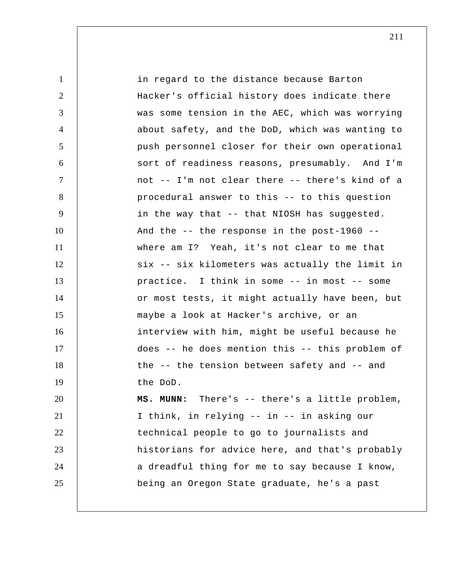1 2 3 4 5 6 7 8 9 10 11 12 13 14 15 16 17 18 19 20 21 22 23 24 25 in regard to the distance because Barton Hacker's official history does indicate there was some tension in the AEC, which was worrying about safety, and the DoD, which was wanting to push personnel closer for their own operational sort of readiness reasons, presumably. And I'm not -- I'm not clear there -- there's kind of a procedural answer to this -- to this question in the way that -- that NIOSH has suggested. And the -- the response in the post-1960 - where am I? Yeah, it's not clear to me that six -- six kilometers was actually the limit in practice. I think in some -- in most -- some or most tests, it might actually have been, but maybe a look at Hacker's archive, or an interview with him, might be useful because he does -- he does mention this -- this problem of the -- the tension between safety and -- and the DoD.  **MS. MUNN:** There's -- there's a little problem, I think, in relying -- in -- in asking our technical people to go to journalists and historians for advice here, and that's probably a dreadful thing for me to say because I know, being an Oregon State graduate, he's a past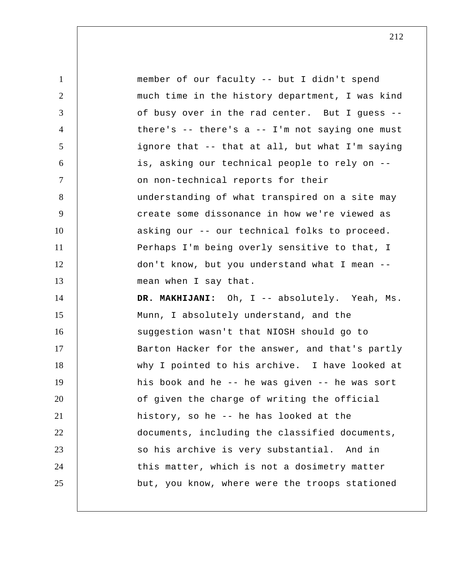| $\mathbf{1}$   | member of our faculty -- but I didn't spend       |
|----------------|---------------------------------------------------|
| $\overline{2}$ | much time in the history department, I was kind   |
| 3              | of busy over in the rad center. But I guess --    |
| $\overline{4}$ | there's $-$ there's a $-$ I'm not saying one must |
| 5              | ignore that -- that at all, but what I'm saying   |
| 6              | is, asking our technical people to rely on --     |
| $\tau$         | on non-technical reports for their                |
| 8              | understanding of what transpired on a site may    |
| 9              | create some dissonance in how we're viewed as     |
| 10             | asking our -- our technical folks to proceed.     |
| 11             | Perhaps I'm being overly sensitive to that, I     |
| 12             | don't know, but you understand what I mean --     |
| 13             | mean when I say that.                             |
| 14             | DR. MAKHIJANI: Oh, I -- absolutely. Yeah, Ms.     |
| 15             | Munn, I absolutely understand, and the            |
| 16             | suggestion wasn't that NIOSH should go to         |
| 17             | Barton Hacker for the answer, and that's partly   |
| 18             | why I pointed to his archive. I have looked at    |
| 19             | his book and he -- he was given -- he was sort    |
| 20             | of given the charge of writing the official       |
| 21             | history, so he -- he has looked at the            |
| 22             | documents, including the classified documents,    |
| 23             | so his archive is very substantial. And in        |
| 24             | this matter, which is not a dosimetry matter      |
| 25             | but, you know, where were the troops stationed    |
|                |                                                   |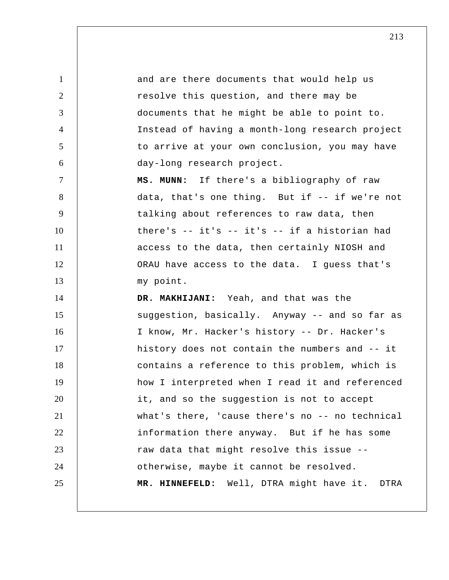1 2 3 4 5 6 7 8 9 10 11 12 13 14 15 16 17 18 19 20 21 22 23 24 25 and are there documents that would help us resolve this question, and there may be documents that he might be able to point to. Instead of having a month-long research project to arrive at your own conclusion, you may have day-long research project.  **MS. MUNN:** If there's a bibliography of raw data, that's one thing. But if -- if we're not talking about references to raw data, then there's -- it's -- it's -- if a historian had access to the data, then certainly NIOSH and ORAU have access to the data. I guess that's my point.  **DR. MAKHIJANI:** Yeah, and that was the suggestion, basically. Anyway -- and so far as I know, Mr. Hacker's history -- Dr. Hacker's history does not contain the numbers and -- it contains a reference to this problem, which is how I interpreted when I read it and referenced it, and so the suggestion is not to accept what's there, 'cause there's no -- no technical information there anyway. But if he has some raw data that might resolve this issue - otherwise, maybe it cannot be resolved.  **MR. HINNEFELD:** Well, DTRA might have it. DTRA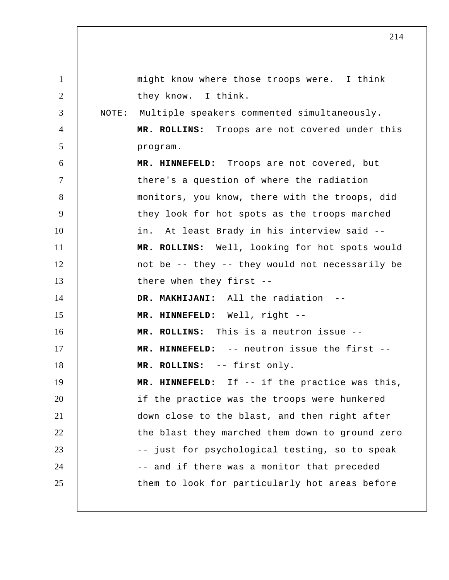1 2 3 4 5 6 7 8 9 10 11 12 13 14 15 16 17 18 19 20 21 22 23 24 25 might know where those troops were. I think they know. I think. NOTE: Multiple speakers commented simultaneously.  **MR. ROLLINS:** Troops are not covered under this program.  **MR. HINNEFELD:** Troops are not covered, but there's a question of where the radiation monitors, you know, there with the troops, did they look for hot spots as the troops marched in. At least Brady in his interview said --  **MR. ROLLINS:** Well, looking for hot spots would not be -- they -- they would not necessarily be there when they first --  **DR. MAKHIJANI:** All the radiation -- **MR. HINNEFELD:** Well, right -- **MR. ROLLINS:** This is a neutron issue --  **MR. HINNEFELD:** -- neutron issue the first --  **MR. ROLLINS:** -- first only.  **MR. HINNEFELD:** If -- if the practice was this, if the practice was the troops were hunkered down close to the blast, and then right after the blast they marched them down to ground zero -- just for psychological testing, so to speak -- and if there was a monitor that preceded them to look for particularly hot areas before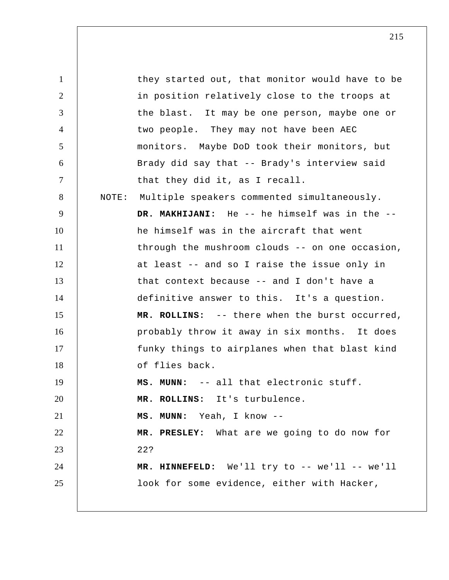1 2 3 4 5 6 7 8 9 10 11 12 13 14 15 16 17 18 19 20 21 22 23 24 25 they started out, that monitor would have to be in position relatively close to the troops at the blast. It may be one person, maybe one or two people. They may not have been AEC monitors. Maybe DoD took their monitors, but Brady did say that -- Brady's interview said that they did it, as I recall. NOTE: Multiple speakers commented simultaneously.  **DR. MAKHIJANI:** He -- he himself was in the - he himself was in the aircraft that went through the mushroom clouds -- on one occasion, at least -- and so I raise the issue only in that context because -- and I don't have a definitive answer to this. It's a question.  **MR. ROLLINS:** -- there when the burst occurred, probably throw it away in six months. It does funky things to airplanes when that blast kind of flies back.  **MS. MUNN:** -- all that electronic stuff.  **MR. ROLLINS:** It's turbulence.  **MS. MUNN:** Yeah, I know -- **MR. PRESLEY:** What are we going to do now for 22?  **MR. HINNEFELD:** We'll try to -- we'll -- we'll look for some evidence, either with Hacker,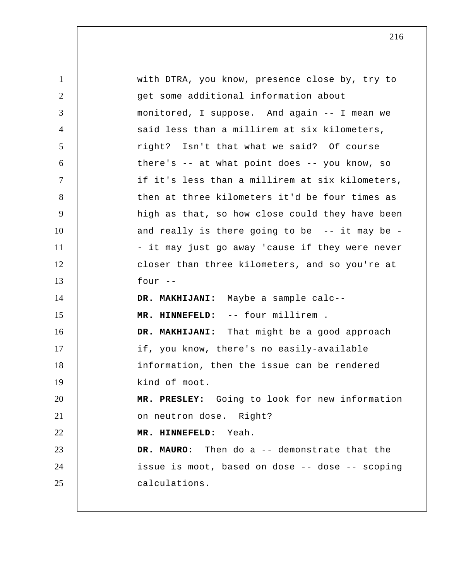| $\mathbf{1}$   | with DTRA, you know, presence close by, try to    |
|----------------|---------------------------------------------------|
| $\overline{2}$ | get some additional information about             |
| 3              | monitored, I suppose. And again -- I mean we      |
| $\overline{4}$ | said less than a millirem at six kilometers,      |
| 5              | right? Isn't that what we said? Of course         |
| 6              | there's $-$ at what point does $-$ you know, so   |
| $\tau$         | if it's less than a millirem at six kilometers,   |
| 8              | then at three kilometers it'd be four times as    |
| 9              | high as that, so how close could they have been   |
| 10             | and really is there going to be $-$ - it may be - |
| 11             | - it may just go away 'cause if they were never   |
| 12             | closer than three kilometers, and so you're at    |
| 13             | four $--$                                         |
| 14             | DR. MAKHIJANI: Maybe a sample calc--              |
| 15             | MR. HINNEFELD: -- four millirem .                 |
| 16             | DR. MAKHIJANI: That might be a good approach      |
| 17             | if, you know, there's no easily-available         |
| 18             | information, then the issue can be rendered       |
| 19             | kind of moot.                                     |
|                |                                                   |
| 20             | MR. PRESLEY: Going to look for new information    |
| 21             | on neutron dose. Right?                           |
|                | MR. HINNEFELD: Yeah.                              |
| 22<br>23       | DR. MAURO: Then do a -- demonstrate that the      |
| 24             | issue is moot, based on dose -- dose -- scoping   |
| 25             | calculations.                                     |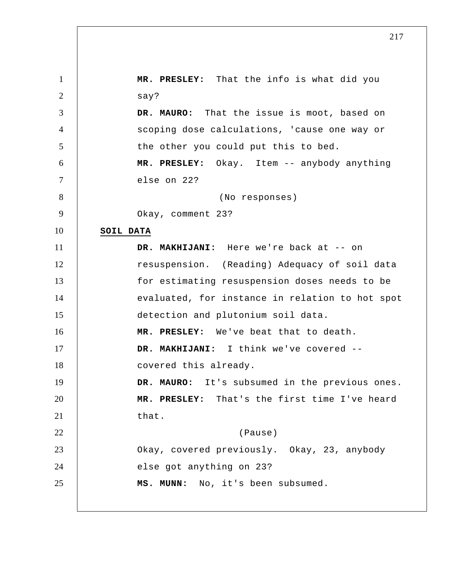1 2 3 4 5 6 7 8 9 10 11 12 13 14 15 16 17 18 19 20 21 22 23 24 25  **MR. PRESLEY:** That the info is what did you say? **DR. MAURO:** That the issue is moot, based on scoping dose calculations, 'cause one way or the other you could put this to bed.  **MR. PRESLEY:** Okay. Item -- anybody anything else on 22? (No responses) Okay, comment 23? **SOIL DATA DR. MAKHIJANI:** Here we're back at -- on resuspension. (Reading) Adequacy of soil data for estimating resuspension doses needs to be evaluated, for instance in relation to hot spot detection and plutonium soil data.  **MR. PRESLEY:** We've beat that to death.  **DR. MAKHIJANI:** I think we've covered - covered this already. **DR. MAURO:** It's subsumed in the previous ones.  **MR. PRESLEY:** That's the first time I've heard that. (Pause) Okay, covered previously. Okay, 23, anybody else got anything on 23?  **MS. MUNN:** No, it's been subsumed.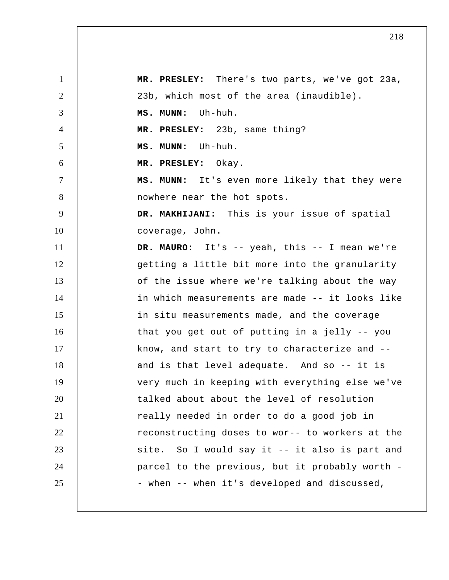1 2 3 4 5 6 7 8 9 10 11 12 13 14 15 16 17 18 19 20 21 22 23 24 25  **MR. PRESLEY:** There's two parts, we've got 23a, 23b, which most of the area (inaudible).  **MS. MUNN:** Uh-huh.  **MR. PRESLEY:** 23b, same thing?  **MS. MUNN:** Uh-huh.  **MR. PRESLEY:** Okay.  **MS. MUNN:** It's even more likely that they were nowhere near the hot spots.  **DR. MAKHIJANI:** This is your issue of spatial coverage, John. **DR. MAURO:** It's -- yeah, this -- I mean we're getting a little bit more into the granularity of the issue where we're talking about the way in which measurements are made -- it looks like in situ measurements made, and the coverage that you get out of putting in a jelly -- you know, and start to try to characterize and - and is that level adequate. And so -- it is very much in keeping with everything else we've talked about about the level of resolution really needed in order to do a good job in reconstructing doses to wor-- to workers at the site. So I would say it -- it also is part and parcel to the previous, but it probably worth - when -- when it's developed and discussed,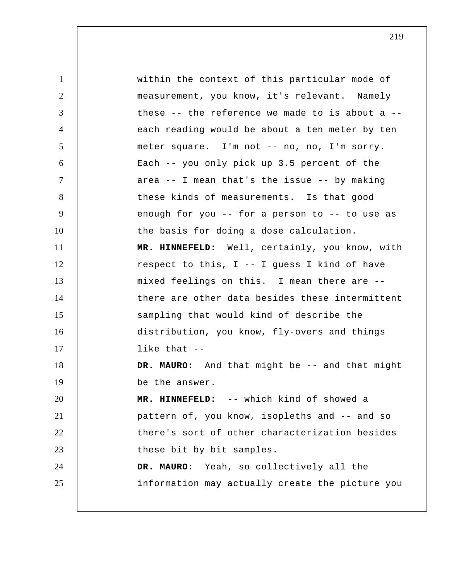1 2 3 4 5 6 7 8 9 10 11 12 13 14 15 16 17 18 19 20 21 22 23 24 25 within the context of this particular mode of measurement, you know, it's relevant. Namely these  $-$ - the reference we made to is about a  $-$ each reading would be about a ten meter by ten meter square. I'm not -- no, no, I'm sorry. Each -- you only pick up 3.5 percent of the area -- I mean that's the issue -- by making these kinds of measurements. Is that good enough for you -- for a person to -- to use as the basis for doing a dose calculation.  **MR. HINNEFELD:** Well, certainly, you know, with respect to this, I -- I guess I kind of have mixed feelings on this. I mean there are - there are other data besides these intermittent sampling that would kind of describe the distribution, you know, fly-overs and things like that --**DR. MAURO:** And that might be -- and that might be the answer.  **MR. HINNEFELD:** -- which kind of showed a pattern of, you know, isopleths and -- and so there's sort of other characterization besides these bit by bit samples. **DR. MAURO:** Yeah, so collectively all the information may actually create the picture you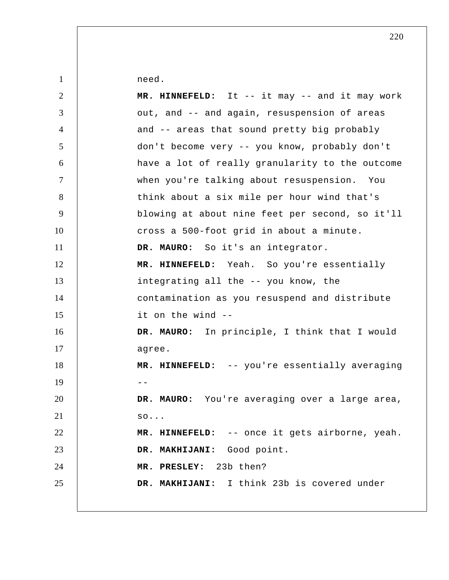need.

1

| $\overline{2}$ | MR. HINNEFELD: It -- it may -- and it may work  |
|----------------|-------------------------------------------------|
| 3              | out, and -- and again, resuspension of areas    |
| $\overline{4}$ | and -- areas that sound pretty big probably     |
| 5              | don't become very -- you know, probably don't   |
| 6              | have a lot of really granularity to the outcome |
| $\overline{7}$ | when you're talking about resuspension. You     |
| 8              | think about a six mile per hour wind that's     |
| 9              | blowing at about nine feet per second, so it'll |
| 10             | cross a 500-foot grid in about a minute.        |
| 11             | DR. MAURO: So it's an integrator.               |
| 12             | MR. HINNEFELD: Yeah. So you're essentially      |
| 13             | integrating all the -- you know, the            |
| 14             | contamination as you resuspend and distribute   |
| 15             | it on the wind --                               |
| 16             | DR. MAURO: In principle, I think that I would   |
| 17             | agree.                                          |
| 18             | MR. HINNEFELD: -- you're essentially averaging  |
| 19             |                                                 |
| 20             | DR. MAURO: You're averaging over a large area,  |
| 21             | SO.                                             |
| 22             | MR. HINNEFELD: -- once it gets airborne, yeah.  |
| 23             | DR. MAKHIJANI: Good point.                      |
| 24             | MR. PRESLEY: 23b then?                          |
| 25             | DR. MAKHIJANI: I think 23b is covered under     |
|                |                                                 |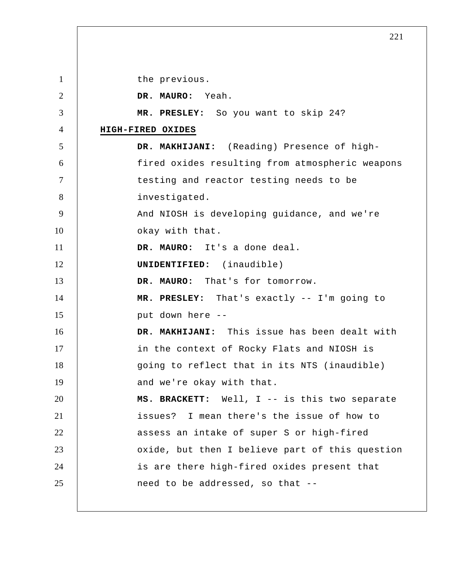1 2 3 4 5 6 7 8 9 10 11 12 13 14 15 16 17 18 19 20 21 22 23 24 25 the previous. **DR. MAURO:** Yeah.  **MR. PRESLEY:** So you want to skip 24? **HIGH-FIRED OXIDES DR. MAKHIJANI:** (Reading) Presence of highfired oxides resulting from atmospheric weapons testing and reactor testing needs to be investigated. And NIOSH is developing guidance, and we're okay with that. **DR. MAURO:** It's a done deal. **UNIDENTIFIED:** (inaudible) **DR. MAURO:** That's for tomorrow.  **MR. PRESLEY:** That's exactly -- I'm going to put down here -- **DR. MAKHIJANI:** This issue has been dealt with in the context of Rocky Flats and NIOSH is going to reflect that in its NTS (inaudible) and we're okay with that. **MS. BRACKETT:** Well, I -- is this two separate issues? I mean there's the issue of how to assess an intake of super S or high-fired oxide, but then I believe part of this question is are there high-fired oxides present that need to be addressed, so that --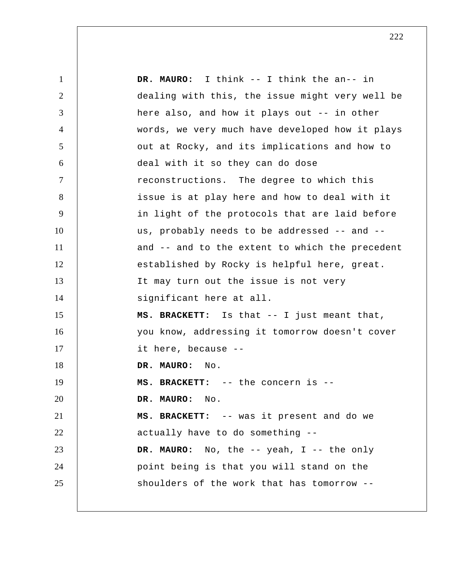1 2 3 4 5 6 7 8 9 10 11 12 13 14 15 16 17 18 19 20 21 22 23 24 25 **DR. MAURO:** I think -- I think the an-- in dealing with this, the issue might very well be here also, and how it plays out -- in other words, we very much have developed how it plays out at Rocky, and its implications and how to deal with it so they can do dose reconstructions. The degree to which this issue is at play here and how to deal with it in light of the protocols that are laid before us, probably needs to be addressed -- and - and -- and to the extent to which the precedent established by Rocky is helpful here, great. It may turn out the issue is not very significant here at all. **MS. BRACKETT:** Is that -- I just meant that, you know, addressing it tomorrow doesn't cover it here, because --**DR. MAURO:** No. **MS. BRACKETT:** -- the concern is --**DR. MAURO:** No. **MS. BRACKETT:** -- was it present and do we actually have to do something -- **DR. MAURO:** No, the -- yeah, I -- the only point being is that you will stand on the shoulders of the work that has tomorrow --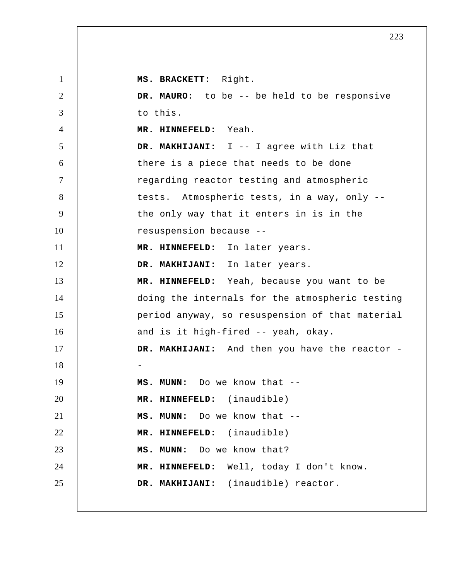1 2 3 4 5 6 7 8 9 10 11 12 13 14 15 16 17 18 19 20 21 22 23 24 25 **MS. BRACKETT:** Right. **DR. MAURO:** to be -- be held to be responsive to this.  **MR. HINNEFELD:** Yeah.  **DR. MAKHIJANI:** I -- I agree with Liz that there is a piece that needs to be done regarding reactor testing and atmospheric tests. Atmospheric tests, in a way, only - the only way that it enters in is in the resuspension because --  **MR. HINNEFELD:** In later years.  **DR. MAKHIJANI:** In later years.  **MR. HINNEFELD:** Yeah, because you want to be doing the internals for the atmospheric testing period anyway, so resuspension of that material and is it high-fired -- yeah, okay. DR. MAKHIJANI: And then you have the reactor -- **MS. MUNN:** Do we know that -- **MR. HINNEFELD:** (inaudible)  **MS. MUNN:** Do we know that -- **MR. HINNEFELD:** (inaudible)  **MS. MUNN:** Do we know that?  **MR. HINNEFELD:** Well, today I don't know.  **DR. MAKHIJANI:** (inaudible) reactor.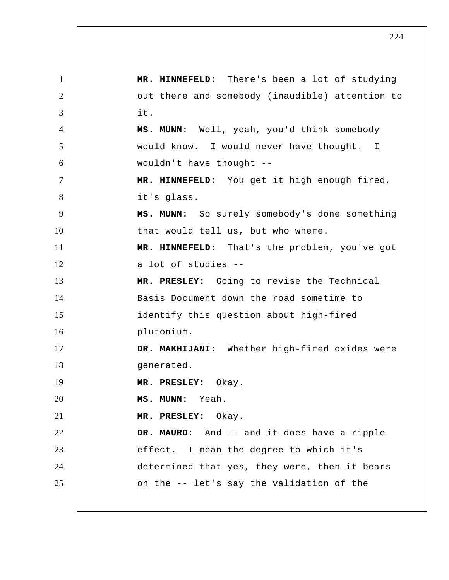1 2 3 4 5 6 7 8 9 10 11 12 13 14 15 16 17 18 19 20 21 22 23 24 25  **MR. HINNEFELD:** There's been a lot of studying out there and somebody (inaudible) attention to it.  **MS. MUNN:** Well, yeah, you'd think somebody would know. I would never have thought. I wouldn't have thought --  **MR. HINNEFELD:** You get it high enough fired, it's glass.  **MS. MUNN:** So surely somebody's done something that would tell us, but who where.  **MR. HINNEFELD:** That's the problem, you've got a lot of studies -- **MR. PRESLEY:** Going to revise the Technical Basis Document down the road sometime to identify this question about high-fired plutonium.  **DR. MAKHIJANI:** Whether high-fired oxides were generated.  **MR. PRESLEY:** Okay.  **MS. MUNN:** Yeah.  **MR. PRESLEY:** Okay. **DR. MAURO:** And -- and it does have a ripple effect. I mean the degree to which it's determined that yes, they were, then it bears on the -- let's say the validation of the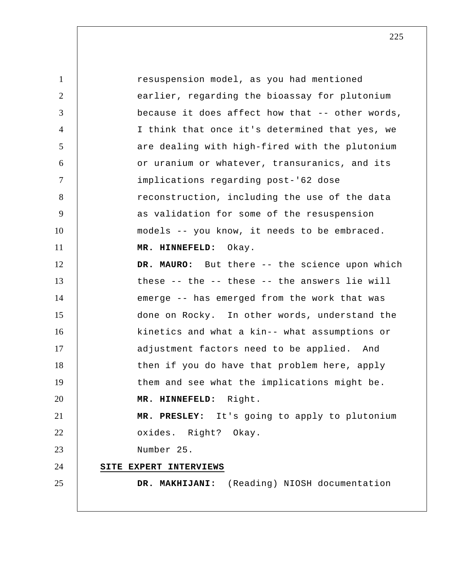1 2 3 4 5 6 7 8 9 10 11 12 13 14 15 16 17 18 19 20 21 22 23 24 25 resuspension model, as you had mentioned earlier, regarding the bioassay for plutonium because it does affect how that -- other words, I think that once it's determined that yes, we are dealing with high-fired with the plutonium or uranium or whatever, transuranics, and its implications regarding post-'62 dose reconstruction, including the use of the data as validation for some of the resuspension models -- you know, it needs to be embraced.  **MR. HINNEFELD:** Okay. **DR. MAURO:** But there -- the science upon which these -- the -- these -- the answers lie will emerge -- has emerged from the work that was done on Rocky. In other words, understand the kinetics and what a kin-- what assumptions or adjustment factors need to be applied. And then if you do have that problem here, apply them and see what the implications might be.  **MR. HINNEFELD:** Right.  **MR. PRESLEY:** It's going to apply to plutonium oxides. Right? Okay. Number 25. **SITE EXPERT INTERVIEWS DR. MAKHIJANI:** (Reading) NIOSH documentation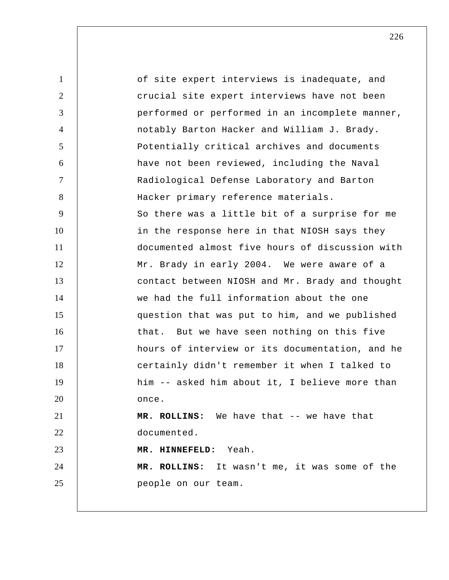1 2 3 4 5 6 7 8 9 10 11 12 13 14 15 16 17 18 19 20 21 22 23 24 25 of site expert interviews is inadequate, and crucial site expert interviews have not been performed or performed in an incomplete manner, notably Barton Hacker and William J. Brady. Potentially critical archives and documents have not been reviewed, including the Naval Radiological Defense Laboratory and Barton Hacker primary reference materials. So there was a little bit of a surprise for me in the response here in that NIOSH says they documented almost five hours of discussion with Mr. Brady in early 2004. We were aware of a contact between NIOSH and Mr. Brady and thought we had the full information about the one question that was put to him, and we published that. But we have seen nothing on this five hours of interview or its documentation, and he certainly didn't remember it when I talked to him -- asked him about it, I believe more than once.  **MR. ROLLINS:** We have that -- we have that documented.  **MR. HINNEFELD:** Yeah.  **MR. ROLLINS:** It wasn't me, it was some of the people on our team.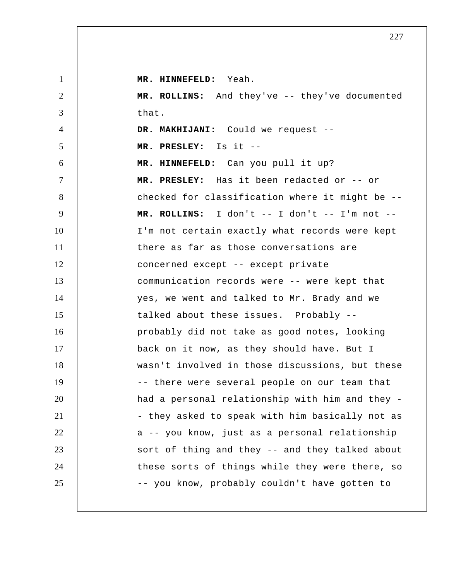| $\mathbf{1}$   | MR. HINNEFELD: Yeah.                            |
|----------------|-------------------------------------------------|
| $\overline{2}$ | MR. ROLLINS: And they've -- they've documented  |
| 3              | that.                                           |
| 4              | DR. MAKHIJANI: Could we request --              |
| 5              | MR. PRESLEY: Is it --                           |
| 6              | MR. HINNEFELD: Can you pull it up?              |
| $\overline{7}$ | MR. PRESLEY: Has it been redacted or -- or      |
| 8              | checked for classification where it might be -- |
| 9              | MR. ROLLINS: I don't -- I don't -- I'm not --   |
| 10             | I'm not certain exactly what records were kept  |
| 11             | there as far as those conversations are         |
| 12             | concerned except -- except private              |
| 13             | communication records were -- were kept that    |
| 14             | yes, we went and talked to Mr. Brady and we     |
| 15             | talked about these issues. Probably --          |
| 16             | probably did not take as good notes, looking    |
| 17             | back on it now, as they should have. But I      |
| 18             | wasn't involved in those discussions, but these |
| 19             | -- there were several people on our team that   |
| 20             | had a personal relationship with him and they - |
| 21             | - they asked to speak with him basically not as |
| 22             | a -- you know, just as a personal relationship  |
| 23             | sort of thing and they -- and they talked about |
| 24             | these sorts of things while they were there, so |
| 25             | -- you know, probably couldn't have gotten to   |
|                |                                                 |

<sup>227</sup>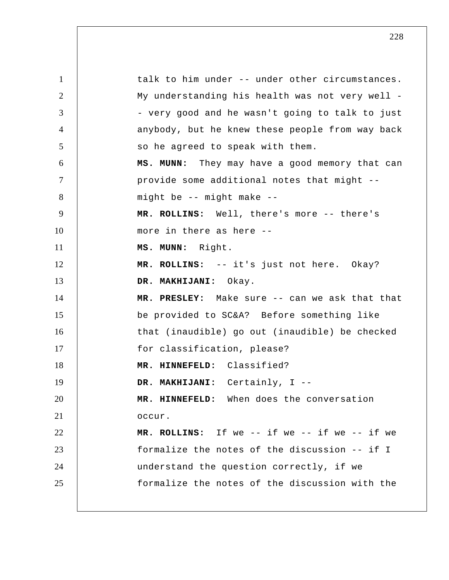1 2 3 4 5 6 7 8 9 10 11 12 13 14 15 16 17 18 19 20 21 22 23 24 25 talk to him under -- under other circumstances. My understanding his health was not very well - very good and he wasn't going to talk to just anybody, but he knew these people from way back so he agreed to speak with them.  **MS. MUNN:** They may have a good memory that can provide some additional notes that might - might be -- might make --  **MR. ROLLINS:** Well, there's more -- there's more in there as here --  **MS. MUNN:** Right.  **MR. ROLLINS:** -- it's just not here. Okay?  **DR. MAKHIJANI:** Okay.  **MR. PRESLEY:** Make sure -- can we ask that that be provided to SC&A? Before something like that (inaudible) go out (inaudible) be checked for classification, please?  **MR. HINNEFELD:** Classified?  **DR. MAKHIJANI:** Certainly, I --  **MR. HINNEFELD:** When does the conversation occur.  **MR. ROLLINS:** If we -- if we -- if we -- if we formalize the notes of the discussion -- if I understand the question correctly, if we formalize the notes of the discussion with the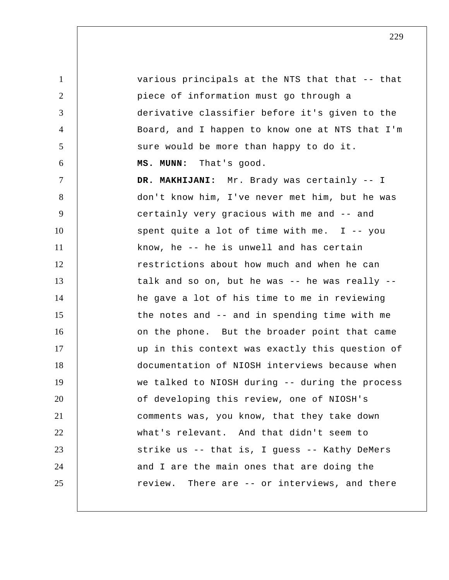1 2 3 4 5 6 7 8 9 10 11 12 13 14 15 16 17 18 19 20 21 22 23 24 25 various principals at the NTS that that -- that piece of information must go through a derivative classifier before it's given to the Board, and I happen to know one at NTS that I'm sure would be more than happy to do it.  **MS. MUNN:** That's good.  **DR. MAKHIJANI:** Mr. Brady was certainly -- I don't know him, I've never met him, but he was certainly very gracious with me and -- and spent quite a lot of time with me.  $I - - y$ ou know, he -- he is unwell and has certain restrictions about how much and when he can talk and so on, but he was -- he was really - he gave a lot of his time to me in reviewing the notes and -- and in spending time with me on the phone. But the broader point that came up in this context was exactly this question of documentation of NIOSH interviews because when we talked to NIOSH during -- during the process of developing this review, one of NIOSH's comments was, you know, that they take down what's relevant. And that didn't seem to strike us -- that is, I guess -- Kathy DeMers and I are the main ones that are doing the review. There are -- or interviews, and there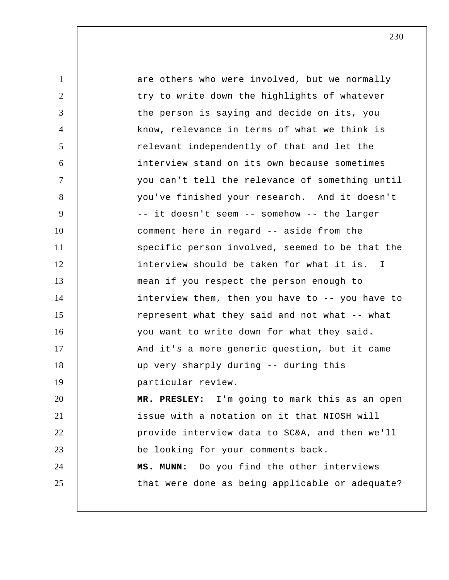1 2 3 4 5 6 7 8 9 10 11 12 13 14 15 16 17 18 19 20 21 22 23 24 25 are others who were involved, but we normally try to write down the highlights of whatever the person is saying and decide on its, you know, relevance in terms of what we think is relevant independently of that and let the interview stand on its own because sometimes you can't tell the relevance of something until you've finished your research. And it doesn't -- it doesn't seem -- somehow -- the larger comment here in regard -- aside from the specific person involved, seemed to be that the interview should be taken for what it is. I mean if you respect the person enough to interview them, then you have to -- you have to represent what they said and not what -- what you want to write down for what they said. And it's a more generic question, but it came up very sharply during -- during this particular review.  **MR. PRESLEY:** I'm going to mark this as an open issue with a notation on it that NIOSH will provide interview data to SC&A, and then we'll be looking for your comments back.  **MS. MUNN:** Do you find the other interviews that were done as being applicable or adequate?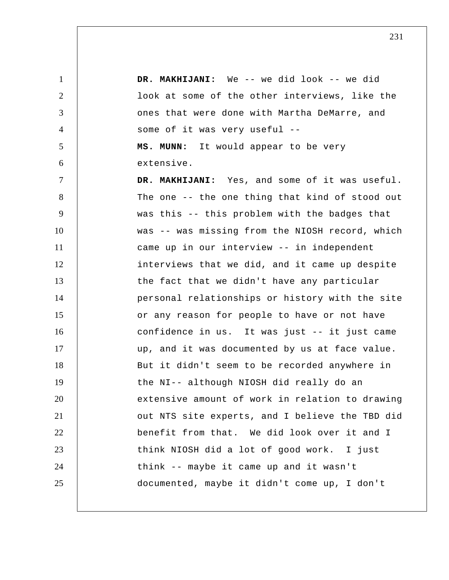1 2 3 4 5 6 7 8 9 10 11 12 13 14 15 16 17 18 19 20 21 22 23 24 25  **DR. MAKHIJANI:** We -- we did look -- we did look at some of the other interviews, like the ones that were done with Martha DeMarre, and some of it was very useful --  **MS. MUNN:** It would appear to be very extensive.  **DR. MAKHIJANI:** Yes, and some of it was useful. The one -- the one thing that kind of stood out was this -- this problem with the badges that was -- was missing from the NIOSH record, which came up in our interview -- in independent interviews that we did, and it came up despite the fact that we didn't have any particular personal relationships or history with the site or any reason for people to have or not have confidence in us. It was just -- it just came up, and it was documented by us at face value. But it didn't seem to be recorded anywhere in the NI-- although NIOSH did really do an extensive amount of work in relation to drawing out NTS site experts, and I believe the TBD did benefit from that. We did look over it and I think NIOSH did a lot of good work. I just think -- maybe it came up and it wasn't documented, maybe it didn't come up, I don't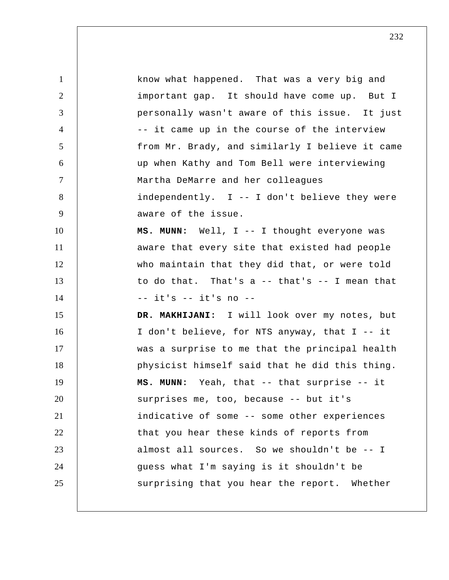1 2 3 4 5 6 7 8 9 10 11 12 13 14 15 16 17 18 19 20 21 22 23 24 25 know what happened. That was a very big and important gap. It should have come up. But I personally wasn't aware of this issue. It just -- it came up in the course of the interview from Mr. Brady, and similarly I believe it came up when Kathy and Tom Bell were interviewing Martha DeMarre and her colleagues independently. I -- I don't believe they were aware of the issue.  **MS. MUNN:** Well, I -- I thought everyone was aware that every site that existed had people who maintain that they did that, or were told to do that. That's a -- that's -- I mean that -- it's -- it's no --  **DR. MAKHIJANI:** I will look over my notes, but I don't believe, for NTS anyway, that I -- it was a surprise to me that the principal health physicist himself said that he did this thing.  **MS. MUNN:** Yeah, that -- that surprise -- it surprises me, too, because -- but it's indicative of some -- some other experiences that you hear these kinds of reports from almost all sources. So we shouldn't be -- I guess what I'm saying is it shouldn't be surprising that you hear the report. Whether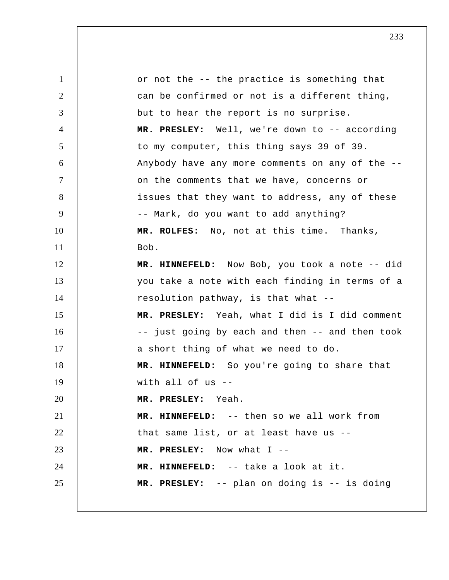1 2 3 4 5 6 7 8 9 10 11 12 13 14 15 16 17 18 19 20 21 22 23 24 25 or not the -- the practice is something that can be confirmed or not is a different thing, but to hear the report is no surprise.  **MR. PRESLEY:** Well, we're down to -- according to my computer, this thing says 39 of 39. Anybody have any more comments on any of the - on the comments that we have, concerns or issues that they want to address, any of these -- Mark, do you want to add anything?  **MR. ROLFES:** No, not at this time. Thanks, Bob.  **MR. HINNEFELD:** Now Bob, you took a note -- did you take a note with each finding in terms of a resolution pathway, is that what --  **MR. PRESLEY:** Yeah, what I did is I did comment -- just going by each and then -- and then took a short thing of what we need to do.  **MR. HINNEFELD:** So you're going to share that with all of us --  **MR. PRESLEY:** Yeah.  **MR. HINNEFELD:** -- then so we all work from that same list, or at least have us --  **MR. PRESLEY:** Now what I --  **MR. HINNEFELD:** -- take a look at it.  **MR. PRESLEY:** -- plan on doing is -- is doing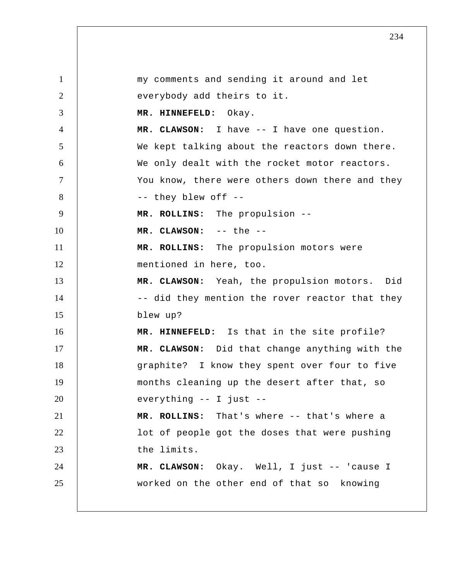1 2 3 4 5 6 7 8 9 10 11 12 13 14 15 16 17 18 19 20 21 22 23 24 25 my comments and sending it around and let everybody add theirs to it.  **MR. HINNEFELD:** Okay.  **MR. CLAWSON:** I have -- I have one question. We kept talking about the reactors down there. We only dealt with the rocket motor reactors. You know, there were others down there and they -- they blew off -- **MR. ROLLINS:** The propulsion -- **MR. CLAWSON:** -- the -- **MR. ROLLINS:** The propulsion motors were mentioned in here, too.  **MR. CLAWSON:** Yeah, the propulsion motors. Did -- did they mention the rover reactor that they blew up?  **MR. HINNEFELD:** Is that in the site profile?  **MR. CLAWSON:** Did that change anything with the graphite? I know they spent over four to five months cleaning up the desert after that, so everything -- I just -- **MR. ROLLINS:** That's where -- that's where a lot of people got the doses that were pushing the limits.  **MR. CLAWSON:** Okay. Well, I just -- 'cause I worked on the other end of that so knowing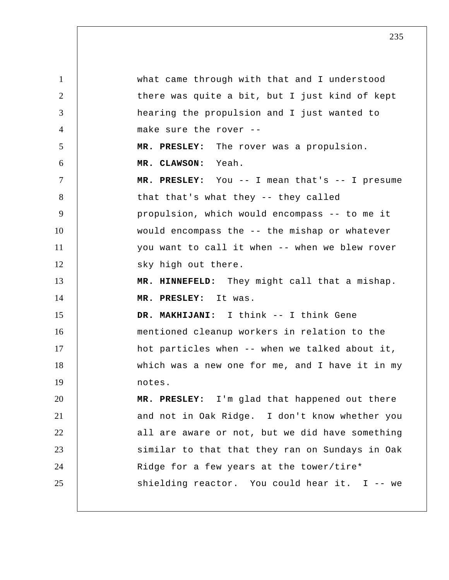1 2 3 4 5 6 7 8 9 10 11 12 13 14 15 16 17 18 19 20 21 22 23 24 25 what came through with that and I understood there was quite a bit, but I just kind of kept hearing the propulsion and I just wanted to make sure the rover -- **MR. PRESLEY:** The rover was a propulsion.  **MR. CLAWSON:** Yeah.  **MR. PRESLEY:** You -- I mean that's -- I presume that that's what they -- they called propulsion, which would encompass -- to me it would encompass the -- the mishap or whatever you want to call it when -- when we blew rover sky high out there.  **MR. HINNEFELD:** They might call that a mishap.  **MR. PRESLEY:** It was.  **DR. MAKHIJANI:** I think -- I think Gene mentioned cleanup workers in relation to the hot particles when -- when we talked about it, which was a new one for me, and I have it in my notes.  **MR. PRESLEY:** I'm glad that happened out there and not in Oak Ridge. I don't know whether you all are aware or not, but we did have something similar to that that they ran on Sundays in Oak Ridge for a few years at the tower/tire\* shielding reactor. You could hear it. I -- we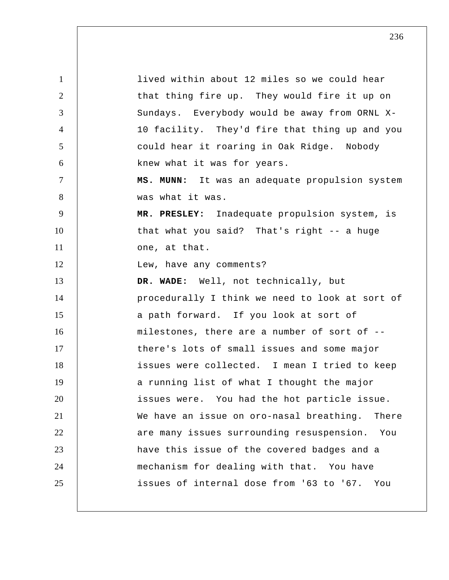1 2 3 4 5 6 7 8 9 10 11 12 13 14 15 16 17 18 19 20 21 22 23 24 25 lived within about 12 miles so we could hear that thing fire up. They would fire it up on Sundays. Everybody would be away from ORNL X-10 facility. They'd fire that thing up and you could hear it roaring in Oak Ridge. Nobody knew what it was for years.  **MS. MUNN:** It was an adequate propulsion system was what it was.  **MR. PRESLEY:** Inadequate propulsion system, is that what you said? That's right -- a huge one, at that. Lew, have any comments?  **DR. WADE:** Well, not technically, but procedurally I think we need to look at sort of a path forward. If you look at sort of milestones, there are a number of sort of - there's lots of small issues and some major issues were collected. I mean I tried to keep a running list of what I thought the major issues were. You had the hot particle issue. We have an issue on oro-nasal breathing. There are many issues surrounding resuspension. You have this issue of the covered badges and a mechanism for dealing with that. You have issues of internal dose from '63 to '67. You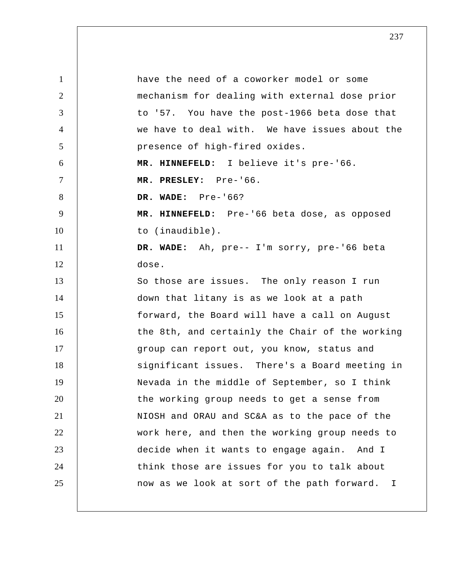1 2 3 4 5 6 7 8 9 10 11 12 13 14 15 16 17 18 19 20 21 22 23 24 25 have the need of a coworker model or some mechanism for dealing with external dose prior to '57. You have the post-1966 beta dose that we have to deal with. We have issues about the presence of high-fired oxides.  **MR. HINNEFELD:** I believe it's pre-'66.  **MR. PRESLEY:** Pre-'66.  **DR. WADE:** Pre-'66?  **MR. HINNEFELD:** Pre-'66 beta dose, as opposed to (inaudible).  **DR. WADE:** Ah, pre-- I'm sorry, pre-'66 beta dose. So those are issues. The only reason I run down that litany is as we look at a path forward, the Board will have a call on August the 8th, and certainly the Chair of the working group can report out, you know, status and significant issues. There's a Board meeting in Nevada in the middle of September, so I think the working group needs to get a sense from NIOSH and ORAU and SC&A as to the pace of the work here, and then the working group needs to decide when it wants to engage again. And I think those are issues for you to talk about now as we look at sort of the path forward. I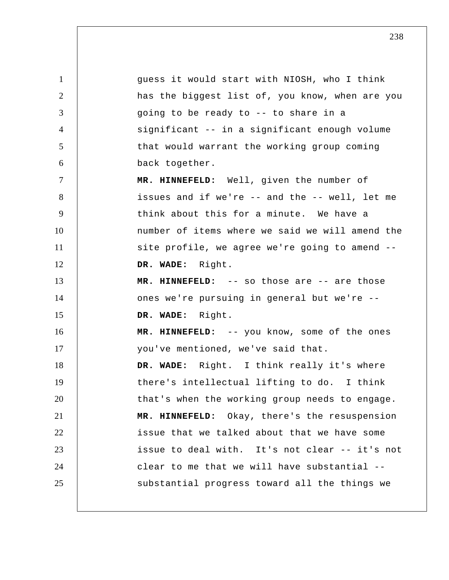1 2 3 4 5 6 7 8 9 10 11 12 13 14 15 16 17 18 19 20 21 22 23 24 25 guess it would start with NIOSH, who I think has the biggest list of, you know, when are you going to be ready to -- to share in a significant -- in a significant enough volume that would warrant the working group coming back together.  **MR. HINNEFELD:** Well, given the number of issues and if we're -- and the -- well, let me think about this for a minute. We have a number of items where we said we will amend the site profile, we agree we're going to amend --  **DR. WADE:** Right.  **MR. HINNEFELD:** -- so those are -- are those ones we're pursuing in general but we're --  **DR. WADE:** Right.  **MR. HINNEFELD:** -- you know, some of the ones you've mentioned, we've said that.  **DR. WADE:** Right. I think really it's where there's intellectual lifting to do. I think that's when the working group needs to engage.  **MR. HINNEFELD:** Okay, there's the resuspension issue that we talked about that we have some issue to deal with. It's not clear -- it's not clear to me that we will have substantial - substantial progress toward all the things we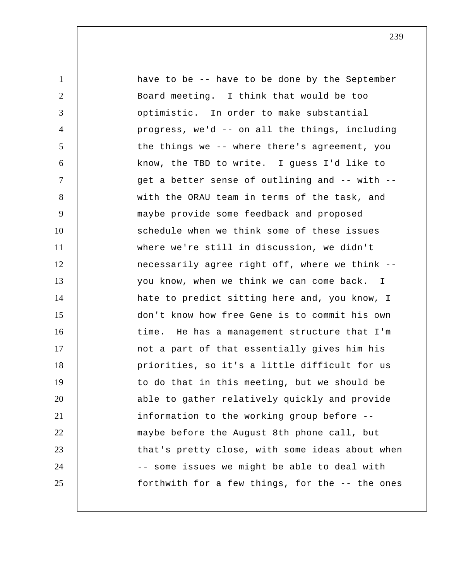| $\mathbf{1}$   | have to be -- have to be done by the September  |
|----------------|-------------------------------------------------|
| $\overline{2}$ | Board meeting. I think that would be too        |
| 3              | optimistic. In order to make substantial        |
| $\overline{4}$ | progress, we'd -- on all the things, including  |
| 5              | the things we -- where there's agreement, you   |
| 6              | know, the TBD to write. I guess I'd like to     |
| $\tau$         | get a better sense of outlining and -- with --  |
| 8              | with the ORAU team in terms of the task, and    |
| 9              | maybe provide some feedback and proposed        |
| 10             | schedule when we think some of these issues     |
| 11             | where we're still in discussion, we didn't      |
| 12             | necessarily agree right off, where we think --  |
| 13             | you know, when we think we can come back. I     |
| 14             | hate to predict sitting here and, you know, I   |
| 15             | don't know how free Gene is to commit his own   |
| 16             | time. He has a management structure that I'm    |
| 17             | not a part of that essentially gives him his    |
| 18             | priorities, so it's a little difficult for us   |
| 19             | to do that in this meeting, but we should be    |
| 20             | able to gather relatively quickly and provide   |
| 21             | information to the working group before --      |
| 22             | maybe before the August 8th phone call, but     |
| 23             | that's pretty close, with some ideas about when |
| 24             | -- some issues we might be able to deal with    |
| 25             | forthwith for a few things, for the -- the ones |
|                |                                                 |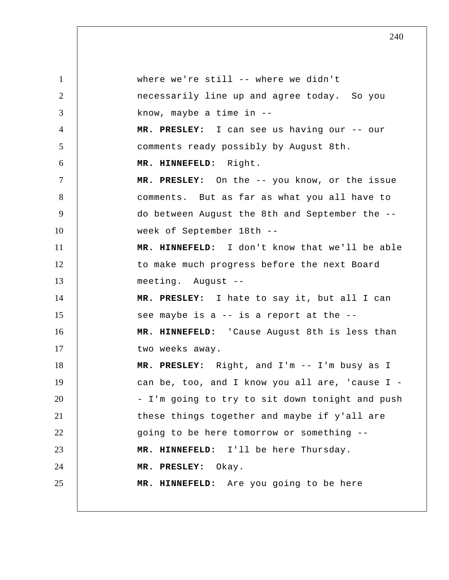1 2 3 4 5 6 7 8 9 10 11 12 13 14 15 16 17 18 19 20 21 22 23 24 25 where we're still -- where we didn't necessarily line up and agree today. So you know, maybe a time in --  **MR. PRESLEY:** I can see us having our -- our comments ready possibly by August 8th.  **MR. HINNEFELD:** Right.  **MR. PRESLEY:** On the -- you know, or the issue comments. But as far as what you all have to do between August the 8th and September the - week of September 18th --  **MR. HINNEFELD:** I don't know that we'll be able to make much progress before the next Board meeting. August -- **MR. PRESLEY:** I hate to say it, but all I can see maybe is a -- is a report at the --  **MR. HINNEFELD:** 'Cause August 8th is less than two weeks away.  **MR. PRESLEY:** Right, and I'm -- I'm busy as I can be, too, and I know you all are, 'cause I - I'm going to try to sit down tonight and push these things together and maybe if y'all are going to be here tomorrow or something --  **MR. HINNEFELD:** I'll be here Thursday.  **MR. PRESLEY:** Okay.  **MR. HINNEFELD:** Are you going to be here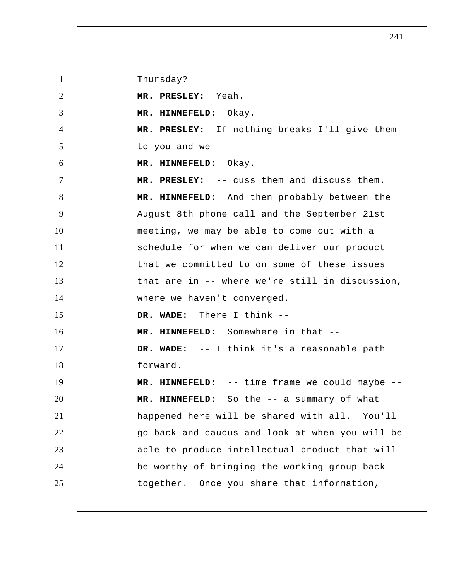Thursday?

1

2 3 4 5 6 7 8 9 10 11 12 13 14 15 16 17 18 19 20 21 22 23 24 25  **MR. PRESLEY:** Yeah.  **MR. HINNEFELD:** Okay.  **MR. PRESLEY:** If nothing breaks I'll give them to you and we -- **MR. HINNEFELD:** Okay.  **MR. PRESLEY:** -- cuss them and discuss them.  **MR. HINNEFELD:** And then probably between the August 8th phone call and the September 21st meeting, we may be able to come out with a schedule for when we can deliver our product that we committed to on some of these issues that are in -- where we're still in discussion, where we haven't converged.  **DR. WADE:** There I think -- **MR. HINNEFELD:** Somewhere in that -- **DR. WADE:** -- I think it's a reasonable path forward.  **MR. HINNEFELD:** -- time frame we could maybe --  **MR. HINNEFELD:** So the -- a summary of what happened here will be shared with all. You'll go back and caucus and look at when you will be able to produce intellectual product that will be worthy of bringing the working group back together. Once you share that information,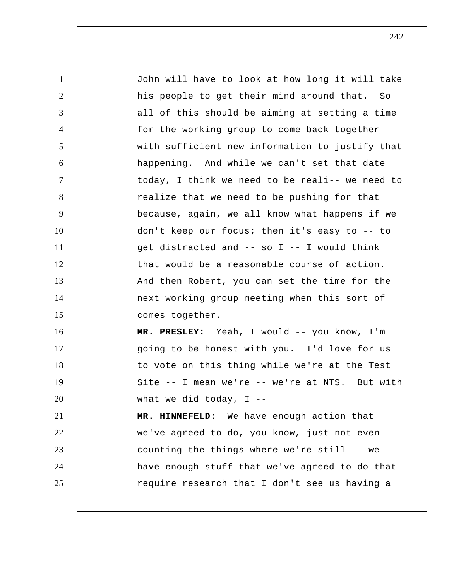1 2 3 4 5 6 7 8 9 10 11 12 13 14 15 16 17 18 19 20 21 22 23 24 25 John will have to look at how long it will take his people to get their mind around that. So all of this should be aiming at setting a time for the working group to come back together with sufficient new information to justify that happening. And while we can't set that date today, I think we need to be reali-- we need to realize that we need to be pushing for that because, again, we all know what happens if we don't keep our focus; then it's easy to -- to get distracted and -- so I -- I would think that would be a reasonable course of action. And then Robert, you can set the time for the next working group meeting when this sort of comes together.  **MR. PRESLEY:** Yeah, I would -- you know, I'm going to be honest with you. I'd love for us to vote on this thing while we're at the Test Site -- I mean we're -- we're at NTS. But with what we did today,  $I$  -- **MR. HINNEFELD:** We have enough action that we've agreed to do, you know, just not even counting the things where we're still -- we have enough stuff that we've agreed to do that require research that I don't see us having a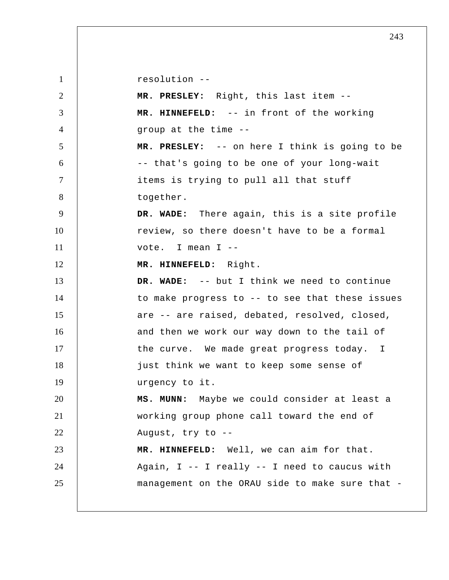1 2 3 4 5 6 7 8 9 10 11 12 13 14 15 16 17 18 19 20 21 22 23 24 25 resolution -- **MR. PRESLEY:** Right, this last item --  **MR. HINNEFELD:** -- in front of the working group at the time --  **MR. PRESLEY:** -- on here I think is going to be -- that's going to be one of your long-wait items is trying to pull all that stuff together.  **DR. WADE:** There again, this is a site profile review, so there doesn't have to be a formal vote. I mean I -- **MR. HINNEFELD:** Right.  **DR. WADE:** -- but I think we need to continue to make progress to -- to see that these issues are -- are raised, debated, resolved, closed, and then we work our way down to the tail of the curve. We made great progress today. I just think we want to keep some sense of urgency to it.  **MS. MUNN:** Maybe we could consider at least a working group phone call toward the end of August, try to --  **MR. HINNEFELD:** Well, we can aim for that. Again, I -- I really -- I need to caucus with management on the ORAU side to make sure that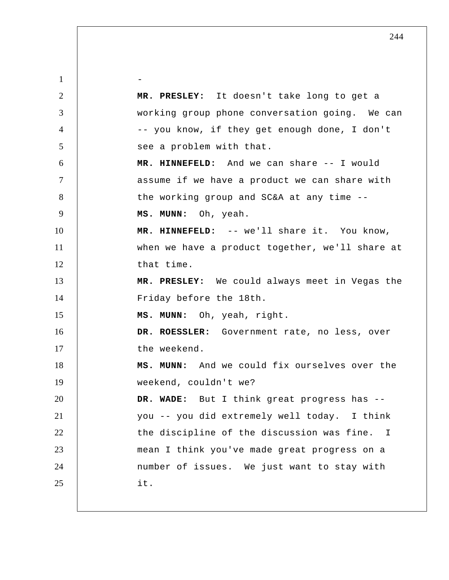1 2 3 4 5 6 7 8 9 10 11 12 13 14 15 16 17 18 19 20 21 22 23 24 25 - **MR. PRESLEY:** It doesn't take long to get a working group phone conversation going. We can -- you know, if they get enough done, I don't see a problem with that.  **MR. HINNEFELD:** And we can share -- I would assume if we have a product we can share with the working group and SC&A at any time --  **MS. MUNN:** Oh, yeah.  **MR. HINNEFELD:** -- we'll share it. You know, when we have a product together, we'll share at that time.  **MR. PRESLEY:** We could always meet in Vegas the Friday before the 18th.  **MS. MUNN:** Oh, yeah, right. **DR. ROESSLER:** Government rate, no less, over the weekend.  **MS. MUNN:** And we could fix ourselves over the weekend, couldn't we?  **DR. WADE:** But I think great progress has - you -- you did extremely well today. I think the discipline of the discussion was fine. I mean I think you've made great progress on a number of issues. We just want to stay with it.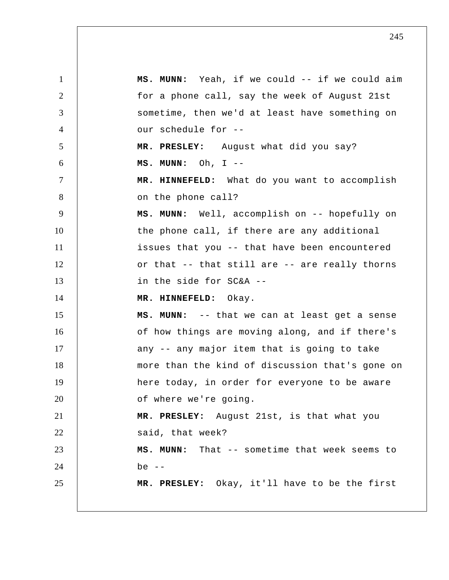| 1      | MS. MUNN: Yeah, if we could -- if we could aim  |
|--------|-------------------------------------------------|
| 2      | for a phone call, say the week of August 21st   |
| 3      | sometime, then we'd at least have something on  |
| 4      | our schedule for --                             |
| 5      | MR. PRESLEY: August what did you say?           |
| 6      | $MS. MUNN: Oh, I --$                            |
| $\tau$ | MR. HINNEFELD: What do you want to accomplish   |
| 8      | on the phone call?                              |
| 9      | MS. MUNN: Well, accomplish on -- hopefully on   |
| 10     | the phone call, if there are any additional     |
| 11     | issues that you -- that have been encountered   |
| 12     | or that -- that still are -- are really thorns  |
| 13     | in the side for SC&A --                         |
| 14     | MR. HINNEFELD: Okay.                            |
| 15     | MS. MUNN: -- that we can at least get a sense   |
| 16     | of how things are moving along, and if there's  |
| 17     | any -- any major item that is going to take     |
| 18     | more than the kind of discussion that's gone on |
| 19     | here today, in order for everyone to be aware   |
| 20     | of where we're going.                           |
| 21     | MR. PRESLEY: August 21st, is that what you      |
| 22     | said, that week?                                |
| 23     | MS. MUNN: That -- sometime that week seems to   |
| 24     | be $--$                                         |
| 25     | MR. PRESLEY: Okay, it'll have to be the first   |
|        |                                                 |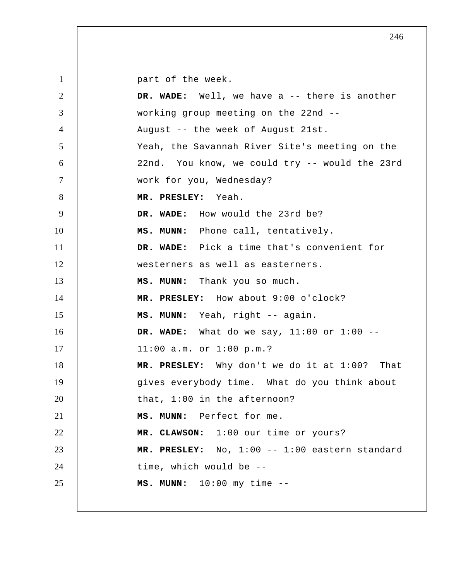1 2 3 4 5 6 7 8 9 10 11 12 13 14 15 16 17 18 19 20 21 22 23 24 25 part of the week.  **DR. WADE:** Well, we have a -- there is another working group meeting on the 22nd -- August -- the week of August 21st. Yeah, the Savannah River Site's meeting on the 22nd. You know, we could try -- would the 23rd work for you, Wednesday?  **MR. PRESLEY:** Yeah.  **DR. WADE:** How would the 23rd be?  **MS. MUNN:** Phone call, tentatively.  **DR. WADE:** Pick a time that's convenient for westerners as well as easterners.  **MS. MUNN:** Thank you so much.  **MR. PRESLEY:** How about 9:00 o'clock?  **MS. MUNN:** Yeah, right -- again.  **DR. WADE:** What do we say, 11:00 or 1:00 -- 11:00 a.m. or 1:00 p.m.?  **MR. PRESLEY:** Why don't we do it at 1:00? That gives everybody time. What do you think about that, 1:00 in the afternoon?  **MS. MUNN:** Perfect for me.  **MR. CLAWSON:** 1:00 our time or yours?  **MR. PRESLEY:** No, 1:00 -- 1:00 eastern standard time, which would be --  **MS. MUNN:** 10:00 my time --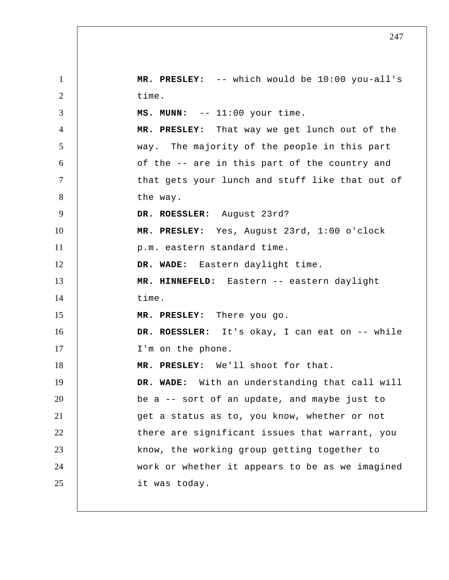1 2 3 4 5 6 7 8 9 10 11 12 13 14 15 16 17 18 19 20 21 22 23 24 25  **MR. PRESLEY:** -- which would be 10:00 you-all's time.  **MS. MUNN:** -- 11:00 your time.  **MR. PRESLEY:** That way we get lunch out of the way. The majority of the people in this part of the -- are in this part of the country and that gets your lunch and stuff like that out of the way. **DR. ROESSLER:** August 23rd?  **MR. PRESLEY:** Yes, August 23rd, 1:00 o'clock p.m. eastern standard time.  **DR. WADE:** Eastern daylight time.  **MR. HINNEFELD:** Eastern -- eastern daylight time.  **MR. PRESLEY:** There you go. **DR. ROESSLER:** It's okay, I can eat on -- while I'm on the phone.  **MR. PRESLEY:** We'll shoot for that.  **DR. WADE:** With an understanding that call will be a -- sort of an update, and maybe just to get a status as to, you know, whether or not there are significant issues that warrant, you know, the working group getting together to work or whether it appears to be as we imagined it was today.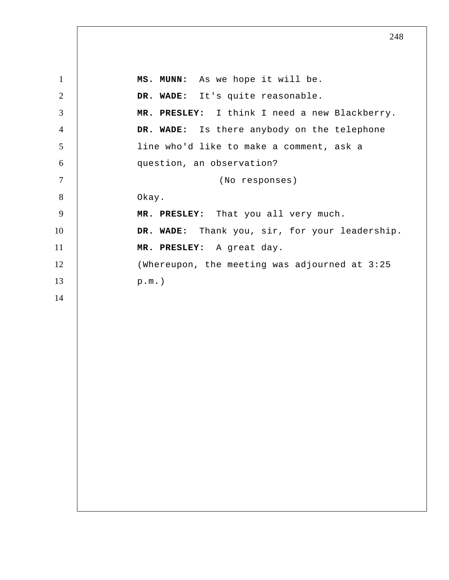1 2 3 4 5 6 7 8 9 10 11 12 13 14  **MS. MUNN:** As we hope it will be.  **DR. WADE:** It's quite reasonable.  **MR. PRESLEY:** I think I need a new Blackberry.  **DR. WADE:** Is there anybody on the telephone line who'd like to make a comment, ask a question, an observation? (No responses) Okay.  **MR. PRESLEY:** That you all very much.  **DR. WADE:** Thank you, sir, for your leadership.  **MR. PRESLEY:** A great day. (Whereupon, the meeting was adjourned at 3:25 p.m.)